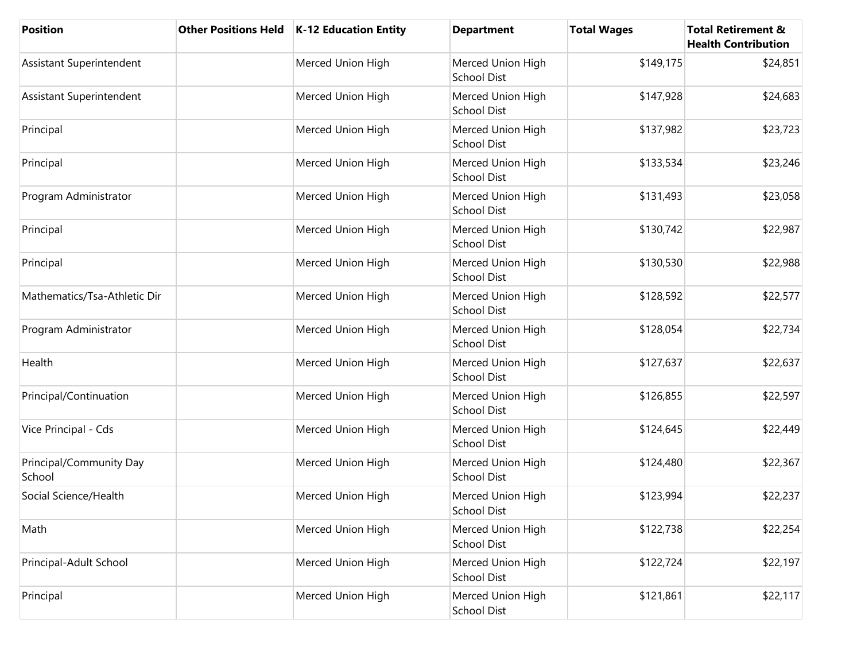| <b>Position</b>                   | <b>Other Positions Held</b> | K-12 Education Entity | <b>Department</b>                       | <b>Total Wages</b> | <b>Total Retirement &amp;</b><br><b>Health Contribution</b> |
|-----------------------------------|-----------------------------|-----------------------|-----------------------------------------|--------------------|-------------------------------------------------------------|
| Assistant Superintendent          |                             | Merced Union High     | Merced Union High<br><b>School Dist</b> | \$149,175          | \$24,851                                                    |
| Assistant Superintendent          |                             | Merced Union High     | Merced Union High<br>School Dist        | \$147,928          | \$24,683                                                    |
| Principal                         |                             | Merced Union High     | Merced Union High<br><b>School Dist</b> | \$137,982          | \$23,723                                                    |
| Principal                         |                             | Merced Union High     | Merced Union High<br><b>School Dist</b> | \$133,534          | \$23,246                                                    |
| Program Administrator             |                             | Merced Union High     | Merced Union High<br><b>School Dist</b> | \$131,493          | \$23,058                                                    |
| Principal                         |                             | Merced Union High     | Merced Union High<br>School Dist        | \$130,742          | \$22,987                                                    |
| Principal                         |                             | Merced Union High     | Merced Union High<br>School Dist        | \$130,530          | \$22,988                                                    |
| Mathematics/Tsa-Athletic Dir      |                             | Merced Union High     | Merced Union High<br><b>School Dist</b> | \$128,592          | \$22,577                                                    |
| Program Administrator             |                             | Merced Union High     | Merced Union High<br>School Dist        | \$128,054          | \$22,734                                                    |
| Health                            |                             | Merced Union High     | Merced Union High<br><b>School Dist</b> | \$127,637          | \$22,637                                                    |
| Principal/Continuation            |                             | Merced Union High     | Merced Union High<br>School Dist        | \$126,855          | \$22,597                                                    |
| Vice Principal - Cds              |                             | Merced Union High     | Merced Union High<br><b>School Dist</b> | \$124,645          | \$22,449                                                    |
| Principal/Community Day<br>School |                             | Merced Union High     | Merced Union High<br><b>School Dist</b> | \$124,480          | \$22,367                                                    |
| Social Science/Health             |                             | Merced Union High     | Merced Union High<br>School Dist        | \$123,994          | \$22,237                                                    |
| Math                              |                             | Merced Union High     | Merced Union High<br><b>School Dist</b> | \$122,738          | \$22,254                                                    |
| Principal-Adult School            |                             | Merced Union High     | Merced Union High<br><b>School Dist</b> | \$122,724          | \$22,197                                                    |
| Principal                         |                             | Merced Union High     | Merced Union High<br>School Dist        | \$121,861          | \$22,117                                                    |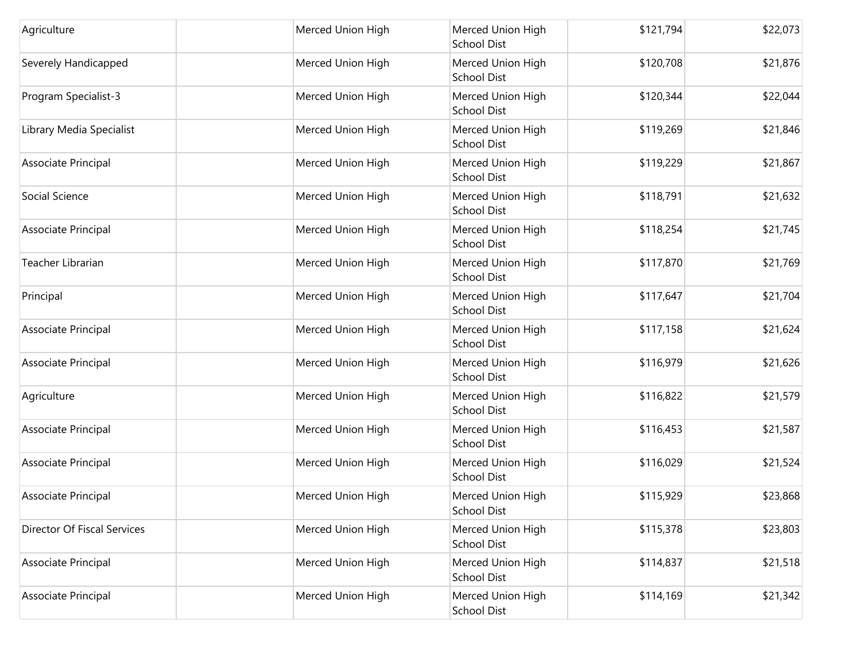| Agriculture                 | Merced Union High | Merced Union High<br><b>School Dist</b> | \$121,794 | \$22,073 |
|-----------------------------|-------------------|-----------------------------------------|-----------|----------|
| Severely Handicapped        | Merced Union High | Merced Union High<br><b>School Dist</b> | \$120,708 | \$21,876 |
| Program Specialist-3        | Merced Union High | Merced Union High<br>School Dist        | \$120,344 | \$22,044 |
| Library Media Specialist    | Merced Union High | Merced Union High<br>School Dist        | \$119,269 | \$21,846 |
| Associate Principal         | Merced Union High | Merced Union High<br>School Dist        | \$119,229 | \$21,867 |
| Social Science              | Merced Union High | Merced Union High<br><b>School Dist</b> | \$118,791 | \$21,632 |
| Associate Principal         | Merced Union High | Merced Union High<br><b>School Dist</b> | \$118,254 | \$21,745 |
| Teacher Librarian           | Merced Union High | Merced Union High<br><b>School Dist</b> | \$117,870 | \$21,769 |
| Principal                   | Merced Union High | Merced Union High<br><b>School Dist</b> | \$117,647 | \$21,704 |
| Associate Principal         | Merced Union High | Merced Union High<br>School Dist        | \$117,158 | \$21,624 |
| Associate Principal         | Merced Union High | Merced Union High<br><b>School Dist</b> | \$116,979 | \$21,626 |
| Agriculture                 | Merced Union High | Merced Union High<br><b>School Dist</b> | \$116,822 | \$21,579 |
| Associate Principal         | Merced Union High | Merced Union High<br>School Dist        | \$116,453 | \$21,587 |
| Associate Principal         | Merced Union High | Merced Union High<br>School Dist        | \$116,029 | \$21,524 |
| Associate Principal         | Merced Union High | Merced Union High<br>School Dist        | \$115,929 | \$23,868 |
| Director Of Fiscal Services | Merced Union High | Merced Union High<br><b>School Dist</b> | \$115,378 | \$23,803 |
| Associate Principal         | Merced Union High | Merced Union High<br><b>School Dist</b> | \$114,837 | \$21,518 |
| Associate Principal         | Merced Union High | Merced Union High<br>School Dist        | \$114,169 | \$21,342 |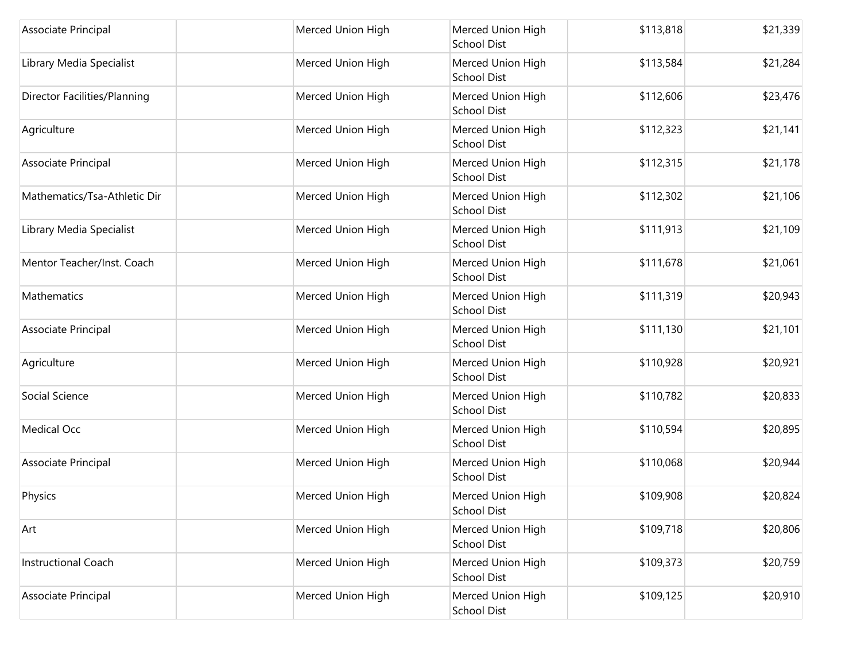| Associate Principal          | Merced Union High | Merced Union High<br><b>School Dist</b> | \$113,818 | \$21,339 |
|------------------------------|-------------------|-----------------------------------------|-----------|----------|
| Library Media Specialist     | Merced Union High | Merced Union High<br><b>School Dist</b> | \$113,584 | \$21,284 |
| Director Facilities/Planning | Merced Union High | Merced Union High<br>School Dist        | \$112,606 | \$23,476 |
| Agriculture                  | Merced Union High | Merced Union High<br>School Dist        | \$112,323 | \$21,141 |
| Associate Principal          | Merced Union High | Merced Union High<br>School Dist        | \$112,315 | \$21,178 |
| Mathematics/Tsa-Athletic Dir | Merced Union High | Merced Union High<br><b>School Dist</b> | \$112,302 | \$21,106 |
| Library Media Specialist     | Merced Union High | Merced Union High<br><b>School Dist</b> | \$111,913 | \$21,109 |
| Mentor Teacher/Inst. Coach   | Merced Union High | Merced Union High<br>School Dist        | \$111,678 | \$21,061 |
| Mathematics                  | Merced Union High | Merced Union High<br><b>School Dist</b> | \$111,319 | \$20,943 |
| Associate Principal          | Merced Union High | Merced Union High<br><b>School Dist</b> | \$111,130 | \$21,101 |
| Agriculture                  | Merced Union High | Merced Union High<br><b>School Dist</b> | \$110,928 | \$20,921 |
| Social Science               | Merced Union High | Merced Union High<br><b>School Dist</b> | \$110,782 | \$20,833 |
| <b>Medical Occ</b>           | Merced Union High | Merced Union High<br>School Dist        | \$110,594 | \$20,895 |
| Associate Principal          | Merced Union High | Merced Union High<br><b>School Dist</b> | \$110,068 | \$20,944 |
| Physics                      | Merced Union High | Merced Union High<br><b>School Dist</b> | \$109,908 | \$20,824 |
| Art                          | Merced Union High | Merced Union High<br>School Dist        | \$109,718 | \$20,806 |
| <b>Instructional Coach</b>   | Merced Union High | Merced Union High<br><b>School Dist</b> | \$109,373 | \$20,759 |
| Associate Principal          | Merced Union High | Merced Union High<br>School Dist        | \$109,125 | \$20,910 |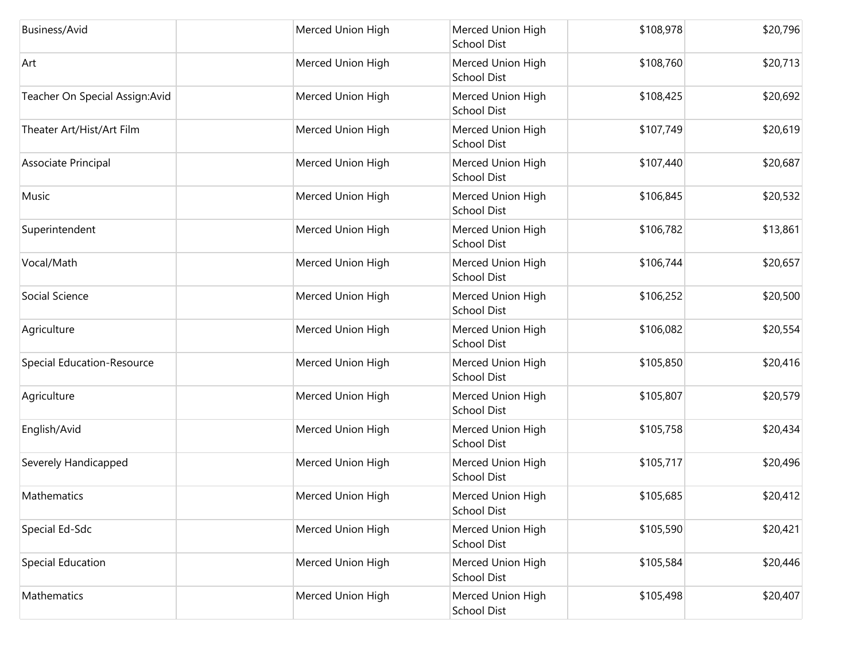| Business/Avid                   | Merced Union High | Merced Union High<br><b>School Dist</b> | \$108,978 | \$20,796 |
|---------------------------------|-------------------|-----------------------------------------|-----------|----------|
| Art                             | Merced Union High | Merced Union High<br><b>School Dist</b> | \$108,760 | \$20,713 |
| Teacher On Special Assign: Avid | Merced Union High | Merced Union High<br>School Dist        | \$108,425 | \$20,692 |
| Theater Art/Hist/Art Film       | Merced Union High | Merced Union High<br>School Dist        | \$107,749 | \$20,619 |
| Associate Principal             | Merced Union High | Merced Union High<br><b>School Dist</b> | \$107,440 | \$20,687 |
| Music                           | Merced Union High | Merced Union High<br><b>School Dist</b> | \$106,845 | \$20,532 |
| Superintendent                  | Merced Union High | Merced Union High<br><b>School Dist</b> | \$106,782 | \$13,861 |
| Vocal/Math                      | Merced Union High | Merced Union High<br><b>School Dist</b> | \$106,744 | \$20,657 |
| Social Science                  | Merced Union High | Merced Union High<br><b>School Dist</b> | \$106,252 | \$20,500 |
| Agriculture                     | Merced Union High | Merced Union High<br>School Dist        | \$106,082 | \$20,554 |
| Special Education-Resource      | Merced Union High | Merced Union High<br><b>School Dist</b> | \$105,850 | \$20,416 |
| Agriculture                     | Merced Union High | Merced Union High<br>School Dist        | \$105,807 | \$20,579 |
| English/Avid                    | Merced Union High | Merced Union High<br>School Dist        | \$105,758 | \$20,434 |
| Severely Handicapped            | Merced Union High | Merced Union High<br><b>School Dist</b> | \$105,717 | \$20,496 |
| Mathematics                     | Merced Union High | Merced Union High<br><b>School Dist</b> | \$105,685 | \$20,412 |
| Special Ed-Sdc                  | Merced Union High | Merced Union High<br><b>School Dist</b> | \$105,590 | \$20,421 |
| Special Education               | Merced Union High | Merced Union High<br><b>School Dist</b> | \$105,584 | \$20,446 |
| Mathematics                     | Merced Union High | Merced Union High<br>School Dist        | \$105,498 | \$20,407 |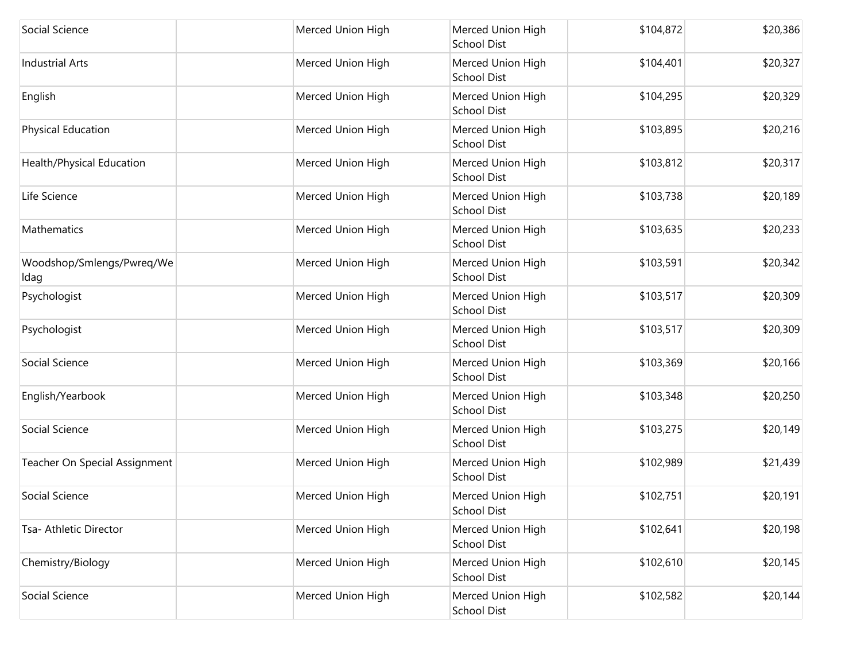| Social Science                    | Merced Union High | Merced Union High<br><b>School Dist</b> | \$104,872 | \$20,386 |
|-----------------------------------|-------------------|-----------------------------------------|-----------|----------|
| <b>Industrial Arts</b>            | Merced Union High | Merced Union High<br><b>School Dist</b> | \$104,401 | \$20,327 |
| English                           | Merced Union High | Merced Union High<br>School Dist        | \$104,295 | \$20,329 |
| <b>Physical Education</b>         | Merced Union High | Merced Union High<br>School Dist        | \$103,895 | \$20,216 |
| Health/Physical Education         | Merced Union High | Merced Union High<br>School Dist        | \$103,812 | \$20,317 |
| Life Science                      | Merced Union High | Merced Union High<br><b>School Dist</b> | \$103,738 | \$20,189 |
| Mathematics                       | Merced Union High | Merced Union High<br><b>School Dist</b> | \$103,635 | \$20,233 |
| Woodshop/Smlengs/Pwreq/We<br>Idag | Merced Union High | Merced Union High<br><b>School Dist</b> | \$103,591 | \$20,342 |
| Psychologist                      | Merced Union High | Merced Union High<br><b>School Dist</b> | \$103,517 | \$20,309 |
| Psychologist                      | Merced Union High | Merced Union High<br>School Dist        | \$103,517 | \$20,309 |
| Social Science                    | Merced Union High | Merced Union High<br><b>School Dist</b> | \$103,369 | \$20,166 |
| English/Yearbook                  | Merced Union High | Merced Union High<br><b>School Dist</b> | \$103,348 | \$20,250 |
| Social Science                    | Merced Union High | Merced Union High<br>School Dist        | \$103,275 | \$20,149 |
| Teacher On Special Assignment     | Merced Union High | Merced Union High<br>School Dist        | \$102,989 | \$21,439 |
| Social Science                    | Merced Union High | Merced Union High<br>School Dist        | \$102,751 | \$20,191 |
| Tsa- Athletic Director            | Merced Union High | Merced Union High<br>School Dist        | \$102,641 | \$20,198 |
| Chemistry/Biology                 | Merced Union High | Merced Union High<br><b>School Dist</b> | \$102,610 | \$20,145 |
| Social Science                    | Merced Union High | Merced Union High<br>School Dist        | \$102,582 | \$20,144 |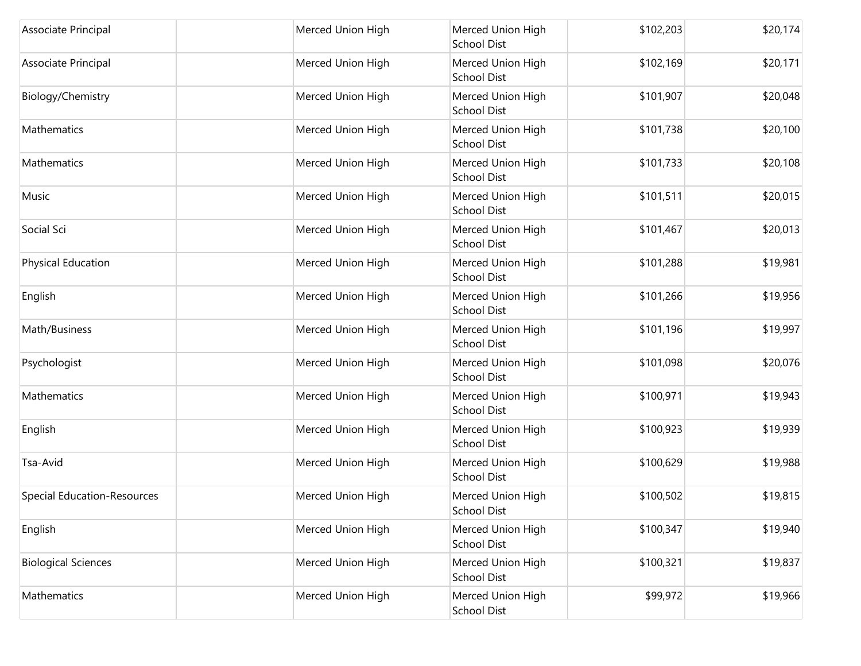| Associate Principal                | Merced Union High | Merced Union High<br><b>School Dist</b> | \$102,203 | \$20,174 |
|------------------------------------|-------------------|-----------------------------------------|-----------|----------|
| Associate Principal                | Merced Union High | Merced Union High<br><b>School Dist</b> | \$102,169 | \$20,171 |
| Biology/Chemistry                  | Merced Union High | Merced Union High<br>School Dist        | \$101,907 | \$20,048 |
| Mathematics                        | Merced Union High | Merced Union High<br>School Dist        | \$101,738 | \$20,100 |
| Mathematics                        | Merced Union High | Merced Union High<br>School Dist        | \$101,733 | \$20,108 |
| Music                              | Merced Union High | Merced Union High<br><b>School Dist</b> | \$101,511 | \$20,015 |
| Social Sci                         | Merced Union High | Merced Union High<br><b>School Dist</b> | \$101,467 | \$20,013 |
| Physical Education                 | Merced Union High | Merced Union High<br><b>School Dist</b> | \$101,288 | \$19,981 |
| English                            | Merced Union High | Merced Union High<br><b>School Dist</b> | \$101,266 | \$19,956 |
| Math/Business                      | Merced Union High | Merced Union High<br>School Dist        | \$101,196 | \$19,997 |
| Psychologist                       | Merced Union High | Merced Union High<br><b>School Dist</b> | \$101,098 | \$20,076 |
| Mathematics                        | Merced Union High | Merced Union High<br>School Dist        | \$100,971 | \$19,943 |
| English                            | Merced Union High | Merced Union High<br>School Dist        | \$100,923 | \$19,939 |
| Tsa-Avid                           | Merced Union High | Merced Union High<br><b>School Dist</b> | \$100,629 | \$19,988 |
| <b>Special Education-Resources</b> | Merced Union High | Merced Union High<br><b>School Dist</b> | \$100,502 | \$19,815 |
| English                            | Merced Union High | Merced Union High<br><b>School Dist</b> | \$100,347 | \$19,940 |
| <b>Biological Sciences</b>         | Merced Union High | Merced Union High<br><b>School Dist</b> | \$100,321 | \$19,837 |
| Mathematics                        | Merced Union High | Merced Union High<br>School Dist        | \$99,972  | \$19,966 |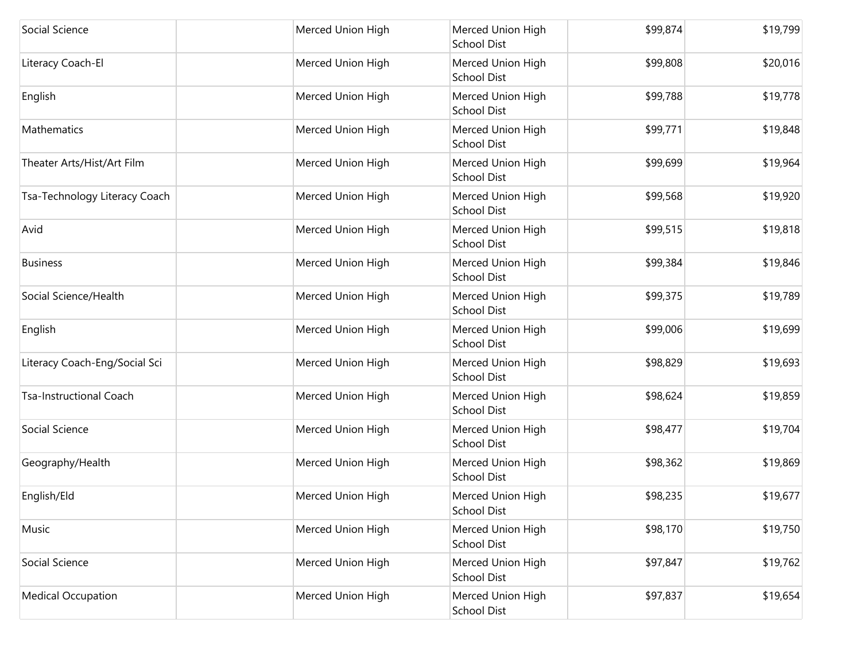| Social Science                 | Merced Union High | Merced Union High<br><b>School Dist</b> | \$99,874 | \$19,799 |
|--------------------------------|-------------------|-----------------------------------------|----------|----------|
| Literacy Coach-El              | Merced Union High | Merced Union High<br><b>School Dist</b> | \$99,808 | \$20,016 |
| English                        | Merced Union High | Merced Union High<br><b>School Dist</b> | \$99,788 | \$19,778 |
| Mathematics                    | Merced Union High | Merced Union High<br><b>School Dist</b> | \$99,771 | \$19,848 |
| Theater Arts/Hist/Art Film     | Merced Union High | Merced Union High<br><b>School Dist</b> | \$99,699 | \$19,964 |
| Tsa-Technology Literacy Coach  | Merced Union High | Merced Union High<br><b>School Dist</b> | \$99,568 | \$19,920 |
| Avid                           | Merced Union High | Merced Union High<br><b>School Dist</b> | \$99,515 | \$19,818 |
| <b>Business</b>                | Merced Union High | Merced Union High<br><b>School Dist</b> | \$99,384 | \$19,846 |
| Social Science/Health          | Merced Union High | Merced Union High<br><b>School Dist</b> | \$99,375 | \$19,789 |
| English                        | Merced Union High | Merced Union High<br><b>School Dist</b> | \$99,006 | \$19,699 |
| Literacy Coach-Eng/Social Sci  | Merced Union High | Merced Union High<br><b>School Dist</b> | \$98,829 | \$19,693 |
| <b>Tsa-Instructional Coach</b> | Merced Union High | Merced Union High<br><b>School Dist</b> | \$98,624 | \$19,859 |
| Social Science                 | Merced Union High | Merced Union High<br><b>School Dist</b> | \$98,477 | \$19,704 |
| Geography/Health               | Merced Union High | Merced Union High<br><b>School Dist</b> | \$98,362 | \$19,869 |
| English/Eld                    | Merced Union High | Merced Union High<br><b>School Dist</b> | \$98,235 | \$19,677 |
| Music                          | Merced Union High | Merced Union High<br><b>School Dist</b> | \$98,170 | \$19,750 |
| Social Science                 | Merced Union High | Merced Union High<br><b>School Dist</b> | \$97,847 | \$19,762 |
| <b>Medical Occupation</b>      | Merced Union High | Merced Union High<br><b>School Dist</b> | \$97,837 | \$19,654 |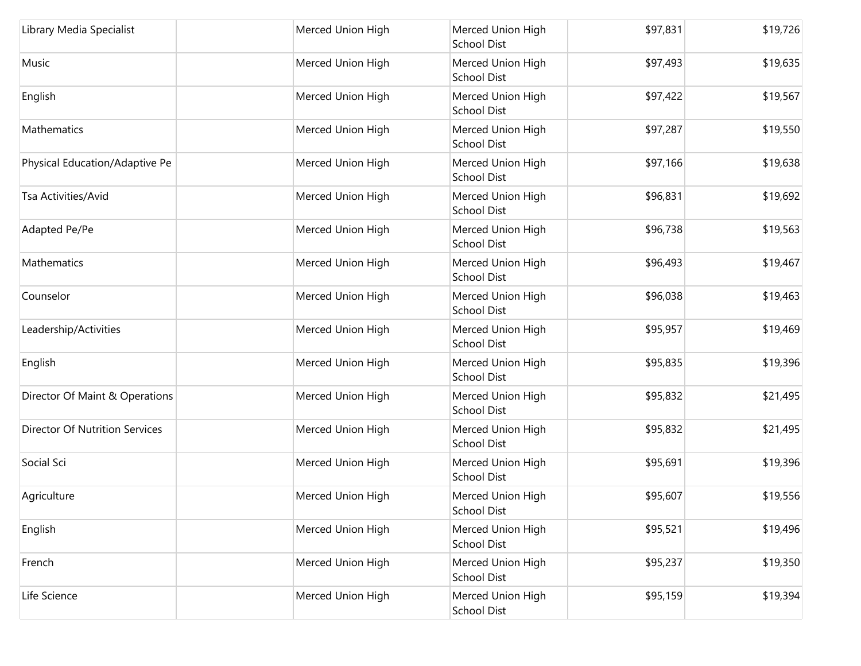| Library Media Specialist              | Merced Union High | Merced Union High<br><b>School Dist</b> | \$97,831 | \$19,726 |
|---------------------------------------|-------------------|-----------------------------------------|----------|----------|
| Music                                 | Merced Union High | Merced Union High<br><b>School Dist</b> | \$97,493 | \$19,635 |
| English                               | Merced Union High | Merced Union High<br><b>School Dist</b> | \$97,422 | \$19,567 |
| Mathematics                           | Merced Union High | Merced Union High<br><b>School Dist</b> | \$97,287 | \$19,550 |
| Physical Education/Adaptive Pe        | Merced Union High | Merced Union High<br><b>School Dist</b> | \$97,166 | \$19,638 |
| Tsa Activities/Avid                   | Merced Union High | Merced Union High<br><b>School Dist</b> | \$96,831 | \$19,692 |
| Adapted Pe/Pe                         | Merced Union High | Merced Union High<br><b>School Dist</b> | \$96,738 | \$19,563 |
| Mathematics                           | Merced Union High | Merced Union High<br><b>School Dist</b> | \$96,493 | \$19,467 |
| Counselor                             | Merced Union High | Merced Union High<br>School Dist        | \$96,038 | \$19,463 |
| Leadership/Activities                 | Merced Union High | Merced Union High<br><b>School Dist</b> | \$95,957 | \$19,469 |
| English                               | Merced Union High | Merced Union High<br><b>School Dist</b> | \$95,835 | \$19,396 |
| Director Of Maint & Operations        | Merced Union High | Merced Union High<br><b>School Dist</b> | \$95,832 | \$21,495 |
| <b>Director Of Nutrition Services</b> | Merced Union High | Merced Union High<br><b>School Dist</b> | \$95,832 | \$21,495 |
| Social Sci                            | Merced Union High | Merced Union High<br><b>School Dist</b> | \$95,691 | \$19,396 |
| Agriculture                           | Merced Union High | Merced Union High<br><b>School Dist</b> | \$95,607 | \$19,556 |
| English                               | Merced Union High | Merced Union High<br><b>School Dist</b> | \$95,521 | \$19,496 |
| French                                | Merced Union High | Merced Union High<br><b>School Dist</b> | \$95,237 | \$19,350 |
| Life Science                          | Merced Union High | Merced Union High<br><b>School Dist</b> | \$95,159 | \$19,394 |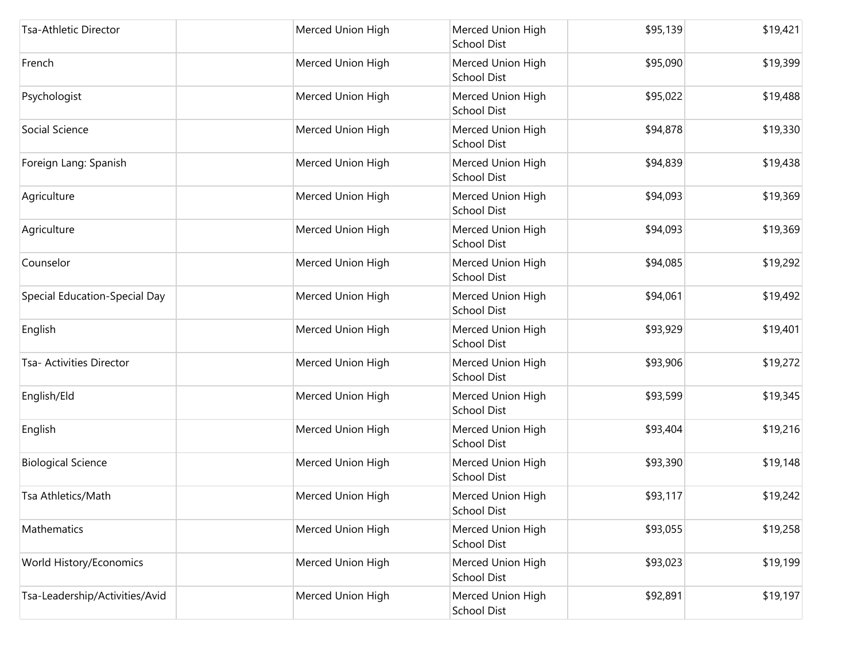| Tsa-Athletic Director          | Merced Union High | Merced Union High<br>School Dist        | \$95,139 | \$19,421 |
|--------------------------------|-------------------|-----------------------------------------|----------|----------|
| French                         | Merced Union High | Merced Union High<br><b>School Dist</b> | \$95,090 | \$19,399 |
| Psychologist                   | Merced Union High | Merced Union High<br>School Dist        | \$95,022 | \$19,488 |
| Social Science                 | Merced Union High | Merced Union High<br><b>School Dist</b> | \$94,878 | \$19,330 |
| Foreign Lang: Spanish          | Merced Union High | Merced Union High<br>School Dist        | \$94,839 | \$19,438 |
| Agriculture                    | Merced Union High | Merced Union High<br>School Dist        | \$94,093 | \$19,369 |
| Agriculture                    | Merced Union High | Merced Union High<br><b>School Dist</b> | \$94,093 | \$19,369 |
| Counselor                      | Merced Union High | Merced Union High<br>School Dist        | \$94,085 | \$19,292 |
| Special Education-Special Day  | Merced Union High | Merced Union High<br>School Dist        | \$94,061 | \$19,492 |
| English                        | Merced Union High | Merced Union High<br>School Dist        | \$93,929 | \$19,401 |
| Tsa- Activities Director       | Merced Union High | Merced Union High<br><b>School Dist</b> | \$93,906 | \$19,272 |
| English/Eld                    | Merced Union High | Merced Union High<br><b>School Dist</b> | \$93,599 | \$19,345 |
| English                        | Merced Union High | Merced Union High<br>School Dist        | \$93,404 | \$19,216 |
| <b>Biological Science</b>      | Merced Union High | Merced Union High<br>School Dist        | \$93,390 | \$19,148 |
| Tsa Athletics/Math             | Merced Union High | Merced Union High<br>School Dist        | \$93,117 | \$19,242 |
| Mathematics                    | Merced Union High | Merced Union High<br><b>School Dist</b> | \$93,055 | \$19,258 |
| World History/Economics        | Merced Union High | Merced Union High<br><b>School Dist</b> | \$93,023 | \$19,199 |
| Tsa-Leadership/Activities/Avid | Merced Union High | Merced Union High<br>School Dist        | \$92,891 | \$19,197 |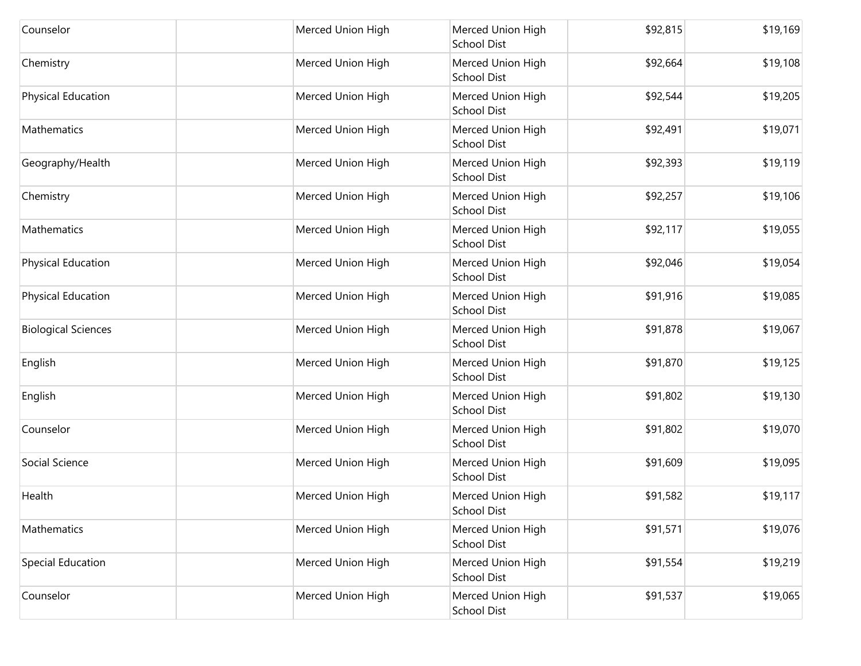| Counselor                  | Merced Union High | Merced Union High<br><b>School Dist</b> | \$92,815 | \$19,169 |
|----------------------------|-------------------|-----------------------------------------|----------|----------|
| Chemistry                  | Merced Union High | Merced Union High<br><b>School Dist</b> | \$92,664 | \$19,108 |
| <b>Physical Education</b>  | Merced Union High | Merced Union High<br>School Dist        | \$92,544 | \$19,205 |
| Mathematics                | Merced Union High | Merced Union High<br><b>School Dist</b> | \$92,491 | \$19,071 |
| Geography/Health           | Merced Union High | Merced Union High<br>School Dist        | \$92,393 | \$19,119 |
| Chemistry                  | Merced Union High | Merced Union High<br><b>School Dist</b> | \$92,257 | \$19,106 |
| Mathematics                | Merced Union High | Merced Union High<br><b>School Dist</b> | \$92,117 | \$19,055 |
| Physical Education         | Merced Union High | Merced Union High<br>School Dist        | \$92,046 | \$19,054 |
| Physical Education         | Merced Union High | Merced Union High<br>School Dist        | \$91,916 | \$19,085 |
| <b>Biological Sciences</b> | Merced Union High | Merced Union High<br><b>School Dist</b> | \$91,878 | \$19,067 |
| English                    | Merced Union High | Merced Union High<br><b>School Dist</b> | \$91,870 | \$19,125 |
| English                    | Merced Union High | Merced Union High<br><b>School Dist</b> | \$91,802 | \$19,130 |
| Counselor                  | Merced Union High | Merced Union High<br>School Dist        | \$91,802 | \$19,070 |
| Social Science             | Merced Union High | Merced Union High<br>School Dist        | \$91,609 | \$19,095 |
| Health                     | Merced Union High | Merced Union High<br>School Dist        | \$91,582 | \$19,117 |
| Mathematics                | Merced Union High | Merced Union High<br><b>School Dist</b> | \$91,571 | \$19,076 |
| Special Education          | Merced Union High | Merced Union High<br><b>School Dist</b> | \$91,554 | \$19,219 |
| Counselor                  | Merced Union High | Merced Union High<br>School Dist        | \$91,537 | \$19,065 |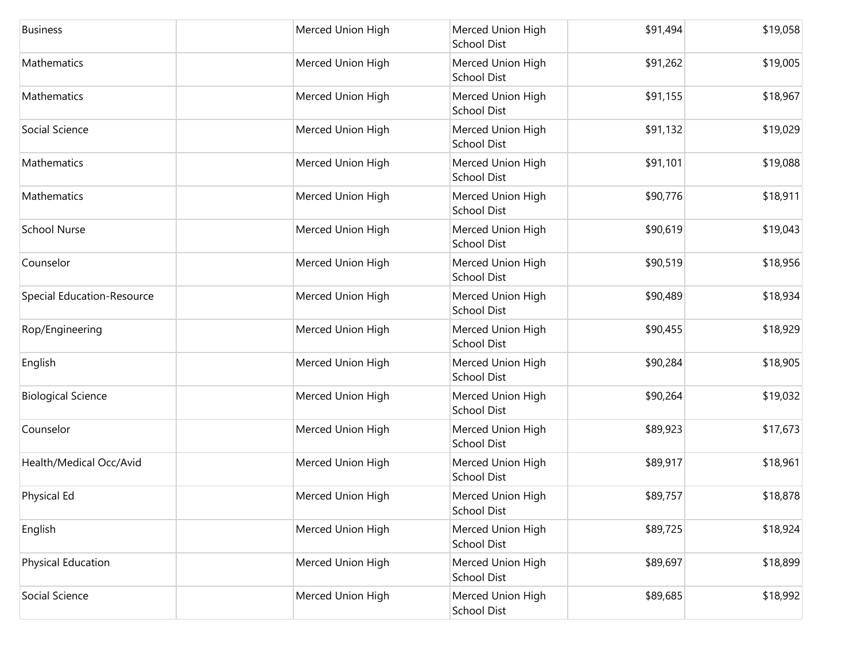| <b>Business</b>                   | Merced Union High | Merced Union High<br><b>School Dist</b> | \$91,494 | \$19,058 |
|-----------------------------------|-------------------|-----------------------------------------|----------|----------|
| Mathematics                       | Merced Union High | Merced Union High<br><b>School Dist</b> | \$91,262 | \$19,005 |
| Mathematics                       | Merced Union High | Merced Union High<br><b>School Dist</b> | \$91,155 | \$18,967 |
| Social Science                    | Merced Union High | Merced Union High<br><b>School Dist</b> | \$91,132 | \$19,029 |
| Mathematics                       | Merced Union High | Merced Union High<br><b>School Dist</b> | \$91,101 | \$19,088 |
| Mathematics                       | Merced Union High | Merced Union High<br><b>School Dist</b> | \$90,776 | \$18,911 |
| <b>School Nurse</b>               | Merced Union High | Merced Union High<br><b>School Dist</b> | \$90,619 | \$19,043 |
| Counselor                         | Merced Union High | Merced Union High<br><b>School Dist</b> | \$90,519 | \$18,956 |
| <b>Special Education-Resource</b> | Merced Union High | Merced Union High<br><b>School Dist</b> | \$90,489 | \$18,934 |
| Rop/Engineering                   | Merced Union High | Merced Union High<br><b>School Dist</b> | \$90,455 | \$18,929 |
| English                           | Merced Union High | Merced Union High<br><b>School Dist</b> | \$90,284 | \$18,905 |
| <b>Biological Science</b>         | Merced Union High | Merced Union High<br><b>School Dist</b> | \$90,264 | \$19,032 |
| Counselor                         | Merced Union High | Merced Union High<br><b>School Dist</b> | \$89,923 | \$17,673 |
| Health/Medical Occ/Avid           | Merced Union High | Merced Union High<br><b>School Dist</b> | \$89,917 | \$18,961 |
| Physical Ed                       | Merced Union High | Merced Union High<br><b>School Dist</b> | \$89,757 | \$18,878 |
| English                           | Merced Union High | Merced Union High<br><b>School Dist</b> | \$89,725 | \$18,924 |
| Physical Education                | Merced Union High | Merced Union High<br><b>School Dist</b> | \$89,697 | \$18,899 |
| Social Science                    | Merced Union High | Merced Union High<br><b>School Dist</b> | \$89,685 | \$18,992 |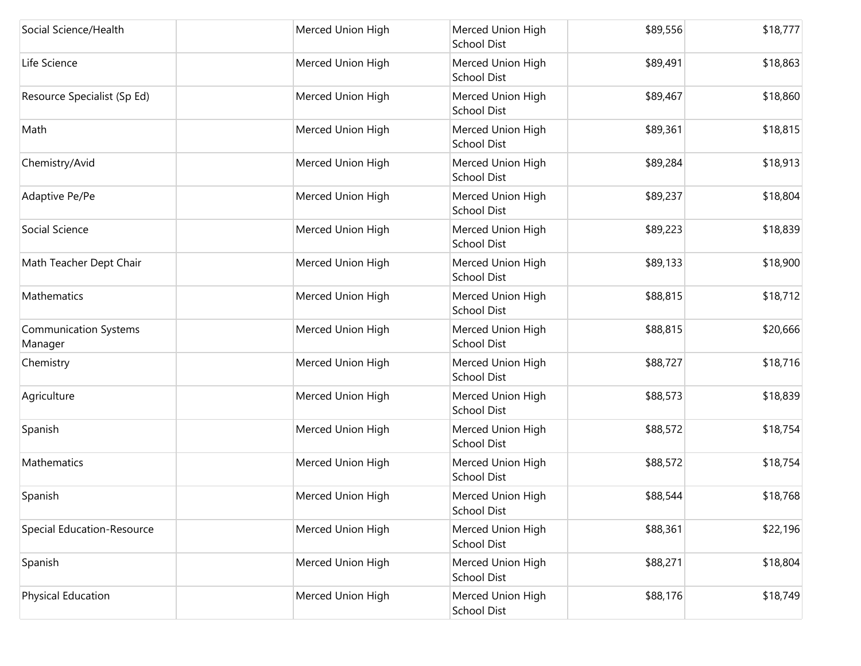| Social Science/Health                   | Merced Union High | Merced Union High<br>School Dist        | \$89,556 | \$18,777 |
|-----------------------------------------|-------------------|-----------------------------------------|----------|----------|
| Life Science                            | Merced Union High | Merced Union High<br><b>School Dist</b> | \$89,491 | \$18,863 |
| Resource Specialist (Sp Ed)             | Merced Union High | Merced Union High<br>School Dist        | \$89,467 | \$18,860 |
| Math                                    | Merced Union High | Merced Union High<br><b>School Dist</b> | \$89,361 | \$18,815 |
| Chemistry/Avid                          | Merced Union High | Merced Union High<br>School Dist        | \$89,284 | \$18,913 |
| Adaptive Pe/Pe                          | Merced Union High | Merced Union High<br>School Dist        | \$89,237 | \$18,804 |
| Social Science                          | Merced Union High | Merced Union High<br><b>School Dist</b> | \$89,223 | \$18,839 |
| Math Teacher Dept Chair                 | Merced Union High | Merced Union High<br>School Dist        | \$89,133 | \$18,900 |
| Mathematics                             | Merced Union High | Merced Union High<br>School Dist        | \$88,815 | \$18,712 |
| <b>Communication Systems</b><br>Manager | Merced Union High | Merced Union High<br>School Dist        | \$88,815 | \$20,666 |
| Chemistry                               | Merced Union High | Merced Union High<br><b>School Dist</b> | \$88,727 | \$18,716 |
| Agriculture                             | Merced Union High | Merced Union High<br><b>School Dist</b> | \$88,573 | \$18,839 |
| Spanish                                 | Merced Union High | Merced Union High<br>School Dist        | \$88,572 | \$18,754 |
| Mathematics                             | Merced Union High | Merced Union High<br>School Dist        | \$88,572 | \$18,754 |
| Spanish                                 | Merced Union High | Merced Union High<br>School Dist        | \$88,544 | \$18,768 |
| <b>Special Education-Resource</b>       | Merced Union High | Merced Union High<br><b>School Dist</b> | \$88,361 | \$22,196 |
| Spanish                                 | Merced Union High | Merced Union High<br><b>School Dist</b> | \$88,271 | \$18,804 |
| <b>Physical Education</b>               | Merced Union High | Merced Union High<br>School Dist        | \$88,176 | \$18,749 |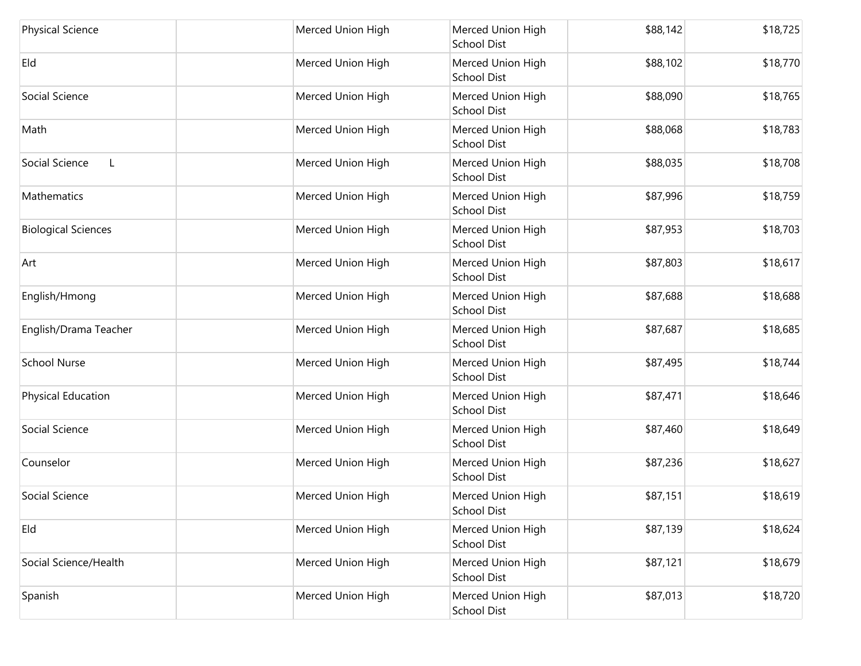| <b>Physical Science</b>        | Merced Union High | Merced Union High<br><b>School Dist</b> | \$88,142 | \$18,725 |
|--------------------------------|-------------------|-----------------------------------------|----------|----------|
| Eld                            | Merced Union High | Merced Union High<br><b>School Dist</b> | \$88,102 | \$18,770 |
| Social Science                 | Merced Union High | Merced Union High<br><b>School Dist</b> | \$88,090 | \$18,765 |
| Math                           | Merced Union High | Merced Union High<br><b>School Dist</b> | \$88,068 | \$18,783 |
| Social Science<br>$\mathsf{L}$ | Merced Union High | Merced Union High<br><b>School Dist</b> | \$88,035 | \$18,708 |
| <b>Mathematics</b>             | Merced Union High | Merced Union High<br><b>School Dist</b> | \$87,996 | \$18,759 |
| <b>Biological Sciences</b>     | Merced Union High | Merced Union High<br><b>School Dist</b> | \$87,953 | \$18,703 |
| Art                            | Merced Union High | Merced Union High<br><b>School Dist</b> | \$87,803 | \$18,617 |
| English/Hmong                  | Merced Union High | Merced Union High<br><b>School Dist</b> | \$87,688 | \$18,688 |
| English/Drama Teacher          | Merced Union High | Merced Union High<br><b>School Dist</b> | \$87,687 | \$18,685 |
| <b>School Nurse</b>            | Merced Union High | Merced Union High<br><b>School Dist</b> | \$87,495 | \$18,744 |
| Physical Education             | Merced Union High | Merced Union High<br><b>School Dist</b> | \$87,471 | \$18,646 |
| Social Science                 | Merced Union High | Merced Union High<br><b>School Dist</b> | \$87,460 | \$18,649 |
| Counselor                      | Merced Union High | Merced Union High<br><b>School Dist</b> | \$87,236 | \$18,627 |
| Social Science                 | Merced Union High | Merced Union High<br>School Dist        | \$87,151 | \$18,619 |
| Eld                            | Merced Union High | Merced Union High<br><b>School Dist</b> | \$87,139 | \$18,624 |
| Social Science/Health          | Merced Union High | Merced Union High<br><b>School Dist</b> | \$87,121 | \$18,679 |
| Spanish                        | Merced Union High | Merced Union High<br><b>School Dist</b> | \$87,013 | \$18,720 |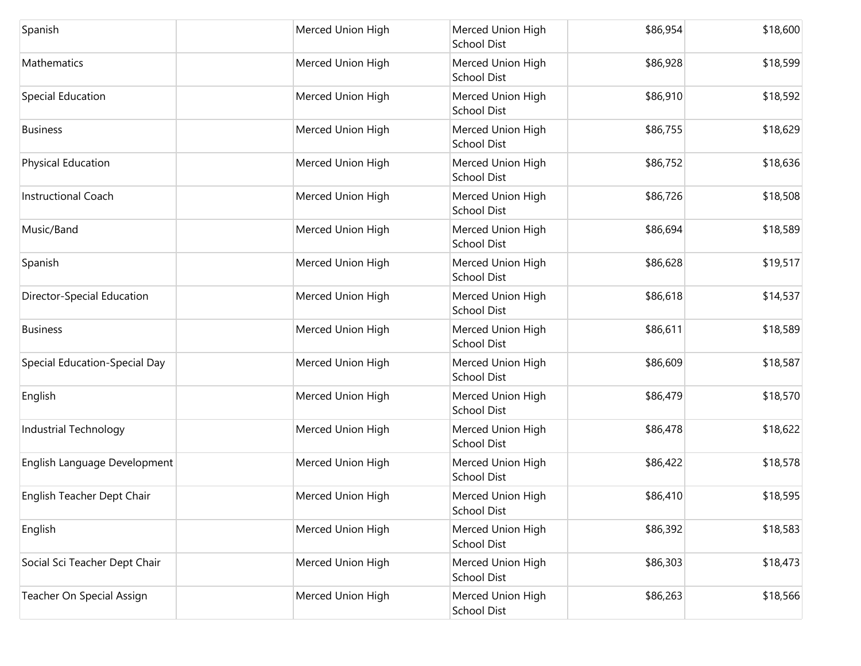| Spanish                       | Merced Union High | Merced Union High<br>School Dist        | \$86,954 | \$18,600 |
|-------------------------------|-------------------|-----------------------------------------|----------|----------|
| Mathematics                   | Merced Union High | Merced Union High<br><b>School Dist</b> | \$86,928 | \$18,599 |
| Special Education             | Merced Union High | Merced Union High<br>School Dist        | \$86,910 | \$18,592 |
| <b>Business</b>               | Merced Union High | Merced Union High<br><b>School Dist</b> | \$86,755 | \$18,629 |
| Physical Education            | Merced Union High | Merced Union High<br>School Dist        | \$86,752 | \$18,636 |
| <b>Instructional Coach</b>    | Merced Union High | Merced Union High<br>School Dist        | \$86,726 | \$18,508 |
| Music/Band                    | Merced Union High | Merced Union High<br><b>School Dist</b> | \$86,694 | \$18,589 |
| Spanish                       | Merced Union High | Merced Union High<br>School Dist        | \$86,628 | \$19,517 |
| Director-Special Education    | Merced Union High | Merced Union High<br>School Dist        | \$86,618 | \$14,537 |
| <b>Business</b>               | Merced Union High | Merced Union High<br>School Dist        | \$86,611 | \$18,589 |
| Special Education-Special Day | Merced Union High | Merced Union High<br><b>School Dist</b> | \$86,609 | \$18,587 |
| English                       | Merced Union High | Merced Union High<br><b>School Dist</b> | \$86,479 | \$18,570 |
| Industrial Technology         | Merced Union High | Merced Union High<br>School Dist        | \$86,478 | \$18,622 |
| English Language Development  | Merced Union High | Merced Union High<br>School Dist        | \$86,422 | \$18,578 |
| English Teacher Dept Chair    | Merced Union High | Merced Union High<br>School Dist        | \$86,410 | \$18,595 |
| English                       | Merced Union High | Merced Union High<br><b>School Dist</b> | \$86,392 | \$18,583 |
| Social Sci Teacher Dept Chair | Merced Union High | Merced Union High<br><b>School Dist</b> | \$86,303 | \$18,473 |
| Teacher On Special Assign     | Merced Union High | Merced Union High<br>School Dist        | \$86,263 | \$18,566 |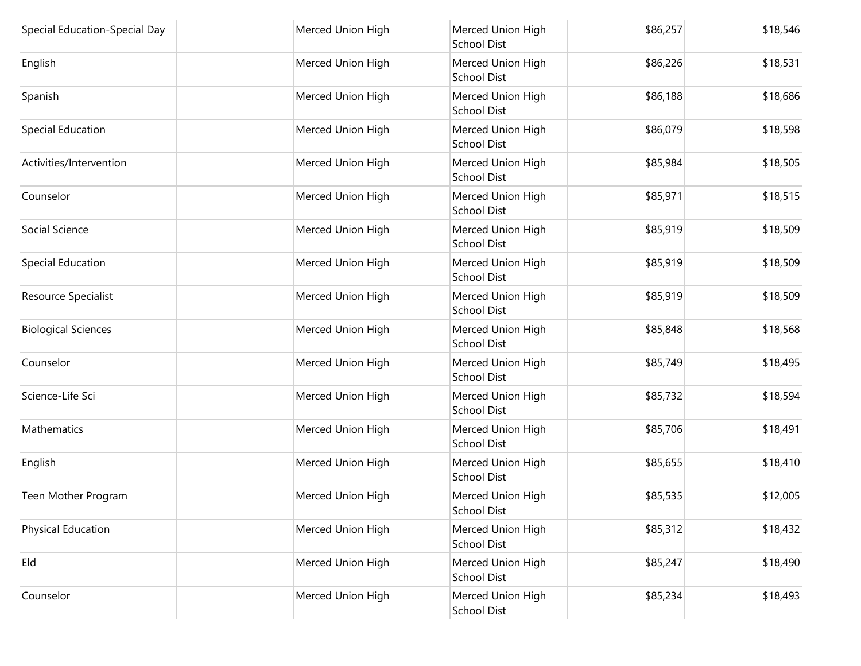| Special Education-Special Day | Merced Union High | Merced Union High<br><b>School Dist</b> | \$86,257 | \$18,546 |
|-------------------------------|-------------------|-----------------------------------------|----------|----------|
| English                       | Merced Union High | Merced Union High<br><b>School Dist</b> | \$86,226 | \$18,531 |
| Spanish                       | Merced Union High | Merced Union High<br><b>School Dist</b> | \$86,188 | \$18,686 |
| Special Education             | Merced Union High | Merced Union High<br><b>School Dist</b> | \$86,079 | \$18,598 |
| Activities/Intervention       | Merced Union High | Merced Union High<br><b>School Dist</b> | \$85,984 | \$18,505 |
| Counselor                     | Merced Union High | Merced Union High<br><b>School Dist</b> | \$85,971 | \$18,515 |
| Social Science                | Merced Union High | Merced Union High<br><b>School Dist</b> | \$85,919 | \$18,509 |
| Special Education             | Merced Union High | Merced Union High<br><b>School Dist</b> | \$85,919 | \$18,509 |
| Resource Specialist           | Merced Union High | Merced Union High<br><b>School Dist</b> | \$85,919 | \$18,509 |
| <b>Biological Sciences</b>    | Merced Union High | Merced Union High<br><b>School Dist</b> | \$85,848 | \$18,568 |
| Counselor                     | Merced Union High | Merced Union High<br><b>School Dist</b> | \$85,749 | \$18,495 |
| Science-Life Sci              | Merced Union High | Merced Union High<br><b>School Dist</b> | \$85,732 | \$18,594 |
| Mathematics                   | Merced Union High | Merced Union High<br><b>School Dist</b> | \$85,706 | \$18,491 |
| English                       | Merced Union High | Merced Union High<br><b>School Dist</b> | \$85,655 | \$18,410 |
| Teen Mother Program           | Merced Union High | Merced Union High<br>School Dist        | \$85,535 | \$12,005 |
| <b>Physical Education</b>     | Merced Union High | Merced Union High<br><b>School Dist</b> | \$85,312 | \$18,432 |
| Eld                           | Merced Union High | Merced Union High<br><b>School Dist</b> | \$85,247 | \$18,490 |
| Counselor                     | Merced Union High | Merced Union High<br><b>School Dist</b> | \$85,234 | \$18,493 |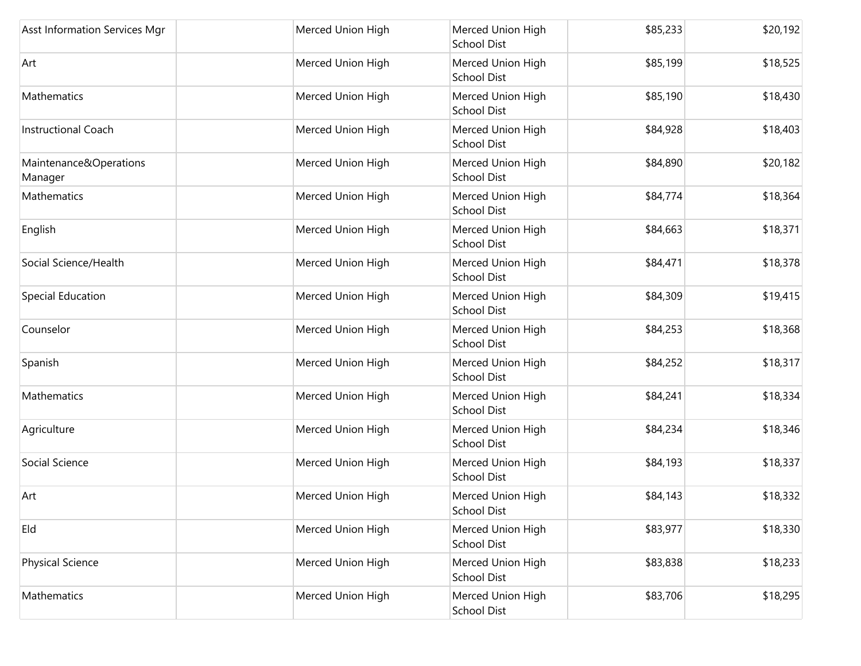| Asst Information Services Mgr     | Merced Union High | Merced Union High<br><b>School Dist</b> | \$85,233 | \$20,192 |
|-----------------------------------|-------------------|-----------------------------------------|----------|----------|
| Art                               | Merced Union High | Merced Union High<br><b>School Dist</b> | \$85,199 | \$18,525 |
| Mathematics                       | Merced Union High | Merced Union High<br>School Dist        | \$85,190 | \$18,430 |
| <b>Instructional Coach</b>        | Merced Union High | Merced Union High<br>School Dist        | \$84,928 | \$18,403 |
| Maintenance&Operations<br>Manager | Merced Union High | Merced Union High<br><b>School Dist</b> | \$84,890 | \$20,182 |
| Mathematics                       | Merced Union High | Merced Union High<br><b>School Dist</b> | \$84,774 | \$18,364 |
| English                           | Merced Union High | Merced Union High<br>School Dist        | \$84,663 | \$18,371 |
| Social Science/Health             | Merced Union High | Merced Union High<br>School Dist        | \$84,471 | \$18,378 |
| Special Education                 | Merced Union High | Merced Union High<br><b>School Dist</b> | \$84,309 | \$19,415 |
| Counselor                         | Merced Union High | Merced Union High<br>School Dist        | \$84,253 | \$18,368 |
| Spanish                           | Merced Union High | Merced Union High<br><b>School Dist</b> | \$84,252 | \$18,317 |
| Mathematics                       | Merced Union High | Merced Union High<br>School Dist        | \$84,241 | \$18,334 |
| Agriculture                       | Merced Union High | Merced Union High<br><b>School Dist</b> | \$84,234 | \$18,346 |
| Social Science                    | Merced Union High | Merced Union High<br><b>School Dist</b> | \$84,193 | \$18,337 |
| Art                               | Merced Union High | Merced Union High<br>School Dist        | \$84,143 | \$18,332 |
| Eld                               | Merced Union High | Merced Union High<br><b>School Dist</b> | \$83,977 | \$18,330 |
| <b>Physical Science</b>           | Merced Union High | Merced Union High<br><b>School Dist</b> | \$83,838 | \$18,233 |
| Mathematics                       | Merced Union High | Merced Union High<br>School Dist        | \$83,706 | \$18,295 |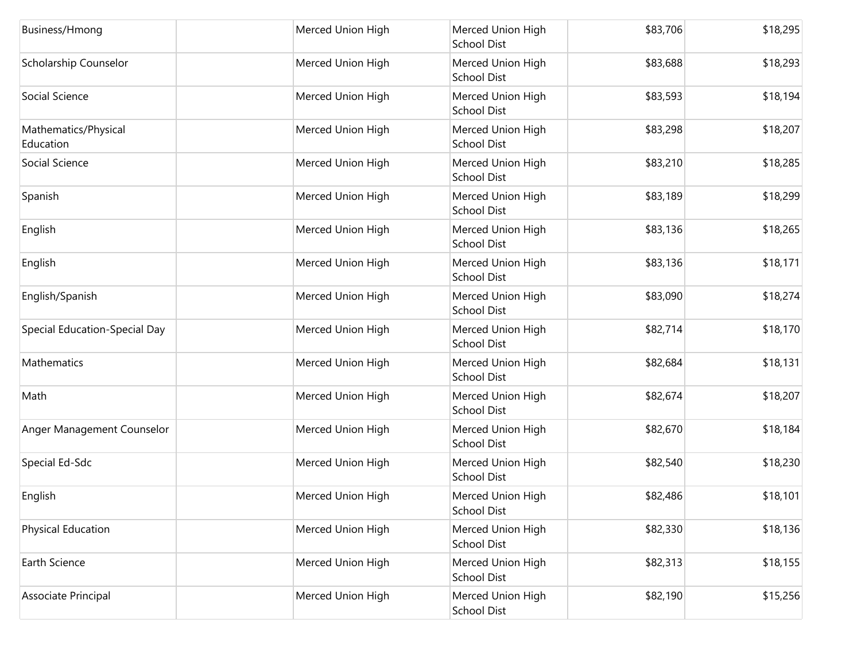| Business/Hmong                    | Merced Union High | Merced Union High<br><b>School Dist</b> | \$83,706 | \$18,295 |
|-----------------------------------|-------------------|-----------------------------------------|----------|----------|
| Scholarship Counselor             | Merced Union High | Merced Union High<br><b>School Dist</b> | \$83,688 | \$18,293 |
| Social Science                    | Merced Union High | Merced Union High<br>School Dist        | \$83,593 | \$18,194 |
| Mathematics/Physical<br>Education | Merced Union High | Merced Union High<br>School Dist        | \$83,298 | \$18,207 |
| Social Science                    | Merced Union High | Merced Union High<br>School Dist        | \$83,210 | \$18,285 |
| Spanish                           | Merced Union High | Merced Union High<br><b>School Dist</b> | \$83,189 | \$18,299 |
| English                           | Merced Union High | Merced Union High<br><b>School Dist</b> | \$83,136 | \$18,265 |
| English                           | Merced Union High | Merced Union High<br><b>School Dist</b> | \$83,136 | \$18,171 |
| English/Spanish                   | Merced Union High | Merced Union High<br><b>School Dist</b> | \$83,090 | \$18,274 |
| Special Education-Special Day     | Merced Union High | Merced Union High<br>School Dist        | \$82,714 | \$18,170 |
| Mathematics                       | Merced Union High | Merced Union High<br><b>School Dist</b> | \$82,684 | \$18,131 |
| Math                              | Merced Union High | Merced Union High<br>School Dist        | \$82,674 | \$18,207 |
| Anger Management Counselor        | Merced Union High | Merced Union High<br>School Dist        | \$82,670 | \$18,184 |
| Special Ed-Sdc                    | Merced Union High | Merced Union High<br><b>School Dist</b> | \$82,540 | \$18,230 |
| English                           | Merced Union High | Merced Union High<br>School Dist        | \$82,486 | \$18,101 |
| Physical Education                | Merced Union High | Merced Union High<br><b>School Dist</b> | \$82,330 | \$18,136 |
| Earth Science                     | Merced Union High | Merced Union High<br><b>School Dist</b> | \$82,313 | \$18,155 |
| Associate Principal               | Merced Union High | Merced Union High<br>School Dist        | \$82,190 | \$15,256 |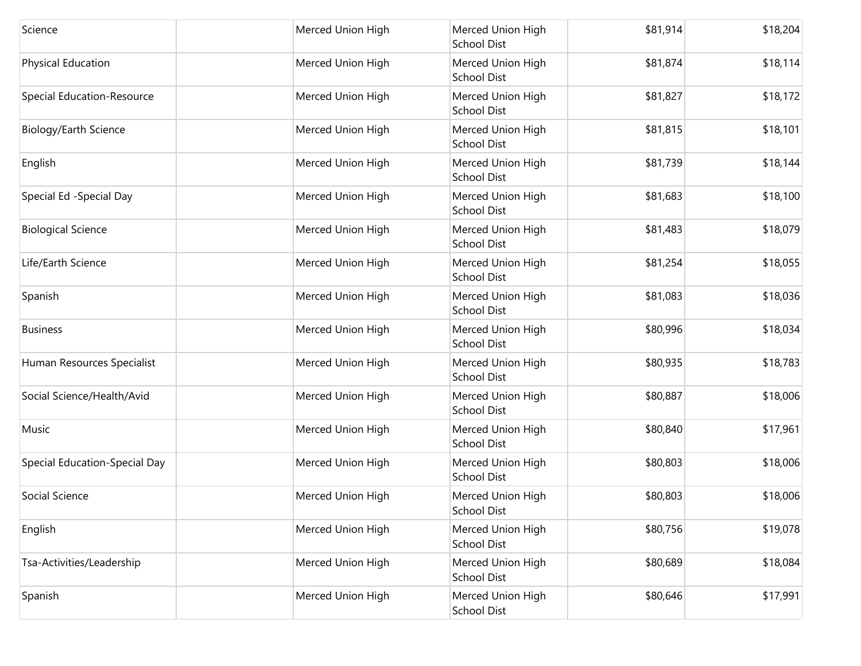| Science                           | Merced Union High | Merced Union High<br><b>School Dist</b> | \$81,914 | \$18,204 |
|-----------------------------------|-------------------|-----------------------------------------|----------|----------|
| Physical Education                | Merced Union High | Merced Union High<br><b>School Dist</b> | \$81,874 | \$18,114 |
| <b>Special Education-Resource</b> | Merced Union High | Merced Union High<br>School Dist        | \$81,827 | \$18,172 |
| Biology/Earth Science             | Merced Union High | Merced Union High<br><b>School Dist</b> | \$81,815 | \$18,101 |
| English                           | Merced Union High | Merced Union High<br>School Dist        | \$81,739 | \$18,144 |
| Special Ed -Special Day           | Merced Union High | Merced Union High<br><b>School Dist</b> | \$81,683 | \$18,100 |
| <b>Biological Science</b>         | Merced Union High | Merced Union High<br><b>School Dist</b> | \$81,483 | \$18,079 |
| Life/Earth Science                | Merced Union High | Merced Union High<br>School Dist        | \$81,254 | \$18,055 |
| Spanish                           | Merced Union High | Merced Union High<br><b>School Dist</b> | \$81,083 | \$18,036 |
| <b>Business</b>                   | Merced Union High | Merced Union High<br><b>School Dist</b> | \$80,996 | \$18,034 |
| Human Resources Specialist        | Merced Union High | Merced Union High<br><b>School Dist</b> | \$80,935 | \$18,783 |
| Social Science/Health/Avid        | Merced Union High | Merced Union High<br><b>School Dist</b> | \$80,887 | \$18,006 |
| Music                             | Merced Union High | Merced Union High<br><b>School Dist</b> | \$80,840 | \$17,961 |
| Special Education-Special Day     | Merced Union High | Merced Union High<br>School Dist        | \$80,803 | \$18,006 |
| Social Science                    | Merced Union High | Merced Union High<br>School Dist        | \$80,803 | \$18,006 |
| English                           | Merced Union High | Merced Union High<br><b>School Dist</b> | \$80,756 | \$19,078 |
| Tsa-Activities/Leadership         | Merced Union High | Merced Union High<br><b>School Dist</b> | \$80,689 | \$18,084 |
| Spanish                           | Merced Union High | Merced Union High<br>School Dist        | \$80,646 | \$17,991 |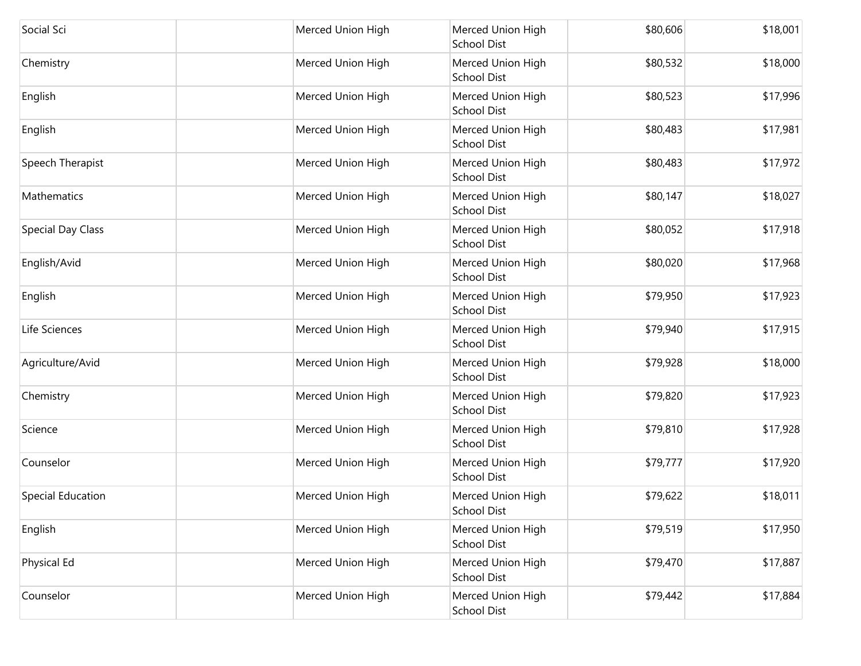| Social Sci        | Merced Union High | Merced Union High<br><b>School Dist</b> | \$80,606 | \$18,001 |
|-------------------|-------------------|-----------------------------------------|----------|----------|
| Chemistry         | Merced Union High | Merced Union High<br><b>School Dist</b> | \$80,532 | \$18,000 |
| English           | Merced Union High | Merced Union High<br><b>School Dist</b> | \$80,523 | \$17,996 |
| English           | Merced Union High | Merced Union High<br><b>School Dist</b> | \$80,483 | \$17,981 |
| Speech Therapist  | Merced Union High | Merced Union High<br><b>School Dist</b> | \$80,483 | \$17,972 |
| Mathematics       | Merced Union High | Merced Union High<br><b>School Dist</b> | \$80,147 | \$18,027 |
| Special Day Class | Merced Union High | Merced Union High<br>School Dist        | \$80,052 | \$17,918 |
| English/Avid      | Merced Union High | Merced Union High<br><b>School Dist</b> | \$80,020 | \$17,968 |
| English           | Merced Union High | Merced Union High<br><b>School Dist</b> | \$79,950 | \$17,923 |
| Life Sciences     | Merced Union High | Merced Union High<br><b>School Dist</b> | \$79,940 | \$17,915 |
| Agriculture/Avid  | Merced Union High | Merced Union High<br><b>School Dist</b> | \$79,928 | \$18,000 |
| Chemistry         | Merced Union High | Merced Union High<br><b>School Dist</b> | \$79,820 | \$17,923 |
| Science           | Merced Union High | Merced Union High<br><b>School Dist</b> | \$79,810 | \$17,928 |
| Counselor         | Merced Union High | Merced Union High<br><b>School Dist</b> | \$79,777 | \$17,920 |
| Special Education | Merced Union High | Merced Union High<br>School Dist        | \$79,622 | \$18,011 |
| English           | Merced Union High | Merced Union High<br><b>School Dist</b> | \$79,519 | \$17,950 |
| Physical Ed       | Merced Union High | Merced Union High<br><b>School Dist</b> | \$79,470 | \$17,887 |
| Counselor         | Merced Union High | Merced Union High<br>School Dist        | \$79,442 | \$17,884 |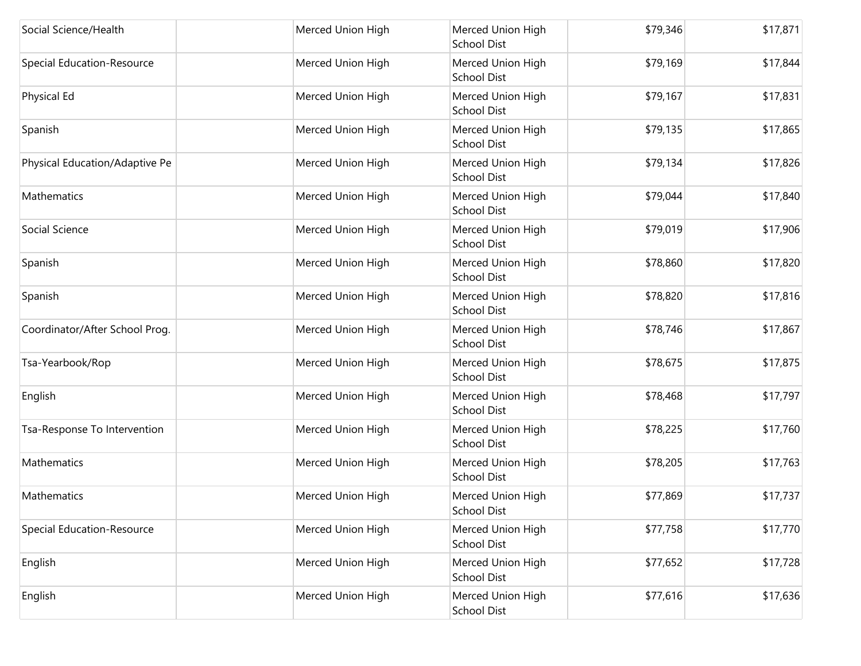| Social Science/Health          | Merced Union High | Merced Union High<br><b>School Dist</b> | \$79,346 | \$17,871 |
|--------------------------------|-------------------|-----------------------------------------|----------|----------|
| Special Education-Resource     | Merced Union High | Merced Union High<br><b>School Dist</b> | \$79,169 | \$17,844 |
| Physical Ed                    | Merced Union High | Merced Union High<br>School Dist        | \$79,167 | \$17,831 |
| Spanish                        | Merced Union High | Merced Union High<br>School Dist        | \$79,135 | \$17,865 |
| Physical Education/Adaptive Pe | Merced Union High | Merced Union High<br><b>School Dist</b> | \$79,134 | \$17,826 |
| Mathematics                    | Merced Union High | Merced Union High<br><b>School Dist</b> | \$79,044 | \$17,840 |
| Social Science                 | Merced Union High | Merced Union High<br><b>School Dist</b> | \$79,019 | \$17,906 |
| Spanish                        | Merced Union High | Merced Union High<br>School Dist        | \$78,860 | \$17,820 |
| Spanish                        | Merced Union High | Merced Union High<br><b>School Dist</b> | \$78,820 | \$17,816 |
| Coordinator/After School Prog. | Merced Union High | Merced Union High<br>School Dist        | \$78,746 | \$17,867 |
| Tsa-Yearbook/Rop               | Merced Union High | Merced Union High<br><b>School Dist</b> | \$78,675 | \$17,875 |
| English                        | Merced Union High | Merced Union High<br>School Dist        | \$78,468 | \$17,797 |
| Tsa-Response To Intervention   | Merced Union High | Merced Union High<br>School Dist        | \$78,225 | \$17,760 |
| Mathematics                    | Merced Union High | Merced Union High<br>School Dist        | \$78,205 | \$17,763 |
| Mathematics                    | Merced Union High | Merced Union High<br>School Dist        | \$77,869 | \$17,737 |
| Special Education-Resource     | Merced Union High | Merced Union High<br><b>School Dist</b> | \$77,758 | \$17,770 |
| English                        | Merced Union High | Merced Union High<br><b>School Dist</b> | \$77,652 | \$17,728 |
| English                        | Merced Union High | Merced Union High<br>School Dist        | \$77,616 | \$17,636 |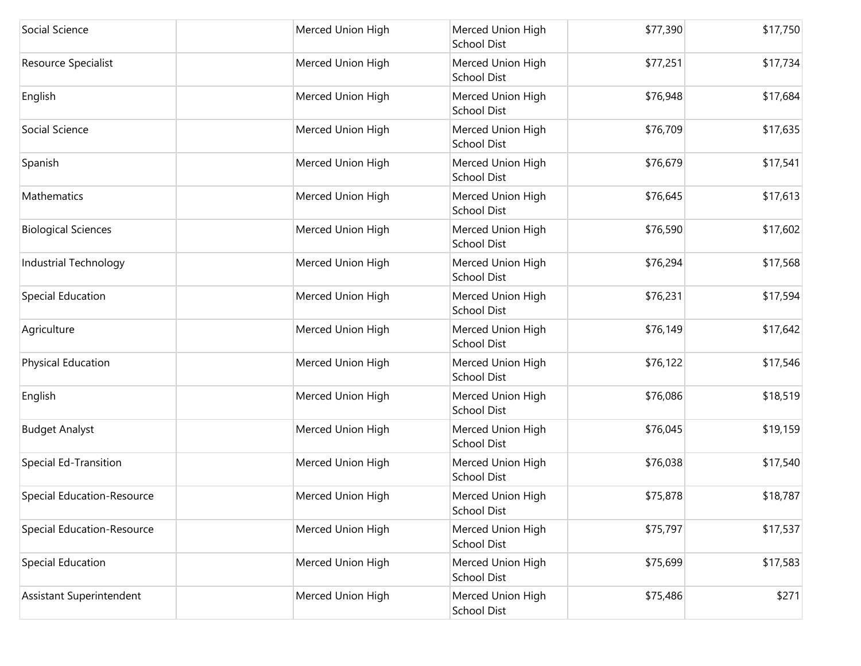| Social Science                    | Merced Union High | Merced Union High<br><b>School Dist</b> | \$77,390 | \$17,750 |
|-----------------------------------|-------------------|-----------------------------------------|----------|----------|
| Resource Specialist               | Merced Union High | Merced Union High<br><b>School Dist</b> | \$77,251 | \$17,734 |
| English                           | Merced Union High | Merced Union High<br><b>School Dist</b> | \$76,948 | \$17,684 |
| Social Science                    | Merced Union High | Merced Union High<br><b>School Dist</b> | \$76,709 | \$17,635 |
| Spanish                           | Merced Union High | Merced Union High<br><b>School Dist</b> | \$76,679 | \$17,541 |
| <b>Mathematics</b>                | Merced Union High | Merced Union High<br><b>School Dist</b> | \$76,645 | \$17,613 |
| <b>Biological Sciences</b>        | Merced Union High | Merced Union High<br><b>School Dist</b> | \$76,590 | \$17,602 |
| Industrial Technology             | Merced Union High | Merced Union High<br><b>School Dist</b> | \$76,294 | \$17,568 |
| Special Education                 | Merced Union High | Merced Union High<br><b>School Dist</b> | \$76,231 | \$17,594 |
| Agriculture                       | Merced Union High | Merced Union High<br><b>School Dist</b> | \$76,149 | \$17,642 |
| Physical Education                | Merced Union High | Merced Union High<br><b>School Dist</b> | \$76,122 | \$17,546 |
| English                           | Merced Union High | Merced Union High<br><b>School Dist</b> | \$76,086 | \$18,519 |
| <b>Budget Analyst</b>             | Merced Union High | Merced Union High<br><b>School Dist</b> | \$76,045 | \$19,159 |
| <b>Special Ed-Transition</b>      | Merced Union High | Merced Union High<br><b>School Dist</b> | \$76,038 | \$17,540 |
| Special Education-Resource        | Merced Union High | Merced Union High<br>School Dist        | \$75,878 | \$18,787 |
| <b>Special Education-Resource</b> | Merced Union High | Merced Union High<br><b>School Dist</b> | \$75,797 | \$17,537 |
| Special Education                 | Merced Union High | Merced Union High<br><b>School Dist</b> | \$75,699 | \$17,583 |
| Assistant Superintendent          | Merced Union High | Merced Union High<br><b>School Dist</b> | \$75,486 | \$271    |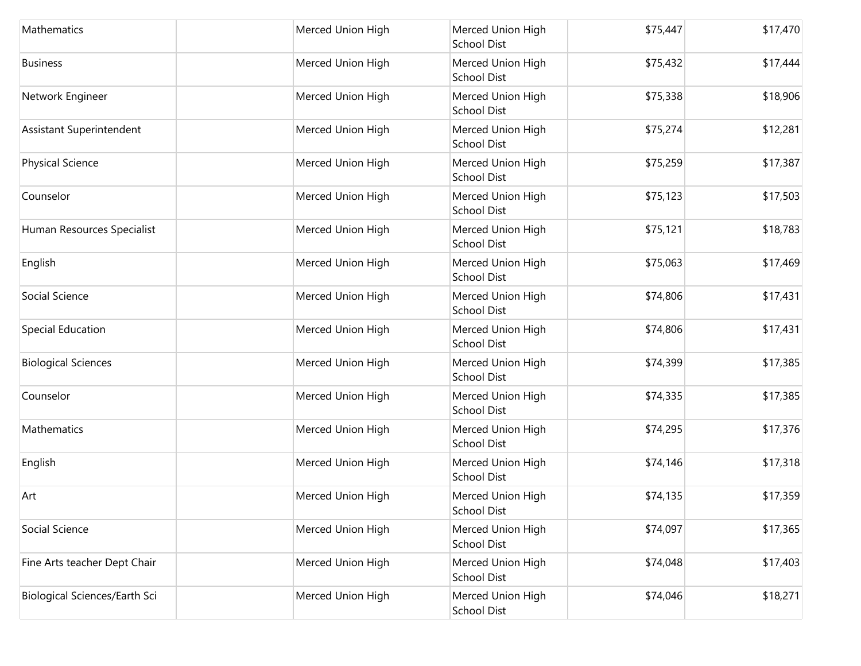| Mathematics                   | Merced Union High | Merced Union High<br>School Dist        | \$75,447 | \$17,470 |
|-------------------------------|-------------------|-----------------------------------------|----------|----------|
| <b>Business</b>               | Merced Union High | Merced Union High<br><b>School Dist</b> | \$75,432 | \$17,444 |
| Network Engineer              | Merced Union High | Merced Union High<br>School Dist        | \$75,338 | \$18,906 |
| Assistant Superintendent      | Merced Union High | Merced Union High<br>School Dist        | \$75,274 | \$12,281 |
| <b>Physical Science</b>       | Merced Union High | Merced Union High<br>School Dist        | \$75,259 | \$17,387 |
| Counselor                     | Merced Union High | Merced Union High<br>School Dist        | \$75,123 | \$17,503 |
| Human Resources Specialist    | Merced Union High | Merced Union High<br><b>School Dist</b> | \$75,121 | \$18,783 |
| English                       | Merced Union High | Merced Union High<br>School Dist        | \$75,063 | \$17,469 |
| Social Science                | Merced Union High | Merced Union High<br><b>School Dist</b> | \$74,806 | \$17,431 |
| Special Education             | Merced Union High | Merced Union High<br>School Dist        | \$74,806 | \$17,431 |
| <b>Biological Sciences</b>    | Merced Union High | Merced Union High<br><b>School Dist</b> | \$74,399 | \$17,385 |
| Counselor                     | Merced Union High | Merced Union High<br>School Dist        | \$74,335 | \$17,385 |
| Mathematics                   | Merced Union High | Merced Union High<br>School Dist        | \$74,295 | \$17,376 |
| English                       | Merced Union High | Merced Union High<br>School Dist        | \$74,146 | \$17,318 |
| Art                           | Merced Union High | Merced Union High<br>School Dist        | \$74,135 | \$17,359 |
| Social Science                | Merced Union High | Merced Union High<br><b>School Dist</b> | \$74,097 | \$17,365 |
| Fine Arts teacher Dept Chair  | Merced Union High | Merced Union High<br><b>School Dist</b> | \$74,048 | \$17,403 |
| Biological Sciences/Earth Sci | Merced Union High | Merced Union High<br>School Dist        | \$74,046 | \$18,271 |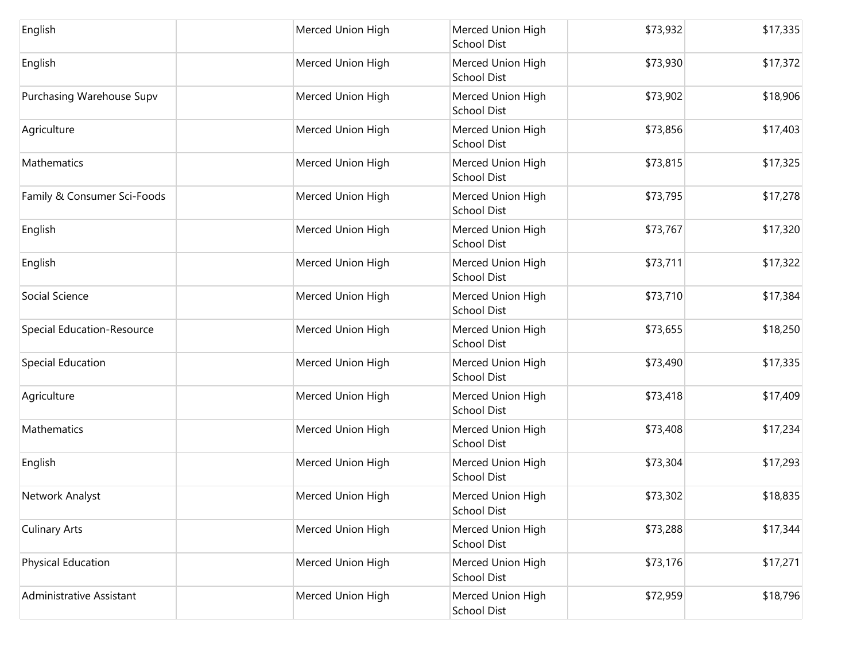| English                     | Merced Union High | Merced Union High<br>School Dist        | \$73,932 | \$17,335 |
|-----------------------------|-------------------|-----------------------------------------|----------|----------|
| English                     | Merced Union High | Merced Union High<br><b>School Dist</b> | \$73,930 | \$17,372 |
| Purchasing Warehouse Supv   | Merced Union High | Merced Union High<br>School Dist        | \$73,902 | \$18,906 |
| Agriculture                 | Merced Union High | Merced Union High<br>School Dist        | \$73,856 | \$17,403 |
| Mathematics                 | Merced Union High | Merced Union High<br>School Dist        | \$73,815 | \$17,325 |
| Family & Consumer Sci-Foods | Merced Union High | Merced Union High<br>School Dist        | \$73,795 | \$17,278 |
| English                     | Merced Union High | Merced Union High<br><b>School Dist</b> | \$73,767 | \$17,320 |
| English                     | Merced Union High | Merced Union High<br>School Dist        | \$73,711 | \$17,322 |
| Social Science              | Merced Union High | Merced Union High<br><b>School Dist</b> | \$73,710 | \$17,384 |
| Special Education-Resource  | Merced Union High | Merced Union High<br>School Dist        | \$73,655 | \$18,250 |
| Special Education           | Merced Union High | Merced Union High<br><b>School Dist</b> | \$73,490 | \$17,335 |
| Agriculture                 | Merced Union High | Merced Union High<br>School Dist        | \$73,418 | \$17,409 |
| Mathematics                 | Merced Union High | Merced Union High<br>School Dist        | \$73,408 | \$17,234 |
| English                     | Merced Union High | Merced Union High<br>School Dist        | \$73,304 | \$17,293 |
| Network Analyst             | Merced Union High | Merced Union High<br>School Dist        | \$73,302 | \$18,835 |
| <b>Culinary Arts</b>        | Merced Union High | Merced Union High<br><b>School Dist</b> | \$73,288 | \$17,344 |
| Physical Education          | Merced Union High | Merced Union High<br>School Dist        | \$73,176 | \$17,271 |
| Administrative Assistant    | Merced Union High | Merced Union High<br>School Dist        | \$72,959 | \$18,796 |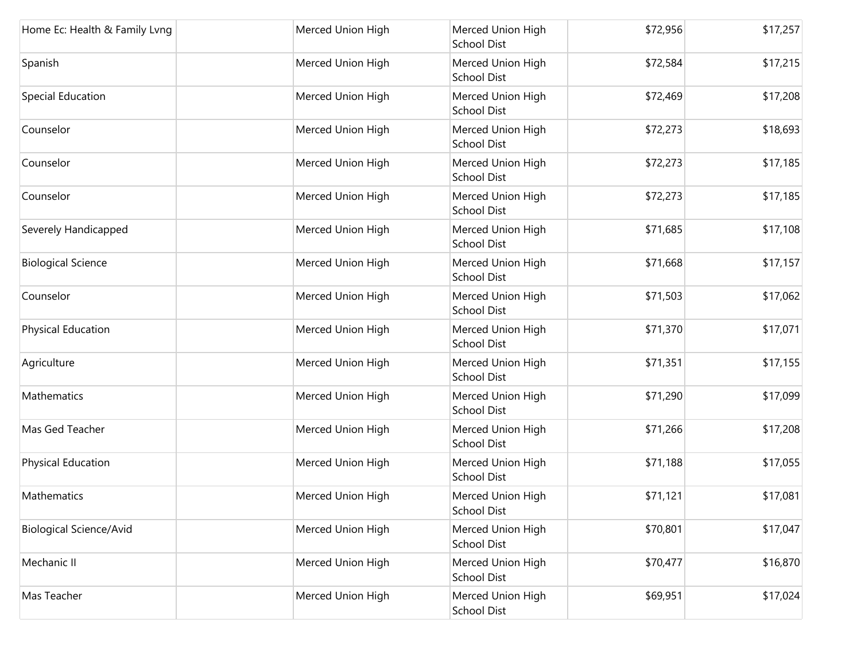| Home Ec: Health & Family Lvng  | Merced Union High | Merced Union High<br><b>School Dist</b> | \$72,956 | \$17,257 |
|--------------------------------|-------------------|-----------------------------------------|----------|----------|
| Spanish                        | Merced Union High | Merced Union High<br><b>School Dist</b> | \$72,584 | \$17,215 |
| Special Education              | Merced Union High | Merced Union High<br><b>School Dist</b> | \$72,469 | \$17,208 |
| Counselor                      | Merced Union High | Merced Union High<br><b>School Dist</b> | \$72,273 | \$18,693 |
| Counselor                      | Merced Union High | Merced Union High<br><b>School Dist</b> | \$72,273 | \$17,185 |
| Counselor                      | Merced Union High | Merced Union High<br><b>School Dist</b> | \$72,273 | \$17,185 |
| Severely Handicapped           | Merced Union High | Merced Union High<br><b>School Dist</b> | \$71,685 | \$17,108 |
| <b>Biological Science</b>      | Merced Union High | Merced Union High<br><b>School Dist</b> | \$71,668 | \$17,157 |
| Counselor                      | Merced Union High | Merced Union High<br><b>School Dist</b> | \$71,503 | \$17,062 |
| Physical Education             | Merced Union High | Merced Union High<br><b>School Dist</b> | \$71,370 | \$17,071 |
| Agriculture                    | Merced Union High | Merced Union High<br><b>School Dist</b> | \$71,351 | \$17,155 |
| Mathematics                    | Merced Union High | Merced Union High<br><b>School Dist</b> | \$71,290 | \$17,099 |
| Mas Ged Teacher                | Merced Union High | Merced Union High<br><b>School Dist</b> | \$71,266 | \$17,208 |
| Physical Education             | Merced Union High | Merced Union High<br><b>School Dist</b> | \$71,188 | \$17,055 |
| Mathematics                    | Merced Union High | Merced Union High<br><b>School Dist</b> | \$71,121 | \$17,081 |
| <b>Biological Science/Avid</b> | Merced Union High | Merced Union High<br><b>School Dist</b> | \$70,801 | \$17,047 |
| Mechanic II                    | Merced Union High | Merced Union High<br><b>School Dist</b> | \$70,477 | \$16,870 |
| Mas Teacher                    | Merced Union High | Merced Union High<br>School Dist        | \$69,951 | \$17,024 |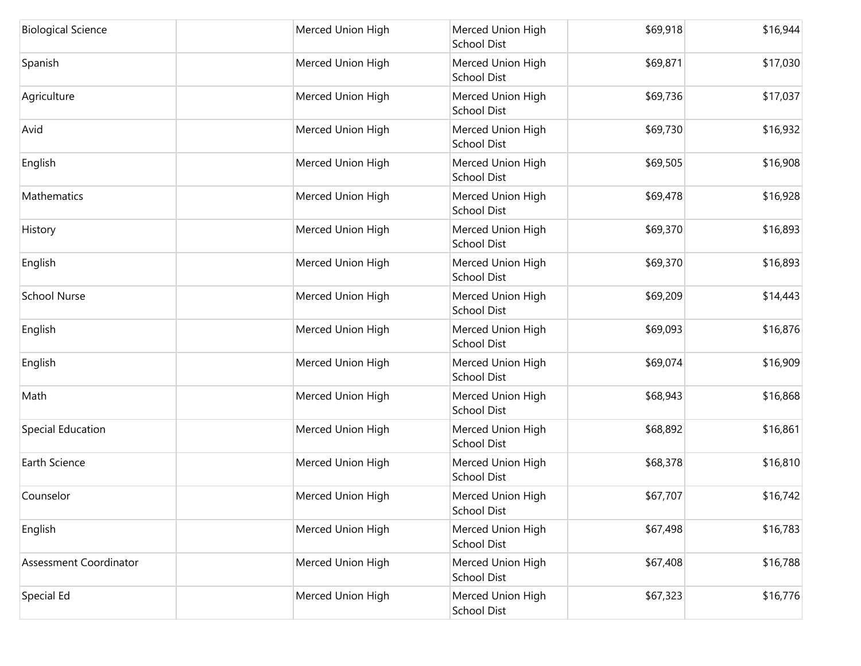| <b>Biological Science</b> | Merced Union High | Merced Union High<br>School Dist        | \$69,918 | \$16,944 |
|---------------------------|-------------------|-----------------------------------------|----------|----------|
| Spanish                   | Merced Union High | Merced Union High<br><b>School Dist</b> | \$69,871 | \$17,030 |
| Agriculture               | Merced Union High | Merced Union High<br>School Dist        | \$69,736 | \$17,037 |
| Avid                      | Merced Union High | Merced Union High<br><b>School Dist</b> | \$69,730 | \$16,932 |
| English                   | Merced Union High | Merced Union High<br>School Dist        | \$69,505 | \$16,908 |
| Mathematics               | Merced Union High | Merced Union High<br>School Dist        | \$69,478 | \$16,928 |
| History                   | Merced Union High | Merced Union High<br><b>School Dist</b> | \$69,370 | \$16,893 |
| English                   | Merced Union High | Merced Union High<br>School Dist        | \$69,370 | \$16,893 |
| <b>School Nurse</b>       | Merced Union High | Merced Union High<br>School Dist        | \$69,209 | \$14,443 |
| English                   | Merced Union High | Merced Union High<br>School Dist        | \$69,093 | \$16,876 |
| English                   | Merced Union High | Merced Union High<br>School Dist        | \$69,074 | \$16,909 |
| Math                      | Merced Union High | Merced Union High<br>School Dist        | \$68,943 | \$16,868 |
| Special Education         | Merced Union High | Merced Union High<br>School Dist        | \$68,892 | \$16,861 |
| Earth Science             | Merced Union High | Merced Union High<br>School Dist        | \$68,378 | \$16,810 |
| Counselor                 | Merced Union High | Merced Union High<br>School Dist        | \$67,707 | \$16,742 |
| English                   | Merced Union High | Merced Union High<br><b>School Dist</b> | \$67,498 | \$16,783 |
| Assessment Coordinator    | Merced Union High | Merced Union High<br><b>School Dist</b> | \$67,408 | \$16,788 |
| Special Ed                | Merced Union High | Merced Union High<br>School Dist        | \$67,323 | \$16,776 |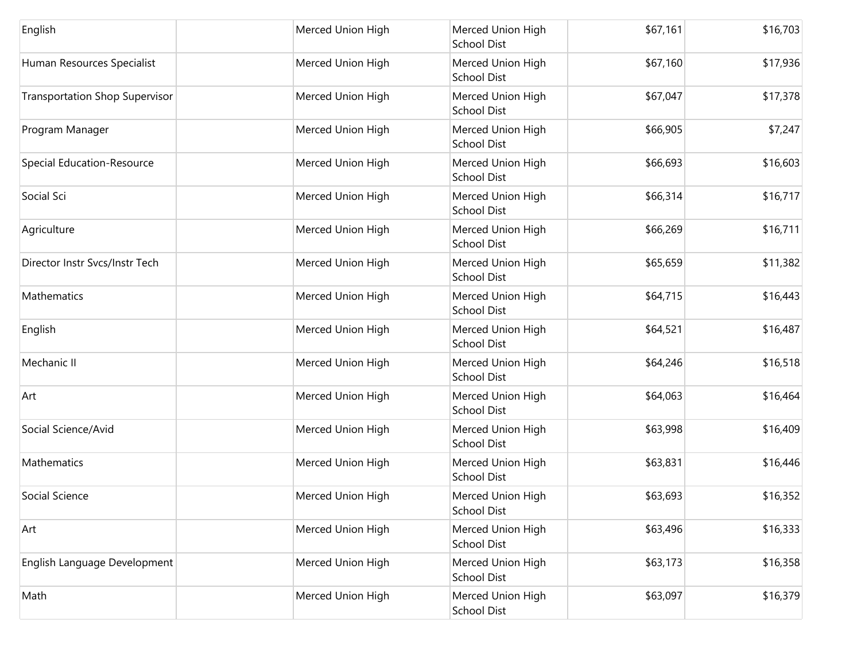| English                               | Merced Union High | Merced Union High<br><b>School Dist</b> | \$67,161 | \$16,703 |
|---------------------------------------|-------------------|-----------------------------------------|----------|----------|
| Human Resources Specialist            | Merced Union High | Merced Union High<br><b>School Dist</b> | \$67,160 | \$17,936 |
| <b>Transportation Shop Supervisor</b> | Merced Union High | Merced Union High<br>School Dist        | \$67,047 | \$17,378 |
| Program Manager                       | Merced Union High | Merced Union High<br>School Dist        | \$66,905 | \$7,247  |
| Special Education-Resource            | Merced Union High | Merced Union High<br>School Dist        | \$66,693 | \$16,603 |
| Social Sci                            | Merced Union High | Merced Union High<br>School Dist        | \$66,314 | \$16,717 |
| Agriculture                           | Merced Union High | Merced Union High<br><b>School Dist</b> | \$66,269 | \$16,711 |
| Director Instr Svcs/Instr Tech        | Merced Union High | Merced Union High<br>School Dist        | \$65,659 | \$11,382 |
| Mathematics                           | Merced Union High | Merced Union High<br>School Dist        | \$64,715 | \$16,443 |
| English                               | Merced Union High | Merced Union High<br>School Dist        | \$64,521 | \$16,487 |
| Mechanic II                           | Merced Union High | Merced Union High<br><b>School Dist</b> | \$64,246 | \$16,518 |
| Art                                   | Merced Union High | Merced Union High<br>School Dist        | \$64,063 | \$16,464 |
| Social Science/Avid                   | Merced Union High | Merced Union High<br>School Dist        | \$63,998 | \$16,409 |
| Mathematics                           | Merced Union High | Merced Union High<br><b>School Dist</b> | \$63,831 | \$16,446 |
| Social Science                        | Merced Union High | Merced Union High<br><b>School Dist</b> | \$63,693 | \$16,352 |
| Art                                   | Merced Union High | Merced Union High<br><b>School Dist</b> | \$63,496 | \$16,333 |
| English Language Development          | Merced Union High | Merced Union High<br><b>School Dist</b> | \$63,173 | \$16,358 |
| Math                                  | Merced Union High | Merced Union High<br>School Dist        | \$63,097 | \$16,379 |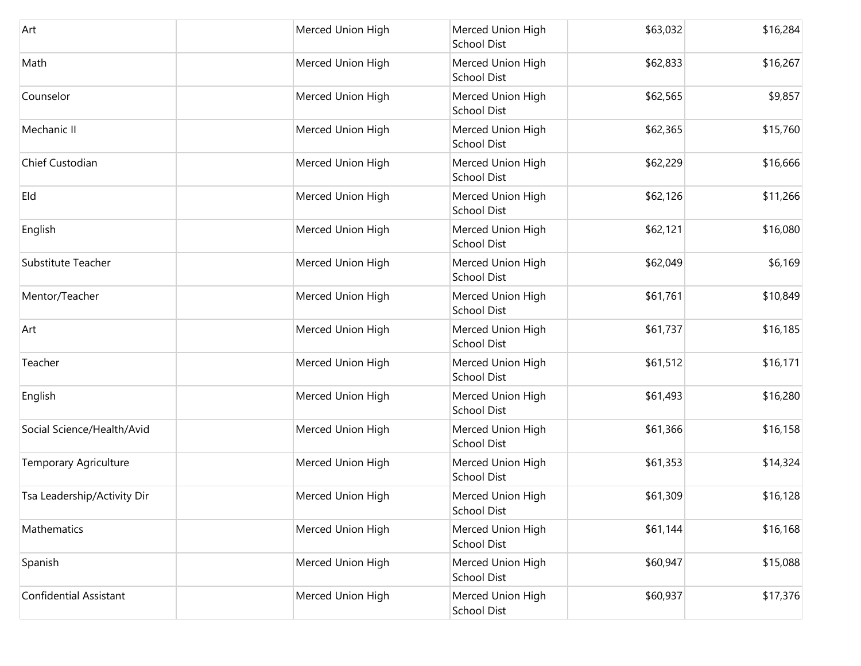| Art                           | Merced Union High | Merced Union High<br>School Dist        | \$63,032 | \$16,284 |
|-------------------------------|-------------------|-----------------------------------------|----------|----------|
| Math                          | Merced Union High | Merced Union High<br><b>School Dist</b> | \$62,833 | \$16,267 |
| Counselor                     | Merced Union High | Merced Union High<br>School Dist        | \$62,565 | \$9,857  |
| Mechanic II                   | Merced Union High | Merced Union High<br><b>School Dist</b> | \$62,365 | \$15,760 |
| Chief Custodian               | Merced Union High | Merced Union High<br>School Dist        | \$62,229 | \$16,666 |
| Eld                           | Merced Union High | Merced Union High<br>School Dist        | \$62,126 | \$11,266 |
| English                       | Merced Union High | Merced Union High<br><b>School Dist</b> | \$62,121 | \$16,080 |
| Substitute Teacher            | Merced Union High | Merced Union High<br>School Dist        | \$62,049 | \$6,169  |
| Mentor/Teacher                | Merced Union High | Merced Union High<br>School Dist        | \$61,761 | \$10,849 |
| Art                           | Merced Union High | Merced Union High<br>School Dist        | \$61,737 | \$16,185 |
| Teacher                       | Merced Union High | Merced Union High<br><b>School Dist</b> | \$61,512 | \$16,171 |
| English                       | Merced Union High | Merced Union High<br><b>School Dist</b> | \$61,493 | \$16,280 |
| Social Science/Health/Avid    | Merced Union High | Merced Union High<br>School Dist        | \$61,366 | \$16,158 |
| <b>Temporary Agriculture</b>  | Merced Union High | Merced Union High<br>School Dist        | \$61,353 | \$14,324 |
| Tsa Leadership/Activity Dir   | Merced Union High | Merced Union High<br>School Dist        | \$61,309 | \$16,128 |
| Mathematics                   | Merced Union High | Merced Union High<br><b>School Dist</b> | \$61,144 | \$16,168 |
| Spanish                       | Merced Union High | Merced Union High<br><b>School Dist</b> | \$60,947 | \$15,088 |
| <b>Confidential Assistant</b> | Merced Union High | Merced Union High<br>School Dist        | \$60,937 | \$17,376 |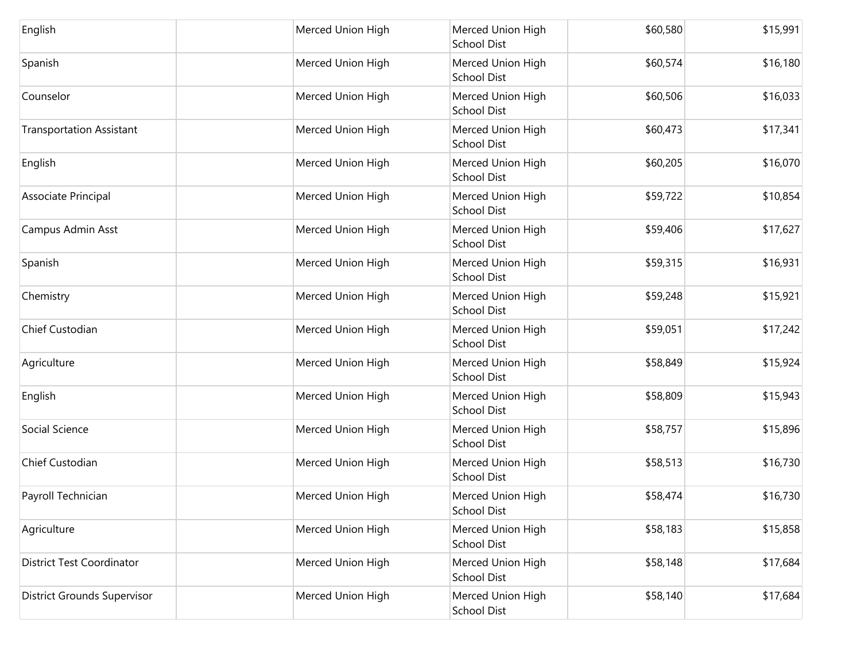| English                            | Merced Union High | Merced Union High<br><b>School Dist</b> | \$60,580 | \$15,991 |
|------------------------------------|-------------------|-----------------------------------------|----------|----------|
| Spanish                            | Merced Union High | Merced Union High<br><b>School Dist</b> | \$60,574 | \$16,180 |
| Counselor                          | Merced Union High | Merced Union High<br>School Dist        | \$60,506 | \$16,033 |
| <b>Transportation Assistant</b>    | Merced Union High | Merced Union High<br><b>School Dist</b> | \$60,473 | \$17,341 |
| English                            | Merced Union High | Merced Union High<br>School Dist        | \$60,205 | \$16,070 |
| Associate Principal                | Merced Union High | Merced Union High<br><b>School Dist</b> | \$59,722 | \$10,854 |
| Campus Admin Asst                  | Merced Union High | Merced Union High<br><b>School Dist</b> | \$59,406 | \$17,627 |
| Spanish                            | Merced Union High | Merced Union High<br>School Dist        | \$59,315 | \$16,931 |
| Chemistry                          | Merced Union High | Merced Union High<br><b>School Dist</b> | \$59,248 | \$15,921 |
| Chief Custodian                    | Merced Union High | Merced Union High<br><b>School Dist</b> | \$59,051 | \$17,242 |
| Agriculture                        | Merced Union High | Merced Union High<br><b>School Dist</b> | \$58,849 | \$15,924 |
| English                            | Merced Union High | Merced Union High<br><b>School Dist</b> | \$58,809 | \$15,943 |
| Social Science                     | Merced Union High | Merced Union High<br><b>School Dist</b> | \$58,757 | \$15,896 |
| Chief Custodian                    | Merced Union High | Merced Union High<br>School Dist        | \$58,513 | \$16,730 |
| Payroll Technician                 | Merced Union High | Merced Union High<br>School Dist        | \$58,474 | \$16,730 |
| Agriculture                        | Merced Union High | Merced Union High<br><b>School Dist</b> | \$58,183 | \$15,858 |
| <b>District Test Coordinator</b>   | Merced Union High | Merced Union High<br><b>School Dist</b> | \$58,148 | \$17,684 |
| <b>District Grounds Supervisor</b> | Merced Union High | Merced Union High<br>School Dist        | \$58,140 | \$17,684 |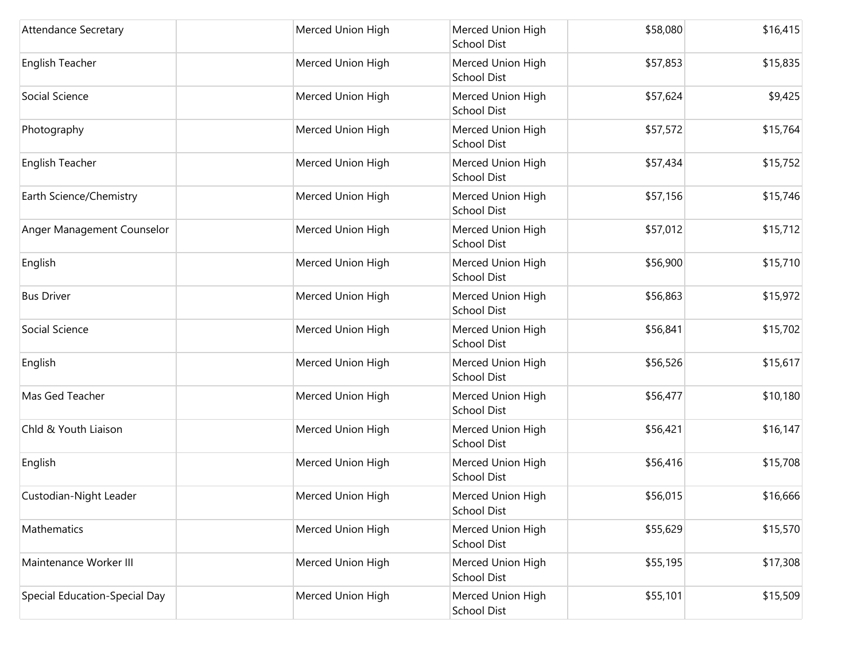| <b>Attendance Secretary</b>   | Merced Union High | Merced Union High<br>School Dist        | \$58,080 | \$16,415 |
|-------------------------------|-------------------|-----------------------------------------|----------|----------|
| <b>English Teacher</b>        | Merced Union High | Merced Union High<br><b>School Dist</b> | \$57,853 | \$15,835 |
| Social Science                | Merced Union High | Merced Union High<br>School Dist        | \$57,624 | \$9,425  |
| Photography                   | Merced Union High | Merced Union High<br><b>School Dist</b> | \$57,572 | \$15,764 |
| English Teacher               | Merced Union High | Merced Union High<br><b>School Dist</b> | \$57,434 | \$15,752 |
| Earth Science/Chemistry       | Merced Union High | Merced Union High<br><b>School Dist</b> | \$57,156 | \$15,746 |
| Anger Management Counselor    | Merced Union High | Merced Union High<br><b>School Dist</b> | \$57,012 | \$15,712 |
| English                       | Merced Union High | Merced Union High<br>School Dist        | \$56,900 | \$15,710 |
| <b>Bus Driver</b>             | Merced Union High | Merced Union High<br><b>School Dist</b> | \$56,863 | \$15,972 |
| Social Science                | Merced Union High | Merced Union High<br>School Dist        | \$56,841 | \$15,702 |
| English                       | Merced Union High | Merced Union High<br><b>School Dist</b> | \$56,526 | \$15,617 |
| Mas Ged Teacher               | Merced Union High | Merced Union High<br><b>School Dist</b> | \$56,477 | \$10,180 |
| Chld & Youth Liaison          | Merced Union High | Merced Union High<br>School Dist        | \$56,421 | \$16,147 |
| English                       | Merced Union High | Merced Union High<br><b>School Dist</b> | \$56,416 | \$15,708 |
| Custodian-Night Leader        | Merced Union High | Merced Union High<br> School Dist       | \$56,015 | \$16,666 |
| Mathematics                   | Merced Union High | Merced Union High<br><b>School Dist</b> | \$55,629 | \$15,570 |
| Maintenance Worker III        | Merced Union High | Merced Union High<br><b>School Dist</b> | \$55,195 | \$17,308 |
| Special Education-Special Day | Merced Union High | Merced Union High<br>School Dist        | \$55,101 | \$15,509 |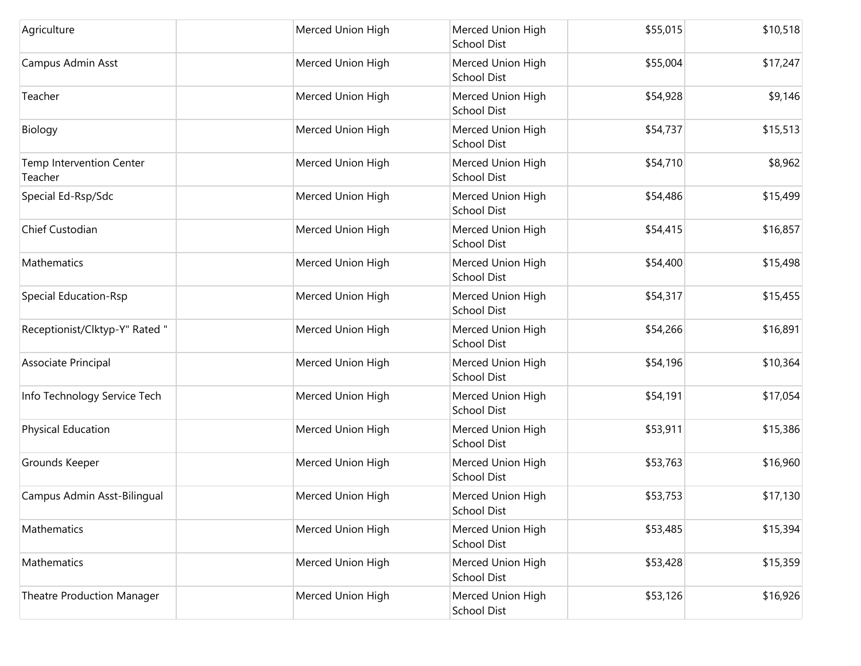| Agriculture                         | Merced Union High | Merced Union High<br>School Dist        | \$55,015 | \$10,518 |
|-------------------------------------|-------------------|-----------------------------------------|----------|----------|
| Campus Admin Asst                   | Merced Union High | Merced Union High<br><b>School Dist</b> | \$55,004 | \$17,247 |
| Teacher                             | Merced Union High | Merced Union High<br>School Dist        | \$54,928 | \$9,146  |
| Biology                             | Merced Union High | Merced Union High<br><b>School Dist</b> | \$54,737 | \$15,513 |
| Temp Intervention Center<br>Teacher | Merced Union High | Merced Union High<br>School Dist        | \$54,710 | \$8,962  |
| Special Ed-Rsp/Sdc                  | Merced Union High | Merced Union High<br>School Dist        | \$54,486 | \$15,499 |
| Chief Custodian                     | Merced Union High | Merced Union High<br><b>School Dist</b> | \$54,415 | \$16,857 |
| Mathematics                         | Merced Union High | Merced Union High<br>School Dist        | \$54,400 | \$15,498 |
| <b>Special Education-Rsp</b>        | Merced Union High | Merced Union High<br>School Dist        | \$54,317 | \$15,455 |
| Receptionist/Clktyp-Y" Rated "      | Merced Union High | Merced Union High<br>School Dist        | \$54,266 | \$16,891 |
| Associate Principal                 | Merced Union High | Merced Union High<br><b>School Dist</b> | \$54,196 | \$10,364 |
| Info Technology Service Tech        | Merced Union High | Merced Union High<br><b>School Dist</b> | \$54,191 | \$17,054 |
| Physical Education                  | Merced Union High | Merced Union High<br>School Dist        | \$53,911 | \$15,386 |
| Grounds Keeper                      | Merced Union High | Merced Union High<br>School Dist        | \$53,763 | \$16,960 |
| Campus Admin Asst-Bilingual         | Merced Union High | Merced Union High<br>School Dist        | \$53,753 | \$17,130 |
| Mathematics                         | Merced Union High | Merced Union High<br><b>School Dist</b> | \$53,485 | \$15,394 |
| Mathematics                         | Merced Union High | Merced Union High<br><b>School Dist</b> | \$53,428 | \$15,359 |
| <b>Theatre Production Manager</b>   | Merced Union High | Merced Union High<br>School Dist        | \$53,126 | \$16,926 |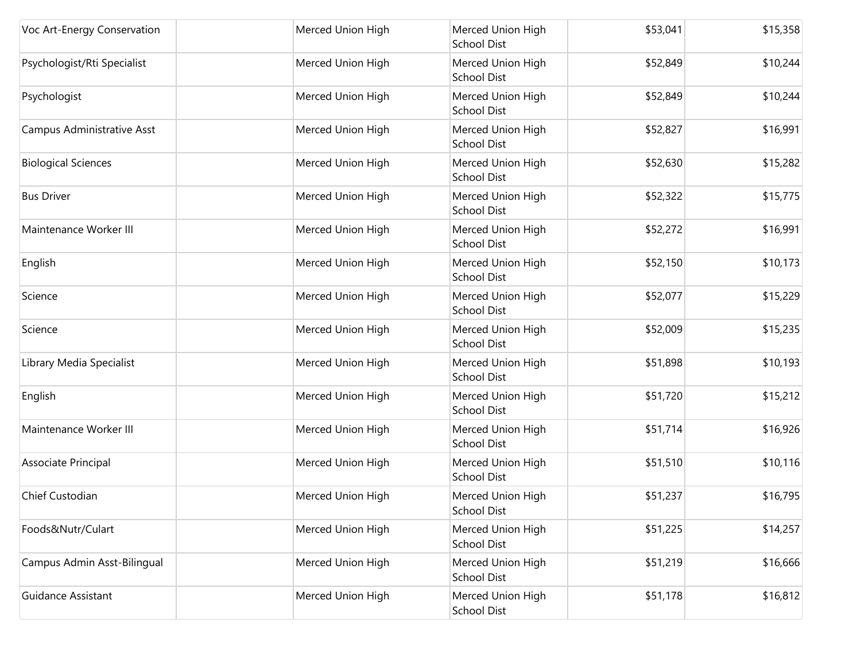| Voc Art-Energy Conservation | Merced Union High | Merced Union High<br>School Dist        | \$53,041 | \$15,358 |
|-----------------------------|-------------------|-----------------------------------------|----------|----------|
| Psychologist/Rti Specialist | Merced Union High | Merced Union High<br><b>School Dist</b> | \$52,849 | \$10,244 |
| Psychologist                | Merced Union High | Merced Union High<br>School Dist        | \$52,849 | \$10,244 |
| Campus Administrative Asst  | Merced Union High | Merced Union High<br><b>School Dist</b> | \$52,827 | \$16,991 |
| <b>Biological Sciences</b>  | Merced Union High | Merced Union High<br><b>School Dist</b> | \$52,630 | \$15,282 |
| <b>Bus Driver</b>           | Merced Union High | Merced Union High<br><b>School Dist</b> | \$52,322 | \$15,775 |
| Maintenance Worker III      | Merced Union High | Merced Union High<br><b>School Dist</b> | \$52,272 | \$16,991 |
| English                     | Merced Union High | Merced Union High<br>School Dist        | \$52,150 | \$10,173 |
| Science                     | Merced Union High | Merced Union High<br>School Dist        | \$52,077 | \$15,229 |
| Science                     | Merced Union High | Merced Union High<br>School Dist        | \$52,009 | \$15,235 |
| Library Media Specialist    | Merced Union High | Merced Union High<br><b>School Dist</b> | \$51,898 | \$10,193 |
| English                     | Merced Union High | Merced Union High<br><b>School Dist</b> | \$51,720 | \$15,212 |
| Maintenance Worker III      | Merced Union High | Merced Union High<br>School Dist        | \$51,714 | \$16,926 |
| Associate Principal         | Merced Union High | Merced Union High<br><b>School Dist</b> | \$51,510 | \$10,116 |
| Chief Custodian             | Merced Union High | Merced Union High<br> School Dist       | \$51,237 | \$16,795 |
| Foods&Nutr/Culart           | Merced Union High | Merced Union High<br><b>School Dist</b> | \$51,225 | \$14,257 |
| Campus Admin Asst-Bilingual | Merced Union High | Merced Union High<br><b>School Dist</b> | \$51,219 | \$16,666 |
| <b>Guidance Assistant</b>   | Merced Union High | Merced Union High<br>School Dist        | \$51,178 | \$16,812 |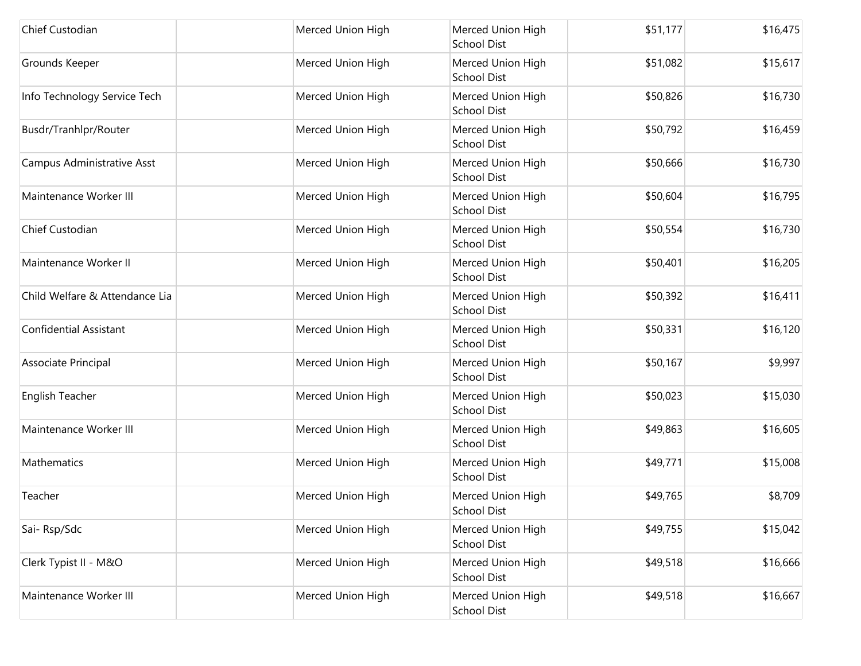| Chief Custodian                | Merced Union High | Merced Union High<br><b>School Dist</b> | \$51,177 | \$16,475 |
|--------------------------------|-------------------|-----------------------------------------|----------|----------|
| Grounds Keeper                 | Merced Union High | Merced Union High<br><b>School Dist</b> | \$51,082 | \$15,617 |
| Info Technology Service Tech   | Merced Union High | Merced Union High<br><b>School Dist</b> | \$50,826 | \$16,730 |
| Busdr/Tranhlpr/Router          | Merced Union High | Merced Union High<br>School Dist        | \$50,792 | \$16,459 |
| Campus Administrative Asst     | Merced Union High | Merced Union High<br><b>School Dist</b> | \$50,666 | \$16,730 |
| Maintenance Worker III         | Merced Union High | Merced Union High<br><b>School Dist</b> | \$50,604 | \$16,795 |
| Chief Custodian                | Merced Union High | Merced Union High<br>School Dist        | \$50,554 | \$16,730 |
| Maintenance Worker II          | Merced Union High | Merced Union High<br>School Dist        | \$50,401 | \$16,205 |
| Child Welfare & Attendance Lia | Merced Union High | Merced Union High<br><b>School Dist</b> | \$50,392 | \$16,411 |
| <b>Confidential Assistant</b>  | Merced Union High | Merced Union High<br>School Dist        | \$50,331 | \$16,120 |
| Associate Principal            | Merced Union High | Merced Union High<br><b>School Dist</b> | \$50,167 | \$9,997  |
| <b>English Teacher</b>         | Merced Union High | Merced Union High<br><b>School Dist</b> | \$50,023 | \$15,030 |
| Maintenance Worker III         | Merced Union High | Merced Union High<br><b>School Dist</b> | \$49,863 | \$16,605 |
| Mathematics                    | Merced Union High | Merced Union High<br>School Dist        | \$49,771 | \$15,008 |
| Teacher                        | Merced Union High | Merced Union High<br>School Dist        | \$49,765 | \$8,709  |
| Sai-Rsp/Sdc                    | Merced Union High | Merced Union High<br><b>School Dist</b> | \$49,755 | \$15,042 |
| Clerk Typist II - M&O          | Merced Union High | Merced Union High<br><b>School Dist</b> | \$49,518 | \$16,666 |
| Maintenance Worker III         | Merced Union High | Merced Union High<br>School Dist        | \$49,518 | \$16,667 |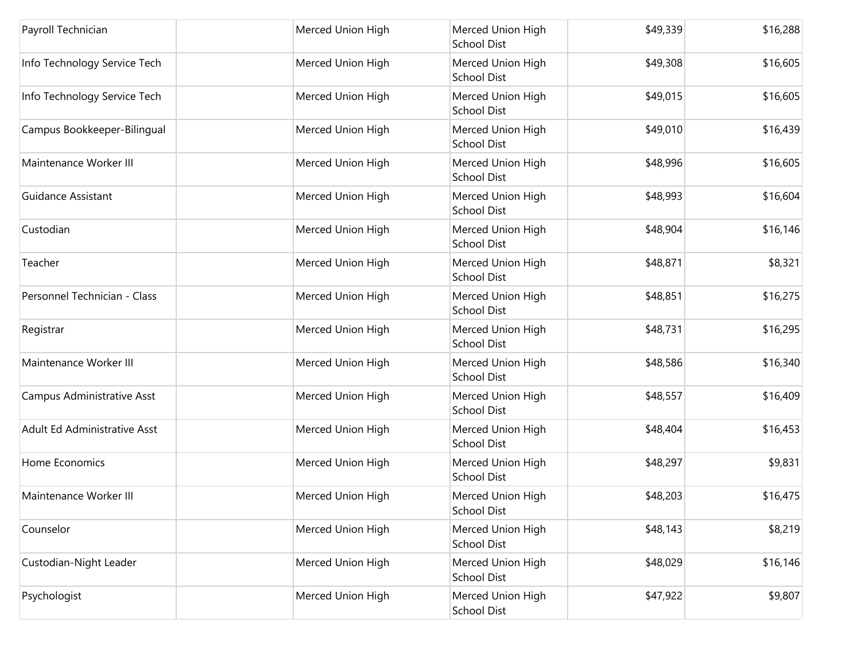| Payroll Technician           | Merced Union High | Merced Union High<br><b>School Dist</b> | \$49,339 | \$16,288 |
|------------------------------|-------------------|-----------------------------------------|----------|----------|
| Info Technology Service Tech | Merced Union High | Merced Union High<br><b>School Dist</b> | \$49,308 | \$16,605 |
| Info Technology Service Tech | Merced Union High | Merced Union High<br><b>School Dist</b> | \$49,015 | \$16,605 |
| Campus Bookkeeper-Bilingual  | Merced Union High | Merced Union High<br><b>School Dist</b> | \$49,010 | \$16,439 |
| Maintenance Worker III       | Merced Union High | Merced Union High<br>School Dist        | \$48,996 | \$16,605 |
| <b>Guidance Assistant</b>    | Merced Union High | Merced Union High<br><b>School Dist</b> | \$48,993 | \$16,604 |
| Custodian                    | Merced Union High | Merced Union High<br><b>School Dist</b> | \$48,904 | \$16,146 |
| Teacher                      | Merced Union High | Merced Union High<br><b>School Dist</b> | \$48,871 | \$8,321  |
| Personnel Technician - Class | Merced Union High | Merced Union High<br><b>School Dist</b> | \$48,851 | \$16,275 |
| Registrar                    | Merced Union High | Merced Union High<br>School Dist        | \$48,731 | \$16,295 |
| Maintenance Worker III       | Merced Union High | Merced Union High<br><b>School Dist</b> | \$48,586 | \$16,340 |
| Campus Administrative Asst   | Merced Union High | Merced Union High<br><b>School Dist</b> | \$48,557 | \$16,409 |
| Adult Ed Administrative Asst | Merced Union High | Merced Union High<br><b>School Dist</b> | \$48,404 | \$16,453 |
| Home Economics               | Merced Union High | Merced Union High<br><b>School Dist</b> | \$48,297 | \$9,831  |
| Maintenance Worker III       | Merced Union High | Merced Union High<br>School Dist        | \$48,203 | \$16,475 |
| Counselor                    | Merced Union High | Merced Union High<br>School Dist        | \$48,143 | \$8,219  |
| Custodian-Night Leader       | Merced Union High | Merced Union High<br><b>School Dist</b> | \$48,029 | \$16,146 |
| Psychologist                 | Merced Union High | Merced Union High<br>School Dist        | \$47,922 | \$9,807  |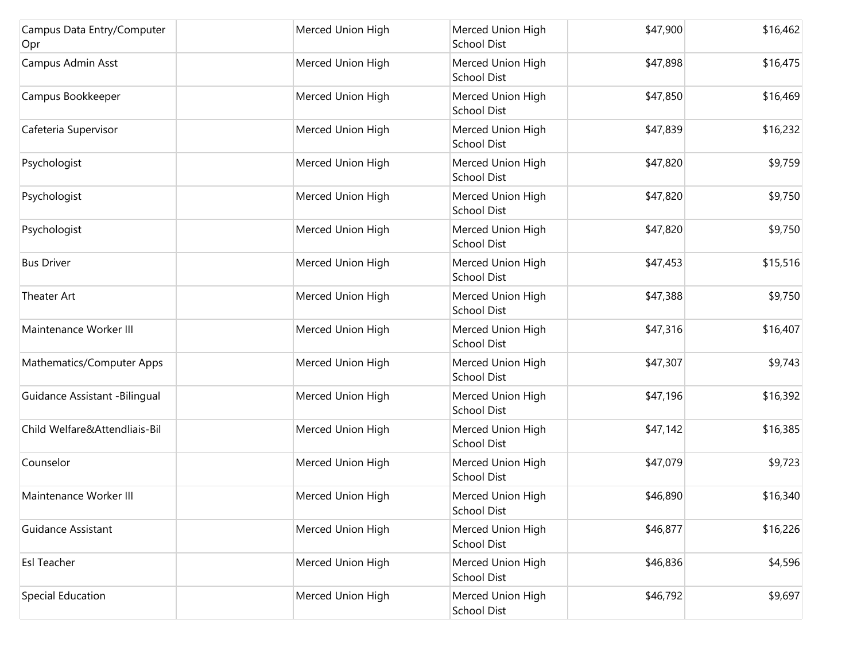| Campus Data Entry/Computer<br>Opr | Merced Union High | Merced Union High<br><b>School Dist</b> | \$47,900 | \$16,462 |
|-----------------------------------|-------------------|-----------------------------------------|----------|----------|
| Campus Admin Asst                 | Merced Union High | Merced Union High<br><b>School Dist</b> | \$47,898 | \$16,475 |
| Campus Bookkeeper                 | Merced Union High | Merced Union High<br><b>School Dist</b> | \$47,850 | \$16,469 |
| Cafeteria Supervisor              | Merced Union High | Merced Union High<br><b>School Dist</b> | \$47,839 | \$16,232 |
| Psychologist                      | Merced Union High | Merced Union High<br>School Dist        | \$47,820 | \$9,759  |
| Psychologist                      | Merced Union High | Merced Union High<br><b>School Dist</b> | \$47,820 | \$9,750  |
| Psychologist                      | Merced Union High | Merced Union High<br><b>School Dist</b> | \$47,820 | \$9,750  |
| <b>Bus Driver</b>                 | Merced Union High | Merced Union High<br><b>School Dist</b> | \$47,453 | \$15,516 |
| Theater Art                       | Merced Union High | Merced Union High<br>School Dist        | \$47,388 | \$9,750  |
| Maintenance Worker III            | Merced Union High | Merced Union High<br><b>School Dist</b> | \$47,316 | \$16,407 |
| Mathematics/Computer Apps         | Merced Union High | Merced Union High<br><b>School Dist</b> | \$47,307 | \$9,743  |
| Guidance Assistant -Bilingual     | Merced Union High | Merced Union High<br>School Dist        | \$47,196 | \$16,392 |
| Child Welfare&Attendliais-Bil     | Merced Union High | Merced Union High<br><b>School Dist</b> | \$47,142 | \$16,385 |
| Counselor                         | Merced Union High | Merced Union High<br>School Dist        | \$47,079 | \$9,723  |
| Maintenance Worker III            | Merced Union High | Merced Union High<br>School Dist        | \$46,890 | \$16,340 |
| Guidance Assistant                | Merced Union High | Merced Union High<br>School Dist        | \$46,877 | \$16,226 |
| <b>Esl Teacher</b>                | Merced Union High | Merced Union High<br><b>School Dist</b> | \$46,836 | \$4,596  |
| Special Education                 | Merced Union High | Merced Union High<br>School Dist        | \$46,792 | \$9,697  |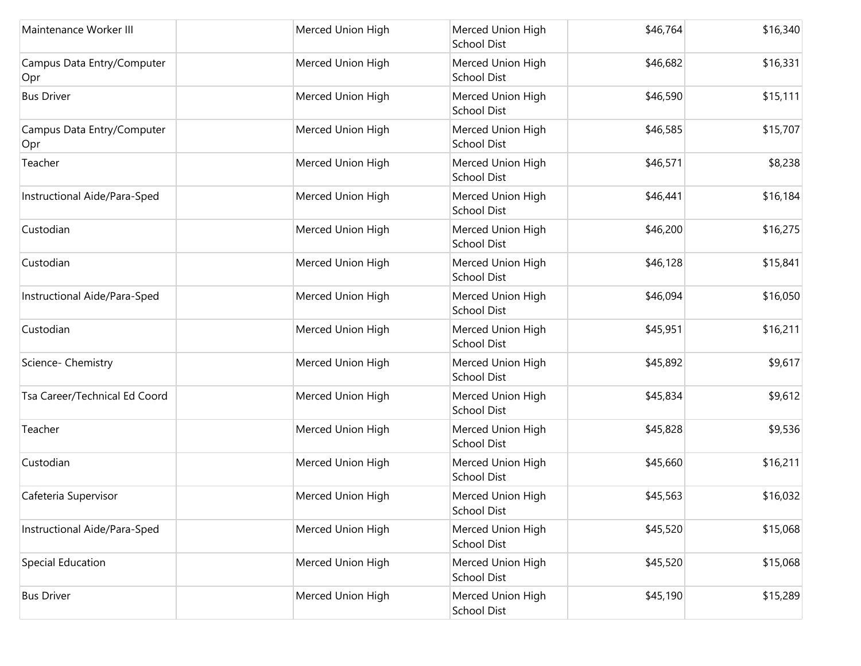| Maintenance Worker III            | Merced Union High | Merced Union High<br><b>School Dist</b> | \$46,764 | \$16,340 |
|-----------------------------------|-------------------|-----------------------------------------|----------|----------|
| Campus Data Entry/Computer<br>Opr | Merced Union High | Merced Union High<br><b>School Dist</b> | \$46,682 | \$16,331 |
| <b>Bus Driver</b>                 | Merced Union High | Merced Union High<br>School Dist        | \$46,590 | \$15,111 |
| Campus Data Entry/Computer<br>Opr | Merced Union High | Merced Union High<br>School Dist        | \$46,585 | \$15,707 |
| Teacher                           | Merced Union High | Merced Union High<br>School Dist        | \$46,571 | \$8,238  |
| Instructional Aide/Para-Sped      | Merced Union High | Merced Union High<br><b>School Dist</b> | \$46,441 | \$16,184 |
| Custodian                         | Merced Union High | Merced Union High<br>School Dist        | \$46,200 | \$16,275 |
| Custodian                         | Merced Union High | Merced Union High<br>School Dist        | \$46,128 | \$15,841 |
| Instructional Aide/Para-Sped      | Merced Union High | Merced Union High<br><b>School Dist</b> | \$46,094 | \$16,050 |
| Custodian                         | Merced Union High | Merced Union High<br>School Dist        | \$45,951 | \$16,211 |
| Science- Chemistry                | Merced Union High | Merced Union High<br><b>School Dist</b> | \$45,892 | \$9,617  |
| Tsa Career/Technical Ed Coord     | Merced Union High | Merced Union High<br><b>School Dist</b> | \$45,834 | \$9,612  |
| Teacher                           | Merced Union High | Merced Union High<br>School Dist        | \$45,828 | \$9,536  |
| Custodian                         | Merced Union High | Merced Union High<br>School Dist        | \$45,660 | \$16,211 |
| Cafeteria Supervisor              | Merced Union High | Merced Union High<br>School Dist        | \$45,563 | \$16,032 |
| Instructional Aide/Para-Sped      | Merced Union High | Merced Union High<br><b>School Dist</b> | \$45,520 | \$15,068 |
| Special Education                 | Merced Union High | Merced Union High<br><b>School Dist</b> | \$45,520 | \$15,068 |
| <b>Bus Driver</b>                 | Merced Union High | Merced Union High<br>School Dist        | \$45,190 | \$15,289 |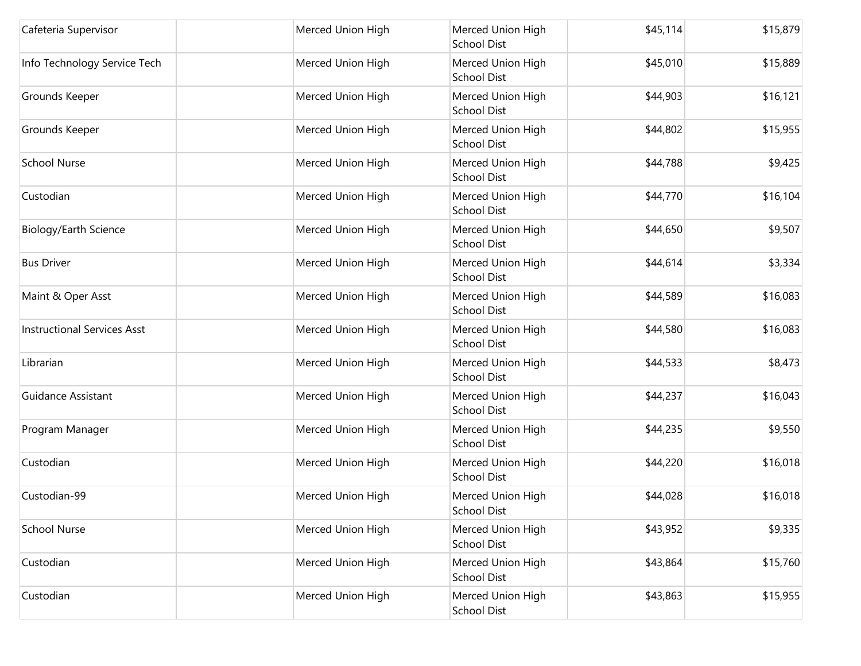| Cafeteria Supervisor               | Merced Union High | Merced Union High<br>School Dist        | \$45,114 | \$15,879 |
|------------------------------------|-------------------|-----------------------------------------|----------|----------|
| Info Technology Service Tech       | Merced Union High | Merced Union High<br><b>School Dist</b> | \$45,010 | \$15,889 |
| Grounds Keeper                     | Merced Union High | Merced Union High<br>School Dist        | \$44,903 | \$16,121 |
| Grounds Keeper                     | Merced Union High | Merced Union High<br><b>School Dist</b> | \$44,802 | \$15,955 |
| <b>School Nurse</b>                | Merced Union High | Merced Union High<br>School Dist        | \$44,788 | \$9,425  |
| Custodian                          | Merced Union High | Merced Union High<br>School Dist        | \$44,770 | \$16,104 |
| Biology/Earth Science              | Merced Union High | Merced Union High<br><b>School Dist</b> | \$44,650 | \$9,507  |
| <b>Bus Driver</b>                  | Merced Union High | Merced Union High<br>School Dist        | \$44,614 | \$3,334  |
| Maint & Oper Asst                  | Merced Union High | Merced Union High<br>School Dist        | \$44,589 | \$16,083 |
| <b>Instructional Services Asst</b> | Merced Union High | Merced Union High<br>School Dist        | \$44,580 | \$16,083 |
| Librarian                          | Merced Union High | Merced Union High<br><b>School Dist</b> | \$44,533 | \$8,473  |
| <b>Guidance Assistant</b>          | Merced Union High | Merced Union High<br><b>School Dist</b> | \$44,237 | \$16,043 |
| Program Manager                    | Merced Union High | Merced Union High<br>School Dist        | \$44,235 | \$9,550  |
| Custodian                          | Merced Union High | Merced Union High<br>School Dist        | \$44,220 | \$16,018 |
| Custodian-99                       | Merced Union High | Merced Union High<br>School Dist        | \$44,028 | \$16,018 |
| <b>School Nurse</b>                | Merced Union High | Merced Union High<br>School Dist        | \$43,952 | \$9,335  |
| Custodian                          | Merced Union High | Merced Union High<br><b>School Dist</b> | \$43,864 | \$15,760 |
| Custodian                          | Merced Union High | Merced Union High<br>School Dist        | \$43,863 | \$15,955 |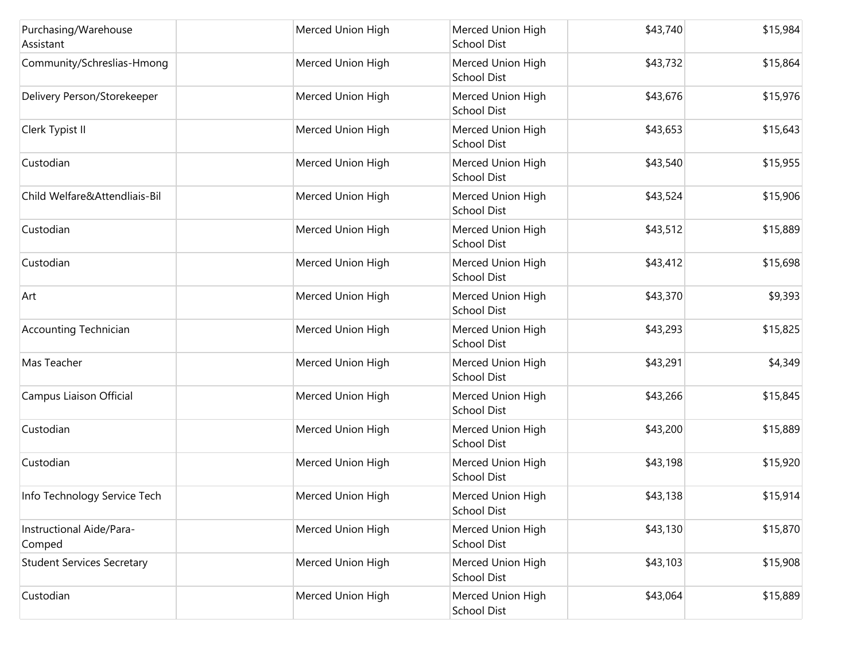| Purchasing/Warehouse<br>Assistant  | Merced Union High | Merced Union High<br><b>School Dist</b> | \$43,740 | \$15,984 |
|------------------------------------|-------------------|-----------------------------------------|----------|----------|
| Community/Schreslias-Hmong         | Merced Union High | Merced Union High<br><b>School Dist</b> | \$43,732 | \$15,864 |
| Delivery Person/Storekeeper        | Merced Union High | Merced Union High<br>School Dist        | \$43,676 | \$15,976 |
| Clerk Typist II                    | Merced Union High | Merced Union High<br>School Dist        | \$43,653 | \$15,643 |
| Custodian                          | Merced Union High | Merced Union High<br><b>School Dist</b> | \$43,540 | \$15,955 |
| Child Welfare&Attendliais-Bil      | Merced Union High | Merced Union High<br><b>School Dist</b> | \$43,524 | \$15,906 |
| Custodian                          | Merced Union High | Merced Union High<br>School Dist        | \$43,512 | \$15,889 |
| Custodian                          | Merced Union High | Merced Union High<br>School Dist        | \$43,412 | \$15,698 |
| Art                                | Merced Union High | Merced Union High<br><b>School Dist</b> | \$43,370 | \$9,393  |
| <b>Accounting Technician</b>       | Merced Union High | Merced Union High<br>School Dist        | \$43,293 | \$15,825 |
| Mas Teacher                        | Merced Union High | Merced Union High<br><b>School Dist</b> | \$43,291 | \$4,349  |
| Campus Liaison Official            | Merced Union High | Merced Union High<br><b>School Dist</b> | \$43,266 | \$15,845 |
| Custodian                          | Merced Union High | Merced Union High<br><b>School Dist</b> | \$43,200 | \$15,889 |
| Custodian                          | Merced Union High | Merced Union High<br>School Dist        | \$43,198 | \$15,920 |
| Info Technology Service Tech       | Merced Union High | Merced Union High<br>School Dist        | \$43,138 | \$15,914 |
| Instructional Aide/Para-<br>Comped | Merced Union High | Merced Union High<br><b>School Dist</b> | \$43,130 | \$15,870 |
| <b>Student Services Secretary</b>  | Merced Union High | Merced Union High<br><b>School Dist</b> | \$43,103 | \$15,908 |
| Custodian                          | Merced Union High | Merced Union High<br>School Dist        | \$43,064 | \$15,889 |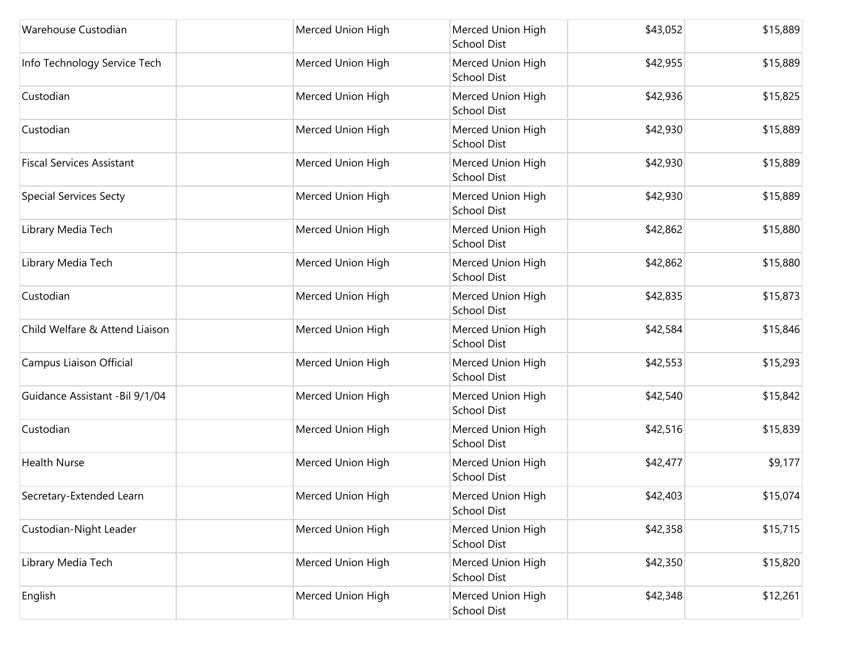| Warehouse Custodian              | Merced Union High | Merced Union High<br><b>School Dist</b> | \$43,052 | \$15,889 |
|----------------------------------|-------------------|-----------------------------------------|----------|----------|
| Info Technology Service Tech     | Merced Union High | Merced Union High<br><b>School Dist</b> | \$42,955 | \$15,889 |
| Custodian                        | Merced Union High | Merced Union High<br><b>School Dist</b> | \$42,936 | \$15,825 |
| Custodian                        | Merced Union High | Merced Union High<br>School Dist        | \$42,930 | \$15,889 |
| <b>Fiscal Services Assistant</b> | Merced Union High | Merced Union High<br><b>School Dist</b> | \$42,930 | \$15,889 |
| <b>Special Services Secty</b>    | Merced Union High | Merced Union High<br><b>School Dist</b> | \$42,930 | \$15,889 |
| Library Media Tech               | Merced Union High | Merced Union High<br>School Dist        | \$42,862 | \$15,880 |
| Library Media Tech               | Merced Union High | Merced Union High<br>School Dist        | \$42,862 | \$15,880 |
| Custodian                        | Merced Union High | Merced Union High<br><b>School Dist</b> | \$42,835 | \$15,873 |
| Child Welfare & Attend Liaison   | Merced Union High | Merced Union High<br>School Dist        | \$42,584 | \$15,846 |
| Campus Liaison Official          | Merced Union High | Merced Union High<br><b>School Dist</b> | \$42,553 | \$15,293 |
| Guidance Assistant -Bil 9/1/04   | Merced Union High | Merced Union High<br><b>School Dist</b> | \$42,540 | \$15,842 |
| Custodian                        | Merced Union High | Merced Union High<br><b>School Dist</b> | \$42,516 | \$15,839 |
| <b>Health Nurse</b>              | Merced Union High | Merced Union High<br>School Dist        | \$42,477 | \$9,177  |
| Secretary-Extended Learn         | Merced Union High | Merced Union High<br>School Dist        | \$42,403 | \$15,074 |
| Custodian-Night Leader           | Merced Union High | Merced Union High<br><b>School Dist</b> | \$42,358 | \$15,715 |
| Library Media Tech               | Merced Union High | Merced Union High<br><b>School Dist</b> | \$42,350 | \$15,820 |
| English                          | Merced Union High | Merced Union High<br>School Dist        | \$42,348 | \$12,261 |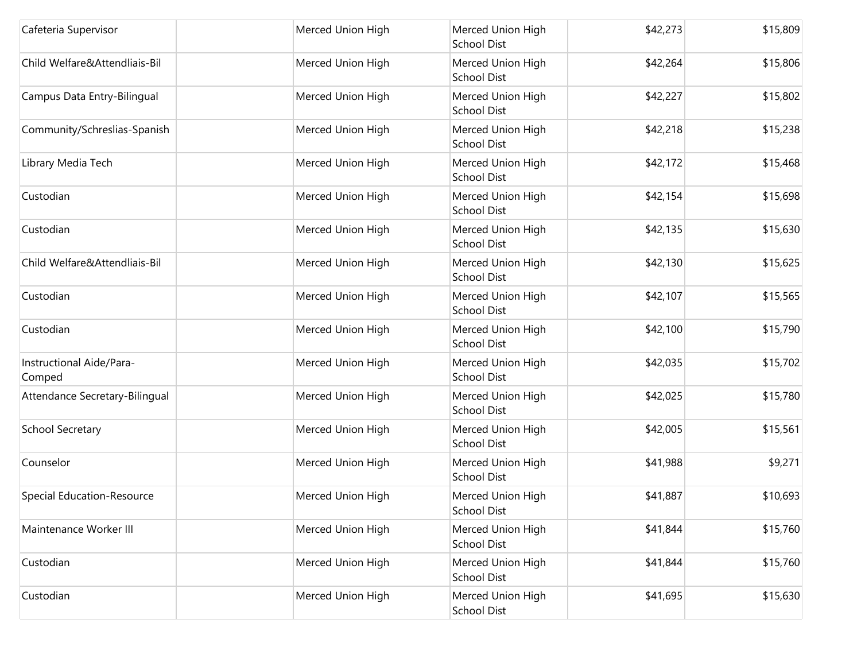| Cafeteria Supervisor               | Merced Union High | Merced Union High<br><b>School Dist</b> | \$42,273 | \$15,809 |
|------------------------------------|-------------------|-----------------------------------------|----------|----------|
| Child Welfare&Attendliais-Bil      | Merced Union High | Merced Union High<br><b>School Dist</b> | \$42,264 | \$15,806 |
| Campus Data Entry-Bilingual        | Merced Union High | Merced Union High<br>School Dist        | \$42,227 | \$15,802 |
| Community/Schreslias-Spanish       | Merced Union High | Merced Union High<br>School Dist        | \$42,218 | \$15,238 |
| Library Media Tech                 | Merced Union High | Merced Union High<br><b>School Dist</b> | \$42,172 | \$15,468 |
| Custodian                          | Merced Union High | Merced Union High<br><b>School Dist</b> | \$42,154 | \$15,698 |
| Custodian                          | Merced Union High | Merced Union High<br>School Dist        | \$42,135 | \$15,630 |
| Child Welfare&Attendliais-Bil      | Merced Union High | Merced Union High<br>School Dist        | \$42,130 | \$15,625 |
| Custodian                          | Merced Union High | Merced Union High<br><b>School Dist</b> | \$42,107 | \$15,565 |
| Custodian                          | Merced Union High | Merced Union High<br>School Dist        | \$42,100 | \$15,790 |
| Instructional Aide/Para-<br>Comped | Merced Union High | Merced Union High<br><b>School Dist</b> | \$42,035 | \$15,702 |
| Attendance Secretary-Bilingual     | Merced Union High | Merced Union High<br><b>School Dist</b> | \$42,025 | \$15,780 |
| School Secretary                   | Merced Union High | Merced Union High<br><b>School Dist</b> | \$42,005 | \$15,561 |
| Counselor                          | Merced Union High | Merced Union High<br>School Dist        | \$41,988 | \$9,271  |
| Special Education-Resource         | Merced Union High | Merced Union High<br><b>School Dist</b> | \$41,887 | \$10,693 |
| Maintenance Worker III             | Merced Union High | Merced Union High<br><b>School Dist</b> | \$41,844 | \$15,760 |
| Custodian                          | Merced Union High | Merced Union High<br><b>School Dist</b> | \$41,844 | \$15,760 |
| Custodian                          | Merced Union High | Merced Union High<br>School Dist        | \$41,695 | \$15,630 |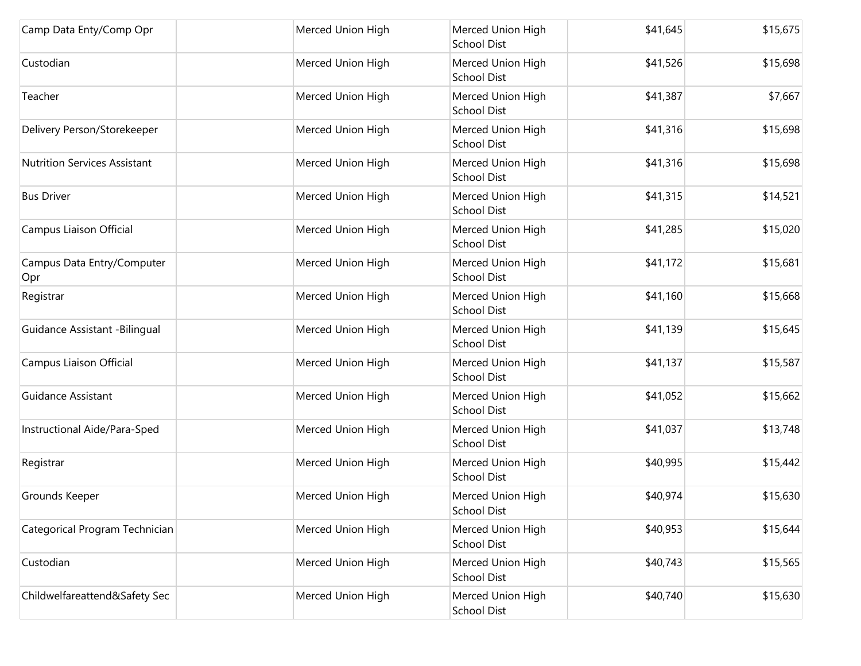| Camp Data Enty/Comp Opr             | Merced Union High | Merced Union High<br><b>School Dist</b> | \$41,645 | \$15,675 |
|-------------------------------------|-------------------|-----------------------------------------|----------|----------|
| Custodian                           | Merced Union High | Merced Union High<br><b>School Dist</b> | \$41,526 | \$15,698 |
| Teacher                             | Merced Union High | Merced Union High<br>School Dist        | \$41,387 | \$7,667  |
| Delivery Person/Storekeeper         | Merced Union High | Merced Union High<br>School Dist        | \$41,316 | \$15,698 |
| <b>Nutrition Services Assistant</b> | Merced Union High | Merced Union High<br><b>School Dist</b> | \$41,316 | \$15,698 |
| <b>Bus Driver</b>                   | Merced Union High | Merced Union High<br><b>School Dist</b> | \$41,315 | \$14,521 |
| Campus Liaison Official             | Merced Union High | Merced Union High<br>School Dist        | \$41,285 | \$15,020 |
| Campus Data Entry/Computer<br>Opr   | Merced Union High | Merced Union High<br>School Dist        | \$41,172 | \$15,681 |
| Registrar                           | Merced Union High | Merced Union High<br><b>School Dist</b> | \$41,160 | \$15,668 |
| Guidance Assistant -Bilingual       | Merced Union High | Merced Union High<br>School Dist        | \$41,139 | \$15,645 |
| Campus Liaison Official             | Merced Union High | Merced Union High<br><b>School Dist</b> | \$41,137 | \$15,587 |
| Guidance Assistant                  | Merced Union High | Merced Union High<br><b>School Dist</b> | \$41,052 | \$15,662 |
| Instructional Aide/Para-Sped        | Merced Union High | Merced Union High<br><b>School Dist</b> | \$41,037 | \$13,748 |
| Registrar                           | Merced Union High | Merced Union High<br>School Dist        | \$40,995 | \$15,442 |
| Grounds Keeper                      | Merced Union High | Merced Union High<br>School Dist        | \$40,974 | \$15,630 |
| Categorical Program Technician      | Merced Union High | Merced Union High<br><b>School Dist</b> | \$40,953 | \$15,644 |
| Custodian                           | Merced Union High | Merced Union High<br><b>School Dist</b> | \$40,743 | \$15,565 |
| Childwelfareattend&Safety Sec       | Merced Union High | Merced Union High<br>School Dist        | \$40,740 | \$15,630 |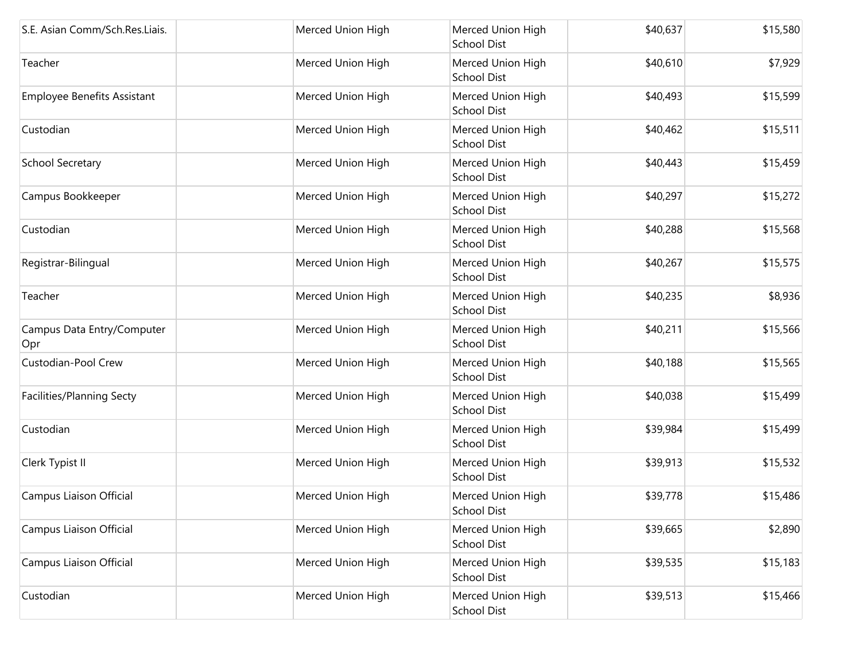| S.E. Asian Comm/Sch.Res.Liais.     | Merced Union High | Merced Union High<br><b>School Dist</b> | \$40,637 | \$15,580 |
|------------------------------------|-------------------|-----------------------------------------|----------|----------|
| Teacher                            | Merced Union High | Merced Union High<br><b>School Dist</b> | \$40,610 | \$7,929  |
| <b>Employee Benefits Assistant</b> | Merced Union High | Merced Union High<br><b>School Dist</b> | \$40,493 | \$15,599 |
| Custodian                          | Merced Union High | Merced Union High<br><b>School Dist</b> | \$40,462 | \$15,511 |
| School Secretary                   | Merced Union High | Merced Union High<br><b>School Dist</b> | \$40,443 | \$15,459 |
| Campus Bookkeeper                  | Merced Union High | Merced Union High<br><b>School Dist</b> | \$40,297 | \$15,272 |
| Custodian                          | Merced Union High | Merced Union High<br><b>School Dist</b> | \$40,288 | \$15,568 |
| Registrar-Bilingual                | Merced Union High | Merced Union High<br><b>School Dist</b> | \$40,267 | \$15,575 |
| Teacher                            | Merced Union High | Merced Union High<br><b>School Dist</b> | \$40,235 | \$8,936  |
| Campus Data Entry/Computer<br>Opr  | Merced Union High | Merced Union High<br><b>School Dist</b> | \$40,211 | \$15,566 |
| Custodian-Pool Crew                | Merced Union High | Merced Union High<br><b>School Dist</b> | \$40,188 | \$15,565 |
| Facilities/Planning Secty          | Merced Union High | Merced Union High<br><b>School Dist</b> | \$40,038 | \$15,499 |
| Custodian                          | Merced Union High | Merced Union High<br><b>School Dist</b> | \$39,984 | \$15,499 |
| Clerk Typist II                    | Merced Union High | Merced Union High<br><b>School Dist</b> | \$39,913 | \$15,532 |
| Campus Liaison Official            | Merced Union High | Merced Union High<br>School Dist        | \$39,778 | \$15,486 |
| Campus Liaison Official            | Merced Union High | Merced Union High<br>School Dist        | \$39,665 | \$2,890  |
| Campus Liaison Official            | Merced Union High | Merced Union High<br><b>School Dist</b> | \$39,535 | \$15,183 |
| Custodian                          | Merced Union High | Merced Union High<br>School Dist        | \$39,513 | \$15,466 |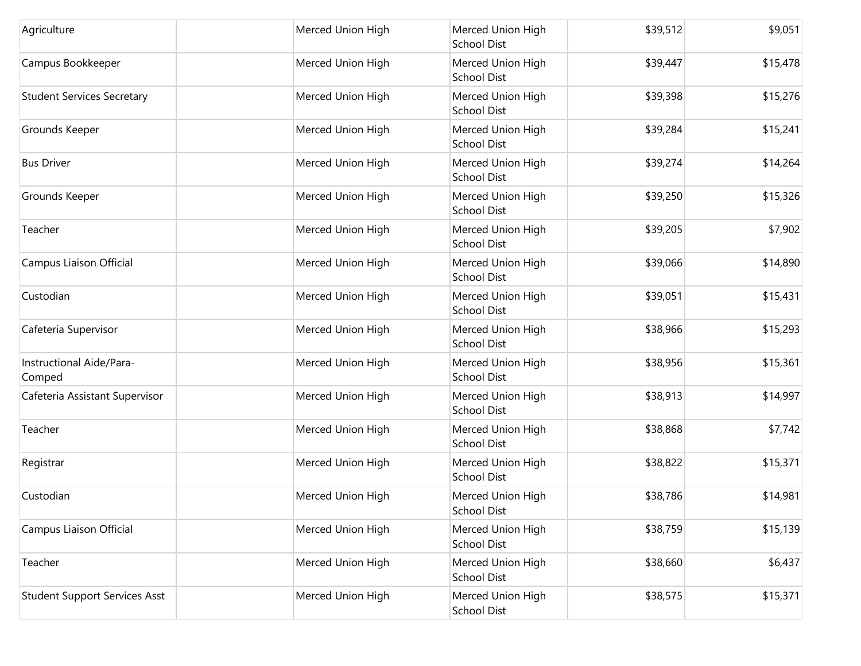| Agriculture                          | Merced Union High | Merced Union High<br><b>School Dist</b> | \$39,512 | \$9,051  |
|--------------------------------------|-------------------|-----------------------------------------|----------|----------|
| Campus Bookkeeper                    | Merced Union High | Merced Union High<br><b>School Dist</b> | \$39,447 | \$15,478 |
| <b>Student Services Secretary</b>    | Merced Union High | Merced Union High<br><b>School Dist</b> | \$39,398 | \$15,276 |
| Grounds Keeper                       | Merced Union High | Merced Union High<br><b>School Dist</b> | \$39,284 | \$15,241 |
| <b>Bus Driver</b>                    | Merced Union High | Merced Union High<br>School Dist        | \$39,274 | \$14,264 |
| Grounds Keeper                       | Merced Union High | Merced Union High<br><b>School Dist</b> | \$39,250 | \$15,326 |
| Teacher                              | Merced Union High | Merced Union High<br><b>School Dist</b> | \$39,205 | \$7,902  |
| Campus Liaison Official              | Merced Union High | Merced Union High<br><b>School Dist</b> | \$39,066 | \$14,890 |
| Custodian                            | Merced Union High | Merced Union High<br><b>School Dist</b> | \$39,051 | \$15,431 |
| Cafeteria Supervisor                 | Merced Union High | Merced Union High<br><b>School Dist</b> | \$38,966 | \$15,293 |
| Instructional Aide/Para-<br>Comped   | Merced Union High | Merced Union High<br><b>School Dist</b> | \$38,956 | \$15,361 |
| Cafeteria Assistant Supervisor       | Merced Union High | Merced Union High<br><b>School Dist</b> | \$38,913 | \$14,997 |
| Teacher                              | Merced Union High | Merced Union High<br><b>School Dist</b> | \$38,868 | \$7,742  |
| Registrar                            | Merced Union High | Merced Union High<br><b>School Dist</b> | \$38,822 | \$15,371 |
| Custodian                            | Merced Union High | Merced Union High<br>School Dist        | \$38,786 | \$14,981 |
| Campus Liaison Official              | Merced Union High | Merced Union High<br><b>School Dist</b> | \$38,759 | \$15,139 |
| Teacher                              | Merced Union High | Merced Union High<br><b>School Dist</b> | \$38,660 | \$6,437  |
| <b>Student Support Services Asst</b> | Merced Union High | Merced Union High<br>School Dist        | \$38,575 | \$15,371 |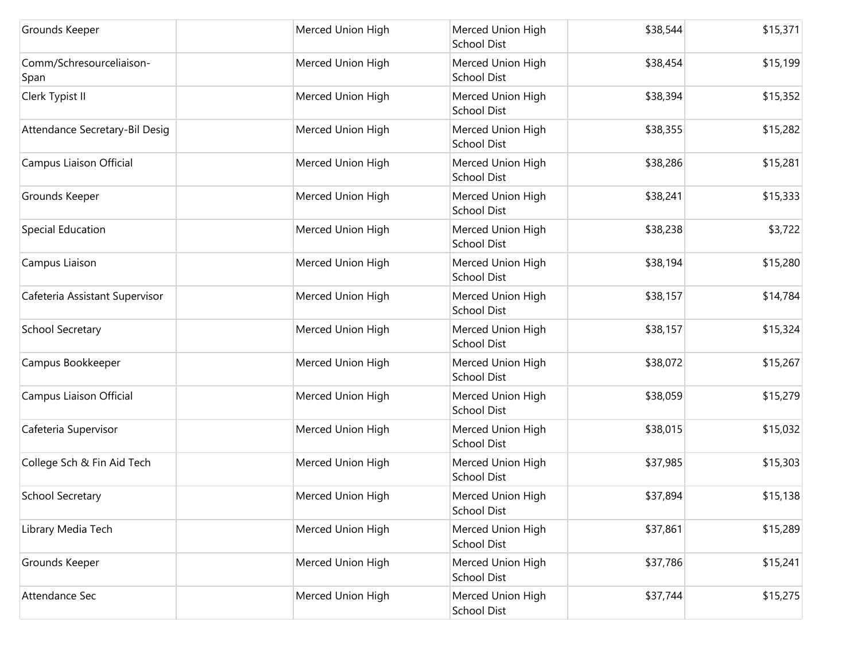| Grounds Keeper                   | Merced Union High | Merced Union High<br><b>School Dist</b> | \$38,544 | \$15,371 |
|----------------------------------|-------------------|-----------------------------------------|----------|----------|
| Comm/Schresourceliaison-<br>Span | Merced Union High | Merced Union High<br><b>School Dist</b> | \$38,454 | \$15,199 |
| Clerk Typist II                  | Merced Union High | Merced Union High<br>School Dist        | \$38,394 | \$15,352 |
| Attendance Secretary-Bil Desig   | Merced Union High | Merced Union High<br>School Dist        | \$38,355 | \$15,282 |
| Campus Liaison Official          | Merced Union High | Merced Union High<br><b>School Dist</b> | \$38,286 | \$15,281 |
| Grounds Keeper                   | Merced Union High | Merced Union High<br><b>School Dist</b> | \$38,241 | \$15,333 |
| Special Education                | Merced Union High | Merced Union High<br>School Dist        | \$38,238 | \$3,722  |
| Campus Liaison                   | Merced Union High | Merced Union High<br>School Dist        | \$38,194 | \$15,280 |
| Cafeteria Assistant Supervisor   | Merced Union High | Merced Union High<br><b>School Dist</b> | \$38,157 | \$14,784 |
| School Secretary                 | Merced Union High | Merced Union High<br>School Dist        | \$38,157 | \$15,324 |
| Campus Bookkeeper                | Merced Union High | Merced Union High<br><b>School Dist</b> | \$38,072 | \$15,267 |
| Campus Liaison Official          | Merced Union High | Merced Union High<br><b>School Dist</b> | \$38,059 | \$15,279 |
| Cafeteria Supervisor             | Merced Union High | Merced Union High<br><b>School Dist</b> | \$38,015 | \$15,032 |
| College Sch & Fin Aid Tech       | Merced Union High | Merced Union High<br>School Dist        | \$37,985 | \$15,303 |
| School Secretary                 | Merced Union High | Merced Union High<br><b>School Dist</b> | \$37,894 | \$15,138 |
| Library Media Tech               | Merced Union High | Merced Union High<br><b>School Dist</b> | \$37,861 | \$15,289 |
| Grounds Keeper                   | Merced Union High | Merced Union High<br><b>School Dist</b> | \$37,786 | \$15,241 |
| Attendance Sec                   | Merced Union High | Merced Union High<br>School Dist        | \$37,744 | \$15,275 |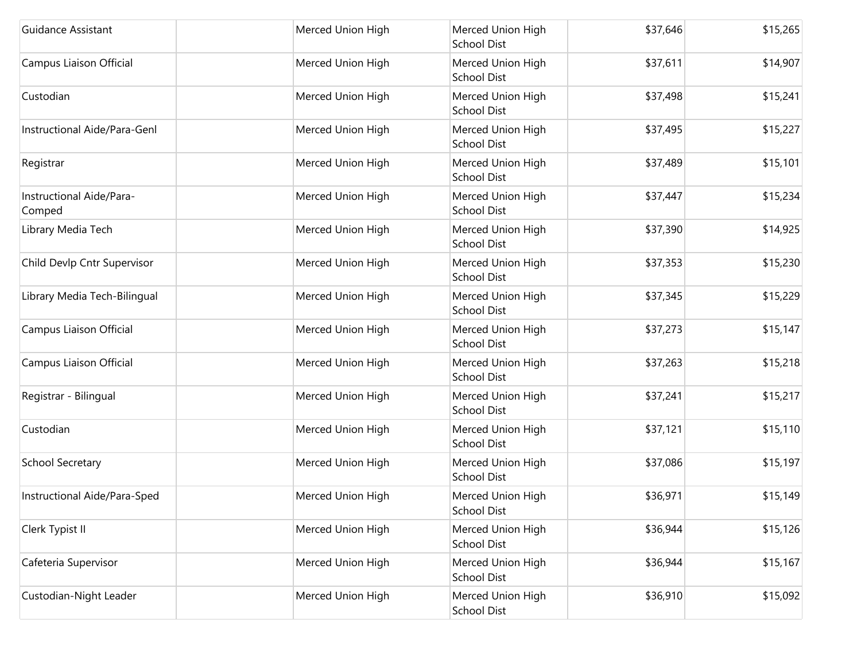| Guidance Assistant                 | Merced Union High | Merced Union High<br><b>School Dist</b> | \$37,646 | \$15,265 |
|------------------------------------|-------------------|-----------------------------------------|----------|----------|
| Campus Liaison Official            | Merced Union High | Merced Union High<br><b>School Dist</b> | \$37,611 | \$14,907 |
| Custodian                          | Merced Union High | Merced Union High<br><b>School Dist</b> | \$37,498 | \$15,241 |
| Instructional Aide/Para-Genl       | Merced Union High | Merced Union High<br>School Dist        | \$37,495 | \$15,227 |
| Registrar                          | Merced Union High | Merced Union High<br><b>School Dist</b> | \$37,489 | \$15,101 |
| Instructional Aide/Para-<br>Comped | Merced Union High | Merced Union High<br><b>School Dist</b> | \$37,447 | \$15,234 |
| Library Media Tech                 | Merced Union High | Merced Union High<br><b>School Dist</b> | \$37,390 | \$14,925 |
| Child Devlp Cntr Supervisor        | Merced Union High | Merced Union High<br><b>School Dist</b> | \$37,353 | \$15,230 |
| Library Media Tech-Bilingual       | Merced Union High | Merced Union High<br><b>School Dist</b> | \$37,345 | \$15,229 |
| Campus Liaison Official            | Merced Union High | Merced Union High<br><b>School Dist</b> | \$37,273 | \$15,147 |
| Campus Liaison Official            | Merced Union High | Merced Union High<br><b>School Dist</b> | \$37,263 | \$15,218 |
| Registrar - Bilingual              | Merced Union High | Merced Union High<br><b>School Dist</b> | \$37,241 | \$15,217 |
| Custodian                          | Merced Union High | Merced Union High<br><b>School Dist</b> | \$37,121 | \$15,110 |
| <b>School Secretary</b>            | Merced Union High | Merced Union High<br><b>School Dist</b> | \$37,086 | \$15,197 |
| Instructional Aide/Para-Sped       | Merced Union High | Merced Union High<br>School Dist        | \$36,971 | \$15,149 |
| Clerk Typist II                    | Merced Union High | Merced Union High<br>School Dist        | \$36,944 | \$15,126 |
| Cafeteria Supervisor               | Merced Union High | Merced Union High<br><b>School Dist</b> | \$36,944 | \$15,167 |
| Custodian-Night Leader             | Merced Union High | Merced Union High<br>School Dist        | \$36,910 | \$15,092 |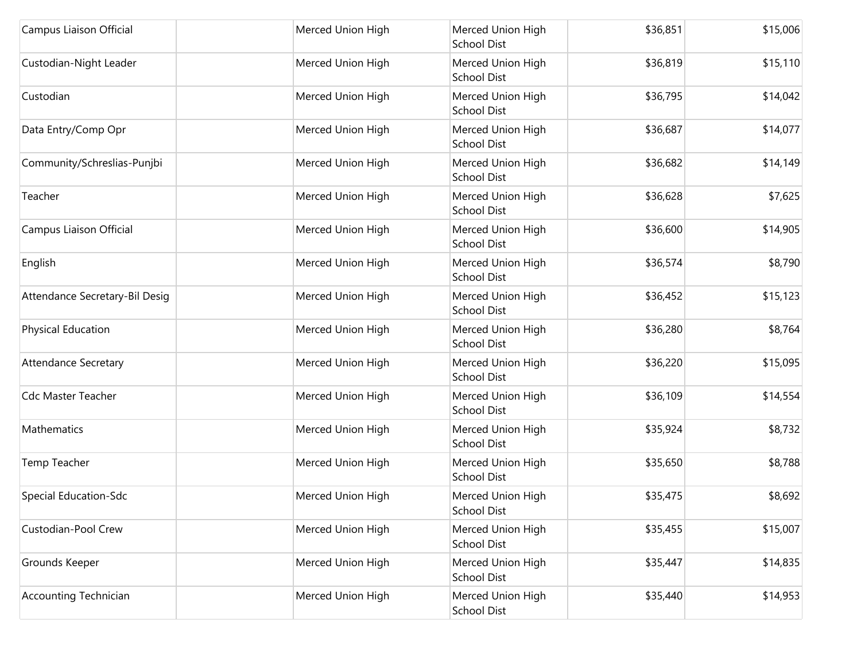| Campus Liaison Official        | Merced Union High | Merced Union High<br><b>School Dist</b> | \$36,851 | \$15,006 |
|--------------------------------|-------------------|-----------------------------------------|----------|----------|
| Custodian-Night Leader         | Merced Union High | Merced Union High<br><b>School Dist</b> | \$36,819 | \$15,110 |
| Custodian                      | Merced Union High | Merced Union High<br><b>School Dist</b> | \$36,795 | \$14,042 |
| Data Entry/Comp Opr            | Merced Union High | Merced Union High<br>School Dist        | \$36,687 | \$14,077 |
| Community/Schreslias-Punjbi    | Merced Union High | Merced Union High<br><b>School Dist</b> | \$36,682 | \$14,149 |
| Teacher                        | Merced Union High | Merced Union High<br><b>School Dist</b> | \$36,628 | \$7,625  |
| Campus Liaison Official        | Merced Union High | Merced Union High<br><b>School Dist</b> | \$36,600 | \$14,905 |
| English                        | Merced Union High | Merced Union High<br><b>School Dist</b> | \$36,574 | \$8,790  |
| Attendance Secretary-Bil Desig | Merced Union High | Merced Union High<br><b>School Dist</b> | \$36,452 | \$15,123 |
| Physical Education             | Merced Union High | Merced Union High<br><b>School Dist</b> | \$36,280 | \$8,764  |
| <b>Attendance Secretary</b>    | Merced Union High | Merced Union High<br><b>School Dist</b> | \$36,220 | \$15,095 |
| <b>Cdc Master Teacher</b>      | Merced Union High | Merced Union High<br><b>School Dist</b> | \$36,109 | \$14,554 |
| Mathematics                    | Merced Union High | Merced Union High<br><b>School Dist</b> | \$35,924 | \$8,732  |
| Temp Teacher                   | Merced Union High | Merced Union High<br><b>School Dist</b> | \$35,650 | \$8,788  |
| Special Education-Sdc          | Merced Union High | Merced Union High<br>School Dist        | \$35,475 | \$8,692  |
| Custodian-Pool Crew            | Merced Union High | Merced Union High<br>School Dist        | \$35,455 | \$15,007 |
| Grounds Keeper                 | Merced Union High | Merced Union High<br><b>School Dist</b> | \$35,447 | \$14,835 |
| <b>Accounting Technician</b>   | Merced Union High | Merced Union High<br>School Dist        | \$35,440 | \$14,953 |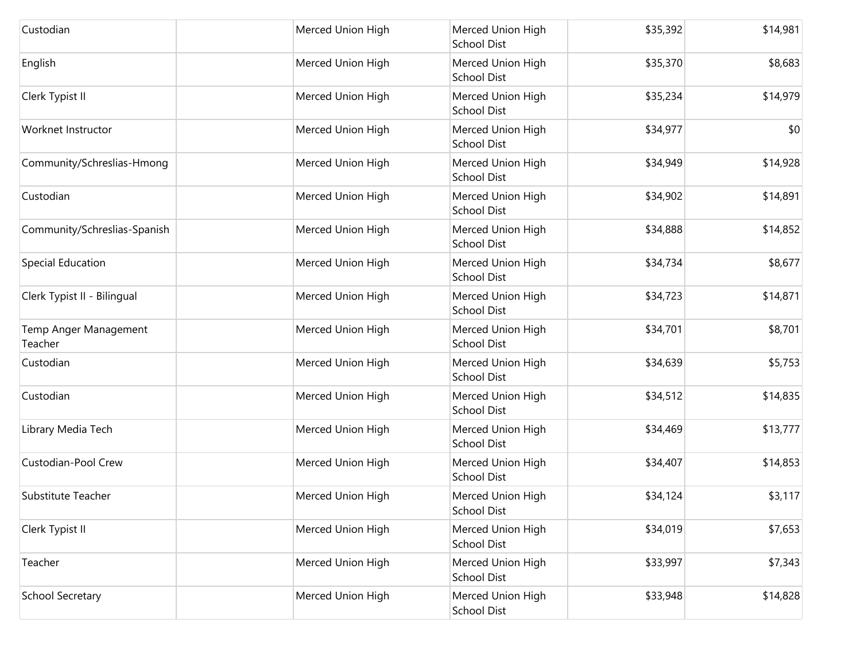| Custodian                        | Merced Union High | Merced Union High<br><b>School Dist</b> | \$35,392 | \$14,981 |
|----------------------------------|-------------------|-----------------------------------------|----------|----------|
| English                          | Merced Union High | Merced Union High<br><b>School Dist</b> | \$35,370 | \$8,683  |
| Clerk Typist II                  | Merced Union High | Merced Union High<br><b>School Dist</b> | \$35,234 | \$14,979 |
| Worknet Instructor               | Merced Union High | Merced Union High<br><b>School Dist</b> | \$34,977 | \$0      |
| Community/Schreslias-Hmong       | Merced Union High | Merced Union High<br><b>School Dist</b> | \$34,949 | \$14,928 |
| Custodian                        | Merced Union High | Merced Union High<br><b>School Dist</b> | \$34,902 | \$14,891 |
| Community/Schreslias-Spanish     | Merced Union High | Merced Union High<br><b>School Dist</b> | \$34,888 | \$14,852 |
| Special Education                | Merced Union High | Merced Union High<br>School Dist        | \$34,734 | \$8,677  |
| Clerk Typist II - Bilingual      | Merced Union High | Merced Union High<br><b>School Dist</b> | \$34,723 | \$14,871 |
| Temp Anger Management<br>Teacher | Merced Union High | Merced Union High<br><b>School Dist</b> | \$34,701 | \$8,701  |
| Custodian                        | Merced Union High | Merced Union High<br><b>School Dist</b> | \$34,639 | \$5,753  |
| Custodian                        | Merced Union High | Merced Union High<br><b>School Dist</b> | \$34,512 | \$14,835 |
| Library Media Tech               | Merced Union High | Merced Union High<br><b>School Dist</b> | \$34,469 | \$13,777 |
| Custodian-Pool Crew              | Merced Union High | Merced Union High<br><b>School Dist</b> | \$34,407 | \$14,853 |
| Substitute Teacher               | Merced Union High | Merced Union High<br>School Dist        | \$34,124 | \$3,117  |
| Clerk Typist II                  | Merced Union High | Merced Union High<br><b>School Dist</b> | \$34,019 | \$7,653  |
| Teacher                          | Merced Union High | Merced Union High<br><b>School Dist</b> | \$33,997 | \$7,343  |
| School Secretary                 | Merced Union High | Merced Union High<br>School Dist        | \$33,948 | \$14,828 |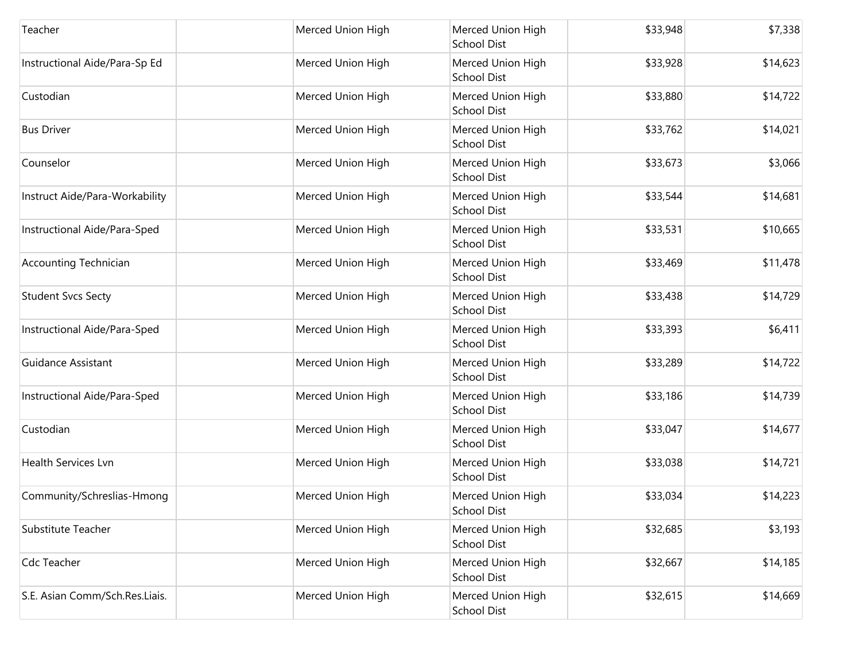| Teacher                        | Merced Union High | Merced Union High<br><b>School Dist</b> | \$33,948 | \$7,338  |
|--------------------------------|-------------------|-----------------------------------------|----------|----------|
| Instructional Aide/Para-Sp Ed  | Merced Union High | Merced Union High<br><b>School Dist</b> | \$33,928 | \$14,623 |
| Custodian                      | Merced Union High | Merced Union High<br>School Dist        | \$33,880 | \$14,722 |
| <b>Bus Driver</b>              | Merced Union High | Merced Union High<br>School Dist        | \$33,762 | \$14,021 |
| Counselor                      | Merced Union High | Merced Union High<br>School Dist        | \$33,673 | \$3,066  |
| Instruct Aide/Para-Workability | Merced Union High | Merced Union High<br>School Dist        | \$33,544 | \$14,681 |
| Instructional Aide/Para-Sped   | Merced Union High | Merced Union High<br><b>School Dist</b> | \$33,531 | \$10,665 |
| <b>Accounting Technician</b>   | Merced Union High | Merced Union High<br>School Dist        | \$33,469 | \$11,478 |
| <b>Student Svcs Secty</b>      | Merced Union High | Merced Union High<br>School Dist        | \$33,438 | \$14,729 |
| Instructional Aide/Para-Sped   | Merced Union High | Merced Union High<br>School Dist        | \$33,393 | \$6,411  |
| <b>Guidance Assistant</b>      | Merced Union High | Merced Union High<br><b>School Dist</b> | \$33,289 | \$14,722 |
| Instructional Aide/Para-Sped   | Merced Union High | Merced Union High<br>School Dist        | \$33,186 | \$14,739 |
| Custodian                      | Merced Union High | Merced Union High<br>School Dist        | \$33,047 | \$14,677 |
| <b>Health Services Lvn</b>     | Merced Union High | Merced Union High<br><b>School Dist</b> | \$33,038 | \$14,721 |
| Community/Schreslias-Hmong     | Merced Union High | Merced Union High<br><b>School Dist</b> | \$33,034 | \$14,223 |
| <b>Substitute Teacher</b>      | Merced Union High | Merced Union High<br><b>School Dist</b> | \$32,685 | \$3,193  |
| Cdc Teacher                    | Merced Union High | Merced Union High<br><b>School Dist</b> | \$32,667 | \$14,185 |
| S.E. Asian Comm/Sch.Res.Liais. | Merced Union High | Merced Union High<br><b>School Dist</b> | \$32,615 | \$14,669 |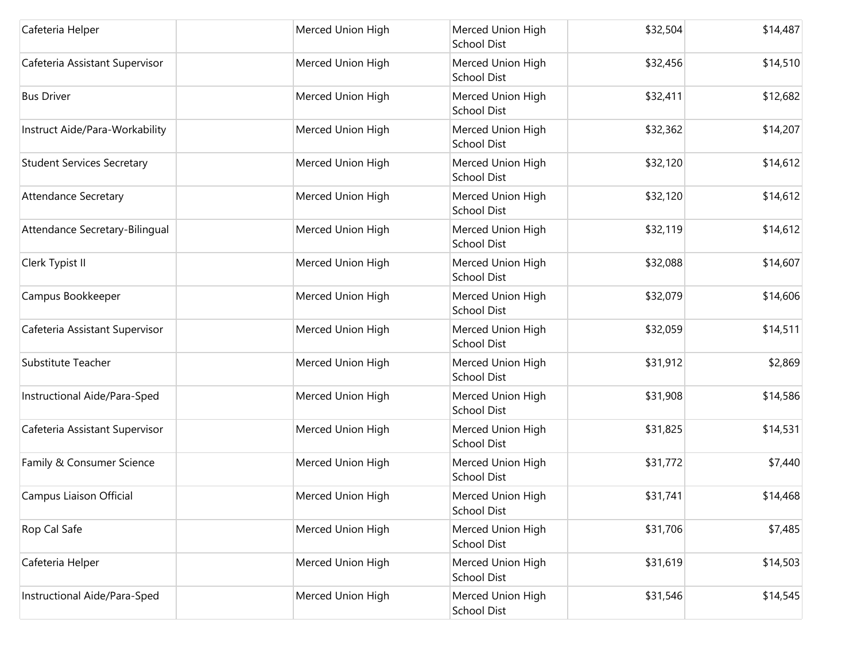| Cafeteria Helper                  | Merced Union High | Merced Union High<br><b>School Dist</b> | \$32,504 | \$14,487 |
|-----------------------------------|-------------------|-----------------------------------------|----------|----------|
| Cafeteria Assistant Supervisor    | Merced Union High | Merced Union High<br><b>School Dist</b> | \$32,456 | \$14,510 |
| <b>Bus Driver</b>                 | Merced Union High | Merced Union High<br>School Dist        | \$32,411 | \$12,682 |
| Instruct Aide/Para-Workability    | Merced Union High | Merced Union High<br><b>School Dist</b> | \$32,362 | \$14,207 |
| <b>Student Services Secretary</b> | Merced Union High | Merced Union High<br>School Dist        | \$32,120 | \$14,612 |
| <b>Attendance Secretary</b>       | Merced Union High | Merced Union High<br><b>School Dist</b> | \$32,120 | \$14,612 |
| Attendance Secretary-Bilingual    | Merced Union High | Merced Union High<br><b>School Dist</b> | \$32,119 | \$14,612 |
| Clerk Typist II                   | Merced Union High | Merced Union High<br><b>School Dist</b> | \$32,088 | \$14,607 |
| Campus Bookkeeper                 | Merced Union High | Merced Union High<br>School Dist        | \$32,079 | \$14,606 |
| Cafeteria Assistant Supervisor    | Merced Union High | Merced Union High<br>School Dist        | \$32,059 | \$14,511 |
| Substitute Teacher                | Merced Union High | Merced Union High<br><b>School Dist</b> | \$31,912 | \$2,869  |
| Instructional Aide/Para-Sped      | Merced Union High | Merced Union High<br>School Dist        | \$31,908 | \$14,586 |
| Cafeteria Assistant Supervisor    | Merced Union High | Merced Union High<br><b>School Dist</b> | \$31,825 | \$14,531 |
| Family & Consumer Science         | Merced Union High | Merced Union High<br>School Dist        | \$31,772 | \$7,440  |
| Campus Liaison Official           | Merced Union High | Merced Union High<br><b>School Dist</b> | \$31,741 | \$14,468 |
| Rop Cal Safe                      | Merced Union High | Merced Union High<br>School Dist        | \$31,706 | \$7,485  |
| Cafeteria Helper                  | Merced Union High | Merced Union High<br><b>School Dist</b> | \$31,619 | \$14,503 |
| Instructional Aide/Para-Sped      | Merced Union High | Merced Union High<br>School Dist        | \$31,546 | \$14,545 |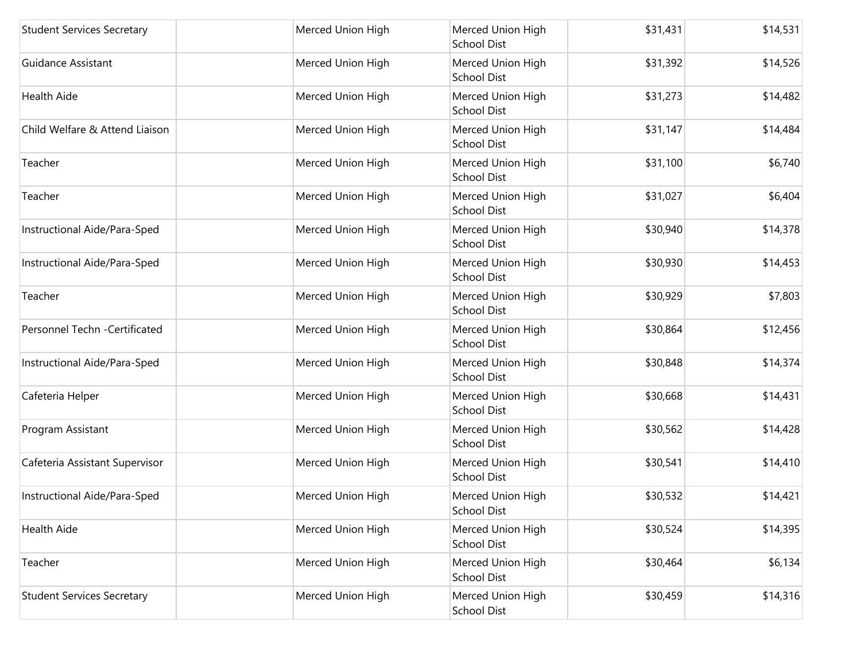| <b>Student Services Secretary</b> | Merced Union High | Merced Union High<br><b>School Dist</b> | \$31,431 | \$14,531 |
|-----------------------------------|-------------------|-----------------------------------------|----------|----------|
| <b>Guidance Assistant</b>         | Merced Union High | Merced Union High<br><b>School Dist</b> | \$31,392 | \$14,526 |
| <b>Health Aide</b>                | Merced Union High | Merced Union High<br><b>School Dist</b> | \$31,273 | \$14,482 |
| Child Welfare & Attend Liaison    | Merced Union High | Merced Union High<br>School Dist        | \$31,147 | \$14,484 |
| Teacher                           | Merced Union High | Merced Union High<br>School Dist        | \$31,100 | \$6,740  |
| Teacher                           | Merced Union High | Merced Union High<br><b>School Dist</b> | \$31,027 | \$6,404  |
| Instructional Aide/Para-Sped      | Merced Union High | Merced Union High<br><b>School Dist</b> | \$30,940 | \$14,378 |
| Instructional Aide/Para-Sped      | Merced Union High | Merced Union High<br><b>School Dist</b> | \$30,930 | \$14,453 |
| Teacher                           | Merced Union High | Merced Union High<br><b>School Dist</b> | \$30,929 | \$7,803  |
| Personnel Techn -Certificated     | Merced Union High | Merced Union High<br><b>School Dist</b> | \$30,864 | \$12,456 |
| Instructional Aide/Para-Sped      | Merced Union High | Merced Union High<br><b>School Dist</b> | \$30,848 | \$14,374 |
| Cafeteria Helper                  | Merced Union High | Merced Union High<br><b>School Dist</b> | \$30,668 | \$14,431 |
| Program Assistant                 | Merced Union High | Merced Union High<br><b>School Dist</b> | \$30,562 | \$14,428 |
| Cafeteria Assistant Supervisor    | Merced Union High | Merced Union High<br><b>School Dist</b> | \$30,541 | \$14,410 |
| Instructional Aide/Para-Sped      | Merced Union High | Merced Union High<br>School Dist        | \$30,532 | \$14,421 |
| Health Aide                       | Merced Union High | Merced Union High<br>School Dist        | \$30,524 | \$14,395 |
| Teacher                           | Merced Union High | Merced Union High<br><b>School Dist</b> | \$30,464 | \$6,134  |
| <b>Student Services Secretary</b> | Merced Union High | Merced Union High<br>School Dist        | \$30,459 | \$14,316 |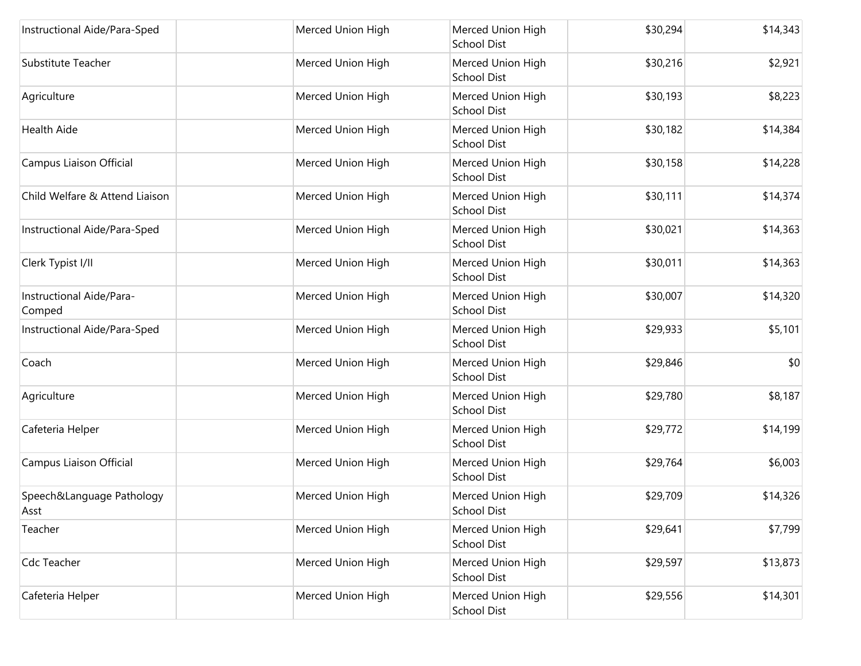| Instructional Aide/Para-Sped       | Merced Union High | Merced Union High<br><b>School Dist</b> | \$30,294 | \$14,343 |
|------------------------------------|-------------------|-----------------------------------------|----------|----------|
| Substitute Teacher                 | Merced Union High | Merced Union High<br><b>School Dist</b> | \$30,216 | \$2,921  |
| Agriculture                        | Merced Union High | Merced Union High<br>School Dist        | \$30,193 | \$8,223  |
| <b>Health Aide</b>                 | Merced Union High | Merced Union High<br>School Dist        | \$30,182 | \$14,384 |
| Campus Liaison Official            | Merced Union High | Merced Union High<br><b>School Dist</b> | \$30,158 | \$14,228 |
| Child Welfare & Attend Liaison     | Merced Union High | Merced Union High<br><b>School Dist</b> | \$30,111 | \$14,374 |
| Instructional Aide/Para-Sped       | Merced Union High | Merced Union High<br>School Dist        | \$30,021 | \$14,363 |
| Clerk Typist I/II                  | Merced Union High | Merced Union High<br>School Dist        | \$30,011 | \$14,363 |
| Instructional Aide/Para-<br>Comped | Merced Union High | Merced Union High<br><b>School Dist</b> | \$30,007 | \$14,320 |
| Instructional Aide/Para-Sped       | Merced Union High | Merced Union High<br>School Dist        | \$29,933 | \$5,101  |
| Coach                              | Merced Union High | Merced Union High<br><b>School Dist</b> | \$29,846 | \$0      |
| Agriculture                        | Merced Union High | Merced Union High<br><b>School Dist</b> | \$29,780 | \$8,187  |
| Cafeteria Helper                   | Merced Union High | Merced Union High<br><b>School Dist</b> | \$29,772 | \$14,199 |
| Campus Liaison Official            | Merced Union High | Merced Union High<br>School Dist        | \$29,764 | \$6,003  |
| Speech&Language Pathology<br>Asst  | Merced Union High | Merced Union High<br><b>School Dist</b> | \$29,709 | \$14,326 |
| Teacher                            | Merced Union High | Merced Union High<br><b>School Dist</b> | \$29,641 | \$7,799  |
| Cdc Teacher                        | Merced Union High | Merced Union High<br><b>School Dist</b> | \$29,597 | \$13,873 |
| Cafeteria Helper                   | Merced Union High | Merced Union High<br>School Dist        | \$29,556 | \$14,301 |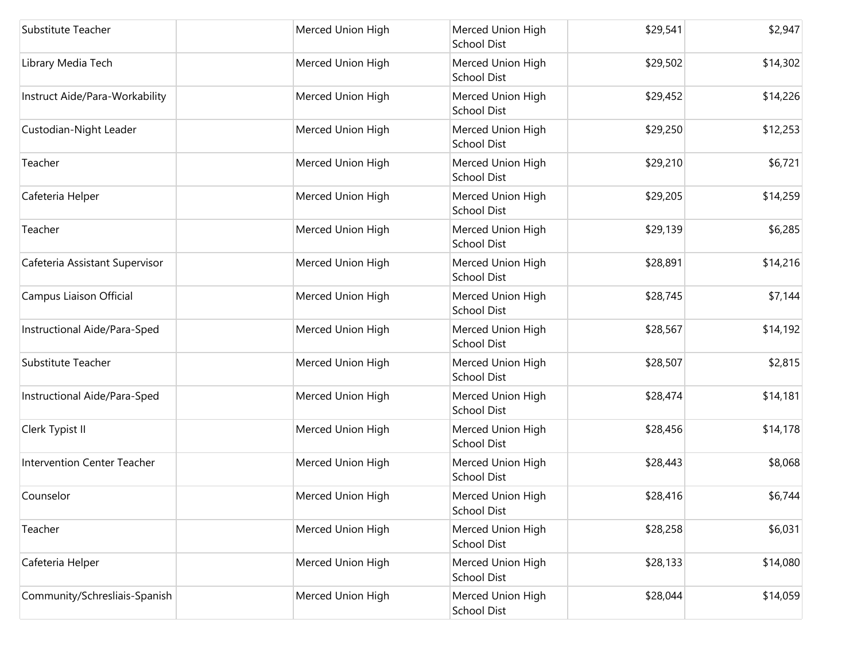| Substitute Teacher                 | Merced Union High | Merced Union High<br><b>School Dist</b> | \$29,541 | \$2,947  |
|------------------------------------|-------------------|-----------------------------------------|----------|----------|
| Library Media Tech                 | Merced Union High | Merced Union High<br><b>School Dist</b> | \$29,502 | \$14,302 |
| Instruct Aide/Para-Workability     | Merced Union High | Merced Union High<br><b>School Dist</b> | \$29,452 | \$14,226 |
| Custodian-Night Leader             | Merced Union High | Merced Union High<br>School Dist        | \$29,250 | \$12,253 |
| Teacher                            | Merced Union High | Merced Union High<br>School Dist        | \$29,210 | \$6,721  |
| Cafeteria Helper                   | Merced Union High | Merced Union High<br><b>School Dist</b> | \$29,205 | \$14,259 |
| Teacher                            | Merced Union High | Merced Union High<br><b>School Dist</b> | \$29,139 | \$6,285  |
| Cafeteria Assistant Supervisor     | Merced Union High | Merced Union High<br><b>School Dist</b> | \$28,891 | \$14,216 |
| Campus Liaison Official            | Merced Union High | Merced Union High<br><b>School Dist</b> | \$28,745 | \$7,144  |
| Instructional Aide/Para-Sped       | Merced Union High | Merced Union High<br><b>School Dist</b> | \$28,567 | \$14,192 |
| Substitute Teacher                 | Merced Union High | Merced Union High<br><b>School Dist</b> | \$28,507 | \$2,815  |
| Instructional Aide/Para-Sped       | Merced Union High | Merced Union High<br><b>School Dist</b> | \$28,474 | \$14,181 |
| Clerk Typist II                    | Merced Union High | Merced Union High<br><b>School Dist</b> | \$28,456 | \$14,178 |
| <b>Intervention Center Teacher</b> | Merced Union High | Merced Union High<br><b>School Dist</b> | \$28,443 | \$8,068  |
| Counselor                          | Merced Union High | Merced Union High<br>School Dist        | \$28,416 | \$6,744  |
| Teacher                            | Merced Union High | Merced Union High<br>School Dist        | \$28,258 | \$6,031  |
| Cafeteria Helper                   | Merced Union High | Merced Union High<br><b>School Dist</b> | \$28,133 | \$14,080 |
| Community/Schresliais-Spanish      | Merced Union High | Merced Union High<br>School Dist        | \$28,044 | \$14,059 |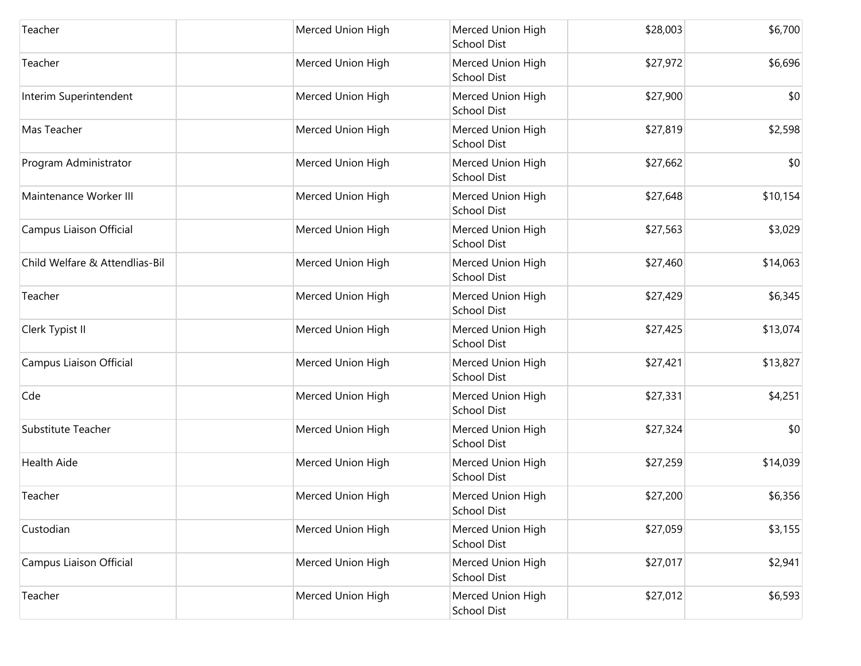| Teacher                        | Merced Union High | Merced Union High<br>School Dist        | \$28,003 | \$6,700  |
|--------------------------------|-------------------|-----------------------------------------|----------|----------|
| Teacher                        | Merced Union High | Merced Union High<br><b>School Dist</b> | \$27,972 | \$6,696  |
| Interim Superintendent         | Merced Union High | Merced Union High<br>School Dist        | \$27,900 | \$0      |
| Mas Teacher                    | Merced Union High | Merced Union High<br><b>School Dist</b> | \$27,819 | \$2,598  |
| Program Administrator          | Merced Union High | Merced Union High<br>School Dist        | \$27,662 | \$0      |
| Maintenance Worker III         | Merced Union High | Merced Union High<br>School Dist        | \$27,648 | \$10,154 |
| Campus Liaison Official        | Merced Union High | Merced Union High<br><b>School Dist</b> | \$27,563 | \$3,029  |
| Child Welfare & Attendlias-Bil | Merced Union High | Merced Union High<br>School Dist        | \$27,460 | \$14,063 |
| Teacher                        | Merced Union High | Merced Union High<br>School Dist        | \$27,429 | \$6,345  |
| Clerk Typist II                | Merced Union High | Merced Union High<br>School Dist        | \$27,425 | \$13,074 |
| Campus Liaison Official        | Merced Union High | Merced Union High<br><b>School Dist</b> | \$27,421 | \$13,827 |
| Cde                            | Merced Union High | Merced Union High<br><b>School Dist</b> | \$27,331 | \$4,251  |
| Substitute Teacher             | Merced Union High | Merced Union High<br>School Dist        | \$27,324 | \$0      |
| <b>Health Aide</b>             | Merced Union High | Merced Union High<br>School Dist        | \$27,259 | \$14,039 |
| Teacher                        | Merced Union High | Merced Union High<br><b>School Dist</b> | \$27,200 | \$6,356  |
| Custodian                      | Merced Union High | Merced Union High<br>School Dist        | \$27,059 | \$3,155  |
| Campus Liaison Official        | Merced Union High | Merced Union High<br><b>School Dist</b> | \$27,017 | \$2,941  |
| Teacher                        | Merced Union High | Merced Union High<br>School Dist        | \$27,012 | \$6,593  |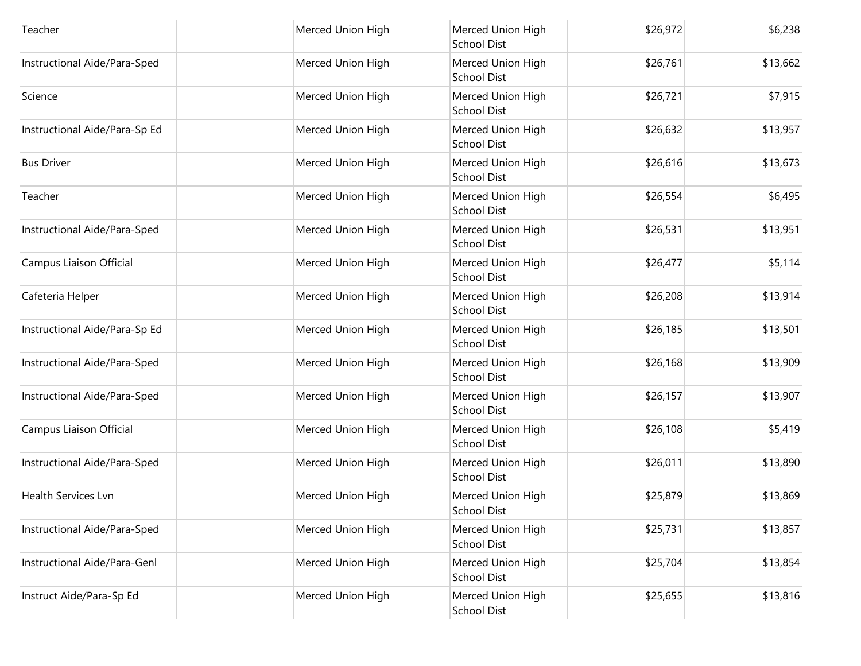| Teacher                       | Merced Union High | Merced Union High<br><b>School Dist</b> | \$26,972 | \$6,238  |
|-------------------------------|-------------------|-----------------------------------------|----------|----------|
| Instructional Aide/Para-Sped  | Merced Union High | Merced Union High<br><b>School Dist</b> | \$26,761 | \$13,662 |
| Science                       | Merced Union High | Merced Union High<br>School Dist        | \$26,721 | \$7,915  |
| Instructional Aide/Para-Sp Ed | Merced Union High | Merced Union High<br><b>School Dist</b> | \$26,632 | \$13,957 |
| <b>Bus Driver</b>             | Merced Union High | Merced Union High<br>School Dist        | \$26,616 | \$13,673 |
| Teacher                       | Merced Union High | Merced Union High<br><b>School Dist</b> | \$26,554 | \$6,495  |
| Instructional Aide/Para-Sped  | Merced Union High | Merced Union High<br><b>School Dist</b> | \$26,531 | \$13,951 |
| Campus Liaison Official       | Merced Union High | Merced Union High<br><b>School Dist</b> | \$26,477 | \$5,114  |
| Cafeteria Helper              | Merced Union High | Merced Union High<br>School Dist        | \$26,208 | \$13,914 |
| Instructional Aide/Para-Sp Ed | Merced Union High | Merced Union High<br>School Dist        | \$26,185 | \$13,501 |
| Instructional Aide/Para-Sped  | Merced Union High | Merced Union High<br><b>School Dist</b> | \$26,168 | \$13,909 |
| Instructional Aide/Para-Sped  | Merced Union High | Merced Union High<br>School Dist        | \$26,157 | \$13,907 |
| Campus Liaison Official       | Merced Union High | Merced Union High<br><b>School Dist</b> | \$26,108 | \$5,419  |
| Instructional Aide/Para-Sped  | Merced Union High | Merced Union High<br>School Dist        | \$26,011 | \$13,890 |
| <b>Health Services Lvn</b>    | Merced Union High | Merced Union High<br><b>School Dist</b> | \$25,879 | \$13,869 |
| Instructional Aide/Para-Sped  | Merced Union High | Merced Union High<br>School Dist        | \$25,731 | \$13,857 |
| Instructional Aide/Para-Genl  | Merced Union High | Merced Union High<br><b>School Dist</b> | \$25,704 | \$13,854 |
| Instruct Aide/Para-Sp Ed      | Merced Union High | Merced Union High<br><b>School Dist</b> | \$25,655 | \$13,816 |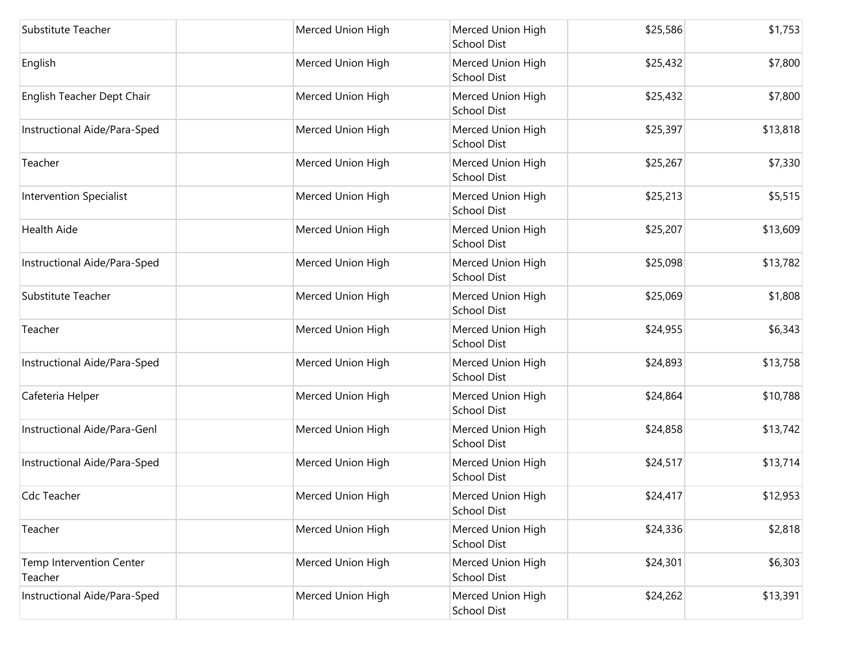| Substitute Teacher                  | Merced Union High | Merced Union High<br>School Dist        | \$25,586 | \$1,753  |
|-------------------------------------|-------------------|-----------------------------------------|----------|----------|
| English                             | Merced Union High | Merced Union High<br><b>School Dist</b> | \$25,432 | \$7,800  |
| English Teacher Dept Chair          | Merced Union High | Merced Union High<br>School Dist        | \$25,432 | \$7,800  |
| Instructional Aide/Para-Sped        | Merced Union High | Merced Union High<br><b>School Dist</b> | \$25,397 | \$13,818 |
| Teacher                             | Merced Union High | Merced Union High<br>School Dist        | \$25,267 | \$7,330  |
| <b>Intervention Specialist</b>      | Merced Union High | Merced Union High<br>School Dist        | \$25,213 | \$5,515  |
| <b>Health Aide</b>                  | Merced Union High | Merced Union High<br><b>School Dist</b> | \$25,207 | \$13,609 |
| Instructional Aide/Para-Sped        | Merced Union High | Merced Union High<br>School Dist        | \$25,098 | \$13,782 |
| Substitute Teacher                  | Merced Union High | Merced Union High<br>School Dist        | \$25,069 | \$1,808  |
| Teacher                             | Merced Union High | Merced Union High<br>School Dist        | \$24,955 | \$6,343  |
| Instructional Aide/Para-Sped        | Merced Union High | Merced Union High<br><b>School Dist</b> | \$24,893 | \$13,758 |
| Cafeteria Helper                    | Merced Union High | Merced Union High<br><b>School Dist</b> | \$24,864 | \$10,788 |
| Instructional Aide/Para-Genl        | Merced Union High | Merced Union High<br>School Dist        | \$24,858 | \$13,742 |
| Instructional Aide/Para-Sped        | Merced Union High | Merced Union High<br>School Dist        | \$24,517 | \$13,714 |
| <b>Cdc Teacher</b>                  | Merced Union High | Merced Union High<br>School Dist        | \$24,417 | \$12,953 |
| Teacher                             | Merced Union High | Merced Union High<br><b>School Dist</b> | \$24,336 | \$2,818  |
| Temp Intervention Center<br>Teacher | Merced Union High | Merced Union High<br><b>School Dist</b> | \$24,301 | \$6,303  |
| Instructional Aide/Para-Sped        | Merced Union High | Merced Union High<br>School Dist        | \$24,262 | \$13,391 |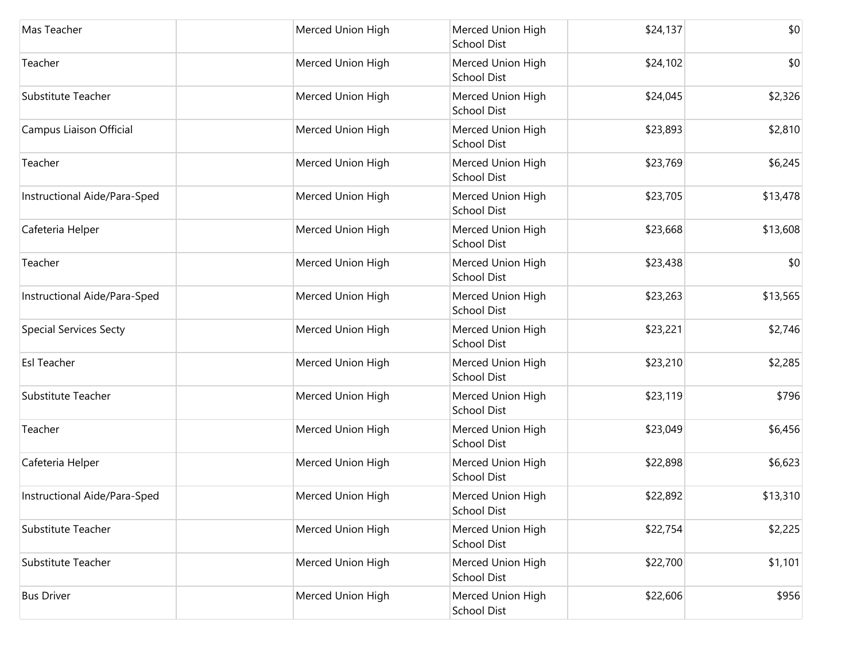| Mas Teacher                   | Merced Union High | Merced Union High<br><b>School Dist</b> | \$24,137 | \$0      |
|-------------------------------|-------------------|-----------------------------------------|----------|----------|
| Teacher                       | Merced Union High | Merced Union High<br><b>School Dist</b> | \$24,102 | \$0      |
| Substitute Teacher            | Merced Union High | Merced Union High<br><b>School Dist</b> | \$24,045 | \$2,326  |
| Campus Liaison Official       | Merced Union High | Merced Union High<br><b>School Dist</b> | \$23,893 | \$2,810  |
| Teacher                       | Merced Union High | Merced Union High<br>School Dist        | \$23,769 | \$6,245  |
| Instructional Aide/Para-Sped  | Merced Union High | Merced Union High<br><b>School Dist</b> | \$23,705 | \$13,478 |
| Cafeteria Helper              | Merced Union High | Merced Union High<br><b>School Dist</b> | \$23,668 | \$13,608 |
| Teacher                       | Merced Union High | Merced Union High<br><b>School Dist</b> | \$23,438 | \$0      |
| Instructional Aide/Para-Sped  | Merced Union High | Merced Union High<br><b>School Dist</b> | \$23,263 | \$13,565 |
| <b>Special Services Secty</b> | Merced Union High | Merced Union High<br><b>School Dist</b> | \$23,221 | \$2,746  |
| <b>Esl Teacher</b>            | Merced Union High | Merced Union High<br><b>School Dist</b> | \$23,210 | \$2,285  |
| Substitute Teacher            | Merced Union High | Merced Union High<br><b>School Dist</b> | \$23,119 | \$796    |
| Teacher                       | Merced Union High | Merced Union High<br><b>School Dist</b> | \$23,049 | \$6,456  |
| Cafeteria Helper              | Merced Union High | Merced Union High<br><b>School Dist</b> | \$22,898 | \$6,623  |
| Instructional Aide/Para-Sped  | Merced Union High | Merced Union High<br><b>School Dist</b> | \$22,892 | \$13,310 |
| Substitute Teacher            | Merced Union High | Merced Union High<br><b>School Dist</b> | \$22,754 | \$2,225  |
| Substitute Teacher            | Merced Union High | Merced Union High<br><b>School Dist</b> | \$22,700 | \$1,101  |
| <b>Bus Driver</b>             | Merced Union High | Merced Union High<br><b>School Dist</b> | \$22,606 | \$956    |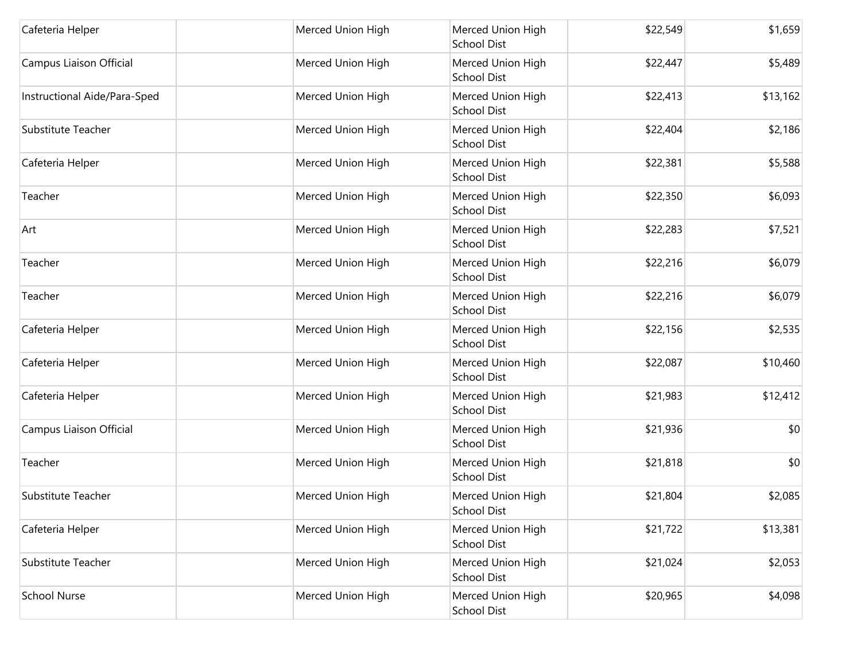| Cafeteria Helper             | Merced Union High | Merced Union High<br>School Dist        | \$22,549 | \$1,659  |
|------------------------------|-------------------|-----------------------------------------|----------|----------|
| Campus Liaison Official      | Merced Union High | Merced Union High<br><b>School Dist</b> | \$22,447 | \$5,489  |
| Instructional Aide/Para-Sped | Merced Union High | Merced Union High<br>School Dist        | \$22,413 | \$13,162 |
| <b>Substitute Teacher</b>    | Merced Union High | Merced Union High<br><b>School Dist</b> | \$22,404 | \$2,186  |
| Cafeteria Helper             | Merced Union High | Merced Union High<br>School Dist        | \$22,381 | \$5,588  |
| Teacher                      | Merced Union High | Merced Union High<br>School Dist        | \$22,350 | \$6,093  |
| Art                          | Merced Union High | Merced Union High<br><b>School Dist</b> | \$22,283 | \$7,521  |
| Teacher                      | Merced Union High | Merced Union High<br>School Dist        | \$22,216 | \$6,079  |
| Teacher                      | Merced Union High | Merced Union High<br>School Dist        | \$22,216 | \$6,079  |
| Cafeteria Helper             | Merced Union High | Merced Union High<br>School Dist        | \$22,156 | \$2,535  |
| Cafeteria Helper             | Merced Union High | Merced Union High<br><b>School Dist</b> | \$22,087 | \$10,460 |
| Cafeteria Helper             | Merced Union High | Merced Union High<br><b>School Dist</b> | \$21,983 | \$12,412 |
| Campus Liaison Official      | Merced Union High | Merced Union High<br>School Dist        | \$21,936 | \$0      |
| Teacher                      | Merced Union High | Merced Union High<br>School Dist        | \$21,818 | \$0      |
| Substitute Teacher           | Merced Union High | Merced Union High<br>School Dist        | \$21,804 | \$2,085  |
| Cafeteria Helper             | Merced Union High | Merced Union High<br>School Dist        | \$21,722 | \$13,381 |
| Substitute Teacher           | Merced Union High | Merced Union High<br><b>School Dist</b> | \$21,024 | \$2,053  |
| <b>School Nurse</b>          | Merced Union High | Merced Union High<br>School Dist        | \$20,965 | \$4,098  |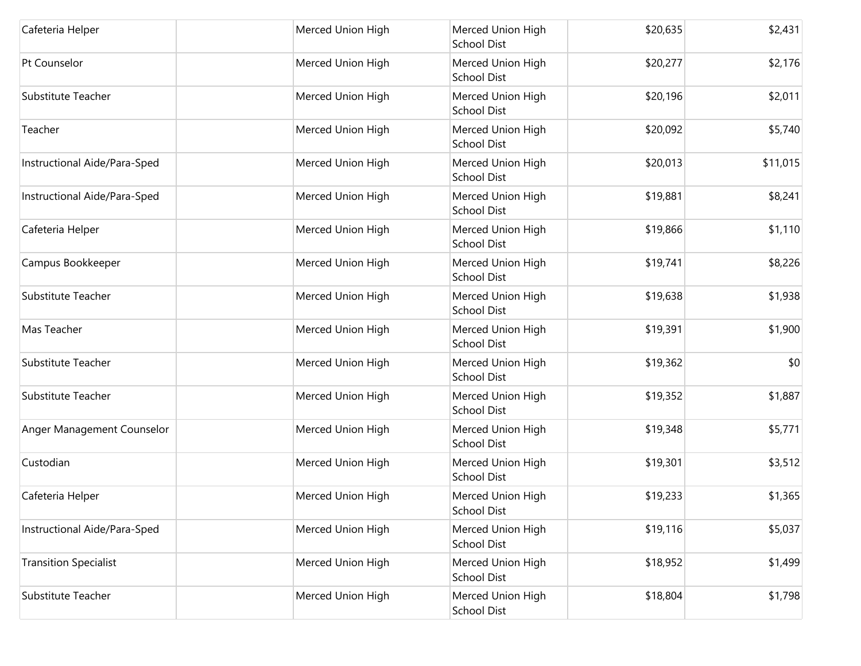| Cafeteria Helper             | Merced Union High | Merced Union High<br><b>School Dist</b> | \$20,635 | \$2,431  |
|------------------------------|-------------------|-----------------------------------------|----------|----------|
| Pt Counselor                 | Merced Union High | Merced Union High<br><b>School Dist</b> | \$20,277 | \$2,176  |
| Substitute Teacher           | Merced Union High | Merced Union High<br>School Dist        | \$20,196 | \$2,011  |
| Teacher                      | Merced Union High | Merced Union High<br><b>School Dist</b> | \$20,092 | \$5,740  |
| Instructional Aide/Para-Sped | Merced Union High | Merced Union High<br>School Dist        | \$20,013 | \$11,015 |
| Instructional Aide/Para-Sped | Merced Union High | Merced Union High<br><b>School Dist</b> | \$19,881 | \$8,241  |
| Cafeteria Helper             | Merced Union High | Merced Union High<br><b>School Dist</b> | \$19,866 | \$1,110  |
| Campus Bookkeeper            | Merced Union High | Merced Union High<br><b>School Dist</b> | \$19,741 | \$8,226  |
| Substitute Teacher           | Merced Union High | Merced Union High<br>School Dist        | \$19,638 | \$1,938  |
| Mas Teacher                  | Merced Union High | Merced Union High<br>School Dist        | \$19,391 | \$1,900  |
| Substitute Teacher           | Merced Union High | Merced Union High<br><b>School Dist</b> | \$19,362 | \$0      |
| Substitute Teacher           | Merced Union High | Merced Union High<br>School Dist        | \$19,352 | \$1,887  |
| Anger Management Counselor   | Merced Union High | Merced Union High<br><b>School Dist</b> | \$19,348 | \$5,771  |
| Custodian                    | Merced Union High | Merced Union High<br>School Dist        | \$19,301 | \$3,512  |
| Cafeteria Helper             | Merced Union High | Merced Union High<br><b>School Dist</b> | \$19,233 | \$1,365  |
| Instructional Aide/Para-Sped | Merced Union High | Merced Union High<br>School Dist        | \$19,116 | \$5,037  |
| <b>Transition Specialist</b> | Merced Union High | Merced Union High<br><b>School Dist</b> | \$18,952 | \$1,499  |
| Substitute Teacher           | Merced Union High | Merced Union High<br>School Dist        | \$18,804 | \$1,798  |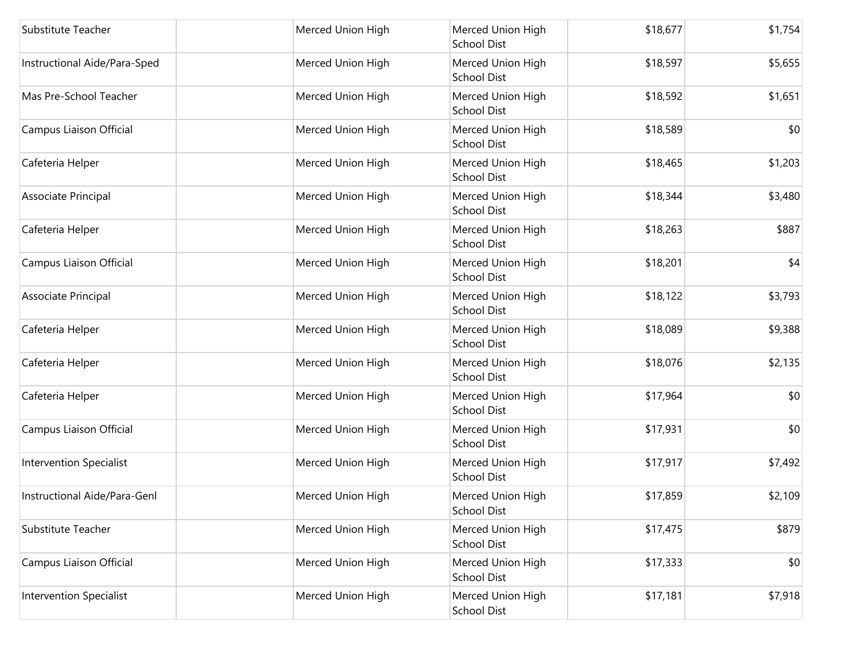| Substitute Teacher             | Merced Union High | Merced Union High<br><b>School Dist</b> | \$18,677 | \$1,754 |
|--------------------------------|-------------------|-----------------------------------------|----------|---------|
| Instructional Aide/Para-Sped   | Merced Union High | Merced Union High<br><b>School Dist</b> | \$18,597 | \$5,655 |
| Mas Pre-School Teacher         | Merced Union High | Merced Union High<br>School Dist        | \$18,592 | \$1,651 |
| Campus Liaison Official        | Merced Union High | Merced Union High<br>School Dist        | \$18,589 | \$0     |
| Cafeteria Helper               | Merced Union High | Merced Union High<br>School Dist        | \$18,465 | \$1,203 |
| Associate Principal            | Merced Union High | Merced Union High<br><b>School Dist</b> | \$18,344 | \$3,480 |
| Cafeteria Helper               | Merced Union High | Merced Union High<br><b>School Dist</b> | \$18,263 | \$887   |
| Campus Liaison Official        | Merced Union High | Merced Union High<br><b>School Dist</b> | \$18,201 | \$4     |
| Associate Principal            | Merced Union High | Merced Union High<br><b>School Dist</b> | \$18,122 | \$3,793 |
| Cafeteria Helper               | Merced Union High | Merced Union High<br><b>School Dist</b> | \$18,089 | \$9,388 |
| Cafeteria Helper               | Merced Union High | Merced Union High<br><b>School Dist</b> | \$18,076 | \$2,135 |
| Cafeteria Helper               | Merced Union High | Merced Union High<br>School Dist        | \$17,964 | \$0     |
| Campus Liaison Official        | Merced Union High | Merced Union High<br>School Dist        | \$17,931 | \$0     |
| Intervention Specialist        | Merced Union High | Merced Union High<br><b>School Dist</b> | \$17,917 | \$7,492 |
| Instructional Aide/Para-Genl   | Merced Union High | Merced Union High<br>School Dist        | \$17,859 | \$2,109 |
| Substitute Teacher             | Merced Union High | Merced Union High<br>School Dist        | \$17,475 | \$879   |
| Campus Liaison Official        | Merced Union High | Merced Union High<br><b>School Dist</b> | \$17,333 | \$0     |
| <b>Intervention Specialist</b> | Merced Union High | Merced Union High<br>School Dist        | \$17,181 | \$7,918 |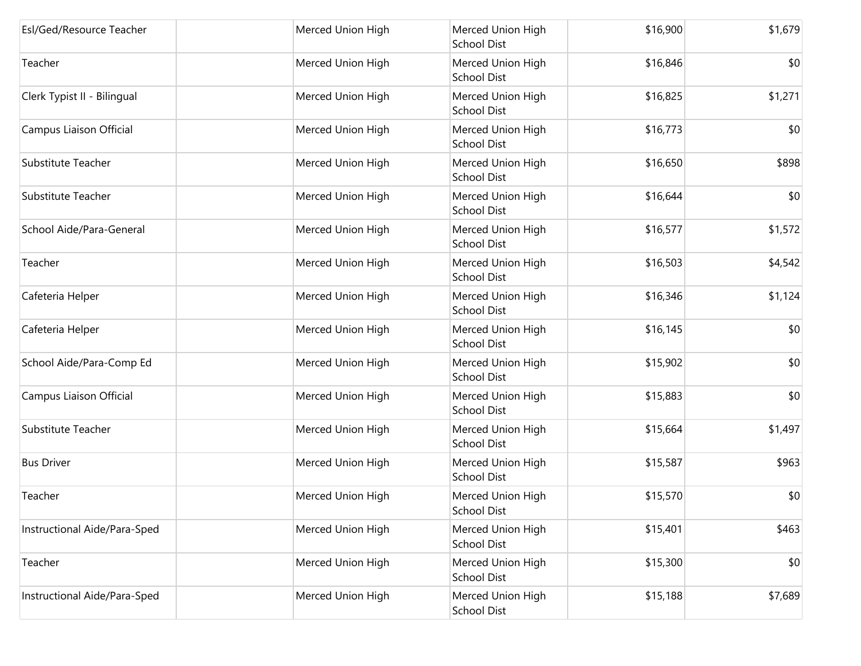| Esl/Ged/Resource Teacher     | Merced Union High | Merced Union High<br><b>School Dist</b> | \$16,900 | \$1,679 |
|------------------------------|-------------------|-----------------------------------------|----------|---------|
| Teacher                      | Merced Union High | Merced Union High<br><b>School Dist</b> | \$16,846 | \$0     |
| Clerk Typist II - Bilingual  | Merced Union High | Merced Union High<br>School Dist        | \$16,825 | \$1,271 |
| Campus Liaison Official      | Merced Union High | Merced Union High<br>School Dist        | \$16,773 | \$0     |
| Substitute Teacher           | Merced Union High | Merced Union High<br>School Dist        | \$16,650 | \$898   |
| Substitute Teacher           | Merced Union High | Merced Union High<br><b>School Dist</b> | \$16,644 | \$0     |
| School Aide/Para-General     | Merced Union High | Merced Union High<br>School Dist        | \$16,577 | \$1,572 |
| Teacher                      | Merced Union High | Merced Union High<br>School Dist        | \$16,503 | \$4,542 |
| Cafeteria Helper             | Merced Union High | Merced Union High<br><b>School Dist</b> | \$16,346 | \$1,124 |
| Cafeteria Helper             | Merced Union High | Merced Union High<br>School Dist        | \$16,145 | \$0     |
| School Aide/Para-Comp Ed     | Merced Union High | Merced Union High<br><b>School Dist</b> | \$15,902 | \$0     |
| Campus Liaison Official      | Merced Union High | Merced Union High<br><b>School Dist</b> | \$15,883 | \$0     |
| <b>Substitute Teacher</b>    | Merced Union High | Merced Union High<br>School Dist        | \$15,664 | \$1,497 |
| <b>Bus Driver</b>            | Merced Union High | Merced Union High<br>School Dist        | \$15,587 | \$963   |
| Teacher                      | Merced Union High | Merced Union High<br><b>School Dist</b> | \$15,570 | \$0     |
| Instructional Aide/Para-Sped | Merced Union High | Merced Union High<br><b>School Dist</b> | \$15,401 | \$463   |
| Teacher                      | Merced Union High | Merced Union High<br><b>School Dist</b> | \$15,300 | \$0     |
| Instructional Aide/Para-Sped | Merced Union High | Merced Union High<br>School Dist        | \$15,188 | \$7,689 |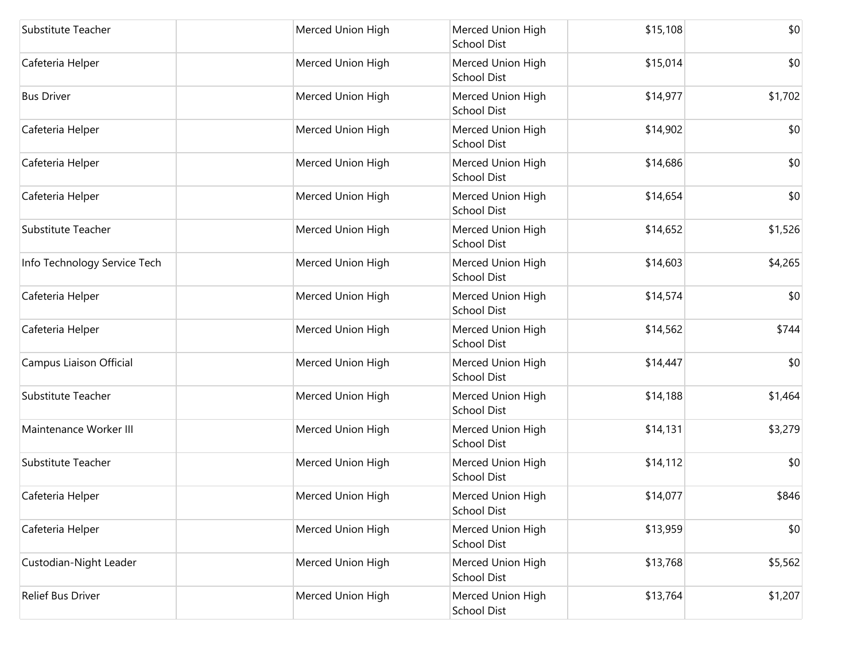| Substitute Teacher           | Merced Union High | Merced Union High<br>School Dist        | \$15,108 | \$0     |
|------------------------------|-------------------|-----------------------------------------|----------|---------|
| Cafeteria Helper             | Merced Union High | Merced Union High<br><b>School Dist</b> | \$15,014 | \$0     |
| <b>Bus Driver</b>            | Merced Union High | Merced Union High<br>School Dist        | \$14,977 | \$1,702 |
| Cafeteria Helper             | Merced Union High | Merced Union High<br>School Dist        | \$14,902 | \$0     |
| Cafeteria Helper             | Merced Union High | Merced Union High<br><b>School Dist</b> | \$14,686 | \$0     |
| Cafeteria Helper             | Merced Union High | Merced Union High<br>School Dist        | \$14,654 | \$0     |
| Substitute Teacher           | Merced Union High | Merced Union High<br><b>School Dist</b> | \$14,652 | \$1,526 |
| Info Technology Service Tech | Merced Union High | Merced Union High<br>School Dist        | \$14,603 | \$4,265 |
| Cafeteria Helper             | Merced Union High | Merced Union High<br><b>School Dist</b> | \$14,574 | \$0     |
| Cafeteria Helper             | Merced Union High | Merced Union High<br>School Dist        | \$14,562 | \$744   |
| Campus Liaison Official      | Merced Union High | Merced Union High<br><b>School Dist</b> | \$14,447 | \$0     |
| Substitute Teacher           | Merced Union High | Merced Union High<br>School Dist        | \$14,188 | \$1,464 |
| Maintenance Worker III       | Merced Union High | Merced Union High<br>School Dist        | \$14,131 | \$3,279 |
| Substitute Teacher           | Merced Union High | Merced Union High<br><b>School Dist</b> | \$14,112 | \$0     |
| Cafeteria Helper             | Merced Union High | Merced Union High<br>School Dist        | \$14,077 | \$846   |
| Cafeteria Helper             | Merced Union High | Merced Union High<br><b>School Dist</b> | \$13,959 | \$0     |
| Custodian-Night Leader       | Merced Union High | Merced Union High<br><b>School Dist</b> | \$13,768 | \$5,562 |
| Relief Bus Driver            | Merced Union High | Merced Union High<br>School Dist        | \$13,764 | \$1,207 |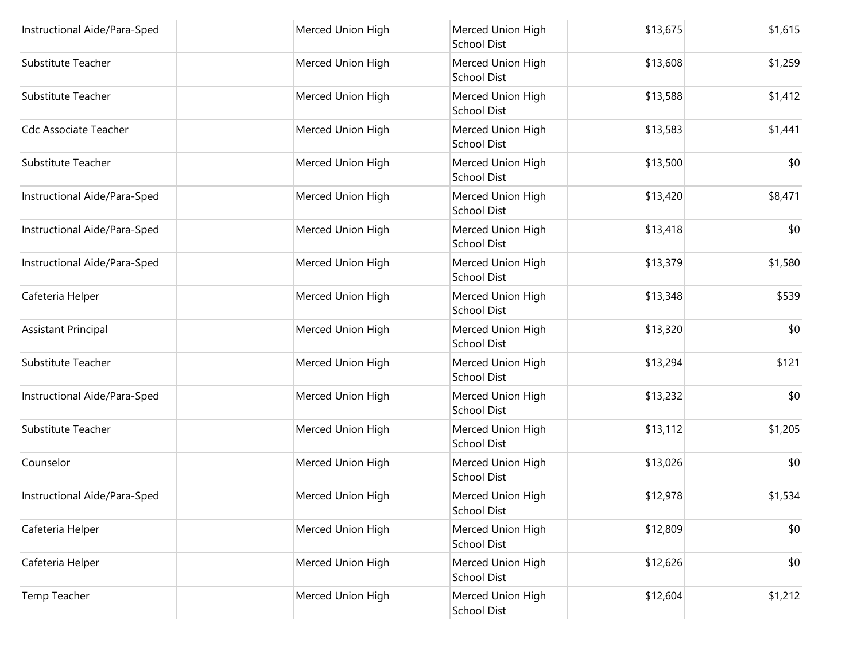| Instructional Aide/Para-Sped | Merced Union High | Merced Union High<br><b>School Dist</b> | \$13,675 | \$1,615 |
|------------------------------|-------------------|-----------------------------------------|----------|---------|
| Substitute Teacher           | Merced Union High | Merced Union High<br><b>School Dist</b> | \$13,608 | \$1,259 |
| Substitute Teacher           | Merced Union High | Merced Union High<br><b>School Dist</b> | \$13,588 | \$1,412 |
| <b>Cdc Associate Teacher</b> | Merced Union High | Merced Union High<br><b>School Dist</b> | \$13,583 | \$1,441 |
| Substitute Teacher           | Merced Union High | Merced Union High<br>School Dist        | \$13,500 | \$0     |
| Instructional Aide/Para-Sped | Merced Union High | Merced Union High<br><b>School Dist</b> | \$13,420 | \$8,471 |
| Instructional Aide/Para-Sped | Merced Union High | Merced Union High<br><b>School Dist</b> | \$13,418 | \$0     |
| Instructional Aide/Para-Sped | Merced Union High | Merced Union High<br><b>School Dist</b> | \$13,379 | \$1,580 |
| Cafeteria Helper             | Merced Union High | Merced Union High<br><b>School Dist</b> | \$13,348 | \$539   |
| Assistant Principal          | Merced Union High | Merced Union High<br><b>School Dist</b> | \$13,320 | \$0     |
| Substitute Teacher           | Merced Union High | Merced Union High<br><b>School Dist</b> | \$13,294 | \$121   |
| Instructional Aide/Para-Sped | Merced Union High | Merced Union High<br><b>School Dist</b> | \$13,232 | \$0     |
| <b>Substitute Teacher</b>    | Merced Union High | Merced Union High<br><b>School Dist</b> | \$13,112 | \$1,205 |
| Counselor                    | Merced Union High | Merced Union High<br><b>School Dist</b> | \$13,026 | \$0     |
| Instructional Aide/Para-Sped | Merced Union High | Merced Union High<br>School Dist        | \$12,978 | \$1,534 |
| Cafeteria Helper             | Merced Union High | Merced Union High<br>School Dist        | \$12,809 | \$0     |
| Cafeteria Helper             | Merced Union High | Merced Union High<br><b>School Dist</b> | \$12,626 | \$0     |
| Temp Teacher                 | Merced Union High | Merced Union High<br>School Dist        | \$12,604 | \$1,212 |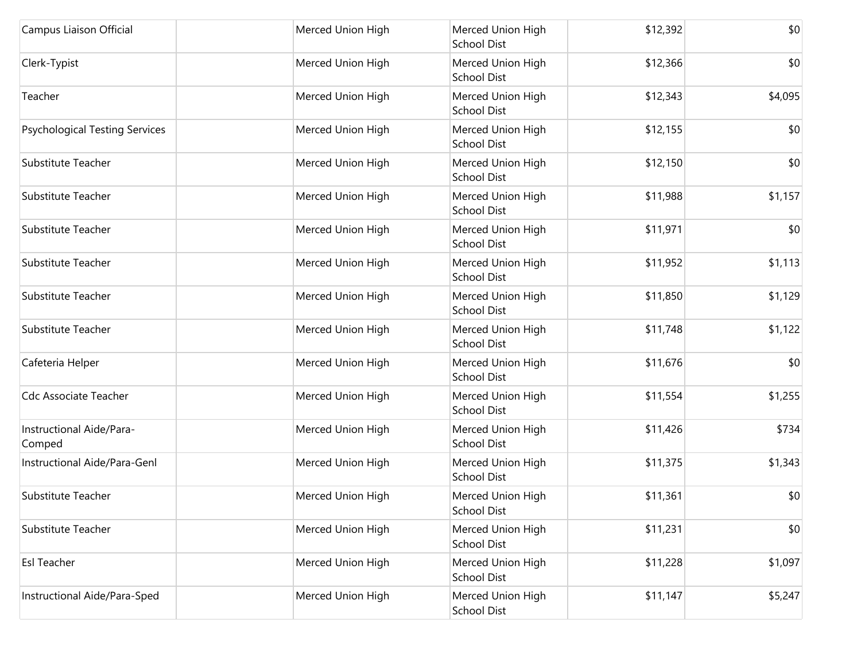| Campus Liaison Official               | Merced Union High | Merced Union High<br><b>School Dist</b> | \$12,392 | \$0     |
|---------------------------------------|-------------------|-----------------------------------------|----------|---------|
| Clerk-Typist                          | Merced Union High | Merced Union High<br><b>School Dist</b> | \$12,366 | \$0     |
| Teacher                               | Merced Union High | Merced Union High<br>School Dist        | \$12,343 | \$4,095 |
| <b>Psychological Testing Services</b> | Merced Union High | Merced Union High<br>School Dist        | \$12,155 | \$0     |
| Substitute Teacher                    | Merced Union High | Merced Union High<br><b>School Dist</b> | \$12,150 | \$0     |
| Substitute Teacher                    | Merced Union High | Merced Union High<br><b>School Dist</b> | \$11,988 | \$1,157 |
| Substitute Teacher                    | Merced Union High | Merced Union High<br><b>School Dist</b> | \$11,971 | \$0     |
| Substitute Teacher                    | Merced Union High | Merced Union High<br>School Dist        | \$11,952 | \$1,113 |
| Substitute Teacher                    | Merced Union High | Merced Union High<br>School Dist        | \$11,850 | \$1,129 |
| Substitute Teacher                    | Merced Union High | Merced Union High<br><b>School Dist</b> | \$11,748 | \$1,122 |
| Cafeteria Helper                      | Merced Union High | Merced Union High<br><b>School Dist</b> | \$11,676 | \$0     |
| <b>Cdc Associate Teacher</b>          | Merced Union High | Merced Union High<br>School Dist        | \$11,554 | \$1,255 |
| Instructional Aide/Para-<br>Comped    | Merced Union High | Merced Union High<br><b>School Dist</b> | \$11,426 | \$734   |
| Instructional Aide/Para-Genl          | Merced Union High | Merced Union High<br><b>School Dist</b> | \$11,375 | \$1,343 |
| Substitute Teacher                    | Merced Union High | Merced Union High<br><b>School Dist</b> | \$11,361 | \$0     |
| Substitute Teacher                    | Merced Union High | Merced Union High<br>School Dist        | \$11,231 | \$0     |
| <b>Esl Teacher</b>                    | Merced Union High | Merced Union High<br><b>School Dist</b> | \$11,228 | \$1,097 |
| Instructional Aide/Para-Sped          | Merced Union High | Merced Union High<br>School Dist        | \$11,147 | \$5,247 |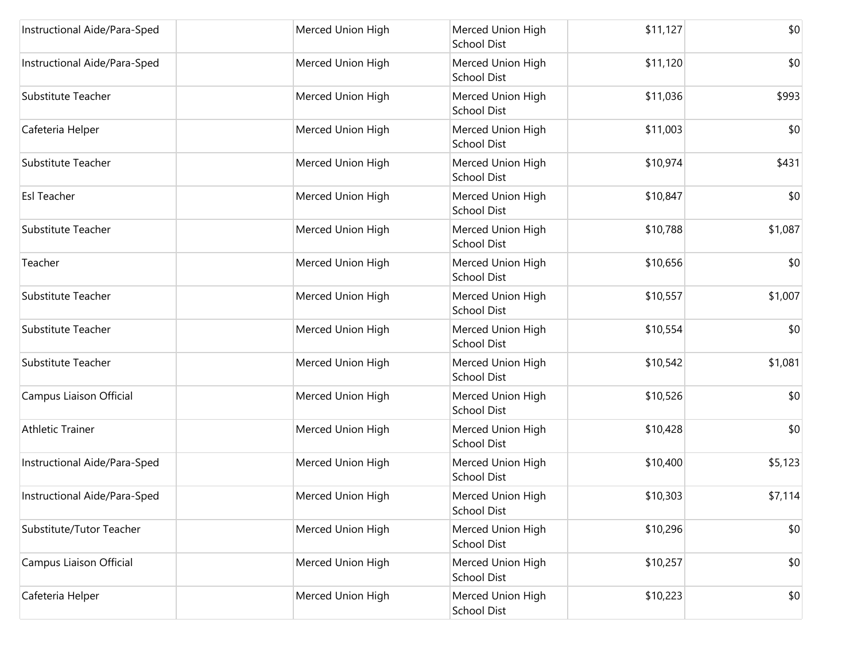| Instructional Aide/Para-Sped | Merced Union High | Merced Union High<br><b>School Dist</b> | \$11,127 | \$0     |
|------------------------------|-------------------|-----------------------------------------|----------|---------|
| Instructional Aide/Para-Sped | Merced Union High | Merced Union High<br><b>School Dist</b> | \$11,120 | \$0     |
| Substitute Teacher           | Merced Union High | Merced Union High<br>School Dist        | \$11,036 | \$993   |
| Cafeteria Helper             | Merced Union High | Merced Union High<br><b>School Dist</b> | \$11,003 | \$0     |
| Substitute Teacher           | Merced Union High | Merced Union High<br><b>School Dist</b> | \$10,974 | \$431   |
| <b>Esl Teacher</b>           | Merced Union High | Merced Union High<br><b>School Dist</b> | \$10,847 | \$0     |
| Substitute Teacher           | Merced Union High | Merced Union High<br><b>School Dist</b> | \$10,788 | \$1,087 |
| Teacher                      | Merced Union High | Merced Union High<br><b>School Dist</b> | \$10,656 | \$0     |
| Substitute Teacher           | Merced Union High | Merced Union High<br><b>School Dist</b> | \$10,557 | \$1,007 |
| Substitute Teacher           | Merced Union High | Merced Union High<br>School Dist        | \$10,554 | \$0     |
| Substitute Teacher           | Merced Union High | Merced Union High<br><b>School Dist</b> | \$10,542 | \$1,081 |
| Campus Liaison Official      | Merced Union High | Merced Union High<br>School Dist        | \$10,526 | \$0     |
| <b>Athletic Trainer</b>      | Merced Union High | Merced Union High<br>School Dist        | \$10,428 | \$0     |
| Instructional Aide/Para-Sped | Merced Union High | Merced Union High<br>School Dist        | \$10,400 | \$5,123 |
| Instructional Aide/Para-Sped | Merced Union High | Merced Union High<br>School Dist        | \$10,303 | \$7,114 |
| Substitute/Tutor Teacher     | Merced Union High | Merced Union High<br><b>School Dist</b> | \$10,296 | \$0     |
| Campus Liaison Official      | Merced Union High | Merced Union High<br><b>School Dist</b> | \$10,257 | \$0     |
| Cafeteria Helper             | Merced Union High | Merced Union High<br>School Dist        | \$10,223 | \$0     |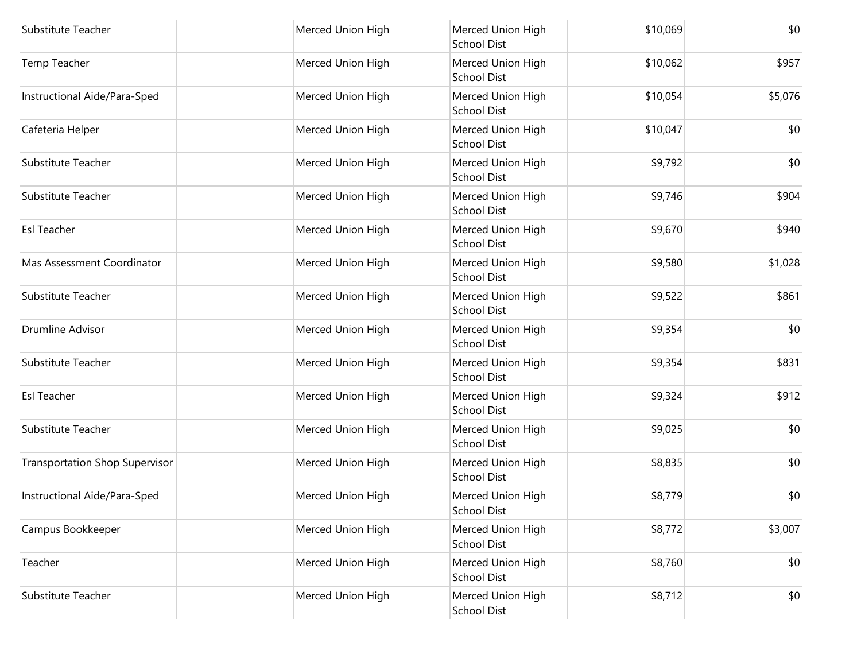| Substitute Teacher                    | Merced Union High | Merced Union High<br><b>School Dist</b> | \$10,069 | \$0     |
|---------------------------------------|-------------------|-----------------------------------------|----------|---------|
| Temp Teacher                          | Merced Union High | Merced Union High<br><b>School Dist</b> | \$10,062 | \$957   |
| Instructional Aide/Para-Sped          | Merced Union High | Merced Union High<br>School Dist        | \$10,054 | \$5,076 |
| Cafeteria Helper                      | Merced Union High | Merced Union High<br><b>School Dist</b> | \$10,047 | \$0     |
| Substitute Teacher                    | Merced Union High | Merced Union High<br>School Dist        | \$9,792  | \$0     |
| Substitute Teacher                    | Merced Union High | Merced Union High<br><b>School Dist</b> | \$9,746  | \$904   |
| <b>Esl Teacher</b>                    | Merced Union High | Merced Union High<br><b>School Dist</b> | \$9,670  | \$940   |
| Mas Assessment Coordinator            | Merced Union High | Merced Union High<br><b>School Dist</b> | \$9,580  | \$1,028 |
| Substitute Teacher                    | Merced Union High | Merced Union High<br><b>School Dist</b> | \$9,522  | \$861   |
| <b>Drumline Advisor</b>               | Merced Union High | Merced Union High<br>School Dist        | \$9,354  | \$0     |
| Substitute Teacher                    | Merced Union High | Merced Union High<br><b>School Dist</b> | \$9,354  | \$831   |
| <b>Esl Teacher</b>                    | Merced Union High | Merced Union High<br>School Dist        | \$9,324  | \$912   |
| Substitute Teacher                    | Merced Union High | Merced Union High<br><b>School Dist</b> | \$9,025  | \$0     |
| <b>Transportation Shop Supervisor</b> | Merced Union High | Merced Union High<br>School Dist        | \$8,835  | \$0     |
| Instructional Aide/Para-Sped          | Merced Union High | Merced Union High<br><b>School Dist</b> | \$8,779  | \$0     |
| Campus Bookkeeper                     | Merced Union High | Merced Union High<br>School Dist        | \$8,772  | \$3,007 |
| Teacher                               | Merced Union High | Merced Union High<br><b>School Dist</b> | \$8,760  | \$0     |
| Substitute Teacher                    | Merced Union High | Merced Union High<br>School Dist        | \$8,712  | \$0     |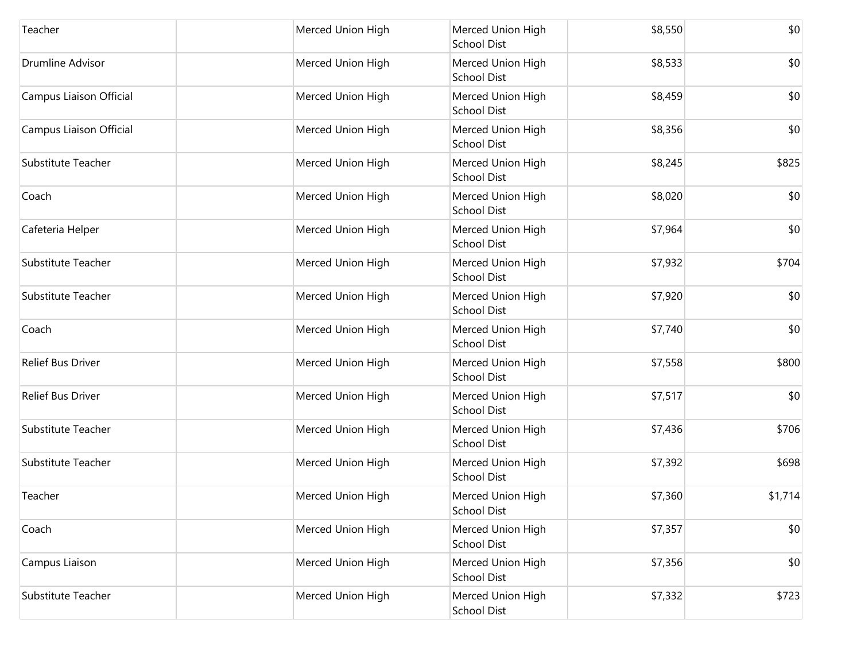| Teacher                 | Merced Union High | Merced Union High<br><b>School Dist</b> | \$8,550 | \$0     |
|-------------------------|-------------------|-----------------------------------------|---------|---------|
| <b>Drumline Advisor</b> | Merced Union High | Merced Union High<br><b>School Dist</b> | \$8,533 | \$0     |
| Campus Liaison Official | Merced Union High | Merced Union High<br>School Dist        | \$8,459 | \$0     |
| Campus Liaison Official | Merced Union High | Merced Union High<br>School Dist        | \$8,356 | \$0     |
| Substitute Teacher      | Merced Union High | Merced Union High<br><b>School Dist</b> | \$8,245 | \$825   |
| Coach                   | Merced Union High | Merced Union High<br><b>School Dist</b> | \$8,020 | \$0     |
| Cafeteria Helper        | Merced Union High | Merced Union High<br><b>School Dist</b> | \$7,964 | \$0     |
| Substitute Teacher      | Merced Union High | Merced Union High<br>School Dist        | \$7,932 | \$704   |
| Substitute Teacher      | Merced Union High | Merced Union High<br>School Dist        | \$7,920 | \$0     |
| Coach                   | Merced Union High | Merced Union High<br><b>School Dist</b> | \$7,740 | \$0     |
| Relief Bus Driver       | Merced Union High | Merced Union High<br><b>School Dist</b> | \$7,558 | \$800   |
| Relief Bus Driver       | Merced Union High | Merced Union High<br>School Dist        | \$7,517 | \$0     |
| Substitute Teacher      | Merced Union High | Merced Union High<br><b>School Dist</b> | \$7,436 | \$706   |
| Substitute Teacher      | Merced Union High | Merced Union High<br><b>School Dist</b> | \$7,392 | \$698   |
| Teacher                 | Merced Union High | Merced Union High<br><b>School Dist</b> | \$7,360 | \$1,714 |
| Coach                   | Merced Union High | Merced Union High<br>School Dist        | \$7,357 | \$0     |
| Campus Liaison          | Merced Union High | Merced Union High<br><b>School Dist</b> | \$7,356 | \$0     |
| Substitute Teacher      | Merced Union High | Merced Union High<br>School Dist        | \$7,332 | \$723   |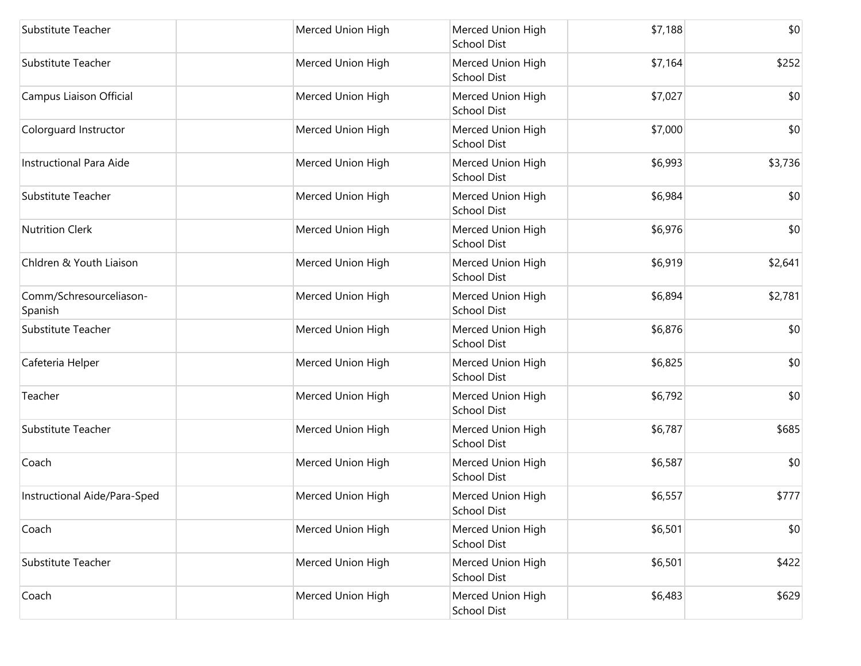| Substitute Teacher                 | Merced Union High | Merced Union High<br><b>School Dist</b> | \$7,188 | \$0     |
|------------------------------------|-------------------|-----------------------------------------|---------|---------|
| Substitute Teacher                 | Merced Union High | Merced Union High<br><b>School Dist</b> | \$7,164 | \$252   |
| Campus Liaison Official            | Merced Union High | Merced Union High<br>School Dist        | \$7,027 | \$0     |
| Colorguard Instructor              | Merced Union High | Merced Union High<br><b>School Dist</b> | \$7,000 | \$0     |
| <b>Instructional Para Aide</b>     | Merced Union High | Merced Union High<br>School Dist        | \$6,993 | \$3,736 |
| Substitute Teacher                 | Merced Union High | Merced Union High<br>School Dist        | \$6,984 | \$0     |
| <b>Nutrition Clerk</b>             | Merced Union High | Merced Union High<br><b>School Dist</b> | \$6,976 | \$0     |
| Chldren & Youth Liaison            | Merced Union High | Merced Union High<br><b>School Dist</b> | \$6,919 | \$2,641 |
| Comm/Schresourceliason-<br>Spanish | Merced Union High | Merced Union High<br>School Dist        | \$6,894 | \$2,781 |
| Substitute Teacher                 | Merced Union High | Merced Union High<br>School Dist        | \$6,876 | \$0     |
| Cafeteria Helper                   | Merced Union High | Merced Union High<br><b>School Dist</b> | \$6,825 | \$0     |
| Teacher                            | Merced Union High | Merced Union High<br>School Dist        | \$6,792 | \$0     |
| Substitute Teacher                 | Merced Union High | Merced Union High<br><b>School Dist</b> | \$6,787 | \$685   |
| Coach                              | Merced Union High | Merced Union High<br>School Dist        | \$6,587 | \$0     |
| Instructional Aide/Para-Sped       | Merced Union High | Merced Union High<br><b>School Dist</b> | \$6,557 | \$777   |
| Coach                              | Merced Union High | Merced Union High<br>School Dist        | \$6,501 | \$0     |
| Substitute Teacher                 | Merced Union High | Merced Union High<br><b>School Dist</b> | \$6,501 | \$422   |
| Coach                              | Merced Union High | Merced Union High<br>School Dist        | \$6,483 | \$629   |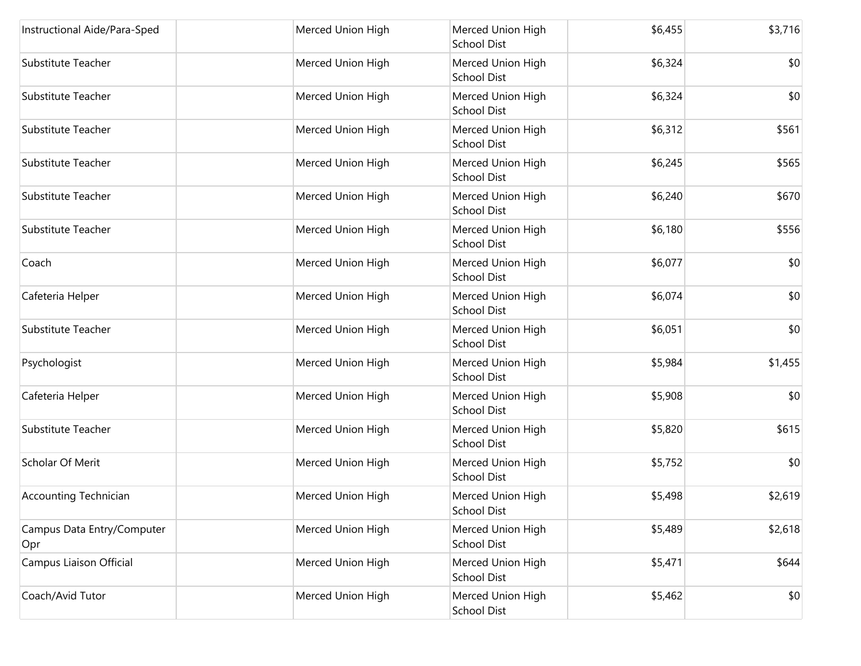| Instructional Aide/Para-Sped      | Merced Union High | Merced Union High<br><b>School Dist</b> | \$6,455 | \$3,716 |
|-----------------------------------|-------------------|-----------------------------------------|---------|---------|
| Substitute Teacher                | Merced Union High | Merced Union High<br><b>School Dist</b> | \$6,324 | \$0     |
| Substitute Teacher                | Merced Union High | Merced Union High<br><b>School Dist</b> | \$6,324 | \$0     |
| Substitute Teacher                | Merced Union High | Merced Union High<br><b>School Dist</b> | \$6,312 | \$561   |
| Substitute Teacher                | Merced Union High | Merced Union High<br>School Dist        | \$6,245 | \$565   |
| Substitute Teacher                | Merced Union High | Merced Union High<br><b>School Dist</b> | \$6,240 | \$670   |
| Substitute Teacher                | Merced Union High | Merced Union High<br><b>School Dist</b> | \$6,180 | \$556   |
| Coach                             | Merced Union High | Merced Union High<br><b>School Dist</b> | \$6,077 | \$0     |
| Cafeteria Helper                  | Merced Union High | Merced Union High<br><b>School Dist</b> | \$6,074 | \$0     |
| <b>Substitute Teacher</b>         | Merced Union High | Merced Union High<br><b>School Dist</b> | \$6,051 | \$0     |
| Psychologist                      | Merced Union High | Merced Union High<br><b>School Dist</b> | \$5,984 | \$1,455 |
| Cafeteria Helper                  | Merced Union High | Merced Union High<br><b>School Dist</b> | \$5,908 | \$0     |
| <b>Substitute Teacher</b>         | Merced Union High | Merced Union High<br><b>School Dist</b> | \$5,820 | \$615   |
| Scholar Of Merit                  | Merced Union High | Merced Union High<br><b>School Dist</b> | \$5,752 | \$0     |
| <b>Accounting Technician</b>      | Merced Union High | Merced Union High<br>School Dist        | \$5,498 | \$2,619 |
| Campus Data Entry/Computer<br>Opr | Merced Union High | Merced Union High<br><b>School Dist</b> | \$5,489 | \$2,618 |
| Campus Liaison Official           | Merced Union High | Merced Union High<br><b>School Dist</b> | \$5,471 | \$644   |
| Coach/Avid Tutor                  | Merced Union High | Merced Union High<br>School Dist        | \$5,462 | \$0     |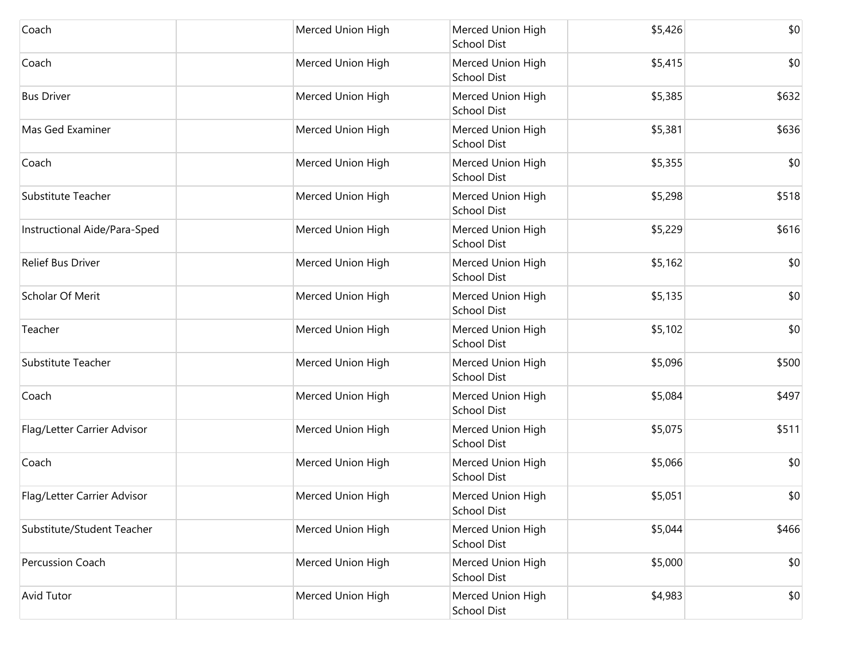| Coach                        | Merced Union High | Merced Union High<br>School Dist        | \$5,426 | \$0   |
|------------------------------|-------------------|-----------------------------------------|---------|-------|
| Coach                        | Merced Union High | Merced Union High<br><b>School Dist</b> | \$5,415 | \$0   |
| <b>Bus Driver</b>            | Merced Union High | Merced Union High<br><b>School Dist</b> | \$5,385 | \$632 |
| Mas Ged Examiner             | Merced Union High | Merced Union High<br>School Dist        | \$5,381 | \$636 |
| Coach                        | Merced Union High | Merced Union High<br>School Dist        | \$5,355 | \$0   |
| Substitute Teacher           | Merced Union High | Merced Union High<br>School Dist        | \$5,298 | \$518 |
| Instructional Aide/Para-Sped | Merced Union High | Merced Union High<br><b>School Dist</b> | \$5,229 | \$616 |
| <b>Relief Bus Driver</b>     | Merced Union High | Merced Union High<br>School Dist        | \$5,162 | \$0   |
| Scholar Of Merit             | Merced Union High | Merced Union High<br>School Dist        | \$5,135 | \$0   |
| Teacher                      | Merced Union High | Merced Union High<br>School Dist        | \$5,102 | \$0   |
| Substitute Teacher           | Merced Union High | Merced Union High<br>School Dist        | \$5,096 | \$500 |
| Coach                        | Merced Union High | Merced Union High<br>School Dist        | \$5,084 | \$497 |
| Flag/Letter Carrier Advisor  | Merced Union High | Merced Union High<br>School Dist        | \$5,075 | \$511 |
| Coach                        | Merced Union High | Merced Union High<br>School Dist        | \$5,066 | \$0   |
| Flag/Letter Carrier Advisor  | Merced Union High | Merced Union High<br><b>School Dist</b> | \$5,051 | \$0   |
| Substitute/Student Teacher   | Merced Union High | Merced Union High<br><b>School Dist</b> | \$5,044 | \$466 |
| Percussion Coach             | Merced Union High | Merced Union High<br>School Dist        | \$5,000 | \$0   |
| <b>Avid Tutor</b>            | Merced Union High | Merced Union High<br><b>School Dist</b> | \$4,983 | \$0   |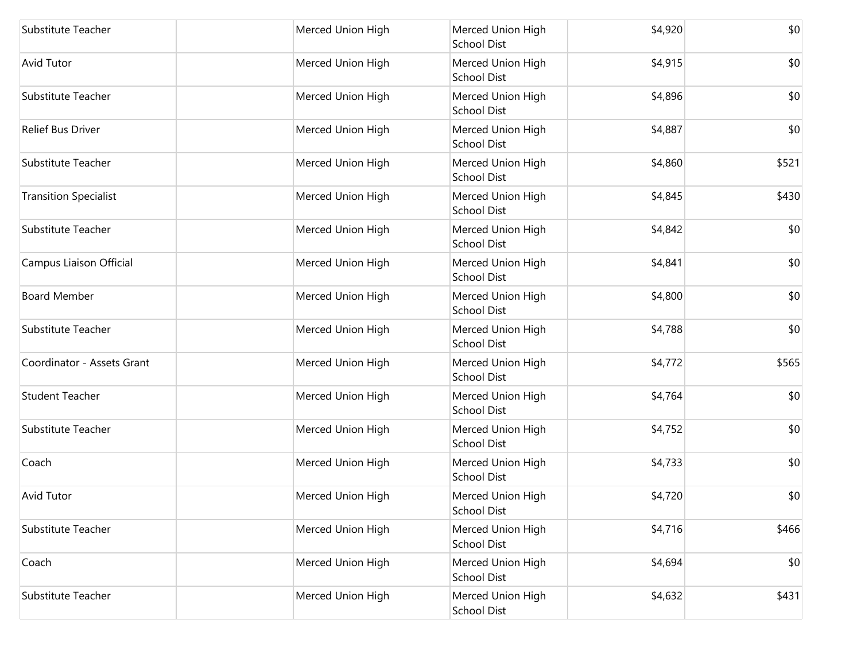| Substitute Teacher           | Merced Union High | Merced Union High<br><b>School Dist</b> | \$4,920 | \$0   |
|------------------------------|-------------------|-----------------------------------------|---------|-------|
| <b>Avid Tutor</b>            | Merced Union High | Merced Union High<br><b>School Dist</b> | \$4,915 | \$0   |
| Substitute Teacher           | Merced Union High | Merced Union High<br><b>School Dist</b> | \$4,896 | \$0   |
| <b>Relief Bus Driver</b>     | Merced Union High | Merced Union High<br><b>School Dist</b> | \$4,887 | \$0   |
| Substitute Teacher           | Merced Union High | Merced Union High<br>School Dist        | \$4,860 | \$521 |
| <b>Transition Specialist</b> | Merced Union High | Merced Union High<br><b>School Dist</b> | \$4,845 | \$430 |
| Substitute Teacher           | Merced Union High | Merced Union High<br><b>School Dist</b> | \$4,842 | \$0   |
| Campus Liaison Official      | Merced Union High | Merced Union High<br><b>School Dist</b> | \$4,841 | \$0   |
| <b>Board Member</b>          | Merced Union High | Merced Union High<br>School Dist        | \$4,800 | \$0   |
| Substitute Teacher           | Merced Union High | Merced Union High<br>School Dist        | \$4,788 | \$0   |
| Coordinator - Assets Grant   | Merced Union High | Merced Union High<br><b>School Dist</b> | \$4,772 | \$565 |
| <b>Student Teacher</b>       | Merced Union High | Merced Union High<br>School Dist        | \$4,764 | \$0   |
| Substitute Teacher           | Merced Union High | Merced Union High<br><b>School Dist</b> | \$4,752 | \$0   |
| Coach                        | Merced Union High | Merced Union High<br>School Dist        | \$4,733 | \$0   |
| <b>Avid Tutor</b>            | Merced Union High | Merced Union High<br><b>School Dist</b> | \$4,720 | \$0   |
| Substitute Teacher           | Merced Union High | Merced Union High<br>School Dist        | \$4,716 | \$466 |
| Coach                        | Merced Union High | Merced Union High<br><b>School Dist</b> | \$4,694 | \$0   |
| Substitute Teacher           | Merced Union High | Merced Union High<br>School Dist        | \$4,632 | \$431 |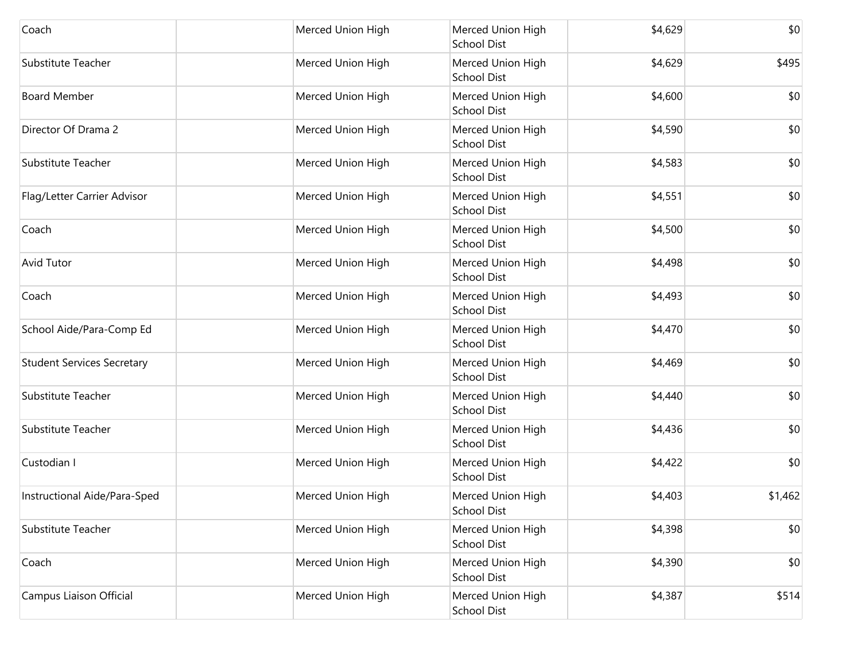| Coach                             | Merced Union High | Merced Union High<br><b>School Dist</b> | \$4,629 | \$0     |
|-----------------------------------|-------------------|-----------------------------------------|---------|---------|
| Substitute Teacher                | Merced Union High | Merced Union High<br><b>School Dist</b> | \$4,629 | \$495   |
| <b>Board Member</b>               | Merced Union High | Merced Union High<br>School Dist        | \$4,600 | \$0     |
| Director Of Drama 2               | Merced Union High | Merced Union High<br>School Dist        | \$4,590 | \$0     |
| Substitute Teacher                | Merced Union High | Merced Union High<br><b>School Dist</b> | \$4,583 | \$0     |
| Flag/Letter Carrier Advisor       | Merced Union High | Merced Union High<br><b>School Dist</b> | \$4,551 | \$0     |
| Coach                             | Merced Union High | Merced Union High<br><b>School Dist</b> | \$4,500 | \$0     |
| <b>Avid Tutor</b>                 | Merced Union High | Merced Union High<br>School Dist        | \$4,498 | \$0     |
| Coach                             | Merced Union High | Merced Union High<br><b>School Dist</b> | \$4,493 | \$0     |
| School Aide/Para-Comp Ed          | Merced Union High | Merced Union High<br><b>School Dist</b> | \$4,470 | \$0     |
| <b>Student Services Secretary</b> | Merced Union High | Merced Union High<br><b>School Dist</b> | \$4,469 | \$0     |
| Substitute Teacher                | Merced Union High | Merced Union High<br><b>School Dist</b> | \$4,440 | \$0     |
| Substitute Teacher                | Merced Union High | Merced Union High<br><b>School Dist</b> | \$4,436 | \$0     |
| Custodian I                       | Merced Union High | Merced Union High<br><b>School Dist</b> | \$4,422 | \$0     |
| Instructional Aide/Para-Sped      | Merced Union High | Merced Union High<br><b>School Dist</b> | \$4,403 | \$1,462 |
| Substitute Teacher                | Merced Union High | Merced Union High<br><b>School Dist</b> | \$4,398 | \$0     |
| Coach                             | Merced Union High | Merced Union High<br><b>School Dist</b> | \$4,390 | \$0     |
| Campus Liaison Official           | Merced Union High | Merced Union High<br><b>School Dist</b> | \$4,387 | \$514   |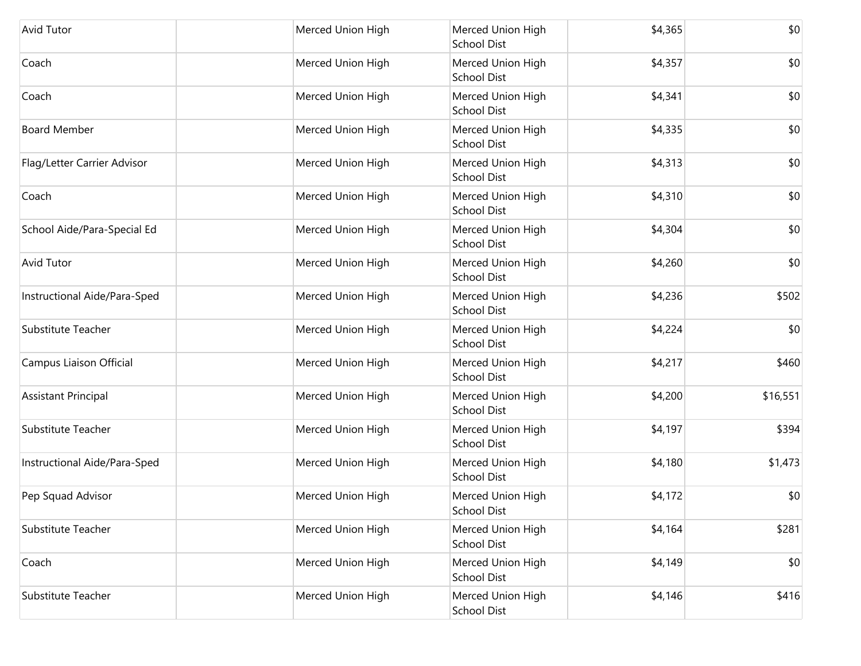| Avid Tutor                   | Merced Union High | Merced Union High<br><b>School Dist</b> | \$4,365 | \$0      |
|------------------------------|-------------------|-----------------------------------------|---------|----------|
| Coach                        | Merced Union High | Merced Union High<br><b>School Dist</b> | \$4,357 | \$0      |
| Coach                        | Merced Union High | Merced Union High<br><b>School Dist</b> | \$4,341 | \$0      |
| <b>Board Member</b>          | Merced Union High | Merced Union High<br><b>School Dist</b> | \$4,335 | \$0      |
| Flag/Letter Carrier Advisor  | Merced Union High | Merced Union High<br><b>School Dist</b> | \$4,313 | \$0      |
| Coach                        | Merced Union High | Merced Union High<br><b>School Dist</b> | \$4,310 | \$0      |
| School Aide/Para-Special Ed  | Merced Union High | Merced Union High<br><b>School Dist</b> | \$4,304 | \$0      |
| <b>Avid Tutor</b>            | Merced Union High | Merced Union High<br><b>School Dist</b> | \$4,260 | \$0      |
| Instructional Aide/Para-Sped | Merced Union High | Merced Union High<br><b>School Dist</b> | \$4,236 | \$502    |
| Substitute Teacher           | Merced Union High | Merced Union High<br><b>School Dist</b> | \$4,224 | \$0      |
| Campus Liaison Official      | Merced Union High | Merced Union High<br><b>School Dist</b> | \$4,217 | \$460    |
| <b>Assistant Principal</b>   | Merced Union High | Merced Union High<br><b>School Dist</b> | \$4,200 | \$16,551 |
| Substitute Teacher           | Merced Union High | Merced Union High<br><b>School Dist</b> | \$4,197 | \$394    |
| Instructional Aide/Para-Sped | Merced Union High | Merced Union High<br><b>School Dist</b> | \$4,180 | \$1,473  |
| Pep Squad Advisor            | Merced Union High | Merced Union High<br><b>School Dist</b> | \$4,172 | \$0      |
| Substitute Teacher           | Merced Union High | Merced Union High<br><b>School Dist</b> | \$4,164 | \$281    |
| Coach                        | Merced Union High | Merced Union High<br><b>School Dist</b> | \$4,149 | \$0      |
| Substitute Teacher           | Merced Union High | Merced Union High<br><b>School Dist</b> | \$4,146 | \$416    |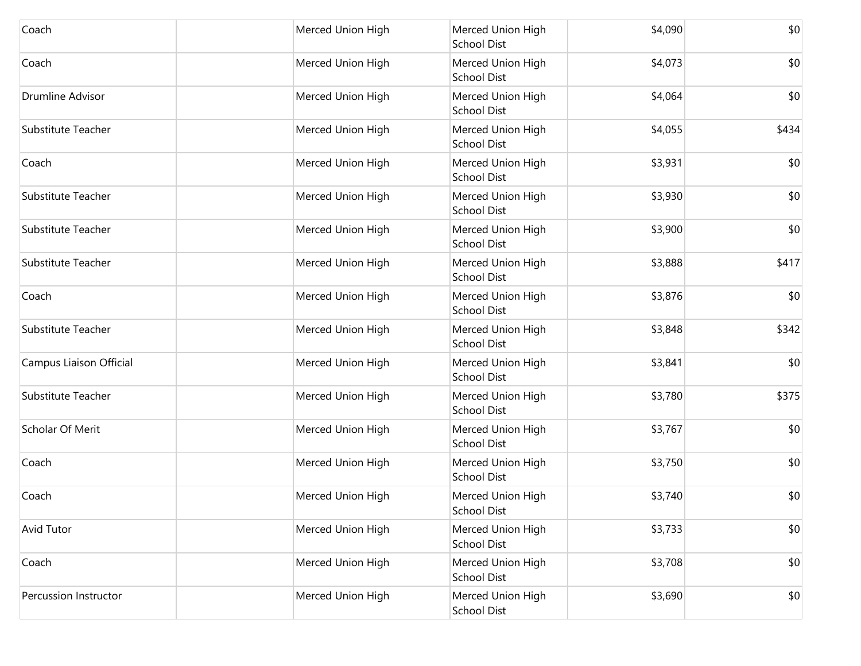| Coach                   | Merced Union High | Merced Union High<br><b>School Dist</b> | \$4,090 | \$0   |
|-------------------------|-------------------|-----------------------------------------|---------|-------|
| Coach                   | Merced Union High | Merced Union High<br><b>School Dist</b> | \$4,073 | \$0   |
| <b>Drumline Advisor</b> | Merced Union High | Merced Union High<br><b>School Dist</b> | \$4,064 | \$0   |
| Substitute Teacher      | Merced Union High | Merced Union High<br><b>School Dist</b> | \$4,055 | \$434 |
| Coach                   | Merced Union High | Merced Union High<br><b>School Dist</b> | \$3,931 | \$0   |
| Substitute Teacher      | Merced Union High | Merced Union High<br><b>School Dist</b> | \$3,930 | \$0   |
| Substitute Teacher      | Merced Union High | Merced Union High<br><b>School Dist</b> | \$3,900 | \$0   |
| Substitute Teacher      | Merced Union High | Merced Union High<br><b>School Dist</b> | \$3,888 | \$417 |
| Coach                   | Merced Union High | Merced Union High<br><b>School Dist</b> | \$3,876 | \$0   |
| Substitute Teacher      | Merced Union High | Merced Union High<br><b>School Dist</b> | \$3,848 | \$342 |
| Campus Liaison Official | Merced Union High | Merced Union High<br><b>School Dist</b> | \$3,841 | \$0   |
| Substitute Teacher      | Merced Union High | Merced Union High<br><b>School Dist</b> | \$3,780 | \$375 |
| Scholar Of Merit        | Merced Union High | Merced Union High<br><b>School Dist</b> | \$3,767 | \$0   |
| Coach                   | Merced Union High | Merced Union High<br><b>School Dist</b> | \$3,750 | \$0   |
| Coach                   | Merced Union High | Merced Union High<br><b>School Dist</b> | \$3,740 | \$0   |
| Avid Tutor              | Merced Union High | Merced Union High<br><b>School Dist</b> | \$3,733 | \$0   |
| Coach                   | Merced Union High | Merced Union High<br><b>School Dist</b> | \$3,708 | \$0   |
| Percussion Instructor   | Merced Union High | Merced Union High<br><b>School Dist</b> | \$3,690 | \$0   |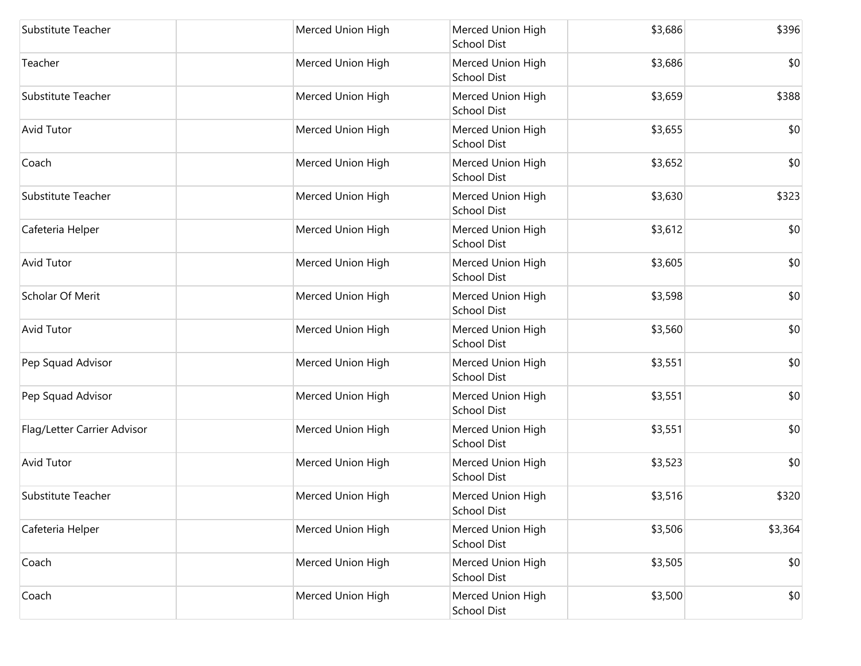| Substitute Teacher          | Merced Union High | Merced Union High<br>School Dist        | \$3,686 | \$396   |
|-----------------------------|-------------------|-----------------------------------------|---------|---------|
| Teacher                     | Merced Union High | Merced Union High<br><b>School Dist</b> | \$3,686 | \$0     |
| Substitute Teacher          | Merced Union High | Merced Union High<br>School Dist        | \$3,659 | \$388   |
| Avid Tutor                  | Merced Union High | Merced Union High<br><b>School Dist</b> | \$3,655 | \$0     |
| Coach                       | Merced Union High | Merced Union High<br>School Dist        | \$3,652 | \$0     |
| Substitute Teacher          | Merced Union High | Merced Union High<br>School Dist        | \$3,630 | \$323   |
| Cafeteria Helper            | Merced Union High | Merced Union High<br><b>School Dist</b> | \$3,612 | \$0     |
| Avid Tutor                  | Merced Union High | Merced Union High<br>School Dist        | \$3,605 | \$0     |
| Scholar Of Merit            | Merced Union High | Merced Union High<br>School Dist        | \$3,598 | \$0     |
| Avid Tutor                  | Merced Union High | Merced Union High<br>School Dist        | \$3,560 | \$0     |
| Pep Squad Advisor           | Merced Union High | Merced Union High<br><b>School Dist</b> | \$3,551 | \$0     |
| Pep Squad Advisor           | Merced Union High | Merced Union High<br>School Dist        | \$3,551 | \$0     |
| Flag/Letter Carrier Advisor | Merced Union High | Merced Union High<br>School Dist        | \$3,551 | \$0     |
| Avid Tutor                  | Merced Union High | Merced Union High<br>School Dist        | \$3,523 | \$0     |
| Substitute Teacher          | Merced Union High | Merced Union High<br>School Dist        | \$3,516 | \$320   |
| Cafeteria Helper            | Merced Union High | Merced Union High<br><b>School Dist</b> | \$3,506 | \$3,364 |
| Coach                       | Merced Union High | Merced Union High<br><b>School Dist</b> | \$3,505 | \$0     |
| Coach                       | Merced Union High | Merced Union High<br>School Dist        | \$3,500 | \$0     |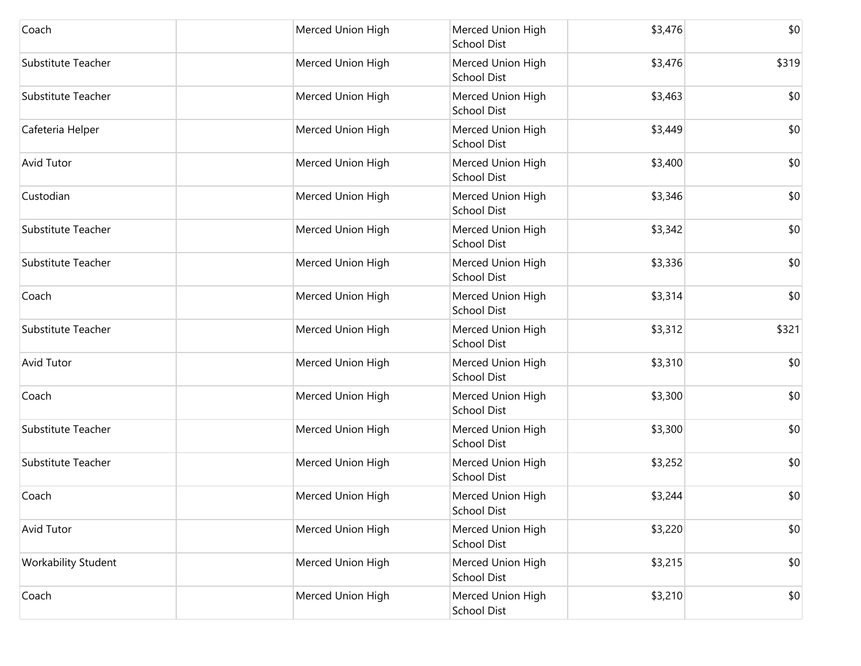| Coach               | Merced Union High | Merced Union High<br><b>School Dist</b> | \$3,476 | \$0   |
|---------------------|-------------------|-----------------------------------------|---------|-------|
| Substitute Teacher  | Merced Union High | Merced Union High<br><b>School Dist</b> | \$3,476 | \$319 |
| Substitute Teacher  | Merced Union High | Merced Union High<br><b>School Dist</b> | \$3,463 | \$0   |
| Cafeteria Helper    | Merced Union High | Merced Union High<br><b>School Dist</b> | \$3,449 | \$0   |
| <b>Avid Tutor</b>   | Merced Union High | Merced Union High<br><b>School Dist</b> | \$3,400 | \$0   |
| Custodian           | Merced Union High | Merced Union High<br><b>School Dist</b> | \$3,346 | \$0   |
| Substitute Teacher  | Merced Union High | Merced Union High<br><b>School Dist</b> | \$3,342 | \$0   |
| Substitute Teacher  | Merced Union High | Merced Union High<br><b>School Dist</b> | \$3,336 | \$0   |
| Coach               | Merced Union High | Merced Union High<br><b>School Dist</b> | \$3,314 | \$0   |
| Substitute Teacher  | Merced Union High | Merced Union High<br><b>School Dist</b> | \$3,312 | \$321 |
| <b>Avid Tutor</b>   | Merced Union High | Merced Union High<br><b>School Dist</b> | \$3,310 | \$0   |
| Coach               | Merced Union High | Merced Union High<br><b>School Dist</b> | \$3,300 | \$0   |
| Substitute Teacher  | Merced Union High | Merced Union High<br>School Dist        | \$3,300 | \$0   |
| Substitute Teacher  | Merced Union High | Merced Union High<br><b>School Dist</b> | \$3,252 | \$0   |
| Coach               | Merced Union High | Merced Union High<br><b>School Dist</b> | \$3,244 | \$0   |
| Avid Tutor          | Merced Union High | Merced Union High<br><b>School Dist</b> | \$3,220 | \$0   |
| Workability Student | Merced Union High | Merced Union High<br><b>School Dist</b> | \$3,215 | \$0   |
| Coach               | Merced Union High | Merced Union High<br><b>School Dist</b> | \$3,210 | \$0   |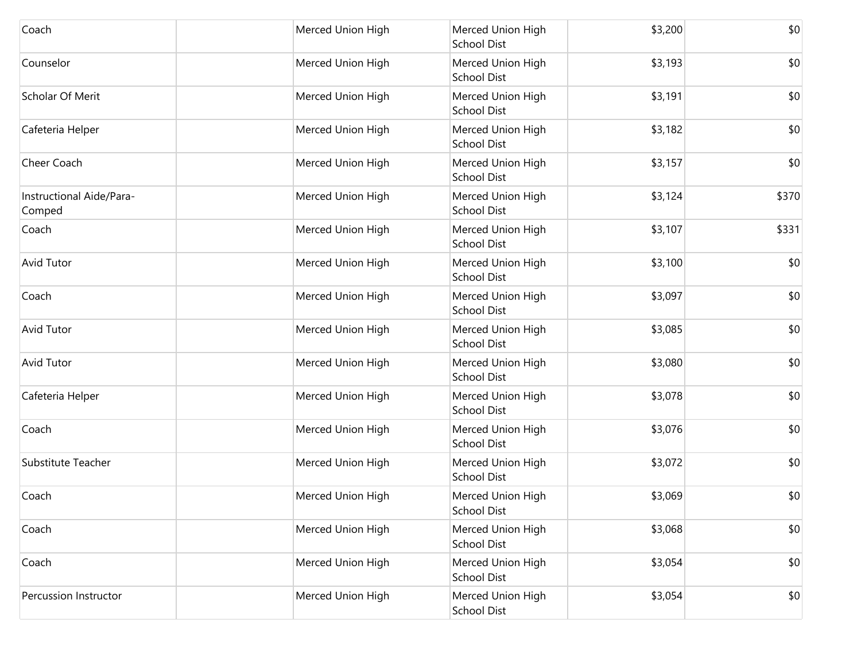| Coach                              | Merced Union High | Merced Union High<br>School Dist        | \$3,200 | \$0   |
|------------------------------------|-------------------|-----------------------------------------|---------|-------|
| Counselor                          | Merced Union High | Merced Union High<br>School Dist        | \$3,193 | \$0   |
| Scholar Of Merit                   | Merced Union High | Merced Union High<br><b>School Dist</b> | \$3,191 | \$0   |
| Cafeteria Helper                   | Merced Union High | Merced Union High<br>School Dist        | \$3,182 | \$0   |
| Cheer Coach                        | Merced Union High | Merced Union High<br>School Dist        | \$3,157 | \$0   |
| Instructional Aide/Para-<br>Comped | Merced Union High | Merced Union High<br>School Dist        | \$3,124 | \$370 |
| Coach                              | Merced Union High | Merced Union High<br><b>School Dist</b> | \$3,107 | \$331 |
| <b>Avid Tutor</b>                  | Merced Union High | Merced Union High<br>School Dist        | \$3,100 | \$0   |
| Coach                              | Merced Union High | Merced Union High<br>School Dist        | \$3,097 | \$0   |
| Avid Tutor                         | Merced Union High | Merced Union High<br>School Dist        | \$3,085 | \$0   |
| Avid Tutor                         | Merced Union High | Merced Union High<br>School Dist        | \$3,080 | \$0   |
| Cafeteria Helper                   | Merced Union High | Merced Union High<br>School Dist        | \$3,078 | \$0   |
| Coach                              | Merced Union High | Merced Union High<br>School Dist        | \$3,076 | \$0   |
| Substitute Teacher                 | Merced Union High | Merced Union High<br>School Dist        | \$3,072 | \$0   |
| Coach                              | Merced Union High | Merced Union High<br>School Dist        | \$3,069 | \$0   |
| Coach                              | Merced Union High | Merced Union High<br><b>School Dist</b> | \$3,068 | \$0   |
| Coach                              | Merced Union High | Merced Union High<br><b>School Dist</b> | \$3,054 | \$0   |
| Percussion Instructor              | Merced Union High | Merced Union High<br><b>School Dist</b> | \$3,054 | \$0   |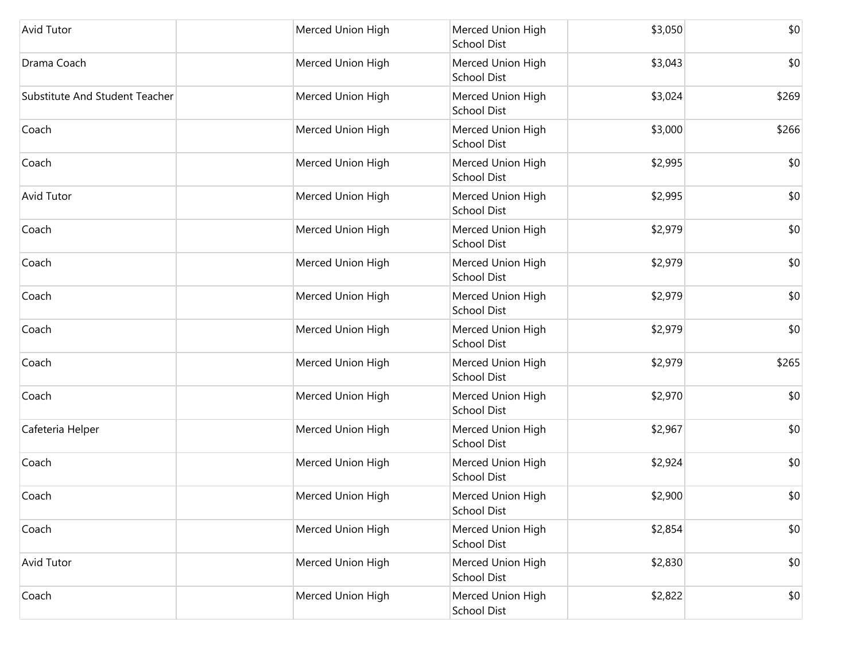| <b>Avid Tutor</b>              | Merced Union High | Merced Union High<br><b>School Dist</b> | \$3,050 | \$0   |
|--------------------------------|-------------------|-----------------------------------------|---------|-------|
| Drama Coach                    | Merced Union High | Merced Union High<br><b>School Dist</b> | \$3,043 | \$0   |
| Substitute And Student Teacher | Merced Union High | Merced Union High<br><b>School Dist</b> | \$3,024 | \$269 |
| Coach                          | Merced Union High | Merced Union High<br><b>School Dist</b> | \$3,000 | \$266 |
| Coach                          | Merced Union High | Merced Union High<br><b>School Dist</b> | \$2,995 | \$0   |
| <b>Avid Tutor</b>              | Merced Union High | Merced Union High<br><b>School Dist</b> | \$2,995 | \$0   |
| Coach                          | Merced Union High | Merced Union High<br><b>School Dist</b> | \$2,979 | \$0   |
| Coach                          | Merced Union High | Merced Union High<br><b>School Dist</b> | \$2,979 | \$0   |
| Coach                          | Merced Union High | Merced Union High<br><b>School Dist</b> | \$2,979 | \$0   |
| Coach                          | Merced Union High | Merced Union High<br><b>School Dist</b> | \$2,979 | \$0   |
| Coach                          | Merced Union High | Merced Union High<br><b>School Dist</b> | \$2,979 | \$265 |
| Coach                          | Merced Union High | Merced Union High<br><b>School Dist</b> | \$2,970 | \$0   |
| Cafeteria Helper               | Merced Union High | Merced Union High<br><b>School Dist</b> | \$2,967 | \$0   |
| Coach                          | Merced Union High | Merced Union High<br><b>School Dist</b> | \$2,924 | \$0   |
| Coach                          | Merced Union High | Merced Union High<br><b>School Dist</b> | \$2,900 | \$0   |
| Coach                          | Merced Union High | Merced Union High<br><b>School Dist</b> | \$2,854 | \$0   |
| Avid Tutor                     | Merced Union High | Merced Union High<br><b>School Dist</b> | \$2,830 | \$0   |
| Coach                          | Merced Union High | Merced Union High<br><b>School Dist</b> | \$2,822 | \$0   |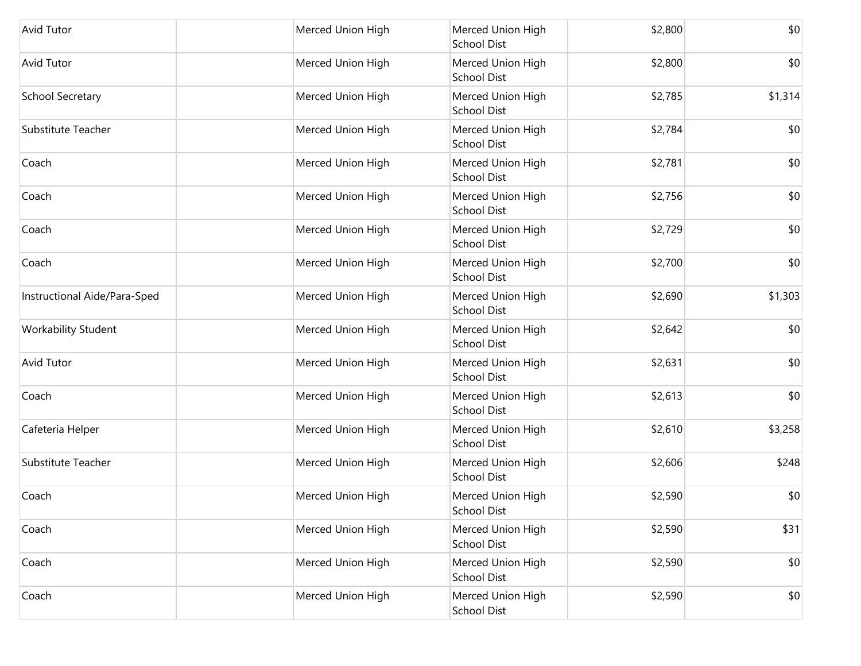| Avid Tutor                   | Merced Union High | Merced Union High<br>School Dist        | \$2,800 | \$0     |
|------------------------------|-------------------|-----------------------------------------|---------|---------|
| Avid Tutor                   | Merced Union High | Merced Union High<br>School Dist        | \$2,800 | \$0     |
| School Secretary             | Merced Union High | Merced Union High<br><b>School Dist</b> | \$2,785 | \$1,314 |
| Substitute Teacher           | Merced Union High | Merced Union High<br>School Dist        | \$2,784 | \$0     |
| Coach                        | Merced Union High | Merced Union High<br>School Dist        | \$2,781 | \$0     |
| Coach                        | Merced Union High | Merced Union High<br>School Dist        | \$2,756 | \$0     |
| Coach                        | Merced Union High | Merced Union High<br><b>School Dist</b> | \$2,729 | \$0     |
| Coach                        | Merced Union High | Merced Union High<br>School Dist        | \$2,700 | \$0     |
| Instructional Aide/Para-Sped | Merced Union High | Merced Union High<br>School Dist        | \$2,690 | \$1,303 |
| Workability Student          | Merced Union High | Merced Union High<br>School Dist        | \$2,642 | \$0     |
| <b>Avid Tutor</b>            | Merced Union High | Merced Union High<br>School Dist        | \$2,631 | \$0     |
| Coach                        | Merced Union High | Merced Union High<br>School Dist        | \$2,613 | \$0     |
| Cafeteria Helper             | Merced Union High | Merced Union High<br>School Dist        | \$2,610 | \$3,258 |
| Substitute Teacher           | Merced Union High | Merced Union High<br>School Dist        | \$2,606 | \$248   |
| Coach                        | Merced Union High | Merced Union High<br>School Dist        | \$2,590 | \$0     |
| Coach                        | Merced Union High | Merced Union High<br><b>School Dist</b> | \$2,590 | \$31    |
| Coach                        | Merced Union High | Merced Union High<br><b>School Dist</b> | \$2,590 | \$0     |
| Coach                        | Merced Union High | Merced Union High<br>School Dist        | \$2,590 | \$0     |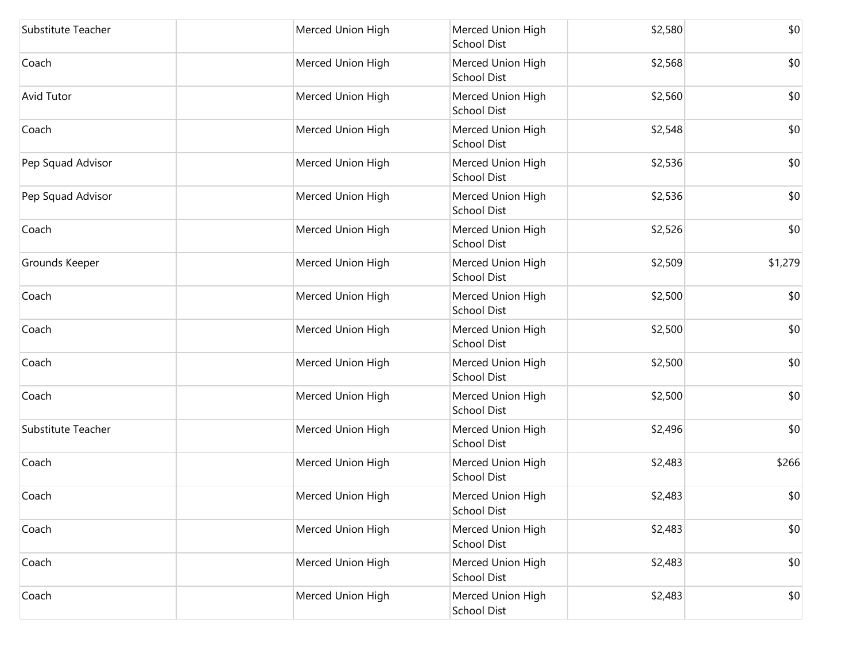| Substitute Teacher | Merced Union High | Merced Union High<br><b>School Dist</b> | \$2,580 | \$0     |
|--------------------|-------------------|-----------------------------------------|---------|---------|
| Coach              | Merced Union High | Merced Union High<br><b>School Dist</b> | \$2,568 | \$0     |
| Avid Tutor         | Merced Union High | Merced Union High<br><b>School Dist</b> | \$2,560 | \$0     |
| Coach              | Merced Union High | Merced Union High<br><b>School Dist</b> | \$2,548 | \$0     |
| Pep Squad Advisor  | Merced Union High | Merced Union High<br><b>School Dist</b> | \$2,536 | \$0     |
| Pep Squad Advisor  | Merced Union High | Merced Union High<br><b>School Dist</b> | \$2,536 | \$0     |
| Coach              | Merced Union High | Merced Union High<br><b>School Dist</b> | \$2,526 | \$0     |
| Grounds Keeper     | Merced Union High | Merced Union High<br><b>School Dist</b> | \$2,509 | \$1,279 |
| Coach              | Merced Union High | Merced Union High<br><b>School Dist</b> | \$2,500 | \$0     |
| Coach              | Merced Union High | Merced Union High<br><b>School Dist</b> | \$2,500 | \$0     |
| Coach              | Merced Union High | Merced Union High<br><b>School Dist</b> | \$2,500 | \$0     |
| Coach              | Merced Union High | Merced Union High<br><b>School Dist</b> | \$2,500 | \$0     |
| Substitute Teacher | Merced Union High | Merced Union High<br><b>School Dist</b> | \$2,496 | \$0     |
| Coach              | Merced Union High | Merced Union High<br><b>School Dist</b> | \$2,483 | \$266   |
| Coach              | Merced Union High | Merced Union High<br><b>School Dist</b> | \$2,483 | \$0     |
| Coach              | Merced Union High | Merced Union High<br><b>School Dist</b> | \$2,483 | \$0     |
| Coach              | Merced Union High | Merced Union High<br><b>School Dist</b> | \$2,483 | \$0     |
| Coach              | Merced Union High | Merced Union High<br><b>School Dist</b> | \$2,483 | \$0     |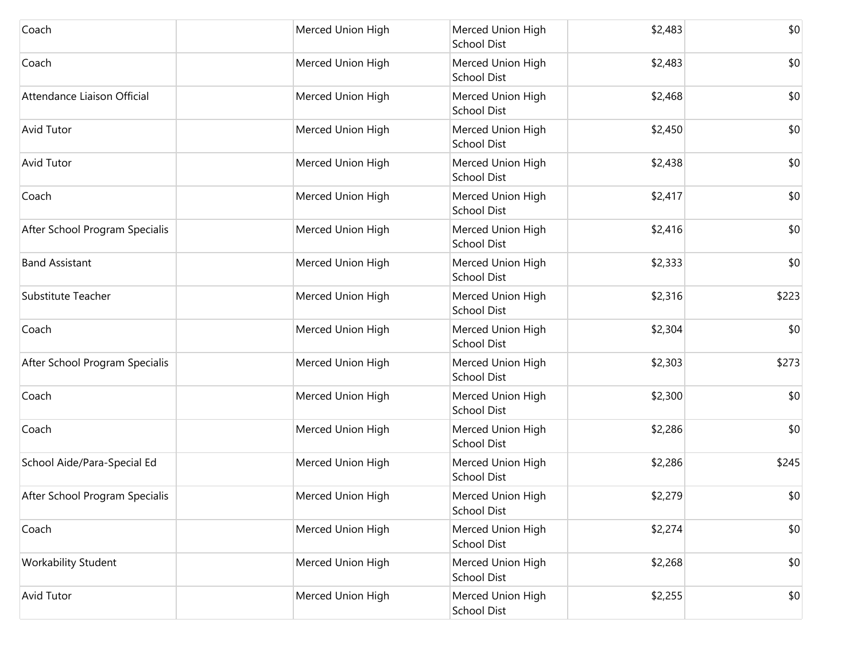| Coach                          | Merced Union High | Merced Union High<br><b>School Dist</b> | \$2,483 | \$0   |
|--------------------------------|-------------------|-----------------------------------------|---------|-------|
| Coach                          | Merced Union High | Merced Union High<br>School Dist        | \$2,483 | \$0   |
| Attendance Liaison Official    | Merced Union High | Merced Union High<br>School Dist        | \$2,468 | \$0   |
| <b>Avid Tutor</b>              | Merced Union High | Merced Union High<br>School Dist        | \$2,450 | \$0   |
| <b>Avid Tutor</b>              | Merced Union High | Merced Union High<br><b>School Dist</b> | \$2,438 | \$0   |
| Coach                          | Merced Union High | Merced Union High<br><b>School Dist</b> | \$2,417 | \$0   |
| After School Program Specialis | Merced Union High | Merced Union High<br><b>School Dist</b> | \$2,416 | \$0   |
| <b>Band Assistant</b>          | Merced Union High | Merced Union High<br>School Dist        | \$2,333 | \$0   |
| Substitute Teacher             | Merced Union High | Merced Union High<br><b>School Dist</b> | \$2,316 | \$223 |
| Coach                          | Merced Union High | Merced Union High<br><b>School Dist</b> | \$2,304 | \$0   |
| After School Program Specialis | Merced Union High | Merced Union High<br><b>School Dist</b> | \$2,303 | \$273 |
| Coach                          | Merced Union High | Merced Union High<br><b>School Dist</b> | \$2,300 | \$0   |
| Coach                          | Merced Union High | Merced Union High<br><b>School Dist</b> | \$2,286 | \$0   |
| School Aide/Para-Special Ed    | Merced Union High | Merced Union High<br><b>School Dist</b> | \$2,286 | \$245 |
| After School Program Specialis | Merced Union High | Merced Union High<br>School Dist        | \$2,279 | \$0   |
| Coach                          | Merced Union High | Merced Union High<br><b>School Dist</b> | \$2,274 | \$0   |
| <b>Workability Student</b>     | Merced Union High | Merced Union High<br><b>School Dist</b> | \$2,268 | \$0   |
| <b>Avid Tutor</b>              | Merced Union High | Merced Union High<br>School Dist        | \$2,255 | \$0   |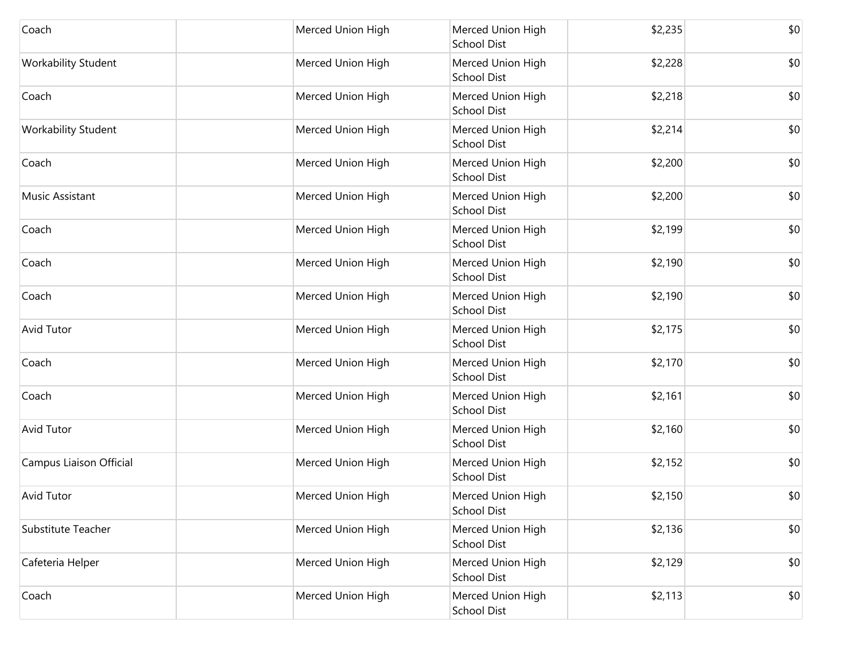| Coach                      | Merced Union High | Merced Union High<br><b>School Dist</b> | \$2,235 | \$0 |
|----------------------------|-------------------|-----------------------------------------|---------|-----|
| Workability Student        | Merced Union High | Merced Union High<br><b>School Dist</b> | \$2,228 | \$0 |
| Coach                      | Merced Union High | Merced Union High<br><b>School Dist</b> | \$2,218 | \$0 |
| <b>Workability Student</b> | Merced Union High | Merced Union High<br><b>School Dist</b> | \$2,214 | \$0 |
| Coach                      | Merced Union High | Merced Union High<br><b>School Dist</b> | \$2,200 | \$0 |
| Music Assistant            | Merced Union High | Merced Union High<br><b>School Dist</b> | \$2,200 | \$0 |
| Coach                      | Merced Union High | Merced Union High<br><b>School Dist</b> | \$2,199 | \$0 |
| Coach                      | Merced Union High | Merced Union High<br><b>School Dist</b> | \$2,190 | \$0 |
| Coach                      | Merced Union High | Merced Union High<br><b>School Dist</b> | \$2,190 | \$0 |
| Avid Tutor                 | Merced Union High | Merced Union High<br><b>School Dist</b> | \$2,175 | \$0 |
| Coach                      | Merced Union High | Merced Union High<br><b>School Dist</b> | \$2,170 | \$0 |
| Coach                      | Merced Union High | Merced Union High<br><b>School Dist</b> | \$2,161 | \$0 |
| <b>Avid Tutor</b>          | Merced Union High | Merced Union High<br><b>School Dist</b> | \$2,160 | \$0 |
| Campus Liaison Official    | Merced Union High | Merced Union High<br><b>School Dist</b> | \$2,152 | \$0 |
| <b>Avid Tutor</b>          | Merced Union High | Merced Union High<br><b>School Dist</b> | \$2,150 | \$0 |
| Substitute Teacher         | Merced Union High | Merced Union High<br><b>School Dist</b> | \$2,136 | \$0 |
| Cafeteria Helper           | Merced Union High | Merced Union High<br><b>School Dist</b> | \$2,129 | \$0 |
| Coach                      | Merced Union High | Merced Union High<br><b>School Dist</b> | \$2,113 | \$0 |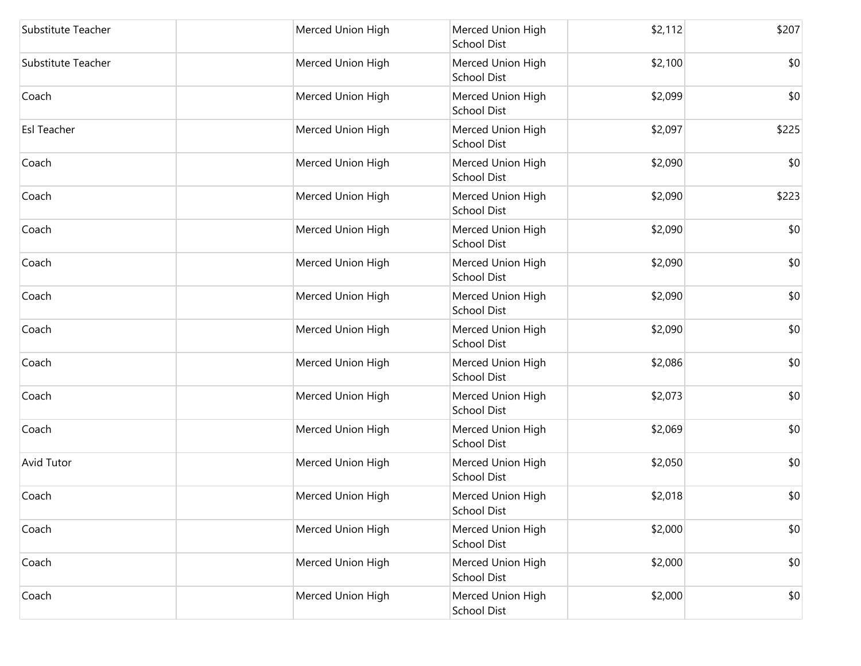| Substitute Teacher | Merced Union High | Merced Union High<br><b>School Dist</b> | \$2,112 | \$207 |
|--------------------|-------------------|-----------------------------------------|---------|-------|
| Substitute Teacher | Merced Union High | Merced Union High<br><b>School Dist</b> | \$2,100 | \$0   |
| Coach              | Merced Union High | Merced Union High<br><b>School Dist</b> | \$2,099 | \$0   |
| <b>Esl Teacher</b> | Merced Union High | Merced Union High<br><b>School Dist</b> | \$2,097 | \$225 |
| Coach              | Merced Union High | Merced Union High<br><b>School Dist</b> | \$2,090 | \$0   |
| Coach              | Merced Union High | Merced Union High<br><b>School Dist</b> | \$2,090 | \$223 |
| Coach              | Merced Union High | Merced Union High<br><b>School Dist</b> | \$2,090 | \$0   |
| Coach              | Merced Union High | Merced Union High<br><b>School Dist</b> | \$2,090 | \$0   |
| Coach              | Merced Union High | Merced Union High<br>School Dist        | \$2,090 | \$0   |
| Coach              | Merced Union High | Merced Union High<br><b>School Dist</b> | \$2,090 | \$0   |
| Coach              | Merced Union High | Merced Union High<br><b>School Dist</b> | \$2,086 | \$0   |
| Coach              | Merced Union High | Merced Union High<br><b>School Dist</b> | \$2,073 | \$0   |
| Coach              | Merced Union High | Merced Union High<br><b>School Dist</b> | \$2,069 | \$0   |
| Avid Tutor         | Merced Union High | Merced Union High<br><b>School Dist</b> | \$2,050 | \$0   |
| Coach              | Merced Union High | Merced Union High<br>School Dist        | \$2,018 | \$0   |
| Coach              | Merced Union High | Merced Union High<br><b>School Dist</b> | \$2,000 | \$0   |
| Coach              | Merced Union High | Merced Union High<br><b>School Dist</b> | \$2,000 | \$0   |
| Coach              | Merced Union High | Merced Union High<br>School Dist        | \$2,000 | \$0   |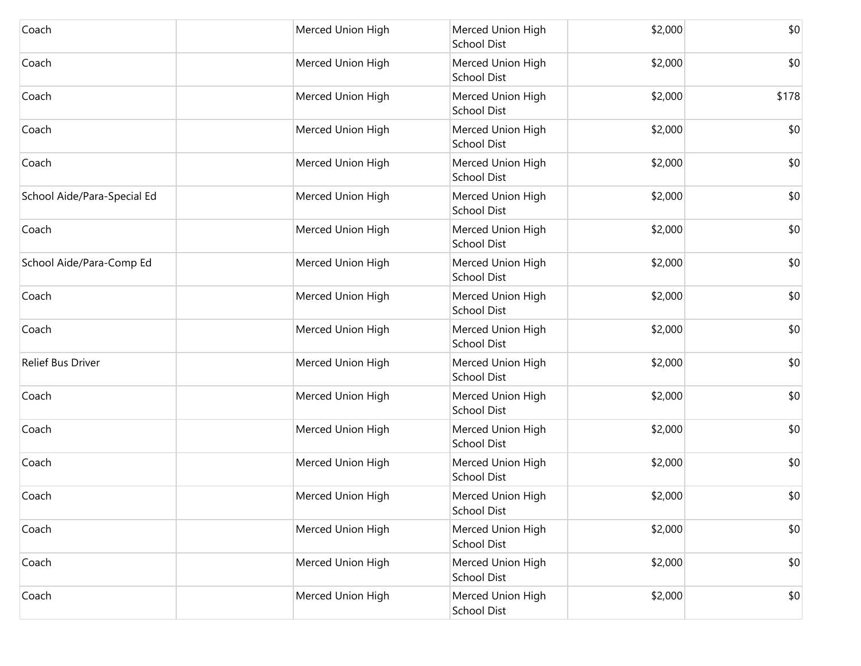| Coach                       | Merced Union High | Merced Union High<br><b>School Dist</b> | \$2,000 | \$0   |
|-----------------------------|-------------------|-----------------------------------------|---------|-------|
| Coach                       | Merced Union High | Merced Union High<br><b>School Dist</b> | \$2,000 | \$0   |
| Coach                       | Merced Union High | Merced Union High<br><b>School Dist</b> | \$2,000 | \$178 |
| Coach                       | Merced Union High | Merced Union High<br><b>School Dist</b> | \$2,000 | \$0   |
| Coach                       | Merced Union High | Merced Union High<br><b>School Dist</b> | \$2,000 | \$0   |
| School Aide/Para-Special Ed | Merced Union High | Merced Union High<br><b>School Dist</b> | \$2,000 | \$0   |
| Coach                       | Merced Union High | Merced Union High<br><b>School Dist</b> | \$2,000 | \$0   |
| School Aide/Para-Comp Ed    | Merced Union High | Merced Union High<br><b>School Dist</b> | \$2,000 | \$0   |
| Coach                       | Merced Union High | Merced Union High<br><b>School Dist</b> | \$2,000 | \$0   |
| Coach                       | Merced Union High | Merced Union High<br><b>School Dist</b> | \$2,000 | \$0   |
| Relief Bus Driver           | Merced Union High | Merced Union High<br><b>School Dist</b> | \$2,000 | \$0   |
| Coach                       | Merced Union High | Merced Union High<br><b>School Dist</b> | \$2,000 | \$0   |
| Coach                       | Merced Union High | Merced Union High<br>School Dist        | \$2,000 | \$0   |
| Coach                       | Merced Union High | Merced Union High<br><b>School Dist</b> | \$2,000 | \$0   |
| Coach                       | Merced Union High | Merced Union High<br><b>School Dist</b> | \$2,000 | \$0   |
| Coach                       | Merced Union High | Merced Union High<br><b>School Dist</b> | \$2,000 | \$0   |
| Coach                       | Merced Union High | Merced Union High<br><b>School Dist</b> | \$2,000 | \$0   |
| Coach                       | Merced Union High | Merced Union High<br>School Dist        | \$2,000 | \$0   |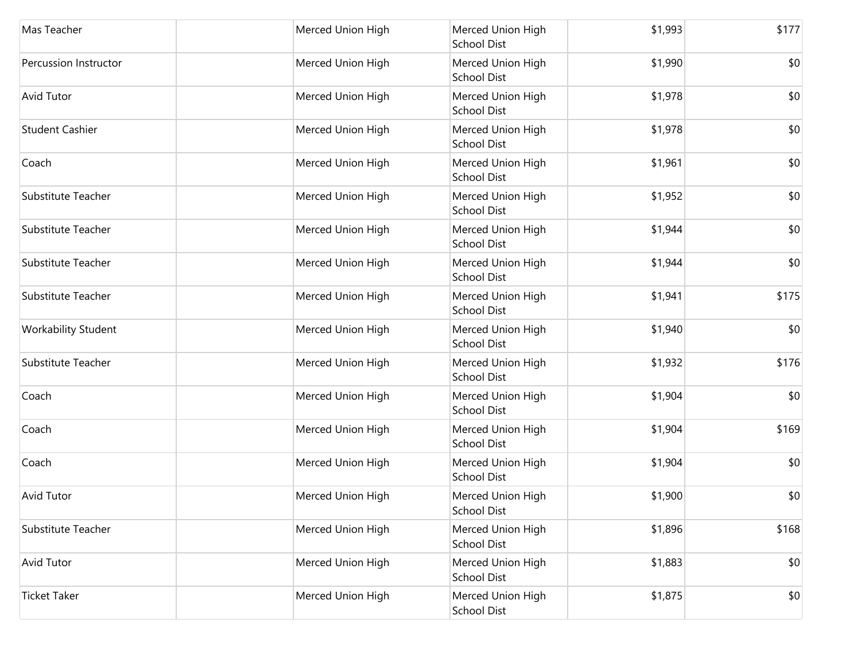| Mas Teacher                | Merced Union High | Merced Union High<br><b>School Dist</b> | \$1,993 | \$177 |
|----------------------------|-------------------|-----------------------------------------|---------|-------|
| Percussion Instructor      | Merced Union High | Merced Union High<br><b>School Dist</b> | \$1,990 | \$0   |
| Avid Tutor                 | Merced Union High | Merced Union High<br><b>School Dist</b> | \$1,978 | \$0   |
| <b>Student Cashier</b>     | Merced Union High | Merced Union High<br><b>School Dist</b> | \$1,978 | \$0   |
| Coach                      | Merced Union High | Merced Union High<br><b>School Dist</b> | \$1,961 | \$0   |
| Substitute Teacher         | Merced Union High | Merced Union High<br><b>School Dist</b> | \$1,952 | \$0   |
| Substitute Teacher         | Merced Union High | Merced Union High<br><b>School Dist</b> | \$1,944 | \$0   |
| Substitute Teacher         | Merced Union High | Merced Union High<br><b>School Dist</b> | \$1,944 | \$0   |
| Substitute Teacher         | Merced Union High | Merced Union High<br><b>School Dist</b> | \$1,941 | \$175 |
| <b>Workability Student</b> | Merced Union High | Merced Union High<br><b>School Dist</b> | \$1,940 | \$0   |
| Substitute Teacher         | Merced Union High | Merced Union High<br><b>School Dist</b> | \$1,932 | \$176 |
| Coach                      | Merced Union High | Merced Union High<br><b>School Dist</b> | \$1,904 | \$0   |
| Coach                      | Merced Union High | Merced Union High<br><b>School Dist</b> | \$1,904 | \$169 |
| Coach                      | Merced Union High | Merced Union High<br><b>School Dist</b> | \$1,904 | \$0   |
| Avid Tutor                 | Merced Union High | Merced Union High<br><b>School Dist</b> | \$1,900 | \$0   |
| Substitute Teacher         | Merced Union High | Merced Union High<br><b>School Dist</b> | \$1,896 | \$168 |
| Avid Tutor                 | Merced Union High | Merced Union High<br><b>School Dist</b> | \$1,883 | \$0   |
| <b>Ticket Taker</b>        | Merced Union High | Merced Union High<br>School Dist        | \$1,875 | \$0   |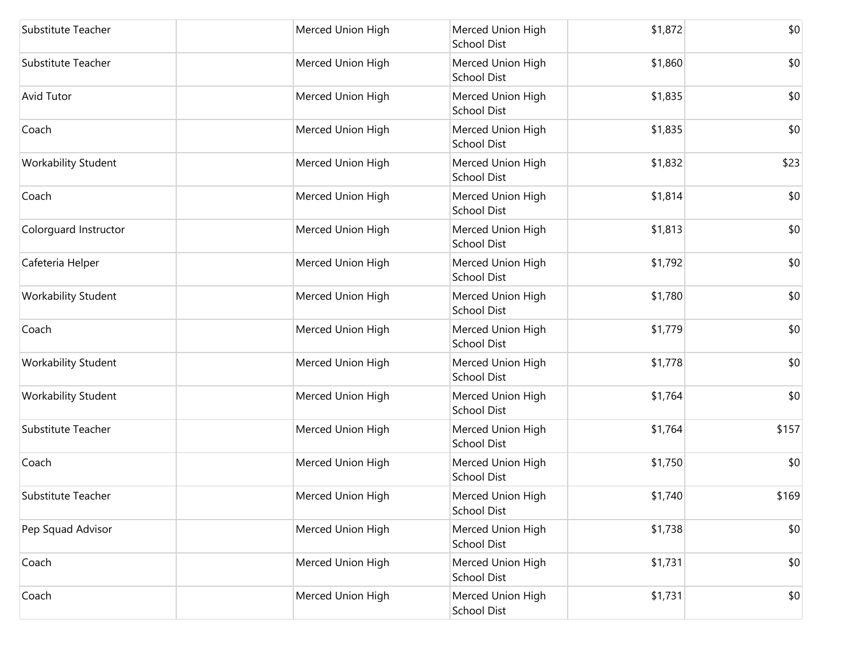| Substitute Teacher         | Merced Union High | Merced Union High<br>School Dist        | \$1,872 | \$0   |
|----------------------------|-------------------|-----------------------------------------|---------|-------|
| Substitute Teacher         | Merced Union High | Merced Union High<br>School Dist        | \$1,860 | \$0   |
| Avid Tutor                 | Merced Union High | Merced Union High<br><b>School Dist</b> | \$1,835 | \$0   |
| Coach                      | Merced Union High | Merced Union High<br>School Dist        | \$1,835 | \$0   |
| Workability Student        | Merced Union High | Merced Union High<br>School Dist        | \$1,832 | \$23  |
| Coach                      | Merced Union High | Merced Union High<br>School Dist        | \$1,814 | \$0   |
| Colorguard Instructor      | Merced Union High | Merced Union High<br><b>School Dist</b> | \$1,813 | \$0   |
| Cafeteria Helper           | Merced Union High | Merced Union High<br>School Dist        | \$1,792 | \$0   |
| Workability Student        | Merced Union High | Merced Union High<br>School Dist        | \$1,780 | \$0   |
| Coach                      | Merced Union High | Merced Union High<br>School Dist        | \$1,779 | \$0   |
| <b>Workability Student</b> | Merced Union High | Merced Union High<br>School Dist        | \$1,778 | \$0   |
| Workability Student        | Merced Union High | Merced Union High<br>School Dist        | \$1,764 | \$0   |
| Substitute Teacher         | Merced Union High | Merced Union High<br>School Dist        | \$1,764 | \$157 |
| Coach                      | Merced Union High | Merced Union High<br>School Dist        | \$1,750 | \$0   |
| Substitute Teacher         | Merced Union High | Merced Union High<br><b>School Dist</b> | \$1,740 | \$169 |
| Pep Squad Advisor          | Merced Union High | Merced Union High<br><b>School Dist</b> | \$1,738 | \$0   |
| Coach                      | Merced Union High | Merced Union High<br>School Dist        | \$1,731 | \$0   |
| Coach                      | Merced Union High | Merced Union High<br><b>School Dist</b> | \$1,731 | \$0   |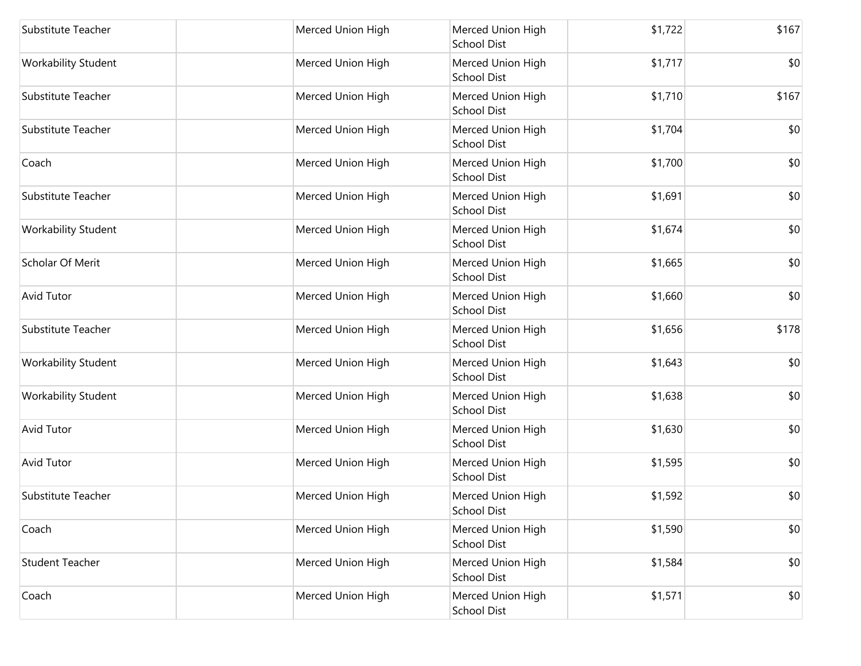| Substitute Teacher         | Merced Union High | Merced Union High<br><b>School Dist</b> | \$1,722 | \$167 |
|----------------------------|-------------------|-----------------------------------------|---------|-------|
| Workability Student        | Merced Union High | Merced Union High<br><b>School Dist</b> | \$1,717 | \$0   |
| Substitute Teacher         | Merced Union High | Merced Union High<br><b>School Dist</b> | \$1,710 | \$167 |
| <b>Substitute Teacher</b>  | Merced Union High | Merced Union High<br><b>School Dist</b> | \$1,704 | \$0   |
| Coach                      | Merced Union High | Merced Union High<br>School Dist        | \$1,700 | \$0   |
| Substitute Teacher         | Merced Union High | Merced Union High<br><b>School Dist</b> | \$1,691 | \$0   |
| Workability Student        | Merced Union High | Merced Union High<br><b>School Dist</b> | \$1,674 | \$0   |
| Scholar Of Merit           | Merced Union High | Merced Union High<br><b>School Dist</b> | \$1,665 | \$0   |
| <b>Avid Tutor</b>          | Merced Union High | Merced Union High<br>School Dist        | \$1,660 | \$0   |
| <b>Substitute Teacher</b>  | Merced Union High | Merced Union High<br><b>School Dist</b> | \$1,656 | \$178 |
| <b>Workability Student</b> | Merced Union High | Merced Union High<br><b>School Dist</b> | \$1,643 | \$0   |
| Workability Student        | Merced Union High | Merced Union High<br><b>School Dist</b> | \$1,638 | \$0   |
| <b>Avid Tutor</b>          | Merced Union High | Merced Union High<br><b>School Dist</b> | \$1,630 | \$0   |
| <b>Avid Tutor</b>          | Merced Union High | Merced Union High<br><b>School Dist</b> | \$1,595 | \$0   |
| Substitute Teacher         | Merced Union High | Merced Union High<br><b>School Dist</b> | \$1,592 | \$0   |
| Coach                      | Merced Union High | Merced Union High<br><b>School Dist</b> | \$1,590 | \$0   |
| <b>Student Teacher</b>     | Merced Union High | Merced Union High<br><b>School Dist</b> | \$1,584 | \$0   |
| Coach                      | Merced Union High | Merced Union High<br>School Dist        | \$1,571 | \$0   |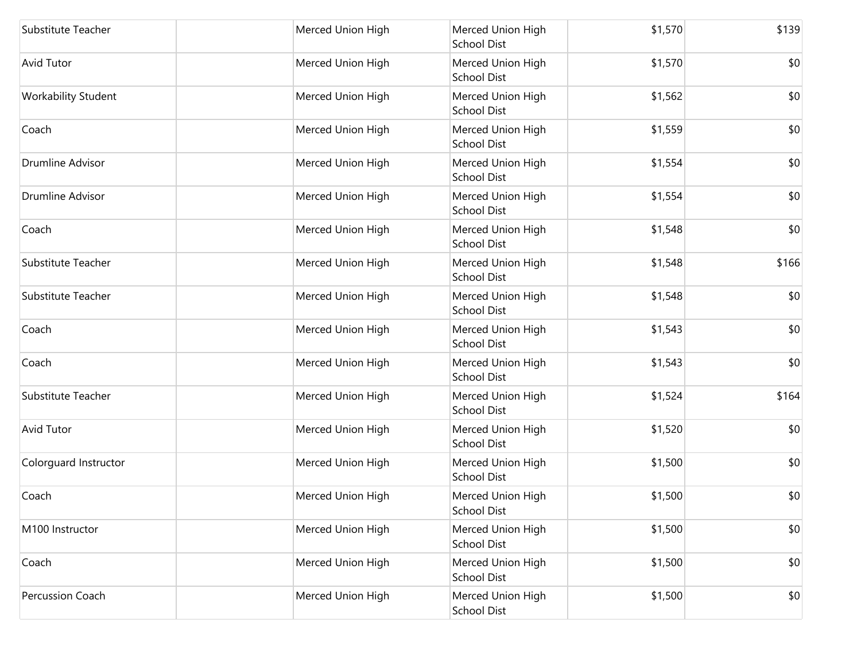| Substitute Teacher    | Merced Union High | Merced Union High<br><b>School Dist</b> | \$1,570 | \$139 |
|-----------------------|-------------------|-----------------------------------------|---------|-------|
| Avid Tutor            | Merced Union High | Merced Union High<br><b>School Dist</b> | \$1,570 | \$0   |
| Workability Student   | Merced Union High | Merced Union High<br><b>School Dist</b> | \$1,562 | \$0   |
| Coach                 | Merced Union High | Merced Union High<br><b>School Dist</b> | \$1,559 | \$0   |
| Drumline Advisor      | Merced Union High | Merced Union High<br><b>School Dist</b> | \$1,554 | \$0   |
| Drumline Advisor      | Merced Union High | Merced Union High<br><b>School Dist</b> | \$1,554 | \$0   |
| Coach                 | Merced Union High | Merced Union High<br><b>School Dist</b> | \$1,548 | \$0   |
| Substitute Teacher    | Merced Union High | Merced Union High<br><b>School Dist</b> | \$1,548 | \$166 |
| Substitute Teacher    | Merced Union High | Merced Union High<br><b>School Dist</b> | \$1,548 | \$0   |
| Coach                 | Merced Union High | Merced Union High<br><b>School Dist</b> | \$1,543 | \$0   |
| Coach                 | Merced Union High | Merced Union High<br><b>School Dist</b> | \$1,543 | \$0   |
| Substitute Teacher    | Merced Union High | Merced Union High<br><b>School Dist</b> | \$1,524 | \$164 |
| Avid Tutor            | Merced Union High | Merced Union High<br><b>School Dist</b> | \$1,520 | \$0   |
| Colorguard Instructor | Merced Union High | Merced Union High<br><b>School Dist</b> | \$1,500 | \$0   |
| Coach                 | Merced Union High | Merced Union High<br><b>School Dist</b> | \$1,500 | \$0   |
| M100 Instructor       | Merced Union High | Merced Union High<br><b>School Dist</b> | \$1,500 | \$0   |
| Coach                 | Merced Union High | Merced Union High<br><b>School Dist</b> | \$1,500 | \$0   |
| Percussion Coach      | Merced Union High | Merced Union High<br>School Dist        | \$1,500 | \$0   |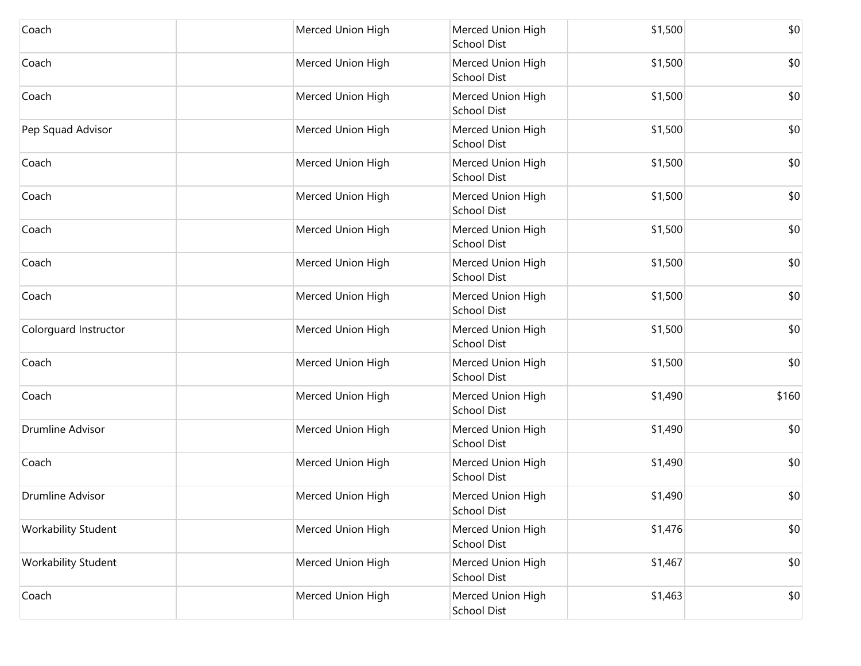| Coach                      | Merced Union High | Merced Union High<br><b>School Dist</b> | \$1,500 | \$0   |
|----------------------------|-------------------|-----------------------------------------|---------|-------|
| Coach                      | Merced Union High | Merced Union High<br><b>School Dist</b> | \$1,500 | \$0   |
| Coach                      | Merced Union High | Merced Union High<br><b>School Dist</b> | \$1,500 | \$0   |
| Pep Squad Advisor          | Merced Union High | Merced Union High<br><b>School Dist</b> | \$1,500 | \$0   |
| Coach                      | Merced Union High | Merced Union High<br><b>School Dist</b> | \$1,500 | \$0   |
| Coach                      | Merced Union High | Merced Union High<br><b>School Dist</b> | \$1,500 | \$0   |
| Coach                      | Merced Union High | Merced Union High<br><b>School Dist</b> | \$1,500 | \$0   |
| Coach                      | Merced Union High | Merced Union High<br><b>School Dist</b> | \$1,500 | \$0   |
| Coach                      | Merced Union High | Merced Union High<br><b>School Dist</b> | \$1,500 | \$0   |
| Colorguard Instructor      | Merced Union High | Merced Union High<br><b>School Dist</b> | \$1,500 | \$0   |
| Coach                      | Merced Union High | Merced Union High<br><b>School Dist</b> | \$1,500 | \$0   |
| Coach                      | Merced Union High | Merced Union High<br><b>School Dist</b> | \$1,490 | \$160 |
| Drumline Advisor           | Merced Union High | Merced Union High<br>School Dist        | \$1,490 | \$0   |
| Coach                      | Merced Union High | Merced Union High<br><b>School Dist</b> | \$1,490 | \$0   |
| Drumline Advisor           | Merced Union High | Merced Union High<br><b>School Dist</b> | \$1,490 | \$0   |
| <b>Workability Student</b> | Merced Union High | Merced Union High<br><b>School Dist</b> | \$1,476 | \$0   |
| <b>Workability Student</b> | Merced Union High | Merced Union High<br><b>School Dist</b> | \$1,467 | \$0   |
| Coach                      | Merced Union High | Merced Union High<br>School Dist        | \$1,463 | \$0   |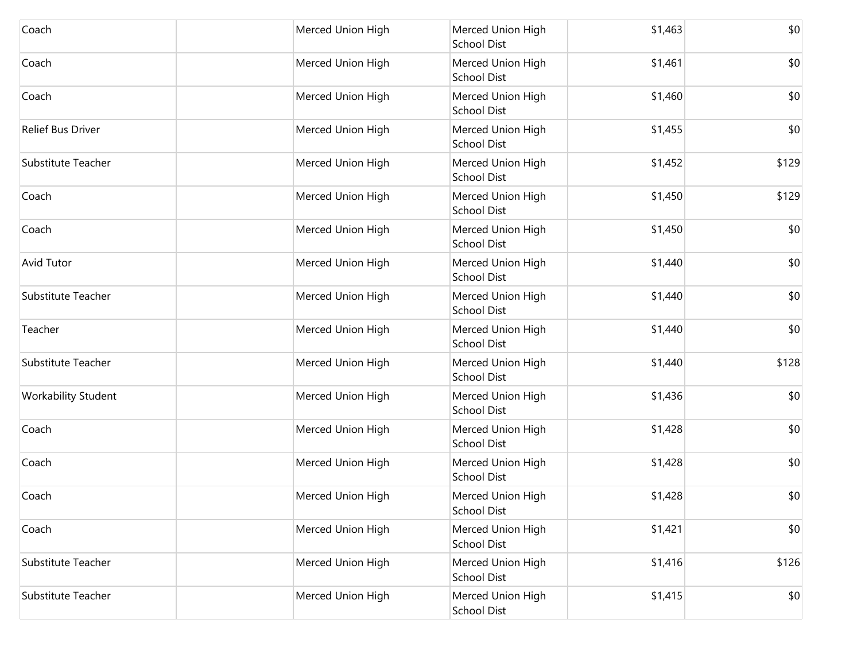| Coach               | Merced Union High | Merced Union High<br>School Dist        | \$1,463 | \$0   |
|---------------------|-------------------|-----------------------------------------|---------|-------|
| Coach               | Merced Union High | Merced Union High<br>School Dist        | \$1,461 | \$0   |
| Coach               | Merced Union High | Merced Union High<br><b>School Dist</b> | \$1,460 | \$0   |
| Relief Bus Driver   | Merced Union High | Merced Union High<br>School Dist        | \$1,455 | \$0   |
| Substitute Teacher  | Merced Union High | Merced Union High<br>School Dist        | \$1,452 | \$129 |
| Coach               | Merced Union High | Merced Union High<br>School Dist        | \$1,450 | \$129 |
| Coach               | Merced Union High | Merced Union High<br><b>School Dist</b> | \$1,450 | \$0   |
| Avid Tutor          | Merced Union High | Merced Union High<br>School Dist        | \$1,440 | \$0   |
| Substitute Teacher  | Merced Union High | Merced Union High<br>School Dist        | \$1,440 | \$0   |
| Teacher             | Merced Union High | Merced Union High<br>School Dist        | \$1,440 | \$0   |
| Substitute Teacher  | Merced Union High | Merced Union High<br>School Dist        | \$1,440 | \$128 |
| Workability Student | Merced Union High | Merced Union High<br>School Dist        | \$1,436 | \$0   |
| Coach               | Merced Union High | Merced Union High<br>School Dist        | \$1,428 | \$0   |
| Coach               | Merced Union High | Merced Union High<br>School Dist        | \$1,428 | \$0   |
| Coach               | Merced Union High | Merced Union High<br><b>School Dist</b> | \$1,428 | \$0   |
| Coach               | Merced Union High | Merced Union High<br><b>School Dist</b> | \$1,421 | \$0   |
| Substitute Teacher  | Merced Union High | Merced Union High<br><b>School Dist</b> | \$1,416 | \$126 |
| Substitute Teacher  | Merced Union High | Merced Union High<br><b>School Dist</b> | \$1,415 | \$0   |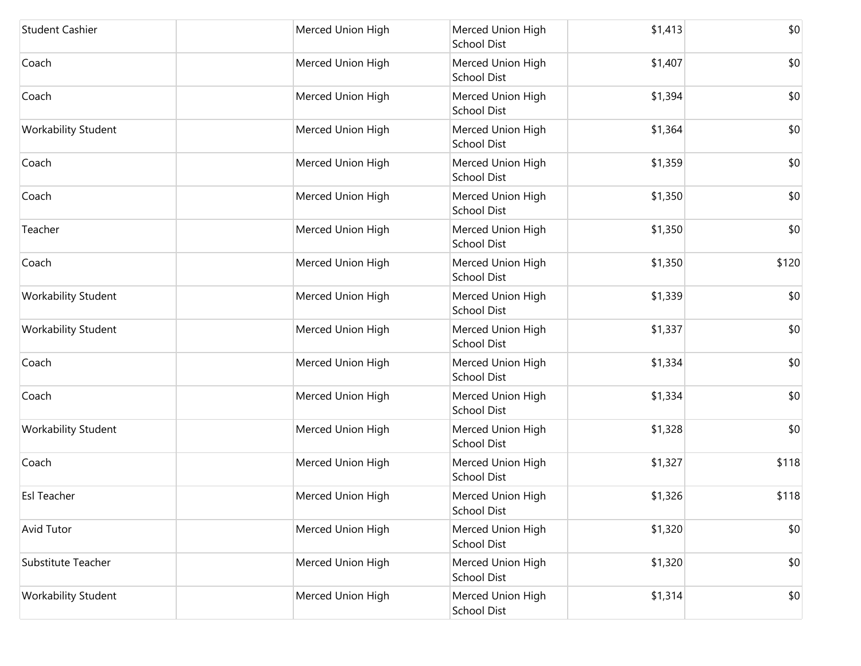| <b>Student Cashier</b>     | Merced Union High | Merced Union High<br><b>School Dist</b> | \$1,413 | \$0   |
|----------------------------|-------------------|-----------------------------------------|---------|-------|
| Coach                      | Merced Union High | Merced Union High<br><b>School Dist</b> | \$1,407 | \$0   |
| Coach                      | Merced Union High | Merced Union High<br><b>School Dist</b> | \$1,394 | \$0   |
| <b>Workability Student</b> | Merced Union High | Merced Union High<br><b>School Dist</b> | \$1,364 | \$0   |
| Coach                      | Merced Union High | Merced Union High<br><b>School Dist</b> | \$1,359 | \$0   |
| Coach                      | Merced Union High | Merced Union High<br><b>School Dist</b> | \$1,350 | \$0   |
| Teacher                    | Merced Union High | Merced Union High<br><b>School Dist</b> | \$1,350 | \$0   |
| Coach                      | Merced Union High | Merced Union High<br><b>School Dist</b> | \$1,350 | \$120 |
| Workability Student        | Merced Union High | Merced Union High<br><b>School Dist</b> | \$1,339 | \$0   |
| Workability Student        | Merced Union High | Merced Union High<br><b>School Dist</b> | \$1,337 | \$0   |
| Coach                      | Merced Union High | Merced Union High<br><b>School Dist</b> | \$1,334 | \$0   |
| Coach                      | Merced Union High | Merced Union High<br><b>School Dist</b> | \$1,334 | \$0   |
| <b>Workability Student</b> | Merced Union High | Merced Union High<br><b>School Dist</b> | \$1,328 | \$0   |
| Coach                      | Merced Union High | Merced Union High<br><b>School Dist</b> | \$1,327 | \$118 |
| Esl Teacher                | Merced Union High | Merced Union High<br><b>School Dist</b> | \$1,326 | \$118 |
| Avid Tutor                 | Merced Union High | Merced Union High<br><b>School Dist</b> | \$1,320 | \$0   |
| Substitute Teacher         | Merced Union High | Merced Union High<br><b>School Dist</b> | \$1,320 | \$0   |
| Workability Student        | Merced Union High | Merced Union High<br><b>School Dist</b> | \$1,314 | \$0   |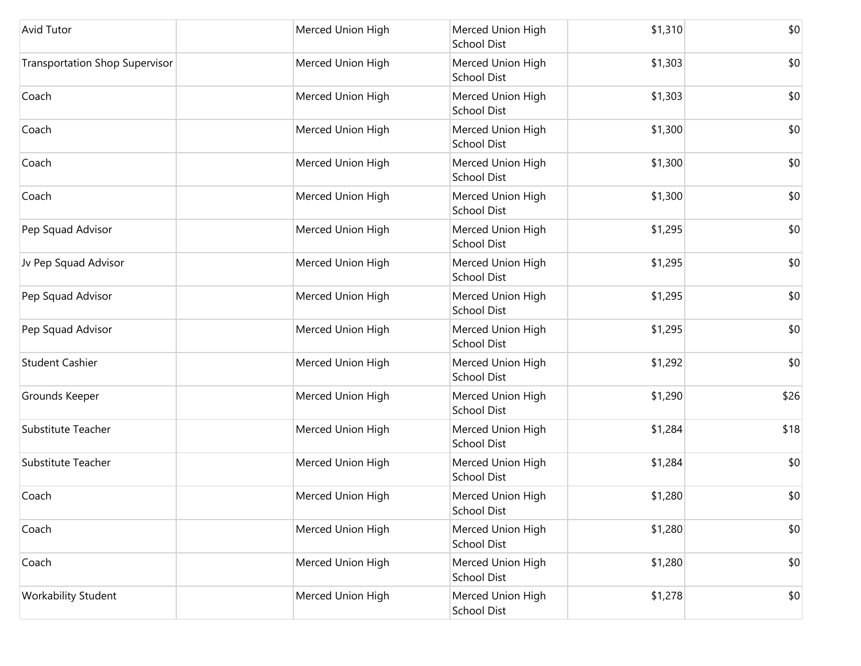| <b>Avid Tutor</b>                     | Merced Union High | Merced Union High<br><b>School Dist</b> | \$1,310 | \$0  |
|---------------------------------------|-------------------|-----------------------------------------|---------|------|
| <b>Transportation Shop Supervisor</b> | Merced Union High | Merced Union High<br><b>School Dist</b> | \$1,303 | \$0  |
| Coach                                 | Merced Union High | Merced Union High<br><b>School Dist</b> | \$1,303 | \$0  |
| Coach                                 | Merced Union High | Merced Union High<br><b>School Dist</b> | \$1,300 | \$0  |
| Coach                                 | Merced Union High | Merced Union High<br>School Dist        | \$1,300 | \$0  |
| Coach                                 | Merced Union High | Merced Union High<br><b>School Dist</b> | \$1,300 | \$0  |
| Pep Squad Advisor                     | Merced Union High | Merced Union High<br><b>School Dist</b> | \$1,295 | \$0  |
| Jv Pep Squad Advisor                  | Merced Union High | Merced Union High<br><b>School Dist</b> | \$1,295 | \$0  |
| Pep Squad Advisor                     | Merced Union High | Merced Union High<br><b>School Dist</b> | \$1,295 | \$0  |
| Pep Squad Advisor                     | Merced Union High | Merced Union High<br><b>School Dist</b> | \$1,295 | \$0  |
| <b>Student Cashier</b>                | Merced Union High | Merced Union High<br><b>School Dist</b> | \$1,292 | \$0  |
| Grounds Keeper                        | Merced Union High | Merced Union High<br><b>School Dist</b> | \$1,290 | \$26 |
| <b>Substitute Teacher</b>             | Merced Union High | Merced Union High<br><b>School Dist</b> | \$1,284 | \$18 |
| Substitute Teacher                    | Merced Union High | Merced Union High<br><b>School Dist</b> | \$1,284 | \$0  |
| Coach                                 | Merced Union High | Merced Union High<br><b>School Dist</b> | \$1,280 | \$0  |
| Coach                                 | Merced Union High | Merced Union High<br>School Dist        | \$1,280 | \$0  |
| Coach                                 | Merced Union High | Merced Union High<br><b>School Dist</b> | \$1,280 | \$0  |
| Workability Student                   | Merced Union High | Merced Union High<br>School Dist        | \$1,278 | \$0  |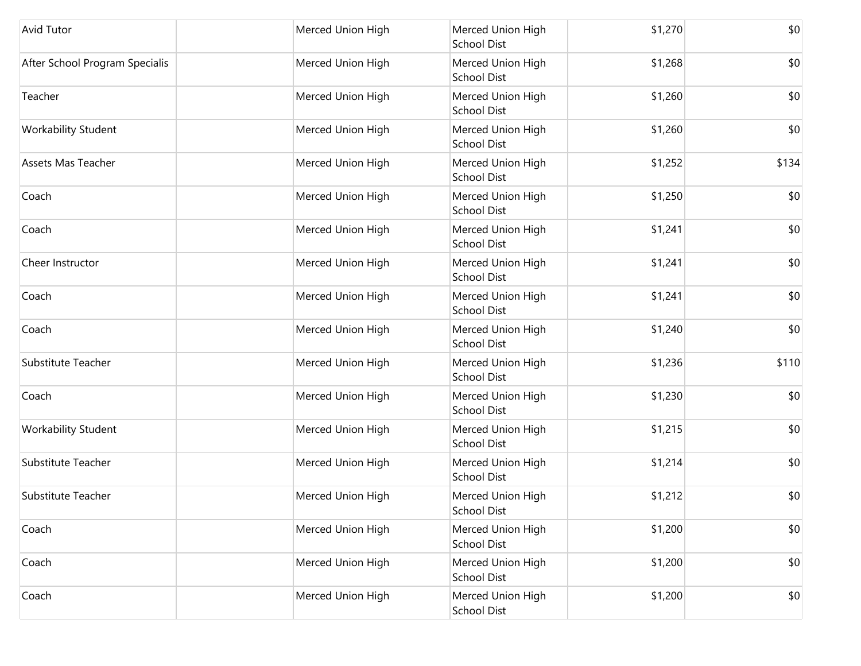| Avid Tutor                     | Merced Union High | Merced Union High<br><b>School Dist</b> | \$1,270 | \$0   |
|--------------------------------|-------------------|-----------------------------------------|---------|-------|
| After School Program Specialis | Merced Union High | Merced Union High<br><b>School Dist</b> | \$1,268 | \$0   |
| Teacher                        | Merced Union High | Merced Union High<br><b>School Dist</b> | \$1,260 | \$0   |
| Workability Student            | Merced Union High | Merced Union High<br><b>School Dist</b> | \$1,260 | \$0   |
| Assets Mas Teacher             | Merced Union High | Merced Union High<br>School Dist        | \$1,252 | \$134 |
| Coach                          | Merced Union High | Merced Union High<br><b>School Dist</b> | \$1,250 | \$0   |
| Coach                          | Merced Union High | Merced Union High<br><b>School Dist</b> | \$1,241 | \$0   |
| Cheer Instructor               | Merced Union High | Merced Union High<br><b>School Dist</b> | \$1,241 | \$0   |
| Coach                          | Merced Union High | Merced Union High<br><b>School Dist</b> | \$1,241 | \$0   |
| Coach                          | Merced Union High | Merced Union High<br><b>School Dist</b> | \$1,240 | \$0   |
| Substitute Teacher             | Merced Union High | Merced Union High<br><b>School Dist</b> | \$1,236 | \$110 |
| Coach                          | Merced Union High | Merced Union High<br><b>School Dist</b> | \$1,230 | \$0   |
| Workability Student            | Merced Union High | Merced Union High<br>School Dist        | \$1,215 | \$0   |
| <b>Substitute Teacher</b>      | Merced Union High | Merced Union High<br><b>School Dist</b> | \$1,214 | \$0   |
| Substitute Teacher             | Merced Union High | Merced Union High<br><b>School Dist</b> | \$1,212 | \$0   |
| Coach                          | Merced Union High | Merced Union High<br>School Dist        | \$1,200 | \$0   |
| Coach                          | Merced Union High | Merced Union High<br><b>School Dist</b> | \$1,200 | \$0   |
| Coach                          | Merced Union High | Merced Union High<br>School Dist        | \$1,200 | \$0   |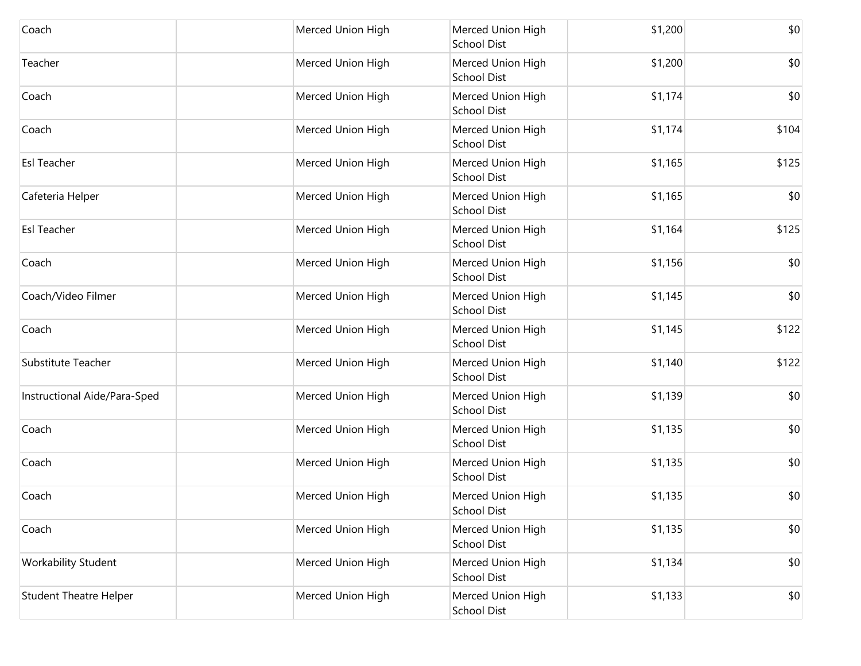| Coach                         | Merced Union High | Merced Union High<br><b>School Dist</b> | \$1,200 | \$0   |
|-------------------------------|-------------------|-----------------------------------------|---------|-------|
| Teacher                       | Merced Union High | Merced Union High<br><b>School Dist</b> | \$1,200 | \$0   |
| Coach                         | Merced Union High | Merced Union High<br><b>School Dist</b> | \$1,174 | \$0   |
| Coach                         | Merced Union High | Merced Union High<br><b>School Dist</b> | \$1,174 | \$104 |
| Esl Teacher                   | Merced Union High | Merced Union High<br><b>School Dist</b> | \$1,165 | \$125 |
| Cafeteria Helper              | Merced Union High | Merced Union High<br><b>School Dist</b> | \$1,165 | \$0   |
| Esl Teacher                   | Merced Union High | Merced Union High<br><b>School Dist</b> | \$1,164 | \$125 |
| Coach                         | Merced Union High | Merced Union High<br><b>School Dist</b> | \$1,156 | \$0   |
| Coach/Video Filmer            | Merced Union High | Merced Union High<br><b>School Dist</b> | \$1,145 | \$0   |
| Coach                         | Merced Union High | Merced Union High<br><b>School Dist</b> | \$1,145 | \$122 |
| Substitute Teacher            | Merced Union High | Merced Union High<br><b>School Dist</b> | \$1,140 | \$122 |
| Instructional Aide/Para-Sped  | Merced Union High | Merced Union High<br><b>School Dist</b> | \$1,139 | \$0   |
| Coach                         | Merced Union High | Merced Union High<br><b>School Dist</b> | \$1,135 | \$0   |
| Coach                         | Merced Union High | Merced Union High<br><b>School Dist</b> | \$1,135 | \$0   |
| Coach                         | Merced Union High | Merced Union High<br><b>School Dist</b> | \$1,135 | \$0   |
| Coach                         | Merced Union High | Merced Union High<br><b>School Dist</b> | \$1,135 | \$0   |
| Workability Student           | Merced Union High | Merced Union High<br><b>School Dist</b> | \$1,134 | \$0   |
| <b>Student Theatre Helper</b> | Merced Union High | Merced Union High<br><b>School Dist</b> | \$1,133 | \$0   |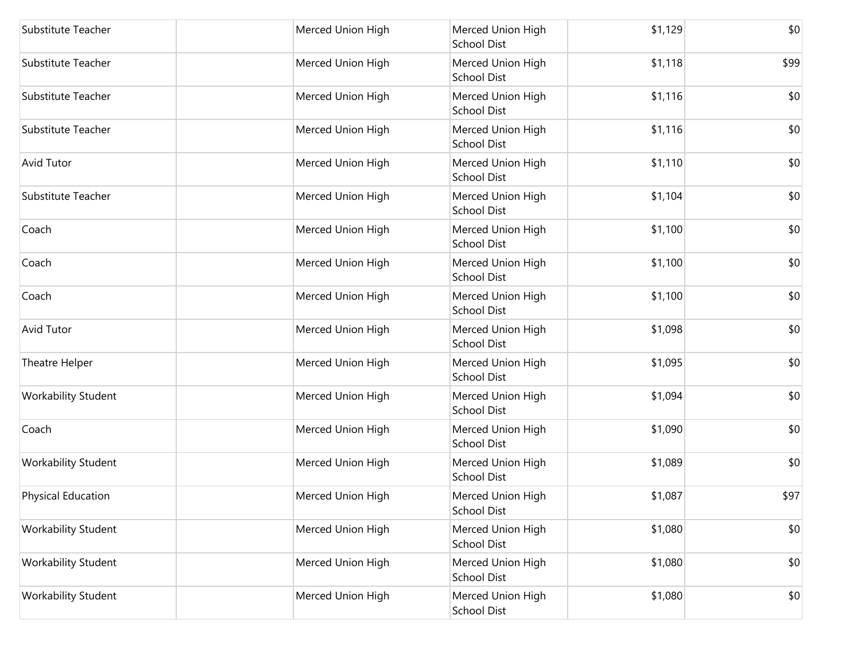| Substitute Teacher         | Merced Union High | Merced Union High<br><b>School Dist</b> | \$1,129 | \$0  |
|----------------------------|-------------------|-----------------------------------------|---------|------|
| Substitute Teacher         | Merced Union High | Merced Union High<br><b>School Dist</b> | \$1,118 | \$99 |
| Substitute Teacher         | Merced Union High | Merced Union High<br><b>School Dist</b> | \$1,116 | \$0  |
| Substitute Teacher         | Merced Union High | Merced Union High<br><b>School Dist</b> | \$1,116 | \$0  |
| <b>Avid Tutor</b>          | Merced Union High | Merced Union High<br><b>School Dist</b> | \$1,110 | \$0  |
| Substitute Teacher         | Merced Union High | Merced Union High<br><b>School Dist</b> | \$1,104 | \$0  |
| Coach                      | Merced Union High | Merced Union High<br><b>School Dist</b> | \$1,100 | \$0  |
| Coach                      | Merced Union High | Merced Union High<br><b>School Dist</b> | \$1,100 | \$0  |
| Coach                      | Merced Union High | Merced Union High<br><b>School Dist</b> | \$1,100 | \$0  |
| <b>Avid Tutor</b>          | Merced Union High | Merced Union High<br><b>School Dist</b> | \$1,098 | \$0  |
| Theatre Helper             | Merced Union High | Merced Union High<br><b>School Dist</b> | \$1,095 | \$0  |
| <b>Workability Student</b> | Merced Union High | Merced Union High<br><b>School Dist</b> | \$1,094 | \$0  |
| Coach                      | Merced Union High | Merced Union High<br><b>School Dist</b> | \$1,090 | \$0  |
| Workability Student        | Merced Union High | Merced Union High<br><b>School Dist</b> | \$1,089 | \$0  |
| <b>Physical Education</b>  | Merced Union High | Merced Union High<br><b>School Dist</b> | \$1,087 | \$97 |
| <b>Workability Student</b> | Merced Union High | Merced Union High<br><b>School Dist</b> | \$1,080 | \$0  |
| Workability Student        | Merced Union High | Merced Union High<br><b>School Dist</b> | \$1,080 | \$0  |
| <b>Workability Student</b> | Merced Union High | Merced Union High<br>School Dist        | \$1,080 | \$0  |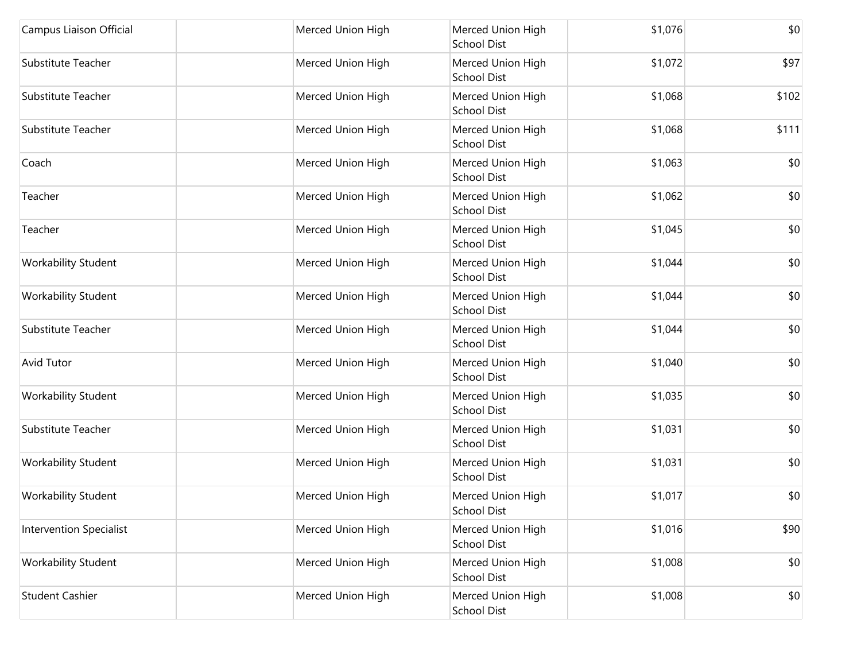| Campus Liaison Official        | Merced Union High | Merced Union High<br><b>School Dist</b> | \$1,076 | \$0   |
|--------------------------------|-------------------|-----------------------------------------|---------|-------|
| Substitute Teacher             | Merced Union High | Merced Union High<br><b>School Dist</b> | \$1,072 | \$97  |
| Substitute Teacher             | Merced Union High | Merced Union High<br>School Dist        | \$1,068 | \$102 |
| Substitute Teacher             | Merced Union High | Merced Union High<br>School Dist        | \$1,068 | \$111 |
| Coach                          | Merced Union High | Merced Union High<br><b>School Dist</b> | \$1,063 | \$0   |
| Teacher                        | Merced Union High | Merced Union High<br>School Dist        | \$1,062 | \$0   |
| Teacher                        | Merced Union High | Merced Union High<br><b>School Dist</b> | \$1,045 | \$0   |
| <b>Workability Student</b>     | Merced Union High | Merced Union High<br>School Dist        | \$1,044 | \$0   |
| <b>Workability Student</b>     | Merced Union High | Merced Union High<br>School Dist        | \$1,044 | \$0   |
| Substitute Teacher             | Merced Union High | Merced Union High<br>School Dist        | \$1,044 | \$0   |
| <b>Avid Tutor</b>              | Merced Union High | Merced Union High<br><b>School Dist</b> | \$1,040 | \$0   |
| <b>Workability Student</b>     | Merced Union High | Merced Union High<br>School Dist        | \$1,035 | \$0   |
| Substitute Teacher             | Merced Union High | Merced Union High<br>School Dist        | \$1,031 | \$0   |
| <b>Workability Student</b>     | Merced Union High | Merced Union High<br><b>School Dist</b> | \$1,031 | \$0   |
| <b>Workability Student</b>     | Merced Union High | Merced Union High<br><b>School Dist</b> | \$1,017 | \$0   |
| <b>Intervention Specialist</b> | Merced Union High | Merced Union High<br>School Dist        | \$1,016 | \$90  |
| <b>Workability Student</b>     | Merced Union High | Merced Union High<br><b>School Dist</b> | \$1,008 | \$0   |
| <b>Student Cashier</b>         | Merced Union High | Merced Union High<br>School Dist        | \$1,008 | \$0   |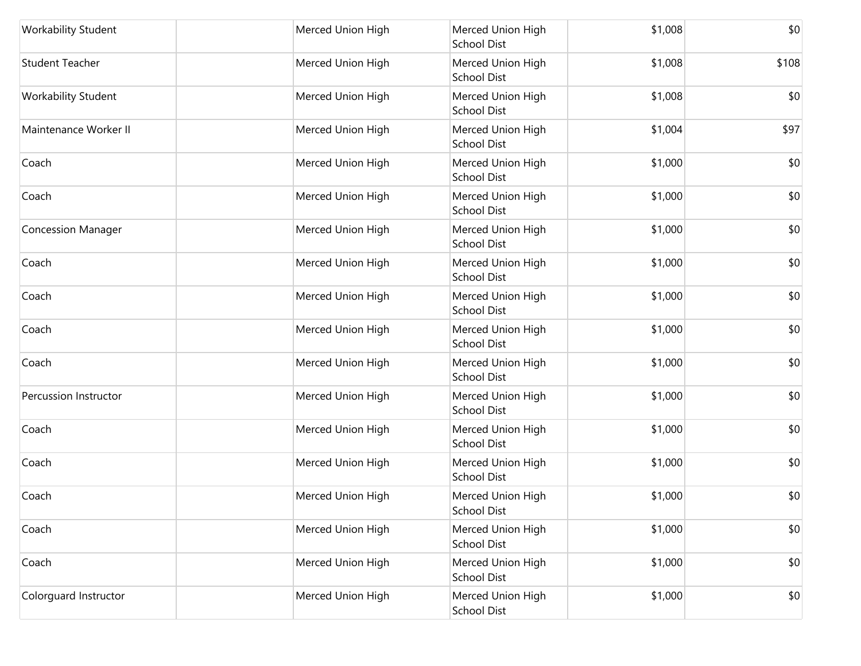| <b>Workability Student</b> | Merced Union High | Merced Union High<br><b>School Dist</b> | \$1,008 | \$0   |
|----------------------------|-------------------|-----------------------------------------|---------|-------|
| <b>Student Teacher</b>     | Merced Union High | Merced Union High<br><b>School Dist</b> | \$1,008 | \$108 |
| Workability Student        | Merced Union High | Merced Union High<br><b>School Dist</b> | \$1,008 | \$0   |
| Maintenance Worker II      | Merced Union High | Merced Union High<br><b>School Dist</b> | \$1,004 | \$97  |
| Coach                      | Merced Union High | Merced Union High<br><b>School Dist</b> | \$1,000 | \$0   |
| Coach                      | Merced Union High | Merced Union High<br><b>School Dist</b> | \$1,000 | \$0   |
| <b>Concession Manager</b>  | Merced Union High | Merced Union High<br><b>School Dist</b> | \$1,000 | \$0   |
| Coach                      | Merced Union High | Merced Union High<br><b>School Dist</b> | \$1,000 | \$0   |
| Coach                      | Merced Union High | Merced Union High<br>School Dist        | \$1,000 | \$0   |
| Coach                      | Merced Union High | Merced Union High<br><b>School Dist</b> | \$1,000 | \$0   |
| Coach                      | Merced Union High | Merced Union High<br><b>School Dist</b> | \$1,000 | \$0   |
| Percussion Instructor      | Merced Union High | Merced Union High<br><b>School Dist</b> | \$1,000 | \$0   |
| Coach                      | Merced Union High | Merced Union High<br><b>School Dist</b> | \$1,000 | \$0   |
| Coach                      | Merced Union High | Merced Union High<br><b>School Dist</b> | \$1,000 | \$0   |
| Coach                      | Merced Union High | Merced Union High<br><b>School Dist</b> | \$1,000 | \$0   |
| Coach                      | Merced Union High | Merced Union High<br><b>School Dist</b> | \$1,000 | \$0   |
| Coach                      | Merced Union High | Merced Union High<br><b>School Dist</b> | \$1,000 | \$0   |
| Colorguard Instructor      | Merced Union High | Merced Union High<br><b>School Dist</b> | \$1,000 | \$0   |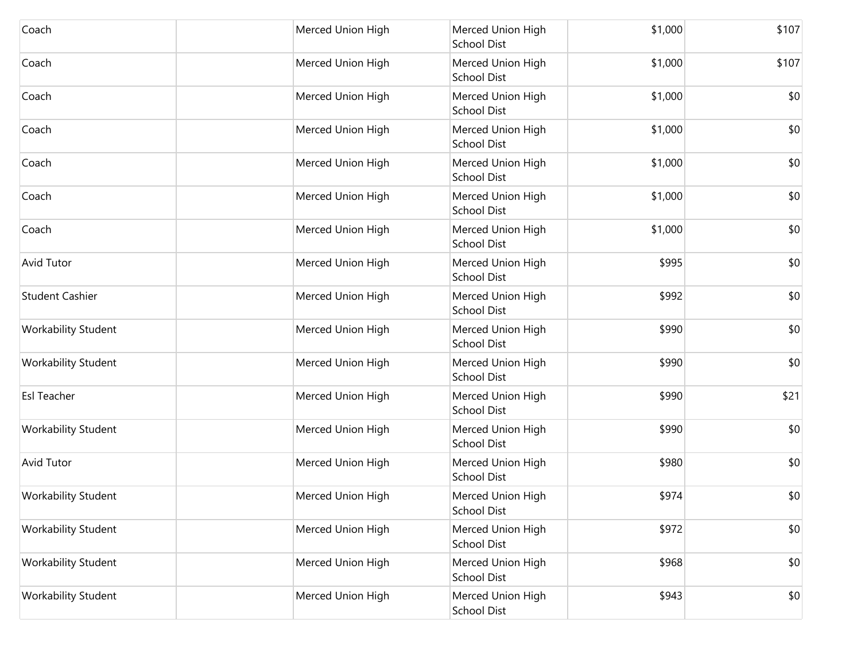| Coach                      | Merced Union High | Merced Union High                       | \$1,000 | \$107 |
|----------------------------|-------------------|-----------------------------------------|---------|-------|
|                            |                   | <b>School Dist</b>                      |         |       |
| Coach                      | Merced Union High | Merced Union High<br><b>School Dist</b> | \$1,000 | \$107 |
| Coach                      | Merced Union High | Merced Union High<br><b>School Dist</b> | \$1,000 | \$0   |
| Coach                      | Merced Union High | Merced Union High<br><b>School Dist</b> | \$1,000 | \$0   |
| Coach                      | Merced Union High | Merced Union High<br><b>School Dist</b> | \$1,000 | \$0   |
| Coach                      | Merced Union High | Merced Union High<br><b>School Dist</b> | \$1,000 | \$0   |
| Coach                      | Merced Union High | Merced Union High<br><b>School Dist</b> | \$1,000 | \$0   |
| <b>Avid Tutor</b>          | Merced Union High | Merced Union High<br><b>School Dist</b> | \$995   | \$0   |
| <b>Student Cashier</b>     | Merced Union High | Merced Union High<br><b>School Dist</b> | \$992   | \$0   |
| <b>Workability Student</b> | Merced Union High | Merced Union High<br><b>School Dist</b> | \$990   | \$0   |
| <b>Workability Student</b> | Merced Union High | Merced Union High<br><b>School Dist</b> | \$990   | \$0   |
| <b>Esl Teacher</b>         | Merced Union High | Merced Union High<br><b>School Dist</b> | \$990   | \$21  |
| <b>Workability Student</b> | Merced Union High | Merced Union High<br><b>School Dist</b> | \$990   | \$0   |
| <b>Avid Tutor</b>          | Merced Union High | Merced Union High<br><b>School Dist</b> | \$980   | \$0   |
| Workability Student        | Merced Union High | Merced Union High<br><b>School Dist</b> | \$974   | \$0   |
| <b>Workability Student</b> | Merced Union High | Merced Union High<br><b>School Dist</b> | \$972   | \$0   |
| Workability Student        | Merced Union High | Merced Union High<br><b>School Dist</b> | \$968   | \$0   |
| <b>Workability Student</b> | Merced Union High | Merced Union High<br><b>School Dist</b> | \$943   | \$0   |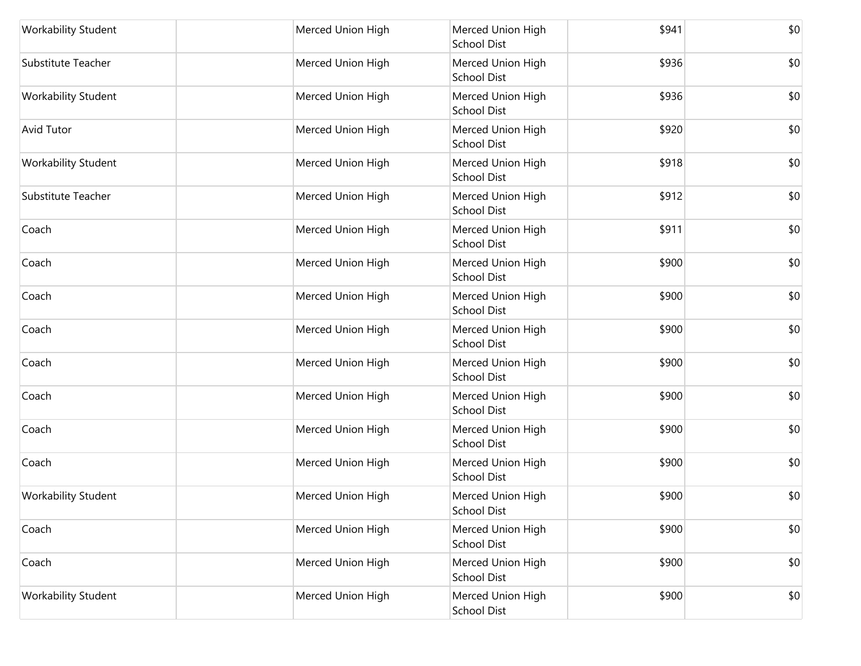| Workability Student        | Merced Union High | Merced Union High<br><b>School Dist</b> | \$941 | \$0 |
|----------------------------|-------------------|-----------------------------------------|-------|-----|
| Substitute Teacher         | Merced Union High | Merced Union High<br><b>School Dist</b> | \$936 | \$0 |
| Workability Student        | Merced Union High | Merced Union High<br><b>School Dist</b> | \$936 | \$0 |
| <b>Avid Tutor</b>          | Merced Union High | Merced Union High<br><b>School Dist</b> | \$920 | \$0 |
| Workability Student        | Merced Union High | Merced Union High<br>School Dist        | \$918 | \$0 |
| Substitute Teacher         | Merced Union High | Merced Union High<br><b>School Dist</b> | \$912 | \$0 |
| Coach                      | Merced Union High | Merced Union High<br><b>School Dist</b> | \$911 | \$0 |
| Coach                      | Merced Union High | Merced Union High<br><b>School Dist</b> | \$900 | \$0 |
| Coach                      | Merced Union High | Merced Union High<br><b>School Dist</b> | \$900 | \$0 |
| Coach                      | Merced Union High | Merced Union High<br><b>School Dist</b> | \$900 | \$0 |
| Coach                      | Merced Union High | Merced Union High<br><b>School Dist</b> | \$900 | \$0 |
| Coach                      | Merced Union High | Merced Union High<br><b>School Dist</b> | \$900 | \$0 |
| Coach                      | Merced Union High | Merced Union High<br><b>School Dist</b> | \$900 | \$0 |
| Coach                      | Merced Union High | Merced Union High<br><b>School Dist</b> | \$900 | \$0 |
| Workability Student        | Merced Union High | Merced Union High<br><b>School Dist</b> | \$900 | \$0 |
| Coach                      | Merced Union High | Merced Union High<br><b>School Dist</b> | \$900 | \$0 |
| Coach                      | Merced Union High | Merced Union High<br><b>School Dist</b> | \$900 | \$0 |
| <b>Workability Student</b> | Merced Union High | Merced Union High<br>School Dist        | \$900 | \$0 |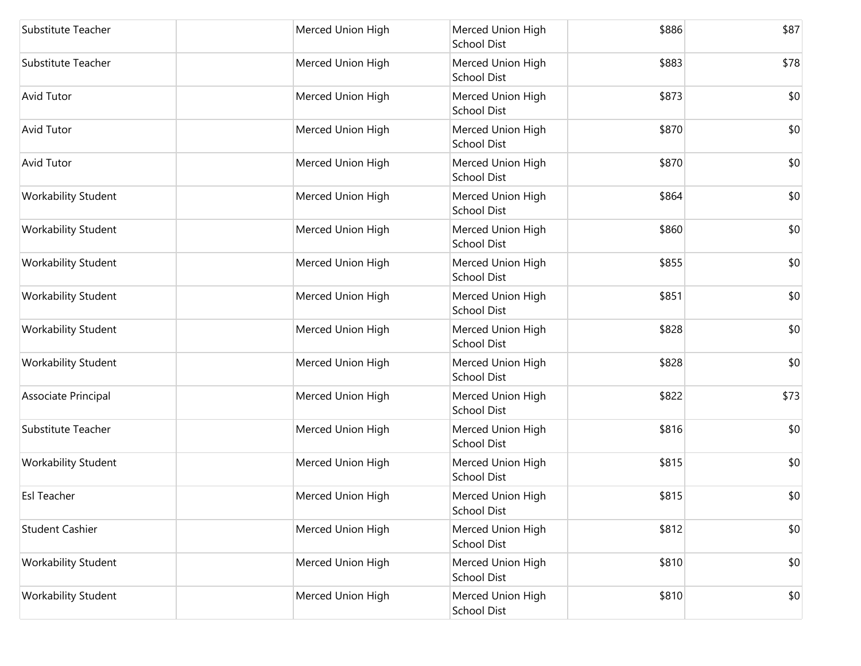| Substitute Teacher         | Merced Union High | Merced Union High<br><b>School Dist</b> | \$886 | \$87 |
|----------------------------|-------------------|-----------------------------------------|-------|------|
| Substitute Teacher         | Merced Union High | Merced Union High<br><b>School Dist</b> | \$883 | \$78 |
| <b>Avid Tutor</b>          | Merced Union High | Merced Union High<br>School Dist        | \$873 | \$0  |
| <b>Avid Tutor</b>          | Merced Union High | Merced Union High<br><b>School Dist</b> | \$870 | \$0  |
| <b>Avid Tutor</b>          | Merced Union High | Merced Union High<br>School Dist        | \$870 | \$0  |
| <b>Workability Student</b> | Merced Union High | Merced Union High<br><b>School Dist</b> | \$864 | \$0  |
| Workability Student        | Merced Union High | Merced Union High<br><b>School Dist</b> | \$860 | \$0  |
| <b>Workability Student</b> | Merced Union High | Merced Union High<br>School Dist        | \$855 | \$0  |
| <b>Workability Student</b> | Merced Union High | Merced Union High<br><b>School Dist</b> | \$851 | \$0  |
| <b>Workability Student</b> | Merced Union High | Merced Union High<br>School Dist        | \$828 | \$0  |
| <b>Workability Student</b> | Merced Union High | Merced Union High<br><b>School Dist</b> | \$828 | \$0  |
| Associate Principal        | Merced Union High | Merced Union High<br><b>School Dist</b> | \$822 | \$73 |
| Substitute Teacher         | Merced Union High | Merced Union High<br><b>School Dist</b> | \$816 | \$0  |
| <b>Workability Student</b> | Merced Union High | Merced Union High<br>School Dist        | \$815 | \$0  |
| <b>Esl Teacher</b>         | Merced Union High | Merced Union High<br><b>School Dist</b> | \$815 | \$0  |
| <b>Student Cashier</b>     | Merced Union High | Merced Union High<br>School Dist        | \$812 | \$0  |
| Workability Student        | Merced Union High | Merced Union High<br><b>School Dist</b> | \$810 | \$0  |
| <b>Workability Student</b> | Merced Union High | Merced Union High<br>School Dist        | \$810 | \$0  |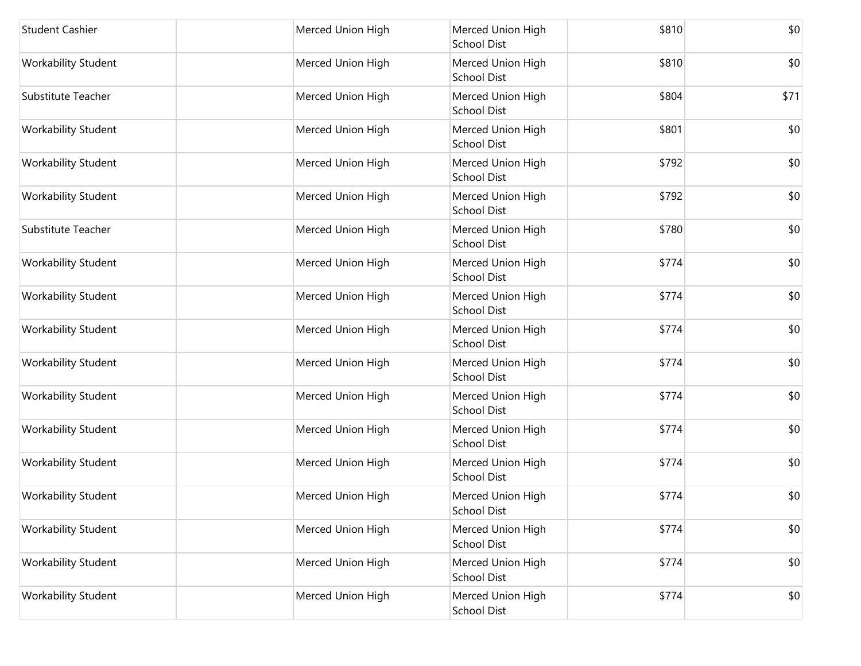| <b>Student Cashier</b>     | Merced Union High | Merced Union High<br><b>School Dist</b> | \$810 | \$0  |
|----------------------------|-------------------|-----------------------------------------|-------|------|
| Workability Student        | Merced Union High | Merced Union High<br><b>School Dist</b> | \$810 | \$0  |
| Substitute Teacher         | Merced Union High | Merced Union High<br><b>School Dist</b> | \$804 | \$71 |
| <b>Workability Student</b> | Merced Union High | Merced Union High<br>School Dist        | \$801 | \$0  |
| Workability Student        | Merced Union High | Merced Union High<br>School Dist        | \$792 | \$0  |
| <b>Workability Student</b> | Merced Union High | Merced Union High<br>School Dist        | \$792 | \$0  |
| Substitute Teacher         | Merced Union High | Merced Union High<br><b>School Dist</b> | \$780 | \$0  |
| <b>Workability Student</b> | Merced Union High | Merced Union High<br>School Dist        | \$774 | \$0  |
| <b>Workability Student</b> | Merced Union High | Merced Union High<br><b>School Dist</b> | \$774 | \$0  |
| Workability Student        | Merced Union High | Merced Union High<br>School Dist        | \$774 | \$0  |
| <b>Workability Student</b> | Merced Union High | Merced Union High<br><b>School Dist</b> | \$774 | \$0  |
| Workability Student        | Merced Union High | Merced Union High<br><b>School Dist</b> | \$774 | \$0  |
| Workability Student        | Merced Union High | Merced Union High<br><b>School Dist</b> | \$774 | \$0  |
| Workability Student        | Merced Union High | Merced Union High<br>School Dist        | \$774 | \$0  |
| Workability Student        | Merced Union High | Merced Union High<br>School Dist        | \$774 | \$0  |
| Workability Student        | Merced Union High | Merced Union High<br><b>School Dist</b> | \$774 | \$0  |
| Workability Student        | Merced Union High | Merced Union High<br><b>School Dist</b> | \$774 | \$0  |
| Workability Student        | Merced Union High | Merced Union High<br>School Dist        | \$774 | \$0  |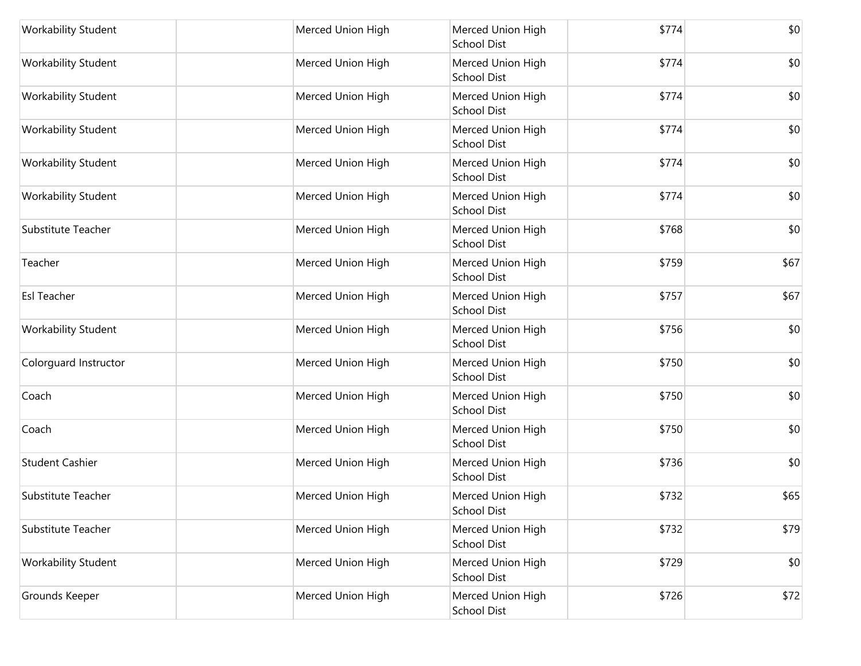| <b>Workability Student</b> | Merced Union High | Merced Union High<br><b>School Dist</b> | \$774 | \$0  |
|----------------------------|-------------------|-----------------------------------------|-------|------|
| <b>Workability Student</b> | Merced Union High | Merced Union High<br><b>School Dist</b> | \$774 | \$0  |
| <b>Workability Student</b> | Merced Union High | Merced Union High<br>School Dist        | \$774 | \$0  |
| <b>Workability Student</b> | Merced Union High | Merced Union High<br><b>School Dist</b> | \$774 | \$0  |
| <b>Workability Student</b> | Merced Union High | Merced Union High<br>School Dist        | \$774 | \$0  |
| <b>Workability Student</b> | Merced Union High | Merced Union High<br><b>School Dist</b> | \$774 | \$0  |
| Substitute Teacher         | Merced Union High | Merced Union High<br><b>School Dist</b> | \$768 | \$0  |
| Teacher                    | Merced Union High | Merced Union High<br>School Dist        | \$759 | \$67 |
| Esl Teacher                | Merced Union High | Merced Union High<br><b>School Dist</b> | \$757 | \$67 |
| <b>Workability Student</b> | Merced Union High | Merced Union High<br>School Dist        | \$756 | \$0  |
| Colorguard Instructor      | Merced Union High | Merced Union High<br><b>School Dist</b> | \$750 | \$0  |
| Coach                      | Merced Union High | Merced Union High<br><b>School Dist</b> | \$750 | \$0  |
| Coach                      | Merced Union High | Merced Union High<br><b>School Dist</b> | \$750 | \$0  |
| <b>Student Cashier</b>     | Merced Union High | Merced Union High<br>School Dist        | \$736 | \$0  |
| Substitute Teacher         | Merced Union High | Merced Union High<br>School Dist        | \$732 | \$65 |
| Substitute Teacher         | Merced Union High | Merced Union High<br>School Dist        | \$732 | \$79 |
| Workability Student        | Merced Union High | Merced Union High<br>School Dist        | \$729 | \$0  |
| Grounds Keeper             | Merced Union High | Merced Union High<br>School Dist        | \$726 | \$72 |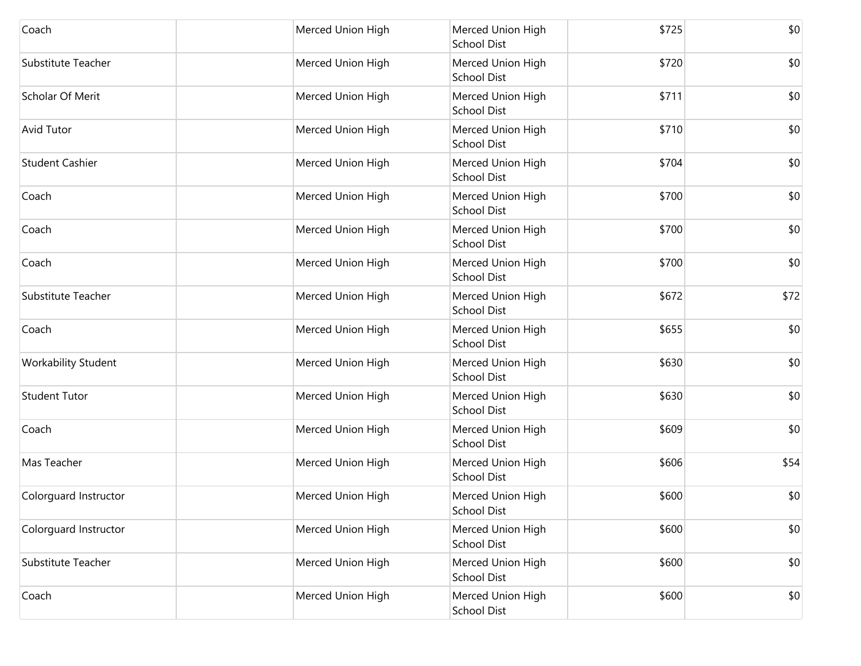| Coach                  | Merced Union High | Merced Union High<br><b>School Dist</b> | \$725 | \$0  |
|------------------------|-------------------|-----------------------------------------|-------|------|
| Substitute Teacher     | Merced Union High | Merced Union High<br><b>School Dist</b> | \$720 | \$0  |
| Scholar Of Merit       | Merced Union High | Merced Union High<br><b>School Dist</b> | \$711 | \$0  |
| <b>Avid Tutor</b>      | Merced Union High | Merced Union High<br><b>School Dist</b> | \$710 | \$0  |
| <b>Student Cashier</b> | Merced Union High | Merced Union High<br><b>School Dist</b> | \$704 | \$0  |
| Coach                  | Merced Union High | Merced Union High<br><b>School Dist</b> | \$700 | \$0  |
| Coach                  | Merced Union High | Merced Union High<br><b>School Dist</b> | \$700 | \$0  |
| Coach                  | Merced Union High | Merced Union High<br><b>School Dist</b> | \$700 | \$0  |
| Substitute Teacher     | Merced Union High | Merced Union High<br><b>School Dist</b> | \$672 | \$72 |
| Coach                  | Merced Union High | Merced Union High<br><b>School Dist</b> | \$655 | \$0  |
| Workability Student    | Merced Union High | Merced Union High<br><b>School Dist</b> | \$630 | \$0  |
| <b>Student Tutor</b>   | Merced Union High | Merced Union High<br><b>School Dist</b> | \$630 | \$0  |
| Coach                  | Merced Union High | Merced Union High<br><b>School Dist</b> | \$609 | \$0  |
| Mas Teacher            | Merced Union High | Merced Union High<br><b>School Dist</b> | \$606 | \$54 |
| Colorguard Instructor  | Merced Union High | Merced Union High<br><b>School Dist</b> | \$600 | \$0  |
| Colorguard Instructor  | Merced Union High | Merced Union High<br><b>School Dist</b> | \$600 | \$0  |
| Substitute Teacher     | Merced Union High | Merced Union High<br><b>School Dist</b> | \$600 | \$0  |
| Coach                  | Merced Union High | Merced Union High<br><b>School Dist</b> | \$600 | \$0  |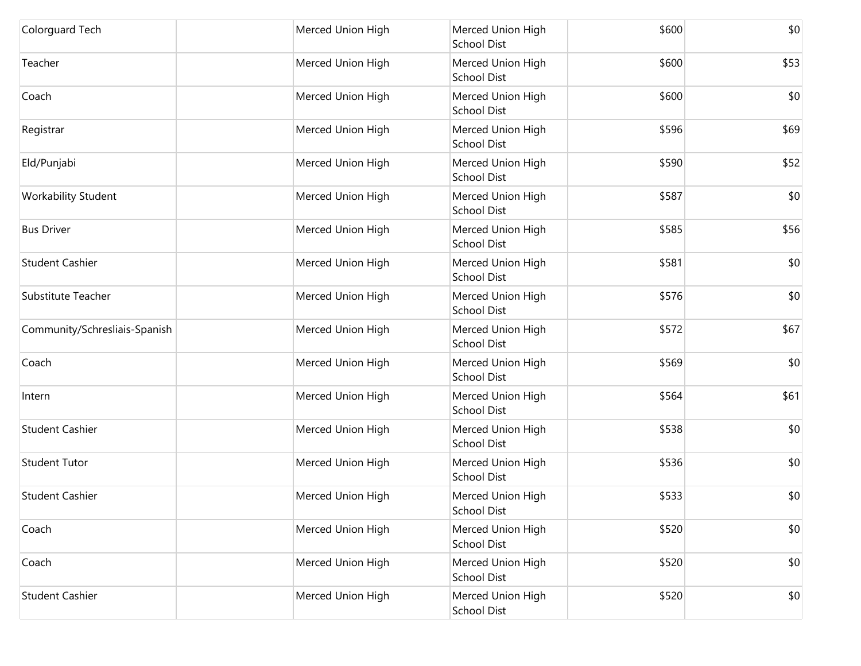| Colorguard Tech               | Merced Union High | Merced Union High<br><b>School Dist</b> | \$600 | \$0  |
|-------------------------------|-------------------|-----------------------------------------|-------|------|
| Teacher                       | Merced Union High | Merced Union High<br><b>School Dist</b> | \$600 | \$53 |
| Coach                         | Merced Union High | Merced Union High<br><b>School Dist</b> | \$600 | \$0  |
| Registrar                     | Merced Union High | Merced Union High<br><b>School Dist</b> | \$596 | \$69 |
| Eld/Punjabi                   | Merced Union High | Merced Union High<br><b>School Dist</b> | \$590 | \$52 |
| <b>Workability Student</b>    | Merced Union High | Merced Union High<br><b>School Dist</b> | \$587 | \$0  |
| <b>Bus Driver</b>             | Merced Union High | Merced Union High<br><b>School Dist</b> | \$585 | \$56 |
| <b>Student Cashier</b>        | Merced Union High | Merced Union High<br><b>School Dist</b> | \$581 | \$0  |
| Substitute Teacher            | Merced Union High | Merced Union High<br><b>School Dist</b> | \$576 | \$0  |
| Community/Schresliais-Spanish | Merced Union High | Merced Union High<br><b>School Dist</b> | \$572 | \$67 |
| Coach                         | Merced Union High | Merced Union High<br><b>School Dist</b> | \$569 | \$0  |
| Intern                        | Merced Union High | Merced Union High<br><b>School Dist</b> | \$564 | \$61 |
| <b>Student Cashier</b>        | Merced Union High | Merced Union High<br><b>School Dist</b> | \$538 | \$0  |
| <b>Student Tutor</b>          | Merced Union High | Merced Union High<br><b>School Dist</b> | \$536 | \$0  |
| <b>Student Cashier</b>        | Merced Union High | Merced Union High<br><b>School Dist</b> | \$533 | \$0  |
| Coach                         | Merced Union High | Merced Union High<br><b>School Dist</b> | \$520 | \$0  |
| Coach                         | Merced Union High | Merced Union High<br><b>School Dist</b> | \$520 | \$0  |
| <b>Student Cashier</b>        | Merced Union High | Merced Union High<br><b>School Dist</b> | \$520 | \$0  |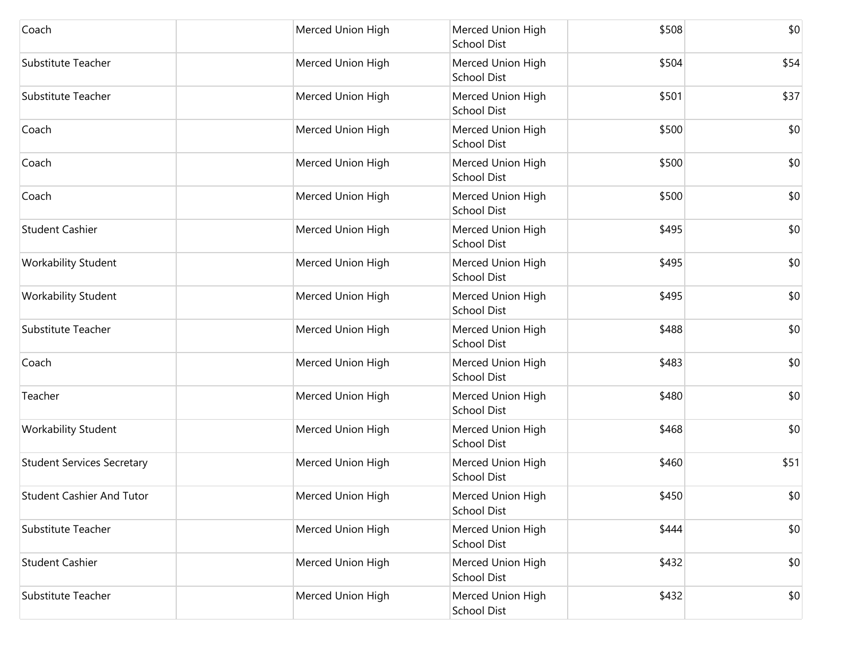| Coach                             | Merced Union High | Merced Union High<br><b>School Dist</b> | \$508 | \$0  |
|-----------------------------------|-------------------|-----------------------------------------|-------|------|
| Substitute Teacher                | Merced Union High | Merced Union High<br><b>School Dist</b> | \$504 | \$54 |
| Substitute Teacher                | Merced Union High | Merced Union High<br><b>School Dist</b> | \$501 | \$37 |
| Coach                             | Merced Union High | Merced Union High<br><b>School Dist</b> | \$500 | \$0  |
| Coach                             | Merced Union High | Merced Union High<br><b>School Dist</b> | \$500 | \$0  |
| Coach                             | Merced Union High | Merced Union High<br><b>School Dist</b> | \$500 | \$0  |
| <b>Student Cashier</b>            | Merced Union High | Merced Union High<br><b>School Dist</b> | \$495 | \$0  |
| <b>Workability Student</b>        | Merced Union High | Merced Union High<br><b>School Dist</b> | \$495 | \$0  |
| Workability Student               | Merced Union High | Merced Union High<br><b>School Dist</b> | \$495 | \$0  |
| Substitute Teacher                | Merced Union High | Merced Union High<br><b>School Dist</b> | \$488 | \$0  |
| Coach                             | Merced Union High | Merced Union High<br><b>School Dist</b> | \$483 | \$0  |
| Teacher                           | Merced Union High | Merced Union High<br><b>School Dist</b> | \$480 | \$0  |
| Workability Student               | Merced Union High | Merced Union High<br>School Dist        | \$468 | \$0  |
| <b>Student Services Secretary</b> | Merced Union High | Merced Union High<br><b>School Dist</b> | \$460 | \$51 |
| <b>Student Cashier And Tutor</b>  | Merced Union High | Merced Union High<br><b>School Dist</b> | \$450 | \$0  |
| Substitute Teacher                | Merced Union High | Merced Union High<br><b>School Dist</b> | \$444 | \$0  |
| <b>Student Cashier</b>            | Merced Union High | Merced Union High<br><b>School Dist</b> | \$432 | \$0  |
| Substitute Teacher                | Merced Union High | Merced Union High<br>School Dist        | \$432 | \$0  |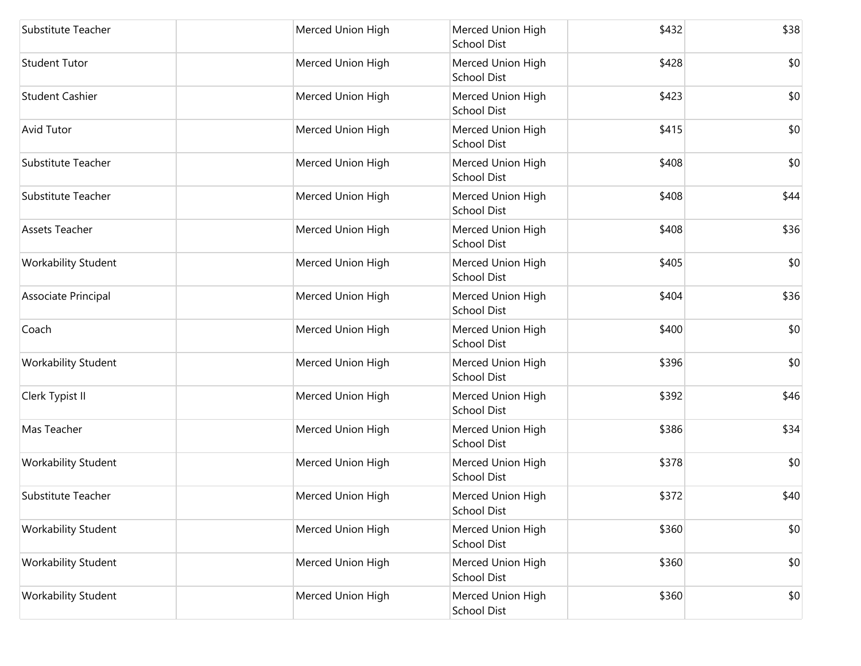| Substitute Teacher         | Merced Union High | Merced Union High<br><b>School Dist</b> | \$432 | \$38 |
|----------------------------|-------------------|-----------------------------------------|-------|------|
| <b>Student Tutor</b>       | Merced Union High | Merced Union High<br><b>School Dist</b> | \$428 | \$0  |
| <b>Student Cashier</b>     | Merced Union High | Merced Union High<br><b>School Dist</b> | \$423 | \$0  |
| <b>Avid Tutor</b>          | Merced Union High | Merced Union High<br><b>School Dist</b> | \$415 | \$0  |
| Substitute Teacher         | Merced Union High | Merced Union High<br><b>School Dist</b> | \$408 | \$0  |
| Substitute Teacher         | Merced Union High | Merced Union High<br><b>School Dist</b> | \$408 | \$44 |
| <b>Assets Teacher</b>      | Merced Union High | Merced Union High<br><b>School Dist</b> | \$408 | \$36 |
| <b>Workability Student</b> | Merced Union High | Merced Union High<br><b>School Dist</b> | \$405 | \$0  |
| Associate Principal        | Merced Union High | Merced Union High<br>School Dist        | \$404 | \$36 |
| Coach                      | Merced Union High | Merced Union High<br><b>School Dist</b> | \$400 | \$0  |
| Workability Student        | Merced Union High | Merced Union High<br><b>School Dist</b> | \$396 | \$0  |
| Clerk Typist II            | Merced Union High | Merced Union High<br><b>School Dist</b> | \$392 | \$46 |
| Mas Teacher                | Merced Union High | Merced Union High<br><b>School Dist</b> | \$386 | \$34 |
| Workability Student        | Merced Union High | Merced Union High<br><b>School Dist</b> | \$378 | \$0  |
| Substitute Teacher         | Merced Union High | Merced Union High<br><b>School Dist</b> | \$372 | \$40 |
| <b>Workability Student</b> | Merced Union High | Merced Union High<br><b>School Dist</b> | \$360 | \$0  |
| <b>Workability Student</b> | Merced Union High | Merced Union High<br>School Dist        | \$360 | \$0  |
| Workability Student        | Merced Union High | Merced Union High<br>School Dist        | \$360 | \$0  |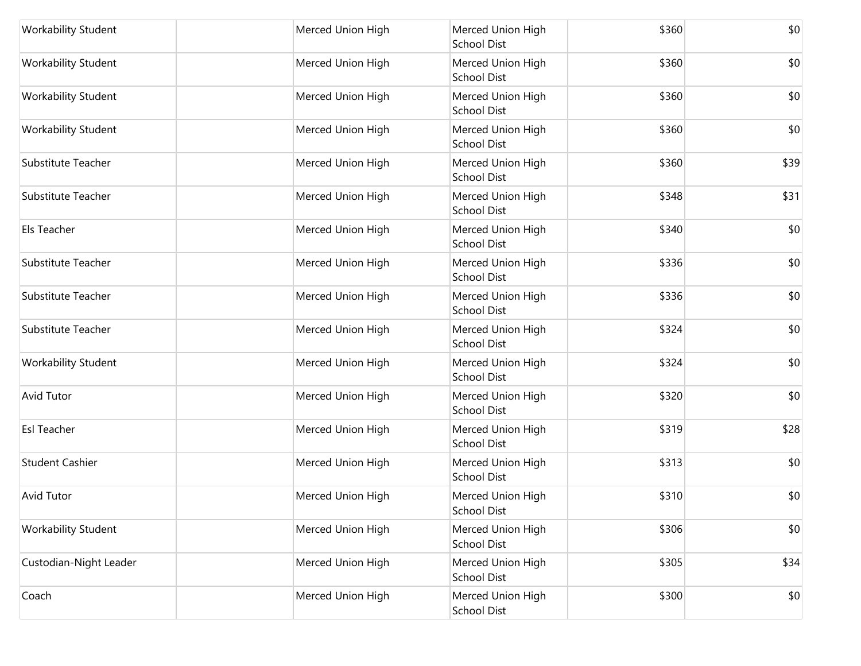| <b>Workability Student</b> | Merced Union High | Merced Union High<br><b>School Dist</b> | \$360 | \$0  |
|----------------------------|-------------------|-----------------------------------------|-------|------|
| Workability Student        | Merced Union High | Merced Union High<br><b>School Dist</b> | \$360 | \$0  |
| Workability Student        | Merced Union High | Merced Union High<br><b>School Dist</b> | \$360 | \$0  |
| <b>Workability Student</b> | Merced Union High | Merced Union High<br><b>School Dist</b> | \$360 | \$0  |
| Substitute Teacher         | Merced Union High | Merced Union High<br><b>School Dist</b> | \$360 | \$39 |
| Substitute Teacher         | Merced Union High | Merced Union High<br><b>School Dist</b> | \$348 | \$31 |
| Els Teacher                | Merced Union High | Merced Union High<br><b>School Dist</b> | \$340 | \$0  |
| Substitute Teacher         | Merced Union High | Merced Union High<br><b>School Dist</b> | \$336 | \$0  |
| Substitute Teacher         | Merced Union High | Merced Union High<br>School Dist        | \$336 | \$0  |
| Substitute Teacher         | Merced Union High | Merced Union High<br><b>School Dist</b> | \$324 | \$0  |
| <b>Workability Student</b> | Merced Union High | Merced Union High<br><b>School Dist</b> | \$324 | \$0  |
| <b>Avid Tutor</b>          | Merced Union High | Merced Union High<br><b>School Dist</b> | \$320 | \$0  |
| <b>Esl Teacher</b>         | Merced Union High | Merced Union High<br><b>School Dist</b> | \$319 | \$28 |
| <b>Student Cashier</b>     | Merced Union High | Merced Union High<br><b>School Dist</b> | \$313 | \$0  |
| <b>Avid Tutor</b>          | Merced Union High | Merced Union High<br><b>School Dist</b> | \$310 | \$0  |
| <b>Workability Student</b> | Merced Union High | Merced Union High<br><b>School Dist</b> | \$306 | \$0  |
| Custodian-Night Leader     | Merced Union High | Merced Union High<br><b>School Dist</b> | \$305 | \$34 |
| Coach                      | Merced Union High | Merced Union High<br>School Dist        | \$300 | \$0  |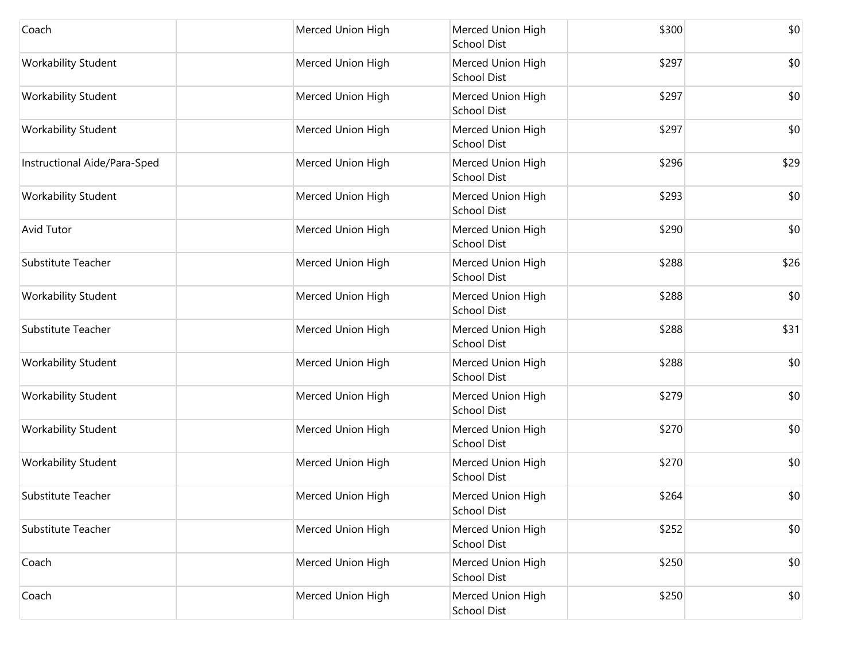| Coach                        | Merced Union High | Merced Union High<br><b>School Dist</b> | \$300 | \$0  |
|------------------------------|-------------------|-----------------------------------------|-------|------|
| Workability Student          | Merced Union High | Merced Union High<br><b>School Dist</b> | \$297 | \$0  |
| Workability Student          | Merced Union High | Merced Union High<br><b>School Dist</b> | \$297 | \$0  |
| Workability Student          | Merced Union High | Merced Union High<br><b>School Dist</b> | \$297 | \$0  |
| Instructional Aide/Para-Sped | Merced Union High | Merced Union High<br><b>School Dist</b> | \$296 | \$29 |
| Workability Student          | Merced Union High | Merced Union High<br><b>School Dist</b> | \$293 | \$0  |
| <b>Avid Tutor</b>            | Merced Union High | Merced Union High<br><b>School Dist</b> | \$290 | \$0  |
| Substitute Teacher           | Merced Union High | Merced Union High<br><b>School Dist</b> | \$288 | \$26 |
| <b>Workability Student</b>   | Merced Union High | Merced Union High<br><b>School Dist</b> | \$288 | \$0  |
| Substitute Teacher           | Merced Union High | Merced Union High<br><b>School Dist</b> | \$288 | \$31 |
| Workability Student          | Merced Union High | Merced Union High<br><b>School Dist</b> | \$288 | \$0  |
| Workability Student          | Merced Union High | Merced Union High<br><b>School Dist</b> | \$279 | \$0  |
| Workability Student          | Merced Union High | Merced Union High<br><b>School Dist</b> | \$270 | \$0  |
| <b>Workability Student</b>   | Merced Union High | Merced Union High<br><b>School Dist</b> | \$270 | \$0  |
| Substitute Teacher           | Merced Union High | Merced Union High<br><b>School Dist</b> | \$264 | \$0  |
| Substitute Teacher           | Merced Union High | Merced Union High<br><b>School Dist</b> | \$252 | \$0  |
| Coach                        | Merced Union High | Merced Union High<br><b>School Dist</b> | \$250 | \$0  |
| Coach                        | Merced Union High | Merced Union High<br>School Dist        | \$250 | \$0  |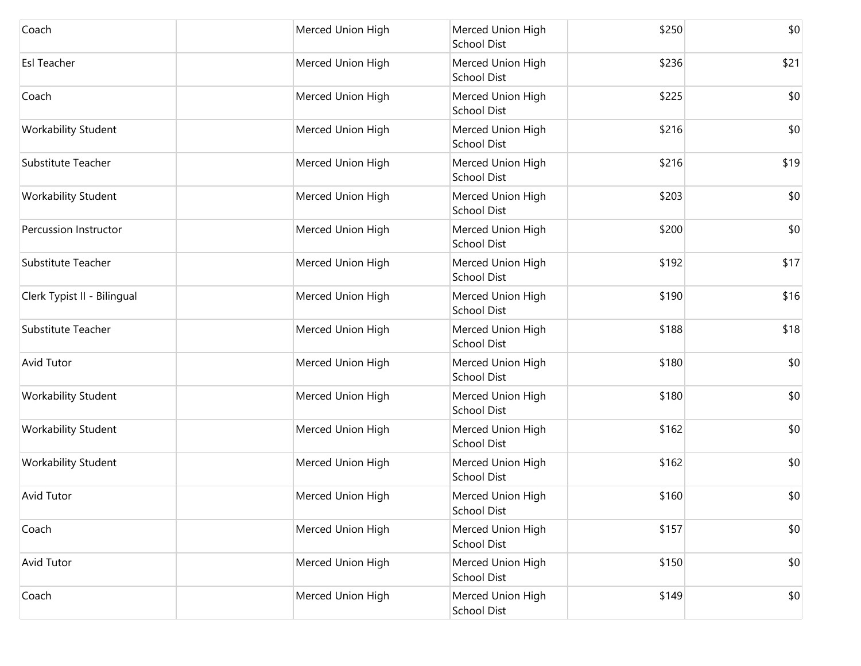| Coach                       | Merced Union High | Merced Union High<br>School Dist        | \$250 | \$0  |
|-----------------------------|-------------------|-----------------------------------------|-------|------|
| <b>Esl Teacher</b>          | Merced Union High | Merced Union High<br><b>School Dist</b> | \$236 | \$21 |
| Coach                       | Merced Union High | Merced Union High<br>School Dist        | \$225 | \$0  |
| Workability Student         | Merced Union High | Merced Union High<br>School Dist        | \$216 | \$0  |
| Substitute Teacher          | Merced Union High | Merced Union High<br>School Dist        | \$216 | \$19 |
| Workability Student         | Merced Union High | Merced Union High<br>School Dist        | \$203 | \$0  |
| Percussion Instructor       | Merced Union High | Merced Union High<br><b>School Dist</b> | \$200 | \$0  |
| Substitute Teacher          | Merced Union High | Merced Union High<br>School Dist        | \$192 | \$17 |
| Clerk Typist II - Bilingual | Merced Union High | Merced Union High<br><b>School Dist</b> | \$190 | \$16 |
| Substitute Teacher          | Merced Union High | Merced Union High<br>School Dist        | \$188 | \$18 |
| <b>Avid Tutor</b>           | Merced Union High | Merced Union High<br><b>School Dist</b> | \$180 | \$0  |
| Workability Student         | Merced Union High | Merced Union High<br>School Dist        | \$180 | \$0  |
| Workability Student         | Merced Union High | Merced Union High<br><b>School Dist</b> | \$162 | \$0  |
| Workability Student         | Merced Union High | Merced Union High<br>School Dist        | \$162 | \$0  |
| Avid Tutor                  | Merced Union High | Merced Union High<br><b>School Dist</b> | \$160 | \$0  |
| Coach                       | Merced Union High | Merced Union High<br><b>School Dist</b> | \$157 | \$0  |
| Avid Tutor                  | Merced Union High | Merced Union High<br><b>School Dist</b> | \$150 | \$0  |
| Coach                       | Merced Union High | Merced Union High<br>School Dist        | \$149 | \$0  |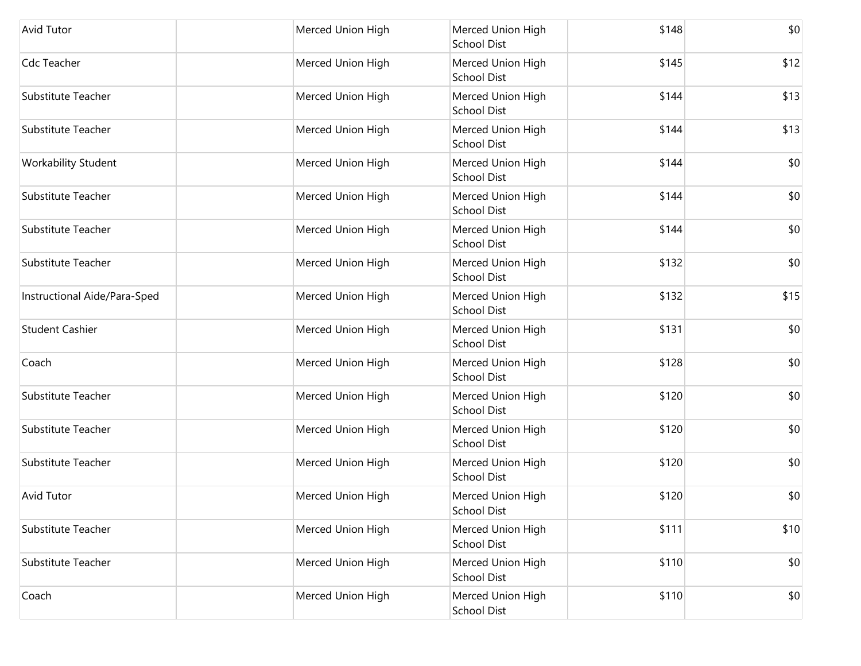| <b>Avid Tutor</b>            | Merced Union High | Merced Union High<br><b>School Dist</b> | \$148 | \$0  |
|------------------------------|-------------------|-----------------------------------------|-------|------|
| Cdc Teacher                  | Merced Union High | Merced Union High<br><b>School Dist</b> | \$145 | \$12 |
| Substitute Teacher           | Merced Union High | Merced Union High<br><b>School Dist</b> | \$144 | \$13 |
| Substitute Teacher           | Merced Union High | Merced Union High<br><b>School Dist</b> | \$144 | \$13 |
| Workability Student          | Merced Union High | Merced Union High<br><b>School Dist</b> | \$144 | \$0  |
| Substitute Teacher           | Merced Union High | Merced Union High<br><b>School Dist</b> | \$144 | \$0  |
| Substitute Teacher           | Merced Union High | Merced Union High<br><b>School Dist</b> | \$144 | \$0  |
| Substitute Teacher           | Merced Union High | Merced Union High<br><b>School Dist</b> | \$132 | \$0  |
| Instructional Aide/Para-Sped | Merced Union High | Merced Union High<br><b>School Dist</b> | \$132 | \$15 |
| <b>Student Cashier</b>       | Merced Union High | Merced Union High<br><b>School Dist</b> | \$131 | \$0  |
| Coach                        | Merced Union High | Merced Union High<br><b>School Dist</b> | \$128 | \$0  |
| Substitute Teacher           | Merced Union High | Merced Union High<br><b>School Dist</b> | \$120 | \$0  |
| Substitute Teacher           | Merced Union High | Merced Union High<br><b>School Dist</b> | \$120 | \$0  |
| Substitute Teacher           | Merced Union High | Merced Union High<br><b>School Dist</b> | \$120 | \$0  |
| <b>Avid Tutor</b>            | Merced Union High | Merced Union High<br><b>School Dist</b> | \$120 | \$0  |
| Substitute Teacher           | Merced Union High | Merced Union High<br><b>School Dist</b> | \$111 | \$10 |
| Substitute Teacher           | Merced Union High | Merced Union High<br><b>School Dist</b> | \$110 | \$0  |
| Coach                        | Merced Union High | Merced Union High<br>School Dist        | \$110 | \$0  |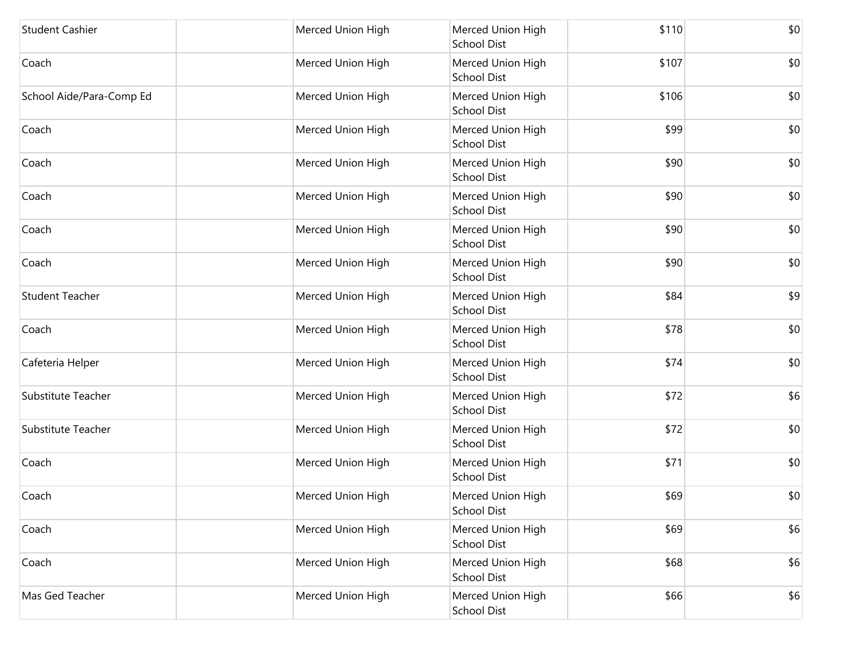| <b>Student Cashier</b>   | Merced Union High | Merced Union High<br><b>School Dist</b> | \$110 | \$0 |
|--------------------------|-------------------|-----------------------------------------|-------|-----|
| Coach                    | Merced Union High | Merced Union High<br><b>School Dist</b> | \$107 | \$0 |
| School Aide/Para-Comp Ed | Merced Union High | Merced Union High<br><b>School Dist</b> | \$106 | \$0 |
| Coach                    | Merced Union High | Merced Union High<br><b>School Dist</b> | \$99  | \$0 |
| Coach                    | Merced Union High | Merced Union High<br><b>School Dist</b> | \$90  | \$0 |
| Coach                    | Merced Union High | Merced Union High<br><b>School Dist</b> | \$90  | \$0 |
| Coach                    | Merced Union High | Merced Union High<br><b>School Dist</b> | \$90  | \$0 |
| Coach                    | Merced Union High | Merced Union High<br><b>School Dist</b> | \$90  | \$0 |
| <b>Student Teacher</b>   | Merced Union High | Merced Union High<br><b>School Dist</b> | \$84  | \$9 |
| Coach                    | Merced Union High | Merced Union High<br><b>School Dist</b> | \$78  | \$0 |
| Cafeteria Helper         | Merced Union High | Merced Union High<br><b>School Dist</b> | \$74  | \$0 |
| Substitute Teacher       | Merced Union High | Merced Union High<br><b>School Dist</b> | \$72  | \$6 |
| Substitute Teacher       | Merced Union High | Merced Union High<br><b>School Dist</b> | \$72  | \$0 |
| Coach                    | Merced Union High | Merced Union High<br><b>School Dist</b> | \$71  | \$0 |
| Coach                    | Merced Union High | Merced Union High<br><b>School Dist</b> | \$69  | \$0 |
| Coach                    | Merced Union High | Merced Union High<br><b>School Dist</b> | \$69  | \$6 |
| Coach                    | Merced Union High | Merced Union High<br><b>School Dist</b> | \$68  | \$6 |
| Mas Ged Teacher          | Merced Union High | Merced Union High<br><b>School Dist</b> | \$66  | \$6 |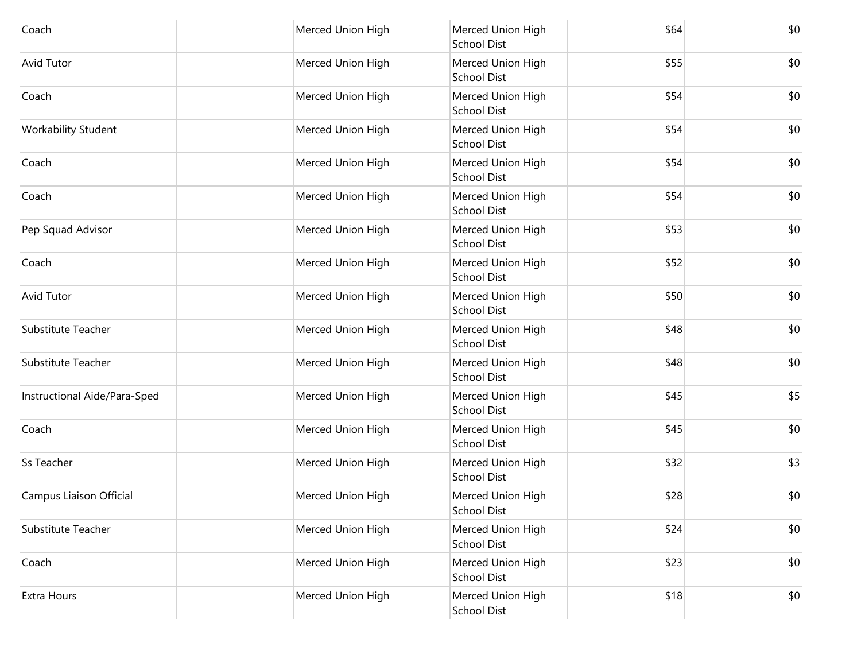| Coach                        | Merced Union High | Merced Union High<br><b>School Dist</b> | \$64 | \$0 |
|------------------------------|-------------------|-----------------------------------------|------|-----|
| <b>Avid Tutor</b>            | Merced Union High | Merced Union High<br><b>School Dist</b> | \$55 | \$0 |
| Coach                        | Merced Union High | Merced Union High<br><b>School Dist</b> | \$54 | \$0 |
| <b>Workability Student</b>   | Merced Union High | Merced Union High<br><b>School Dist</b> | \$54 | \$0 |
| Coach                        | Merced Union High | Merced Union High<br><b>School Dist</b> | \$54 | \$0 |
| Coach                        | Merced Union High | Merced Union High<br><b>School Dist</b> | \$54 | \$0 |
| Pep Squad Advisor            | Merced Union High | Merced Union High<br><b>School Dist</b> | \$53 | \$0 |
| Coach                        | Merced Union High | Merced Union High<br><b>School Dist</b> | \$52 | \$0 |
| <b>Avid Tutor</b>            | Merced Union High | Merced Union High<br><b>School Dist</b> | \$50 | \$0 |
| Substitute Teacher           | Merced Union High | Merced Union High<br><b>School Dist</b> | \$48 | \$0 |
| Substitute Teacher           | Merced Union High | Merced Union High<br><b>School Dist</b> | \$48 | \$0 |
| Instructional Aide/Para-Sped | Merced Union High | Merced Union High<br><b>School Dist</b> | \$45 | \$5 |
| Coach                        | Merced Union High | Merced Union High<br><b>School Dist</b> | \$45 | \$0 |
| Ss Teacher                   | Merced Union High | Merced Union High<br><b>School Dist</b> | \$32 | \$3 |
| Campus Liaison Official      | Merced Union High | Merced Union High<br><b>School Dist</b> | \$28 | \$0 |
| Substitute Teacher           | Merced Union High | Merced Union High<br><b>School Dist</b> | \$24 | \$0 |
| Coach                        | Merced Union High | Merced Union High<br><b>School Dist</b> | \$23 | \$0 |
| Extra Hours                  | Merced Union High | Merced Union High<br><b>School Dist</b> | \$18 | \$0 |